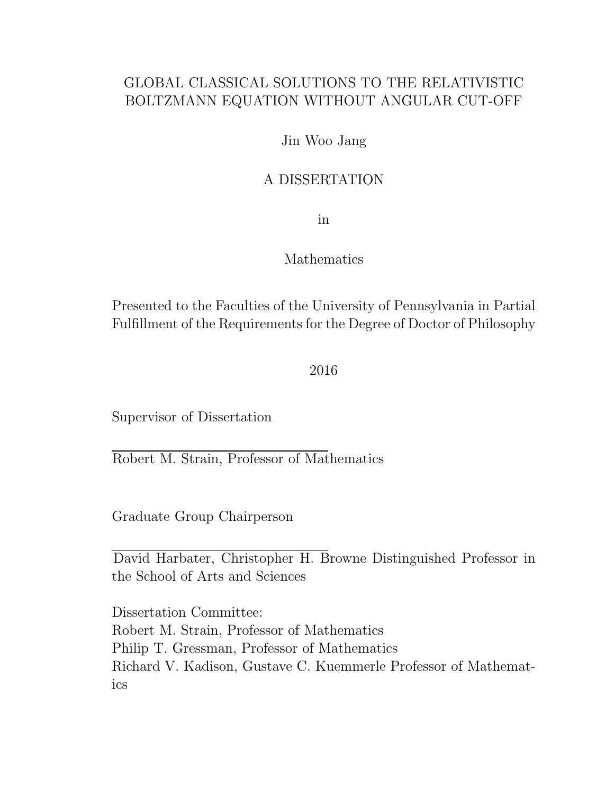### GLOBAL CLASSICAL SOLUTIONS TO THE RELATIVISTIC BOLTZMANN EQUATION WITHOUT ANGULAR CUT-OFF

#### Jin Woo Jang

#### A DISSERTATION

in

#### Mathematics

Presented to the Faculties of the University of Pennsylvania in Partial Fulfillment of the Requirements for the Degree of Doctor of Philosophy

2016

Supervisor of Dissertation

Robert M. Strain, Professor of Mathematics

Graduate Group Chairperson

David Harbater, Christopher H. Browne Distinguished Professor in the School of Arts and Sciences

Dissertation Committee: Robert M. Strain, Professor of Mathematics Philip T. Gressman, Professor of Mathematics Richard V. Kadison, Gustave C. Kuemmerle Professor of Mathematics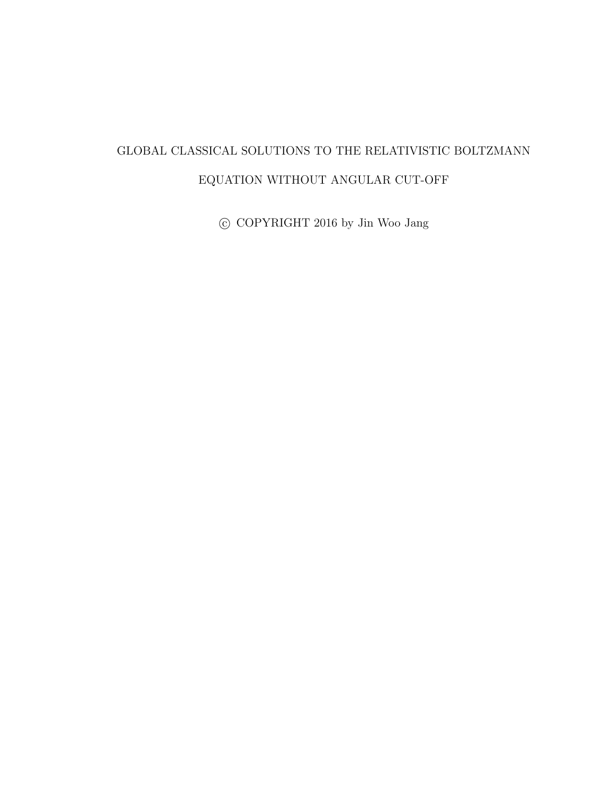## GLOBAL CLASSICAL SOLUTIONS TO THE RELATIVISTIC BOLTZMANN EQUATION WITHOUT ANGULAR CUT-OFF

 $\odot$  COPYRIGHT 2016 by Jin Woo Jang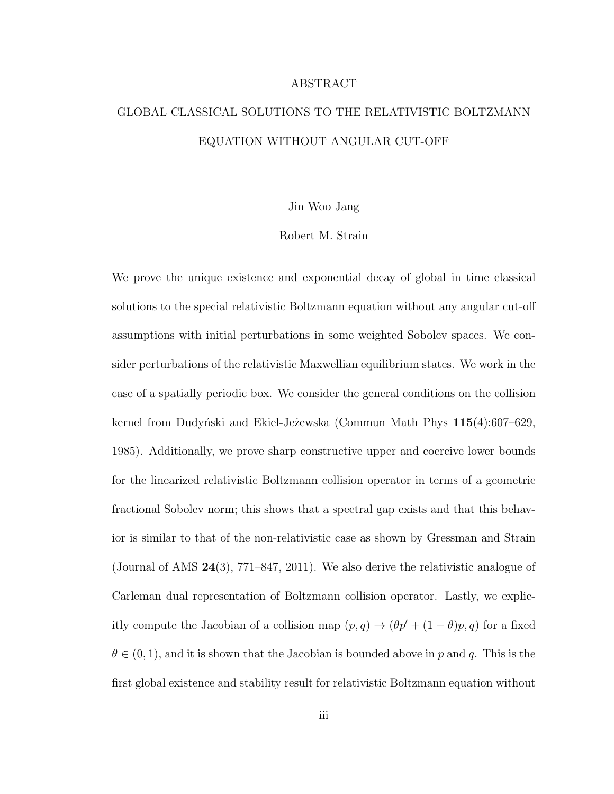#### ABSTRACT

## GLOBAL CLASSICAL SOLUTIONS TO THE RELATIVISTIC BOLTZMANN EQUATION WITHOUT ANGULAR CUT-OFF

#### Jin Woo Jang

#### Robert M. Strain

We prove the unique existence and exponential decay of global in time classical solutions to the special relativistic Boltzmann equation without any angular cut-off assumptions with initial perturbations in some weighted Sobolev spaces. We consider perturbations of the relativistic Maxwellian equilibrium states. We work in the case of a spatially periodic box. We consider the general conditions on the collision kernel from Dudyński and Ekiel-Je $\check{z}$ ewska (Commun Math Phys  $115(4):607-629$ , 1985). Additionally, we prove sharp constructive upper and coercive lower bounds for the linearized relativistic Boltzmann collision operator in terms of a geometric fractional Sobolev norm; this shows that a spectral gap exists and that this behavior is similar to that of the non-relativistic case as shown by Gressman and Strain (Journal of AMS 24(3), 771–847, 2011). We also derive the relativistic analogue of Carleman dual representation of Boltzmann collision operator. Lastly, we explicitly compute the Jacobian of a collision map  $(p, q) \rightarrow (\theta p' + (1 - \theta)p, q)$  for a fixed  $\theta \in (0, 1)$ , and it is shown that the Jacobian is bounded above in p and q. This is the first global existence and stability result for relativistic Boltzmann equation without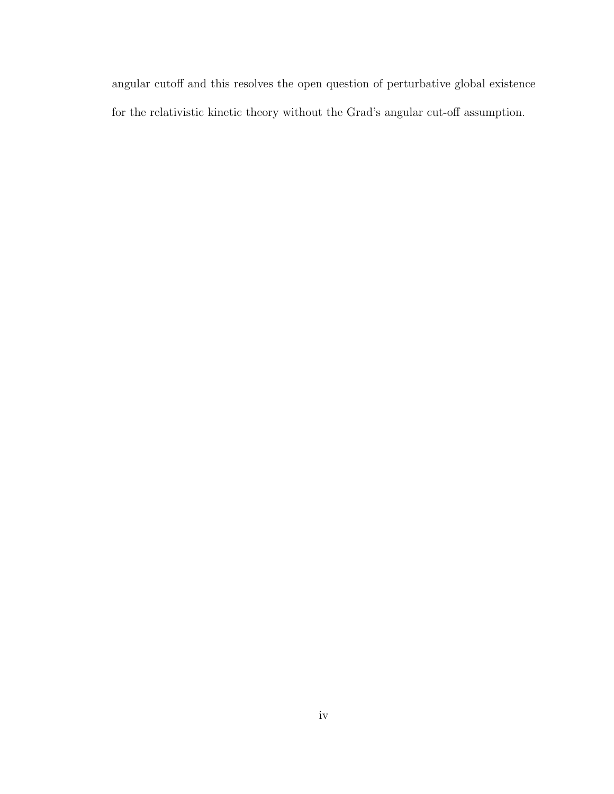angular cutoff and this resolves the open question of perturbative global existence for the relativistic kinetic theory without the Grad's angular cut-off assumption.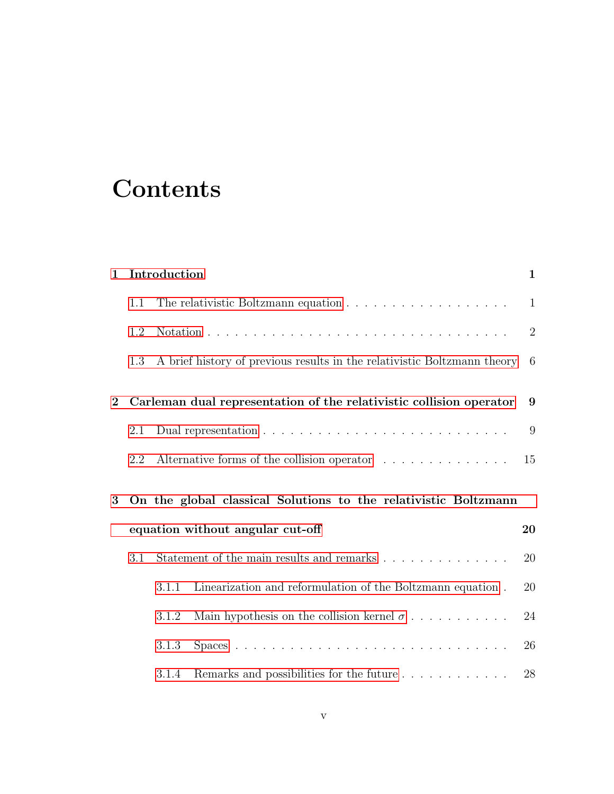# **Contents**

| $\mathbf{1}$   | Introduction                     |                                                                           | 1                                                                        |                |  |  |
|----------------|----------------------------------|---------------------------------------------------------------------------|--------------------------------------------------------------------------|----------------|--|--|
|                | 1.1                              |                                                                           |                                                                          | $\mathbf{1}$   |  |  |
|                | 1.2                              |                                                                           |                                                                          | $\overline{2}$ |  |  |
|                | 1.3                              |                                                                           | A brief history of previous results in the relativistic Boltzmann theory | - 6            |  |  |
| $\overline{2}$ |                                  | Carleman dual representation of the relativistic collision operator       |                                                                          |                |  |  |
|                | 2.1                              |                                                                           |                                                                          | 9              |  |  |
|                | 2.2                              |                                                                           | Alternative forms of the collision operator                              | 15             |  |  |
| 3              |                                  | On the global classical Solutions to the relativistic Boltzmann           |                                                                          |                |  |  |
|                | equation without angular cut-off |                                                                           |                                                                          |                |  |  |
|                | 3.1                              | Statement of the main results and remarks $\dots \dots \dots \dots \dots$ |                                                                          | 20             |  |  |
|                |                                  | 3.1.1                                                                     | Linearization and reformulation of the Boltzmann equation.               | 20             |  |  |
|                |                                  | 3.1.2                                                                     | Main hypothesis on the collision kernel $\sigma$                         | 24             |  |  |
|                |                                  | 3.1.3                                                                     |                                                                          | 26             |  |  |
|                |                                  | 3.1.4                                                                     |                                                                          | 28             |  |  |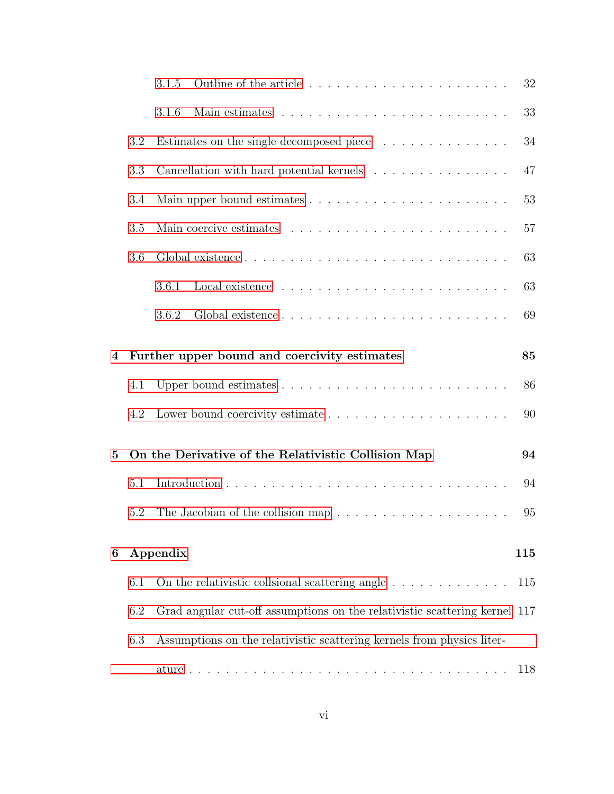|                |                                                                                      | 3.1.5<br>32                                                                       |  |  |  |  |
|----------------|--------------------------------------------------------------------------------------|-----------------------------------------------------------------------------------|--|--|--|--|
|                |                                                                                      | 33<br>3.1.6                                                                       |  |  |  |  |
|                | 3.2                                                                                  | Estimates on the single decomposed piece<br>34                                    |  |  |  |  |
|                | 3.3                                                                                  | Cancellation with hard potential kernels<br>47                                    |  |  |  |  |
|                | 3.4                                                                                  | 53                                                                                |  |  |  |  |
|                | 3.5                                                                                  | 57                                                                                |  |  |  |  |
|                | 3.6                                                                                  | 63                                                                                |  |  |  |  |
|                |                                                                                      | 63<br>3.6.1                                                                       |  |  |  |  |
|                |                                                                                      | 69<br>3.6.2                                                                       |  |  |  |  |
| 4              |                                                                                      | Further upper bound and coercivity estimates<br>85                                |  |  |  |  |
|                | 4.1                                                                                  | 86                                                                                |  |  |  |  |
|                | 4.2                                                                                  | 90                                                                                |  |  |  |  |
| $\overline{5}$ |                                                                                      | On the Derivative of the Relativistic Collision Map<br>94                         |  |  |  |  |
|                | 5.1                                                                                  | 94                                                                                |  |  |  |  |
|                | 5.2                                                                                  | 95                                                                                |  |  |  |  |
| 6              |                                                                                      | Appendix<br>115                                                                   |  |  |  |  |
|                | 6.1<br>On the relativistic collsional scattering angle $\ldots \ldots \ldots \ldots$ |                                                                                   |  |  |  |  |
|                | 6.2                                                                                  | 115<br>Grad angular cut-off assumptions on the relativistic scattering kernel 117 |  |  |  |  |
|                |                                                                                      |                                                                                   |  |  |  |  |
|                | 6.3                                                                                  | Assumptions on the relativistic scattering kernels from physics liter-            |  |  |  |  |
|                |                                                                                      | 118                                                                               |  |  |  |  |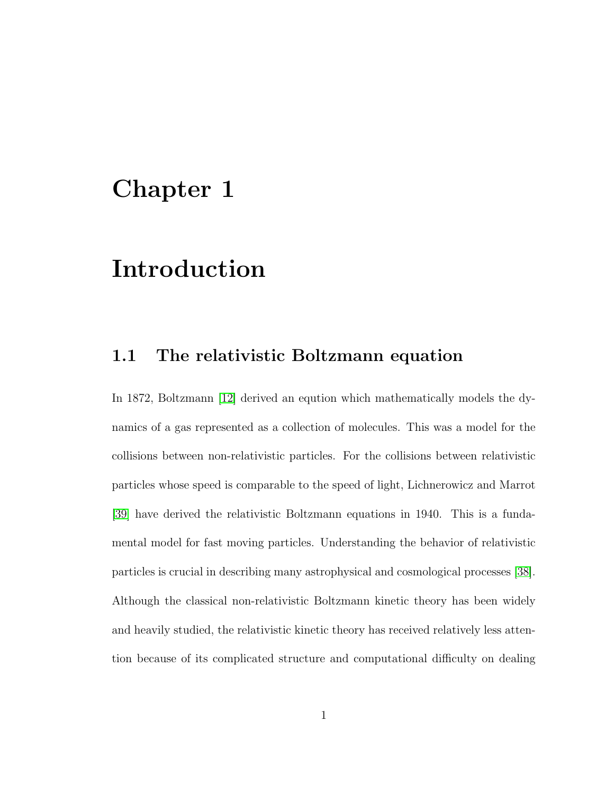# <span id="page-7-0"></span>Chapter 1

# Introduction

### <span id="page-7-1"></span>1.1 The relativistic Boltzmann equation

In 1872, Boltzmann [\[12\]](#page-127-0) derived an eqution which mathematically models the dynamics of a gas represented as a collection of molecules. This was a model for the collisions between non-relativistic particles. For the collisions between relativistic particles whose speed is comparable to the speed of light, Lichnerowicz and Marrot [\[39\]](#page-131-1) have derived the relativistic Boltzmann equations in 1940. This is a fundamental model for fast moving particles. Understanding the behavior of relativistic particles is crucial in describing many astrophysical and cosmological processes [\[38\]](#page-131-2). Although the classical non-relativistic Boltzmann kinetic theory has been widely and heavily studied, the relativistic kinetic theory has received relatively less attention because of its complicated structure and computational difficulty on dealing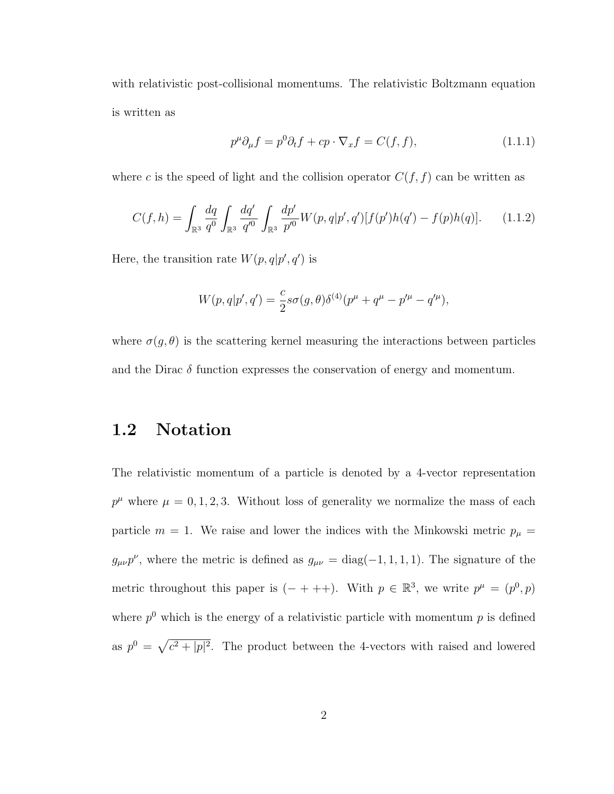with relativistic post-collisional momentums. The relativistic Boltzmann equation is written as

<span id="page-8-2"></span>
$$
p^{\mu}\partial_{\mu}f = p^{0}\partial_{t}f + cp \cdot \nabla_{x}f = C(f, f), \qquad (1.1.1)
$$

where c is the speed of light and the collision operator  $C(f, f)$  can be written as

<span id="page-8-1"></span>
$$
C(f,h) = \int_{\mathbb{R}^3} \frac{dq}{q^0} \int_{\mathbb{R}^3} \frac{dq'}{q'^0} \int_{\mathbb{R}^3} \frac{dp'}{p'^0} W(p,q|p',q')[f(p')h(q') - f(p)h(q)]. \tag{1.1.2}
$$

Here, the transition rate  $W(p,q|p',q')$  is

$$
W(p,q|p',q') = \frac{c}{2} s\sigma(g,\theta)\delta^{(4)}(p^{\mu} + q^{\mu} - p'^{\mu} - q'^{\mu}),
$$

where  $\sigma(g, \theta)$  is the scattering kernel measuring the interactions between particles and the Dirac  $\delta$  function expresses the conservation of energy and momentum.

## <span id="page-8-0"></span>1.2 Notation

The relativistic momentum of a particle is denoted by a 4-vector representation  $p^{\mu}$  where  $\mu = 0, 1, 2, 3$ . Without loss of generality we normalize the mass of each particle  $m = 1$ . We raise and lower the indices with the Minkowski metric  $p_{\mu} =$  $g_{\mu\nu}p^{\nu}$ , where the metric is defined as  $g_{\mu\nu} = \text{diag}(-1, 1, 1, 1)$ . The signature of the metric throughout this paper is  $(- + + +)$ . With  $p \in \mathbb{R}^3$ , we write  $p^{\mu} = (p^0, p)$ where  $p^0$  which is the energy of a relativistic particle with momentum  $p$  is defined as  $p^0 = \sqrt{c^2 + |p|^2}$ . The product between the 4-vectors with raised and lowered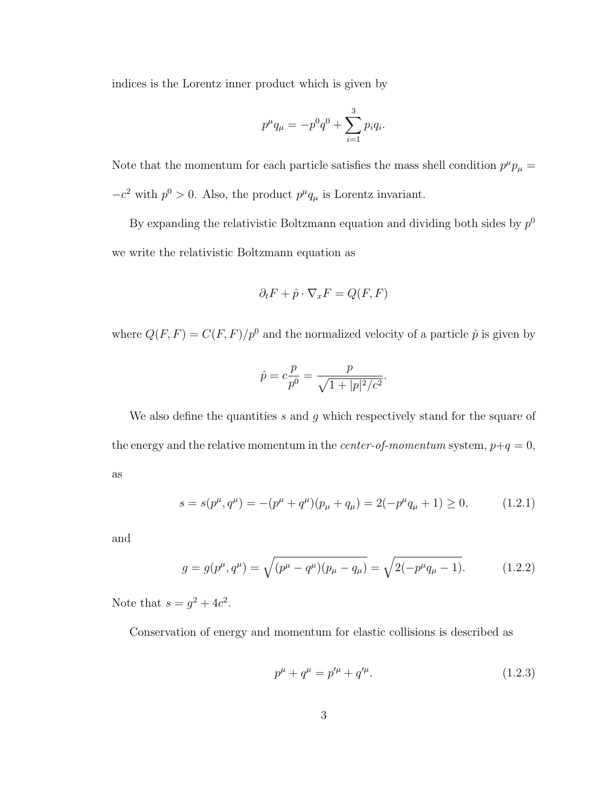indices is the Lorentz inner product which is given by

$$
p^{\mu}q_{\mu} = -p^{0}q^{0} + \sum_{i=1}^{3} p_{i}q_{i}.
$$

Note that the momentum for each particle satisfies the mass shell condition  $p^{\mu}p_{\mu} =$  $-c^2$  with  $p^0 > 0$ . Also, the product  $p^{\mu}q_{\mu}$  is Lorentz invariant.

By expanding the relativistic Boltzmann equation and dividing both sides by  $p^0$ we write the relativistic Boltzmann equation as

$$
\partial_t F + \hat{p} \cdot \nabla_x F = Q(F, F)
$$

where  $Q(F, F) = C(F, F)/p^0$  and the normalized velocity of a particle  $\hat{p}$  is given by

$$
\hat{p} = c \frac{p}{p^0} = \frac{p}{\sqrt{1 + |p|^2/c^2}}.
$$

We also define the quantities s and g which respectively stand for the square of the energy and the relative momentum in the *center-of-momentum* system,  $p+q = 0$ , as

$$
s = s(p^{\mu}, q^{\mu}) = -(p^{\mu} + q^{\mu})(p_{\mu} + q_{\mu}) = 2(-p^{\mu}q_{\mu} + 1) \ge 0, \qquad (1.2.1)
$$

and

$$
g = g(p^{\mu}, q^{\mu}) = \sqrt{(p^{\mu} - q^{\mu})(p_{\mu} - q_{\mu})} = \sqrt{2(-p^{\mu}q_{\mu} - 1)}.
$$
 (1.2.2)

Note that  $s = g^2 + 4c^2$ .

Conservation of energy and momentum for elastic collisions is described as

<span id="page-9-0"></span>
$$
p^{\mu} + q^{\mu} = p^{\prime \mu} + q^{\prime \mu}.
$$
 (1.2.3)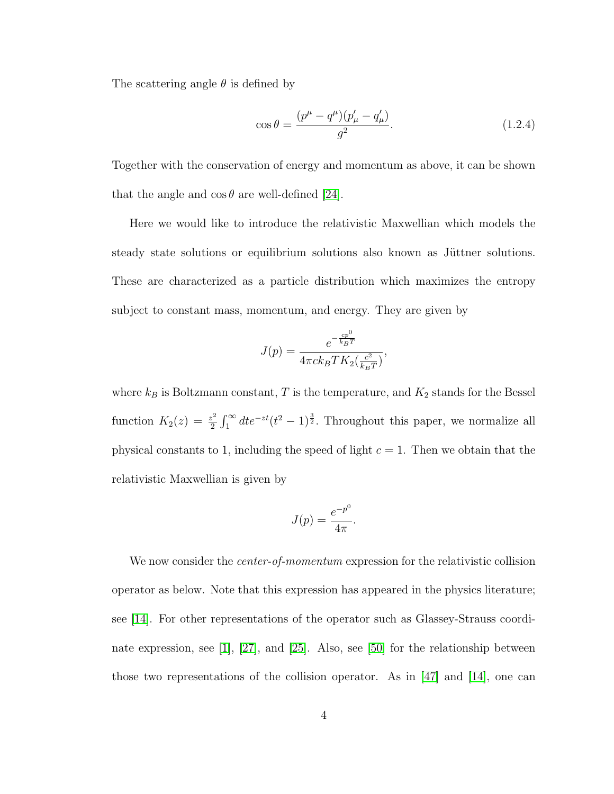The scattering angle  $\theta$  is defined by

$$
\cos \theta = \frac{(p^{\mu} - q^{\mu})(p'_{\mu} - q'_{\mu})}{g^2}.
$$
\n(1.2.4)

Together with the conservation of energy and momentum as above, it can be shown that the angle and  $\cos \theta$  are well-defined [\[24\]](#page-129-1).

Here we would like to introduce the relativistic Maxwellian which models the steady state solutions or equilibrium solutions also known as Jüttner solutions. These are characterized as a particle distribution which maximizes the entropy subject to constant mass, momentum, and energy. They are given by

$$
J(p) = \frac{e^{-\frac{cp^{0}}{k_{B}T}}}{4\pi ck_{B}TK_{2}(\frac{c^{2}}{k_{B}T})},
$$

where  $k_B$  is Boltzmann constant, T is the temperature, and  $K_2$  stands for the Bessel function  $K_2(z) = \frac{z^2}{2}$  $\frac{z^2}{2} \int_1^{\infty} dt e^{-zt} (t^2 - 1)^{\frac{3}{2}}$ . Throughout this paper, we normalize all physical constants to 1, including the speed of light  $c = 1$ . Then we obtain that the relativistic Maxwellian is given by

$$
J(p) = \frac{e^{-p^0}}{4\pi}.
$$

We now consider the *center-of-momentum* expression for the relativistic collision operator as below. Note that this expression has appeared in the physics literature; see [\[14\]](#page-128-0). For other representations of the operator such as Glassey-Strauss coordinate expression, see [\[1\]](#page-126-0), [\[27\]](#page-129-2), and [\[25\]](#page-129-3). Also, see [\[50\]](#page-132-0) for the relationship between those two representations of the collision operator. As in [\[47\]](#page-132-1) and [\[14\]](#page-128-0), one can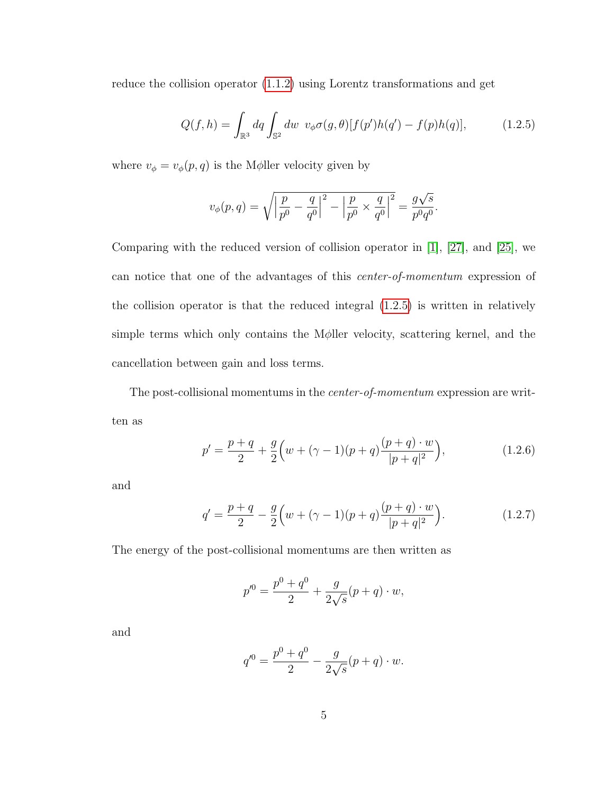reduce the collision operator [\(1.1.2\)](#page-8-1) using Lorentz transformations and get

<span id="page-11-0"></span>
$$
Q(f, h) = \int_{\mathbb{R}^3} dq \int_{\mathbb{S}^2} dw \ v_{\phi} \sigma(g, \theta) [f(p')h(q') - f(p)h(q)], \qquad (1.2.5)
$$

where  $v_{\phi} = v_{\phi}(p,q)$  is the M $\phi$ ller velocity given by

$$
v_{\phi}(p,q) = \sqrt{\left|\frac{p}{p^0} - \frac{q}{q^0}\right|^2 - \left|\frac{p}{p^0} \times \frac{q}{q^0}\right|^2} = \frac{g\sqrt{s}}{p^0 q^0}.
$$

Comparing with the reduced version of collision operator in [\[1\]](#page-126-0), [\[27\]](#page-129-2), and [\[25\]](#page-129-3), we can notice that one of the advantages of this center-of-momentum expression of the collision operator is that the reduced integral [\(1.2.5\)](#page-11-0) is written in relatively simple terms which only contains the Mφller velocity, scattering kernel, and the cancellation between gain and loss terms.

The post-collisional momentums in the center-of-momentum expression are written as

<span id="page-11-1"></span>
$$
p' = \frac{p+q}{2} + \frac{g}{2} \left( w + (\gamma - 1)(p+q) \frac{(p+q) \cdot w}{|p+q|^2} \right),\tag{1.2.6}
$$

and

<span id="page-11-2"></span>
$$
q' = \frac{p+q}{2} - \frac{g}{2} \left( w + (\gamma - 1)(p+q) \frac{(p+q) \cdot w}{|p+q|^2} \right).
$$
 (1.2.7)

The energy of the post-collisional momentums are then written as

$$
p'^0 = \frac{p^0 + q^0}{2} + \frac{g}{2\sqrt{s}}(p+q) \cdot w,
$$

and

$$
q'^{0} = \frac{p^{0} + q^{0}}{2} - \frac{g}{2\sqrt{s}}(p+q) \cdot w.
$$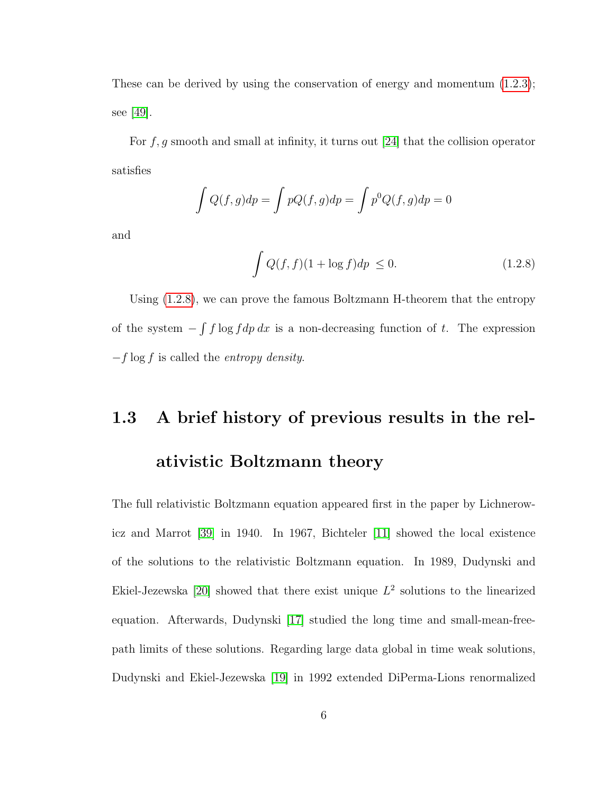These can be derived by using the conservation of energy and momentum [\(1.2.3\)](#page-9-0); see [\[49\]](#page-132-2).

For  $f, g$  smooth and small at infinity, it turns out [\[24\]](#page-129-1) that the collision operator satisfies

$$
\int Q(f,g)dp = \int pQ(f,g)dp = \int p^0Q(f,g)dp = 0
$$

and

<span id="page-12-1"></span>
$$
\int Q(f, f)(1 + \log f) dp \le 0.
$$
\n(1.2.8)

Using [\(1.2.8\)](#page-12-1), we can prove the famous Boltzmann H-theorem that the entropy of the system  $-\int f \log f dp dx$  is a non-decreasing function of t. The expression  $-f \log f$  is called the *entropy density*.

# <span id="page-12-0"></span>1.3 A brief history of previous results in the relativistic Boltzmann theory

The full relativistic Boltzmann equation appeared first in the paper by Lichnerowicz and Marrot [\[39\]](#page-131-1) in 1940. In 1967, Bichteler [\[11\]](#page-127-1) showed the local existence of the solutions to the relativistic Boltzmann equation. In 1989, Dudynski and Ekiel-Jezewska [\[20\]](#page-128-2) showed that there exist unique  $L^2$  solutions to the linearized equation. Afterwards, Dudynski [\[17\]](#page-128-3) studied the long time and small-mean-freepath limits of these solutions. Regarding large data global in time weak solutions, Dudynski and Ekiel-Jezewska [\[19\]](#page-128-4) in 1992 extended DiPerma-Lions renormalized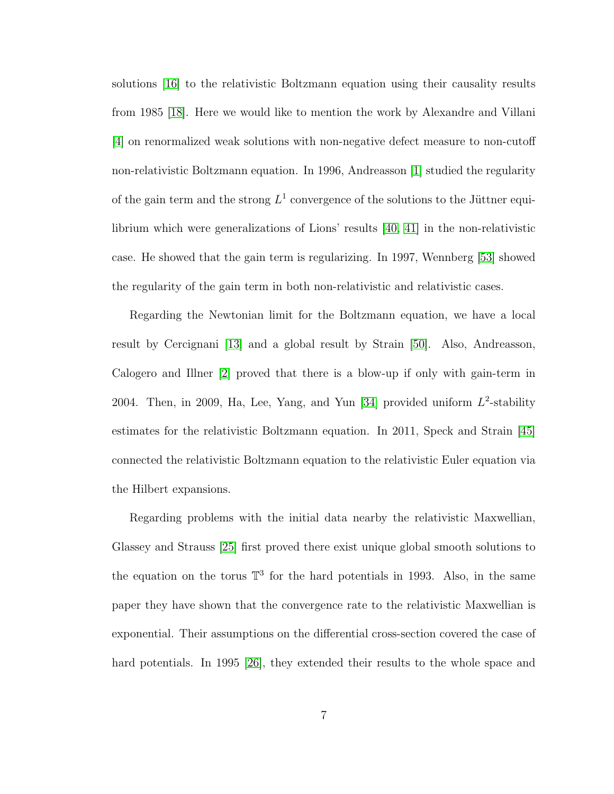solutions [\[16\]](#page-128-5) to the relativistic Boltzmann equation using their causality results from 1985 [\[18\]](#page-128-6). Here we would like to mention the work by Alexandre and Villani [\[4\]](#page-126-1) on renormalized weak solutions with non-negative defect measure to non-cutoff non-relativistic Boltzmann equation. In 1996, Andreasson [\[1\]](#page-126-0) studied the regularity of the gain term and the strong  $L^1$  convergence of the solutions to the Jüttner equilibrium which were generalizations of Lions' results [\[40,](#page-131-3) [41\]](#page-131-4) in the non-relativistic case. He showed that the gain term is regularizing. In 1997, Wennberg [\[53\]](#page-133-0) showed the regularity of the gain term in both non-relativistic and relativistic cases.

Regarding the Newtonian limit for the Boltzmann equation, we have a local result by Cercignani [\[13\]](#page-128-7) and a global result by Strain [\[50\]](#page-132-0). Also, Andreasson, Calogero and Illner [\[2\]](#page-126-2) proved that there is a blow-up if only with gain-term in 2004. Then, in 2009, Ha, Lee, Yang, and Yun [\[34\]](#page-130-1) provided uniform  $L^2$ -stability estimates for the relativistic Boltzmann equation. In 2011, Speck and Strain [\[45\]](#page-132-3) connected the relativistic Boltzmann equation to the relativistic Euler equation via the Hilbert expansions.

Regarding problems with the initial data nearby the relativistic Maxwellian, Glassey and Strauss [\[25\]](#page-129-3) first proved there exist unique global smooth solutions to the equation on the torus  $\mathbb{T}^3$  for the hard potentials in 1993. Also, in the same paper they have shown that the convergence rate to the relativistic Maxwellian is exponential. Their assumptions on the differential cross-section covered the case of hard potentials. In 1995 [\[26\]](#page-129-4), they extended their results to the whole space and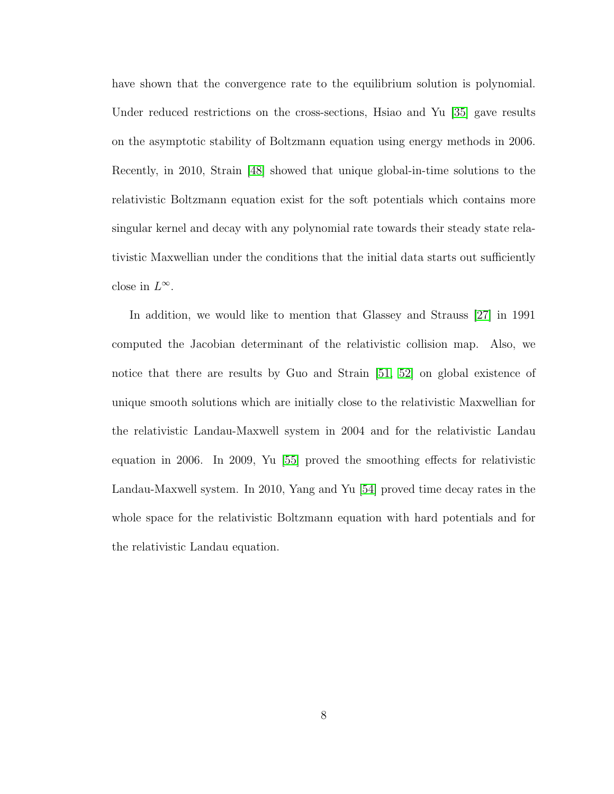have shown that the convergence rate to the equilibrium solution is polynomial. Under reduced restrictions on the cross-sections, Hsiao and Yu [\[35\]](#page-130-2) gave results on the asymptotic stability of Boltzmann equation using energy methods in 2006. Recently, in 2010, Strain [\[48\]](#page-132-4) showed that unique global-in-time solutions to the relativistic Boltzmann equation exist for the soft potentials which contains more singular kernel and decay with any polynomial rate towards their steady state relativistic Maxwellian under the conditions that the initial data starts out sufficiently close in  $L^{\infty}$ .

In addition, we would like to mention that Glassey and Strauss [\[27\]](#page-129-2) in 1991 computed the Jacobian determinant of the relativistic collision map. Also, we notice that there are results by Guo and Strain [\[51,](#page-132-5) [52\]](#page-133-1) on global existence of unique smooth solutions which are initially close to the relativistic Maxwellian for the relativistic Landau-Maxwell system in 2004 and for the relativistic Landau equation in 2006. In 2009, Yu [\[55\]](#page-133-2) proved the smoothing effects for relativistic Landau-Maxwell system. In 2010, Yang and Yu [\[54\]](#page-133-3) proved time decay rates in the whole space for the relativistic Boltzmann equation with hard potentials and for the relativistic Landau equation.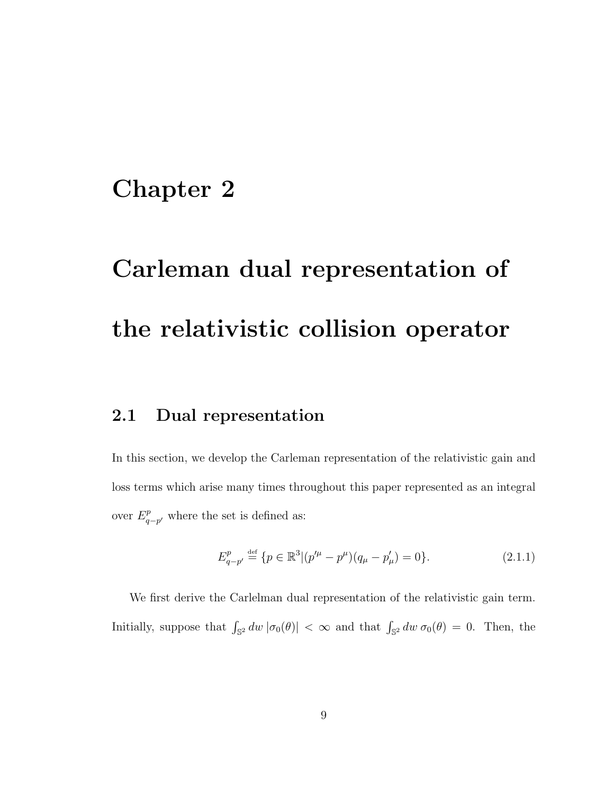## <span id="page-15-0"></span>Chapter 2

# Carleman dual representation of the relativistic collision operator

## <span id="page-15-1"></span>2.1 Dual representation

In this section, we develop the Carleman representation of the relativistic gain and loss terms which arise many times throughout this paper represented as an integral over  $E_a^p$  $q-p'$  where the set is defined as:

$$
E_{q-p'}^p \stackrel{\text{def}}{=} \{ p \in \mathbb{R}^3 | (p'^\mu - p^\mu)(q_\mu - p'_\mu) = 0 \}. \tag{2.1.1}
$$

We first derive the Carlelman dual representation of the relativistic gain term. Initially, suppose that  $\int_{\mathbb{S}^2} dw \, |\sigma_0(\theta)| < \infty$  and that  $\int_{\mathbb{S}^2} dw \, \sigma_0(\theta) = 0$ . Then, the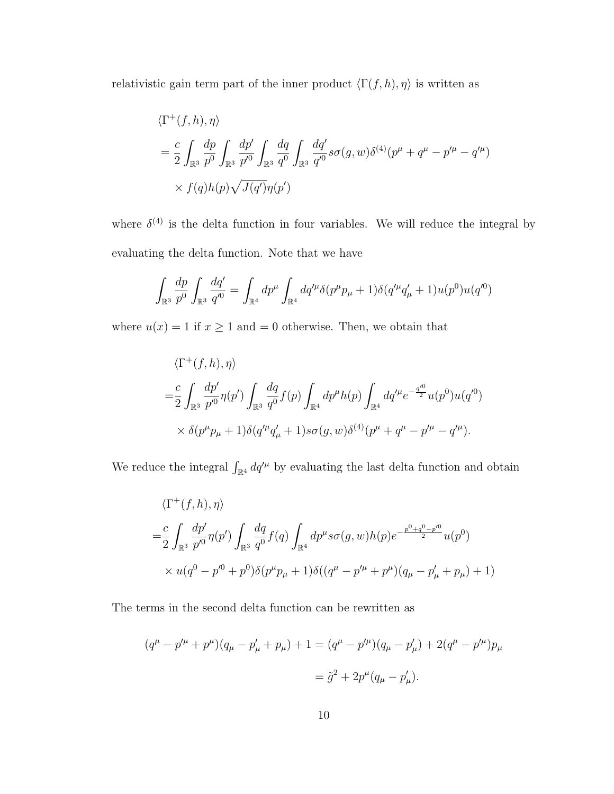relativistic gain term part of the inner product  $\langle \Gamma(f, h), \eta \rangle$  is written as

$$
\langle \Gamma^+(f,h), \eta \rangle
$$
  
=  $\frac{c}{2} \int_{\mathbb{R}^3} \frac{dp}{p^0} \int_{\mathbb{R}^3} \frac{dp'}{p'^0} \int_{\mathbb{R}^3} \frac{dq}{q^0} \int_{\mathbb{R}^3} \frac{dq'}{q'^0} s \sigma(g,w) \delta^{(4)}(p^\mu + q^\mu - p'^\mu - q'^\mu) \times f(q) h(p) \sqrt{J(q')}\eta(p')$ 

where  $\delta^{(4)}$  is the delta function in four variables. We will reduce the integral by evaluating the delta function. Note that we have

$$
\int_{\mathbb{R}^3} \frac{dp}{p^0} \int_{\mathbb{R}^3} \frac{dq'}{q'^0} = \int_{\mathbb{R}^4} dp^\mu \int_{\mathbb{R}^4} dq'^\mu \delta(p^\mu p_\mu + 1) \delta(q'^\mu q'_\mu + 1) u(p^0) u(q'^0)
$$

where  $u(x) = 1$  if  $x \ge 1$  and  $= 0$  otherwise. Then, we obtain that

$$
\langle \Gamma^+(f, h), \eta \rangle
$$
  
=  $\frac{c}{2} \int_{\mathbb{R}^3} \frac{dp'}{p'^0} \eta(p') \int_{\mathbb{R}^3} \frac{dq}{q^0} f(p) \int_{\mathbb{R}^4} dp^{\mu} h(p) \int_{\mathbb{R}^4} dq'^{\mu} e^{-\frac{q'^0}{2}} u(p^0) u(q'^0)$   
 $\times \delta(p^{\mu} p_{\mu} + 1) \delta(q'^{\mu} q'_{\mu} + 1) s \sigma(q, w) \delta^{(4)}(p^{\mu} + q^{\mu} - p'^{\mu} - q'^{\mu}).$ 

We reduce the integral  $\int_{\mathbb{R}^4} dq'^\mu$  by evaluating the last delta function and obtain

$$
\langle \Gamma^+(f, h), \eta \rangle
$$
  
= $\frac{c}{2} \int_{\mathbb{R}^3} \frac{dp'}{p'^0} \eta(p') \int_{\mathbb{R}^3} \frac{dq}{q^0} f(q) \int_{\mathbb{R}^4} dp^{\mu} s \sigma(g, w) h(p) e^{-\frac{p^0 + q^0 - p'^0}{2}} u(p^0)$   
 $\times u(q^0 - p'^0 + p^0) \delta(p^{\mu} p_{\mu} + 1) \delta((q^{\mu} - p'^{\mu} + p^{\mu})(q_{\mu} - p'_{\mu} + p_{\mu}) + 1)$ 

The terms in the second delta function can be rewritten as

$$
(q^{\mu} - p'^{\mu} + p^{\mu})(q_{\mu} - p'_{\mu} + p_{\mu}) + 1 = (q^{\mu} - p'^{\mu})(q_{\mu} - p'_{\mu}) + 2(q^{\mu} - p'^{\mu})p_{\mu}
$$

$$
= \tilde{g}^{2} + 2p^{\mu}(q_{\mu} - p'_{\mu}).
$$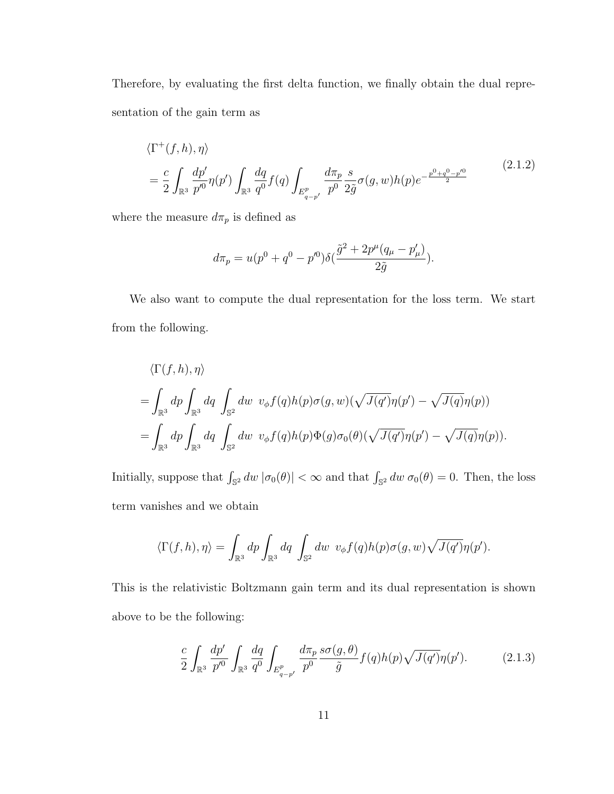Therefore, by evaluating the first delta function, we finally obtain the dual representation of the gain term as

$$
\langle \Gamma^{+}(f,h), \eta \rangle
$$
\n
$$
= \frac{c}{2} \int_{\mathbb{R}^3} \frac{dp'}{p'^0} \eta(p') \int_{\mathbb{R}^3} \frac{dq}{q^0} f(q) \int_{E_{q-p'}^p} \frac{d\pi_p}{p^0} \frac{s}{2\tilde{g}} \sigma(g,w) h(p) e^{-\frac{p^0 + q^0 - p'^0}{2}} \tag{2.1.2}
$$

).

where the measure  $d\pi_p$  is defined as

$$
d\pi_p = u(p^0 + q^0 - p^{\prime 0})\delta(\frac{\tilde{g}^2 + 2p^{\mu}(q_{\mu} - p_{\mu}^{\prime})}{2\tilde{g}})
$$

We also want to compute the dual representation for the loss term. We start from the following.

$$
\langle \Gamma(f, h), \eta \rangle
$$
  
=  $\int_{\mathbb{R}^3} dp \int_{\mathbb{R}^3} dq \int_{\mathbb{S}^2} dw \ v_{\phi} f(q) h(p) \sigma(q, w) (\sqrt{J(q')} \eta(p') - \sqrt{J(q)} \eta(p))$   
=  $\int_{\mathbb{R}^3} dp \int_{\mathbb{R}^3} dq \int_{\mathbb{S}^2} dw \ v_{\phi} f(q) h(p) \Phi(g) \sigma_0(\theta) (\sqrt{J(q')} \eta(p') - \sqrt{J(q)} \eta(p)).$ 

Initially, suppose that  $\int_{\mathbb{S}^2} dw \, |\sigma_0(\theta)| < \infty$  and that  $\int_{\mathbb{S}^2} dw \, \sigma_0(\theta) = 0$ . Then, the loss term vanishes and we obtain

$$
\langle \Gamma(f,h),\eta \rangle = \int_{\mathbb{R}^3} dp \int_{\mathbb{R}^3} dq \int_{\mathbb{S}^2} dw \ v_{\phi} f(q) h(p) \sigma(g,w) \sqrt{J(q')} \eta(p').
$$

This is the relativistic Boltzmann gain term and its dual representation is shown above to be the following:

$$
\frac{c}{2} \int_{\mathbb{R}^3} \frac{dp'}{p'^0} \int_{\mathbb{R}^3} \frac{dq}{q^0} \int_{E_{q-p'}^p} \frac{d\pi_p}{p^0} \frac{s\sigma(g,\theta)}{\tilde{g}} f(q) h(p) \sqrt{J(q')} \eta(p'). \tag{2.1.3}
$$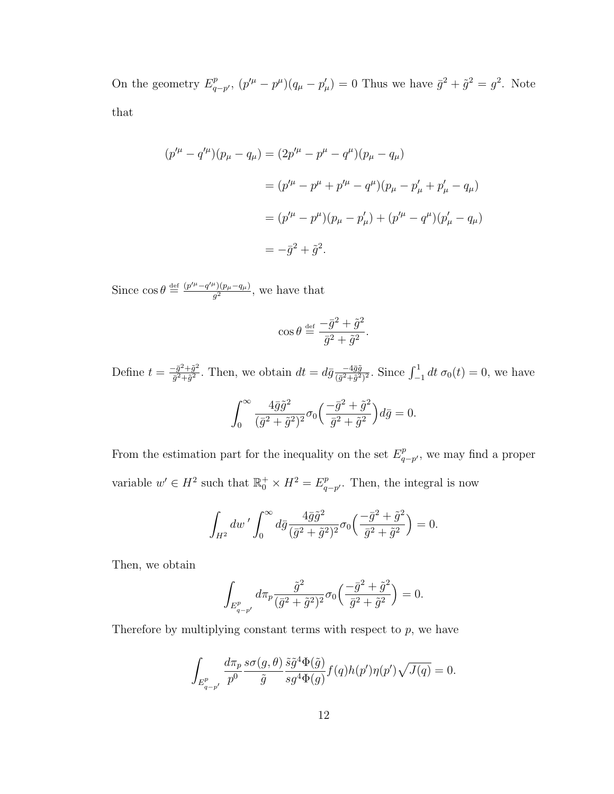On the geometry  $E_a^p$  $_{q-p'}^{p}$ ,  $(p'^{\mu} - p^{\mu})(q_{\mu} - p'_{\mu}) = 0$  Thus we have  $\bar{g}^{2} + \tilde{g}^{2} = g^{2}$ . Note that

$$
(p'^{\mu} - q'^{\mu})(p_{\mu} - q_{\mu}) = (2p'^{\mu} - p^{\mu} - q^{\mu})(p_{\mu} - q_{\mu})
$$
  

$$
= (p'^{\mu} - p^{\mu} + p'^{\mu} - q^{\mu})(p_{\mu} - p'_{\mu} + p'_{\mu} - q_{\mu})
$$
  

$$
= (p'^{\mu} - p^{\mu})(p_{\mu} - p'_{\mu}) + (p'^{\mu} - q^{\mu})(p'_{\mu} - q_{\mu})
$$
  

$$
= -\bar{g}^2 + \tilde{g}^2.
$$

Since  $\cos \theta \stackrel{\text{def}}{=} \frac{(p'^\mu - q'^\mu)(p_\mu - q_\mu)}{q^2}$  $\frac{f'(p_\mu-q_\mu)}{g^2}$ , we have that

$$
\cos \theta \stackrel{\text{def}}{=} \frac{-\bar{g}^2 + \tilde{g}^2}{\bar{g}^2 + \tilde{g}^2}.
$$

Define  $t = \frac{-\bar{g}^2 + \tilde{g}^2}{\bar{g}^2 + \tilde{g}^2}$  $\frac{(\bar{g}^2 + \tilde{g}^2)}{\bar{g}^2 + \tilde{g}^2}$ . Then, we obtain  $dt = d\bar{g} \frac{-4\bar{g}\tilde{g}}{(\bar{g}^2 + \tilde{g}^2)}$  $\frac{-4\bar{g}\tilde{g}}{(\bar{g}^2+\bar{g}^2)^2}$ . Since  $\int_{-1}^{1} dt \sigma_0(t) = 0$ , we have  $\int^{\infty}$  $\boldsymbol{0}$  $4\bar{g}\tilde{g}^2$  $\frac{4\bar{g}\tilde{g}^2}{(\bar{g}^2+\tilde{g}^2)^2}\sigma_0\Big(\frac{-\bar{g}^2+\tilde{g}^2}{\bar{g}^2+\tilde{g}^2}$  $\bar{g}^2+\tilde{g}^2$  $\partial d\bar{g} = 0.$ 

From the estimation part for the inequality on the set  $E^p_a$  $q_{-p'}^p$ , we may find a proper variable  $w' \in H^2$  such that  $\mathbb{R}_0^+ \times H^2 = E_q^p$  $_{q-p'}^p$ . Then, the integral is now

$$
\int_{H^2} dw' \int_0^\infty d\bar{g} \frac{4\bar{g}\tilde{g}^2}{(\bar{g}^2 + \tilde{g}^2)^2} \sigma_0 \left(\frac{-\bar{g}^2 + \tilde{g}^2}{\bar{g}^2 + \tilde{g}^2}\right) = 0.
$$

Then, we obtain

$$
\int_{E_{q-p'}^p}d\pi_p\frac{\tilde{g}^2}{(\bar{g}^2+\tilde{g}^2)^2}\sigma_0\Big(\frac{-\bar{g}^2+\tilde{g}^2}{\bar{g}^2+\tilde{g}^2}\Big)=0.
$$

Therefore by multiplying constant terms with respect to  $p$ , we have

$$
\int_{E_{q-p'}^p}\frac{d\pi_p}{p^0}\frac{s\sigma(g,\theta)}{\tilde{g}}\frac{\tilde{s}\tilde{g}^4\Phi(\tilde{g})}{s g^4\Phi(g)}f(q)h(p')\eta(p')\sqrt{J(q)}=0.
$$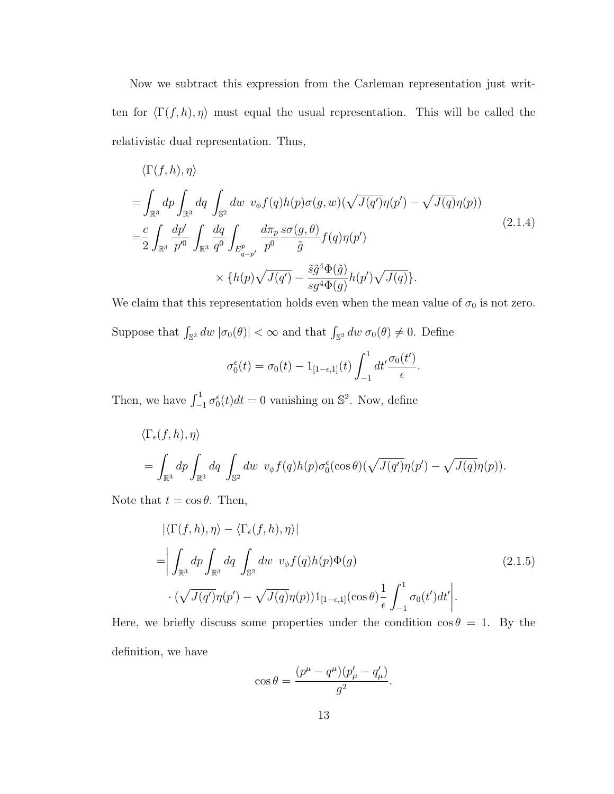Now we subtract this expression from the Carleman representation just written for  $\langle \Gamma(f, h), \eta \rangle$  must equal the usual representation. This will be called the relativistic dual representation. Thus,

<span id="page-19-1"></span>
$$
\langle \Gamma(f, h), \eta \rangle
$$
  
=  $\int_{\mathbb{R}^3} dp \int_{\mathbb{R}^3} dq \int_{\mathbb{S}^2} dw \ v_{\phi} f(q) h(p) \sigma(g, w) (\sqrt{J(q')} \eta(p') - \sqrt{J(q)} \eta(p))$   
=  $\frac{c}{2} \int_{\mathbb{R}^3} \frac{dp'}{p'^0} \int_{\mathbb{R}^3} \frac{dq}{q^0} \int_{E_{q-p'}^p} \frac{d\pi_p}{p^0} \frac{s \sigma(g, \theta)}{\tilde{g}} f(q) \eta(p')$   

$$
\times \{h(p) \sqrt{J(q')} - \frac{\tilde{s}\tilde{g}^4 \Phi(\tilde{g})}{s g^4 \Phi(g)} h(p') \sqrt{J(q)}\}.
$$
 (2.1.4)

We claim that this representation holds even when the mean value of  $\sigma_0$  is not zero.

Suppose that  $\int_{\mathbb{S}^2} dw \, |\sigma_0(\theta)| < \infty$  and that  $\int_{\mathbb{S}^2} dw \, \sigma_0(\theta) \neq 0$ . Define

$$
\sigma_0^{\epsilon}(t) = \sigma_0(t) - 1_{[1-\epsilon,1]}(t) \int_{-1}^1 dt' \frac{\sigma_0(t')}{\epsilon}.
$$

Then, we have  $\int_{-1}^{1} \sigma_0^{\epsilon}(t)dt = 0$  vanishing on  $\mathbb{S}^2$ . Now, define

$$
\langle \Gamma_{\epsilon}(f, h), \eta \rangle
$$
  
=  $\int_{\mathbb{R}^3} dp \int_{\mathbb{R}^3} dq \int_{\mathbb{S}^2} dw \ v_{\phi} f(q) h(p) \sigma_0^{\epsilon}(\cos \theta) (\sqrt{J(q')}\eta(p') - \sqrt{J(q)}\eta(p)).$ 

<span id="page-19-0"></span>Note that  $t = \cos \theta$ . Then,

$$
\left| \langle \Gamma(f, h), \eta \rangle - \langle \Gamma_{\epsilon}(f, h), \eta \rangle \right|
$$
  
= 
$$
\left| \int_{\mathbb{R}^3} dp \int_{\mathbb{R}^3} dq \int_{\mathbb{S}^2} dw \ v_{\phi} f(q) h(p) \Phi(g)
$$
  

$$
\cdot (\sqrt{J(q')} \eta(p') - \sqrt{J(q)} \eta(p)) 1_{[1-\epsilon, 1]}(\cos \theta) \frac{1}{\epsilon} \int_{-1}^1 \sigma_0(t') dt' \right|.
$$
 (2.1.5)

Here, we briefly discuss some properties under the condition  $\cos \theta = 1$ . By the definition, we have

$$
\cos\theta=\frac{(p^\mu-q^\mu)(p'_\mu-q'_\mu)}{g^2}.
$$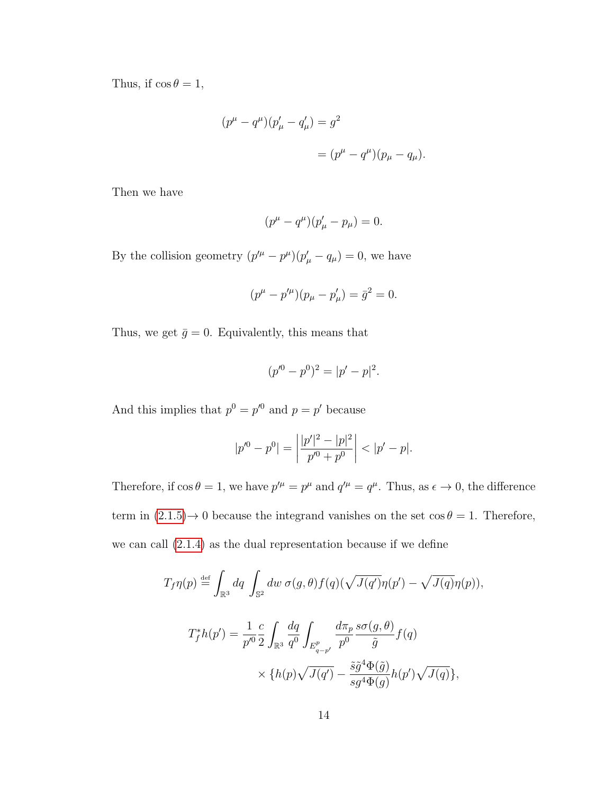Thus, if  $\cos \theta = 1$ ,

$$
(p^{\mu} - q^{\mu})(p'_{\mu} - q'_{\mu}) = g^{2}
$$
  
=  $(p^{\mu} - q^{\mu})(p_{\mu} - q_{\mu}).$ 

Then we have

$$
(p^{\mu} - q^{\mu})(p'_{\mu} - p_{\mu}) = 0.
$$

By the collision geometry  $(p'^{\mu} - p^{\mu})(p'_{\mu} - q_{\mu}) = 0$ , we have

$$
(p^{\mu} - p'^{\mu})(p_{\mu} - p'_{\mu}) = \bar{g}^{2} = 0.
$$

Thus, we get  $\bar{g} = 0$ . Equivalently, this means that

$$
(p'^0 - p^0)^2 = |p' - p|^2.
$$

And this implies that  $p^0 = p'^0$  and  $p = p'$  because

$$
|p'^0 - p^0| = \left| \frac{|p'|^2 - |p|^2}{p'^0 + p^0} \right| < |p' - p|.
$$

Therefore, if  $\cos \theta = 1$ , we have  $p'^{\mu} = p^{\mu}$  and  $q'^{\mu} = q^{\mu}$ . Thus, as  $\epsilon \to 0$ , the difference term in  $(2.1.5) \rightarrow 0$  because the integrand vanishes on the set  $\cos \theta = 1$ . Therefore, we can call [\(2.1.4\)](#page-19-1) as the dual representation because if we define

$$
T_f \eta(p) \stackrel{\text{def}}{=} \int_{\mathbb{R}^3} dq \int_{\mathbb{S}^2} dw \, \sigma(g, \theta) f(q) (\sqrt{J(q')}\eta(p') - \sqrt{J(q)}\eta(p)),
$$
  

$$
T_f^* h(p') = \frac{1}{p'^0} \frac{c}{2} \int_{\mathbb{R}^3} \frac{dq}{q^0} \int_{E_{q-p'}^p} \frac{d\pi_p}{p^0} \frac{s\sigma(g, \theta)}{\tilde{g}} f(q)
$$
  

$$
\times \{h(p)\sqrt{J(q')} - \frac{\tilde{s}\tilde{g}^4 \Phi(\tilde{g})}{sg^4 \Phi(g)} h(p') \sqrt{J(q)}\},
$$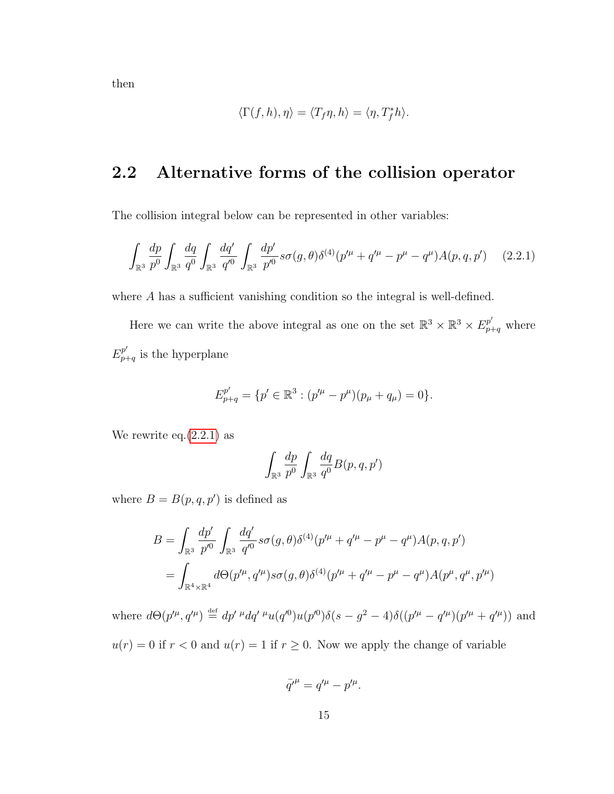then

$$
\langle \Gamma(f, h), \eta \rangle = \langle T_f \eta, h \rangle = \langle \eta, T_f^* h \rangle.
$$

## <span id="page-21-0"></span>2.2 Alternative forms of the collision operator

The collision integral below can be represented in other variables:

<span id="page-21-1"></span>
$$
\int_{\mathbb{R}^3} \frac{dp}{p^0} \int_{\mathbb{R}^3} \frac{dq}{q^0} \int_{\mathbb{R}^3} \frac{dq'}{q'^0} \int_{\mathbb{R}^3} \frac{dp'}{p'^0} s \sigma(g,\theta) \delta^{(4)}(p'^\mu + q'^\mu - p^\mu - q^\mu) A(p,q,p') \tag{2.2.1}
$$

where A has a sufficient vanishing condition so the integral is well-defined.

Here we can write the above integral as one on the set  $\mathbb{R}^3 \times \mathbb{R}^3 \times E^{p'}_{p+q}$  where  $E_p^{p'}$  $_{p+q}^{p}$  is the hyperplane

$$
E_{p+q}^{p'} = \{p' \in \mathbb{R}^3 : (p'^{\mu} - p^{\mu})(p_{\mu} + q_{\mu}) = 0\}.
$$

We rewrite eq. $(2.2.1)$  as

$$
\int_{\mathbb{R}^3} \frac{dp}{p^0} \int_{\mathbb{R}^3} \frac{dq}{q^0} B(p, q, p')
$$

where  $B = B(p, q, p')$  is defined as

$$
B = \int_{\mathbb{R}^3} \frac{dp'}{p'^0} \int_{\mathbb{R}^3} \frac{dq'}{q'^0} s \sigma(g, \theta) \delta^{(4)}(p'^\mu + q'^\mu - p^\mu - q^\mu) A(p, q, p')
$$
  
= 
$$
\int_{\mathbb{R}^4 \times \mathbb{R}^4} d\Theta(p'^\mu, q'^\mu) s \sigma(g, \theta) \delta^{(4)}(p'^\mu + q'^\mu - p^\mu - q^\mu) A(p^\mu, q^\mu, p'^\mu)
$$

where  $d\Theta(p'^{\mu}, q'^{\mu}) \stackrel{\text{def}}{=} dp' \,^{\mu} dq' \,^{\mu} u(q'^0) u(p'^0) \delta(s - g^2 - 4) \delta((p'^{\mu} - q'^{\mu})(p'^{\mu} + q'^{\mu}))$  and

 $u(r) = 0$  if  $r < 0$  and  $u(r) = 1$  if  $r \ge 0$ . Now we apply the change of variable

$$
\bar{q'}^{\mu} = q'^{\mu} - p'^{\mu}.
$$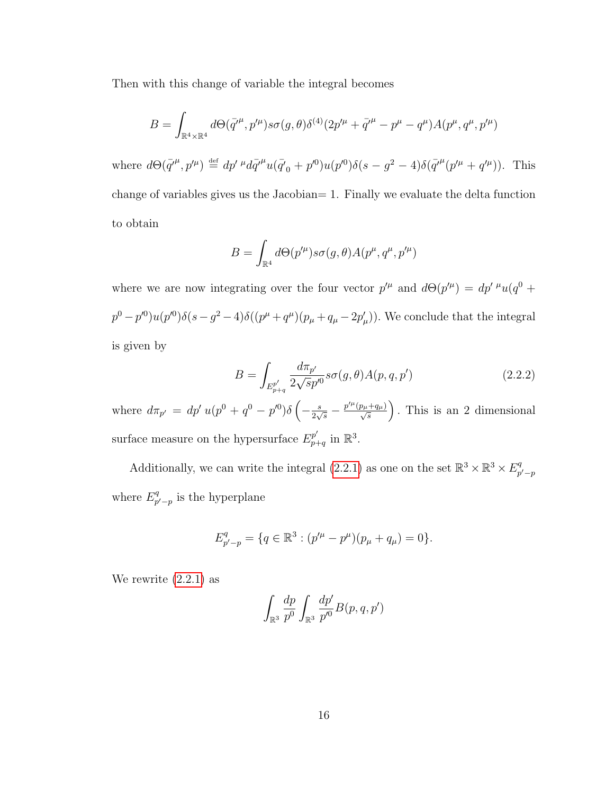Then with this change of variable the integral becomes

$$
B = \int_{\mathbb{R}^4 \times \mathbb{R}^4} d\Theta(\bar{q'}^{\mu}, p'^{\mu}) s \sigma(g, \theta) \delta^{(4)}(2p'^{\mu} + \bar{q'}^{\mu} - p^{\mu} - q^{\mu}) A(p^{\mu}, q^{\mu}, p'^{\mu})
$$

where  $d\Theta(\bar{q'}^{\mu},p'^{\mu}) \stackrel{\text{def}}{=} dp' \mu d\bar{q'}^{\mu} u(\bar{q'}_{0}+p'^{0})u(p'^{0})\delta(s-g^{2}-4)\delta(\bar{q'}^{\mu}(p'^{\mu}+q'^{\mu}))$ . This change of variables gives us the Jacobian= 1. Finally we evaluate the delta function to obtain

$$
B = \int_{\mathbb{R}^4} d\Theta(p^{\prime \mu}) s \sigma(g, \theta) A(p^{\mu}, q^{\mu}, p^{\prime \mu})
$$

where we are now integrating over the four vector  $p^{\prime \mu}$  and  $d\Theta(p^{\prime \mu}) = dp^{\prime \mu} u(q^0 +$  $p^{0} - p'^{0}u(p'^{0})\delta(s - g^{2} - 4)\delta((p^{\mu} + q^{\mu})(p_{\mu} + q_{\mu} - 2p'_{\mu}))$ . We conclude that the integral is given by

$$
B = \int_{E_{p+q}^{p'}} \frac{d\pi_{p'}}{2\sqrt{sp'}} s\sigma(g,\theta) A(p,q,p')
$$
 (2.2.2)

where  $d\pi_{p'} = dp' u (p^0 + q^0 - p'^0) \delta \left( -\frac{s}{2\omega} \right)$  $\frac{s}{2\sqrt{s}} - \frac{p^{\prime\mu}(p_{\mu}+q_{\mu})}{\sqrt{s}}\bigg)$ . This is an 2 dimensional surface measure on the hypersurface  $E_{p}^{p'}$  $_{p+q}^{p'}$  in  $\mathbb{R}^3$ .

Additionally, we can write the integral  $(2.2.1)$  as one on the set  $\mathbb{R}^3 \times \mathbb{R}^3 \times E_n^q$  $p'-p$ where  $E_n^q$  $p'_{p'-p}$  is the hyperplane

$$
E_{p'-p}^q = \{q \in \mathbb{R}^3 : (p'^\mu - p^\mu)(p_\mu + q_\mu) = 0\}.
$$

We rewrite  $(2.2.1)$  as

$$
\int_{\mathbb{R}^3} \frac{dp}{p^0} \int_{\mathbb{R}^3} \frac{dp'}{p'^0} B(p, q, p')
$$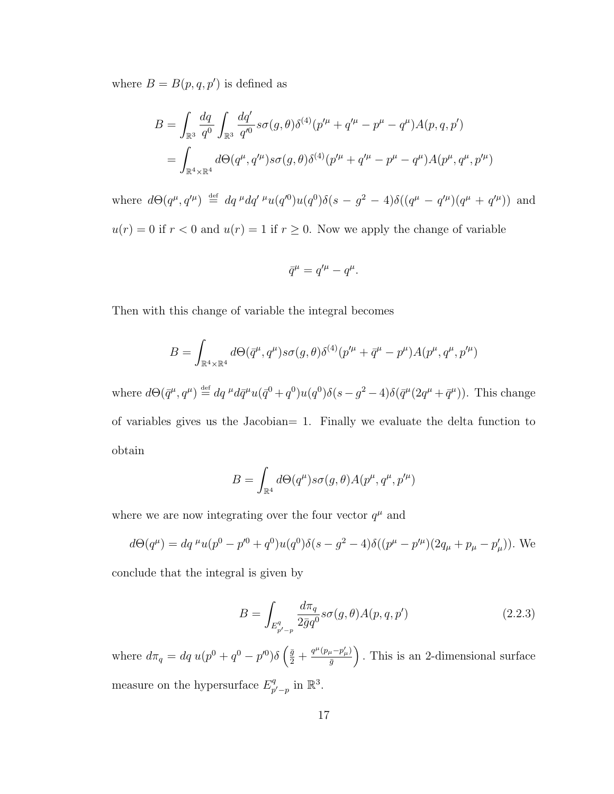where  $B = B(p, q, p')$  is defined as

$$
B = \int_{\mathbb{R}^3} \frac{dq}{q^0} \int_{\mathbb{R}^3} \frac{dq'}{q'^0} s \sigma(g, \theta) \delta^{(4)}(p'^\mu + q'^\mu - p^\mu - q^\mu) A(p, q, p')
$$
  
= 
$$
\int_{\mathbb{R}^4 \times \mathbb{R}^4} d\Theta(q^\mu, q'^\mu) s \sigma(g, \theta) \delta^{(4)}(p'^\mu + q'^\mu - p^\mu - q^\mu) A(p^\mu, q^\mu, p'^\mu)
$$

where  $d\Theta(q^{\mu}, q'^{\mu}) \stackrel{\text{def}}{=} dq^{\mu}dq'^{\mu}u(q'^{0})u(q^{0})\delta(s - g^{2} - 4)\delta((q^{\mu} - q'^{\mu})(q^{\mu} + q'^{\mu}))$  and  $u(r) = 0$  if  $r < 0$  and  $u(r) = 1$  if  $r \ge 0$ . Now we apply the change of variable

$$
\bar{q}^{\mu} = q'^{\mu} - q^{\mu}.
$$

Then with this change of variable the integral becomes

$$
B=\int_{\mathbb{R}^4\times\mathbb{R}^4}d\Theta(\bar{q}^\mu,q^\mu) s\sigma(g,\theta)\delta^{(4)}(p'^\mu+\bar{q}^\mu-p^\mu)A(p^\mu,q^\mu,p'^\mu)
$$

where  $d\Theta(\bar{q}^{\mu},q^{\mu}) \stackrel{\text{def}}{=} dq^{\mu}d\bar{q}^{\mu}u(\bar{q}^{0}+q^{0})u(q^{0})\delta(s-q^{2}-4)\delta(\bar{q}^{\mu}(2q^{\mu}+\bar{q}^{\mu}))$ . This change of variables gives us the Jacobian= 1. Finally we evaluate the delta function to obtain

$$
B = \int_{\mathbb{R}^4} d\Theta(q^{\mu}) s \sigma(g, \theta) A(p^{\mu}, q^{\mu}, p'^{\mu})
$$

where we are now integrating over the four vector  $q^{\mu}$  and

$$
d\Theta(q^{\mu}) = dq^{\mu}u(p^{0} - p'^{0} + q^{0})u(q^{0})\delta(s - q^{2} - 4)\delta((p^{\mu} - p'^{\mu})(2q_{\mu} + p_{\mu} - p'_{\mu})).
$$
 We

conclude that the integral is given by

$$
B = \int_{E_{p'-p}^q} \frac{d\pi_q}{2\bar{g}q^0} s\sigma(g,\theta) A(p,q,p')
$$
 (2.2.3)

where  $d\pi_q = dq u(p^0 + q^0 - p'^0) \delta \left( \frac{\bar{g}}{2} + \frac{q^{\mu} (p_{\mu} - p'_{\mu})}{\bar{g}} \right)$  $\left(\frac{a-p_{\mu}^{\prime}}{g}\right)$ . This is an 2-dimensional surface measure on the hypersurface  $E_n^q$  $_{p'-p}^q$  in  $\mathbb{R}^3$ .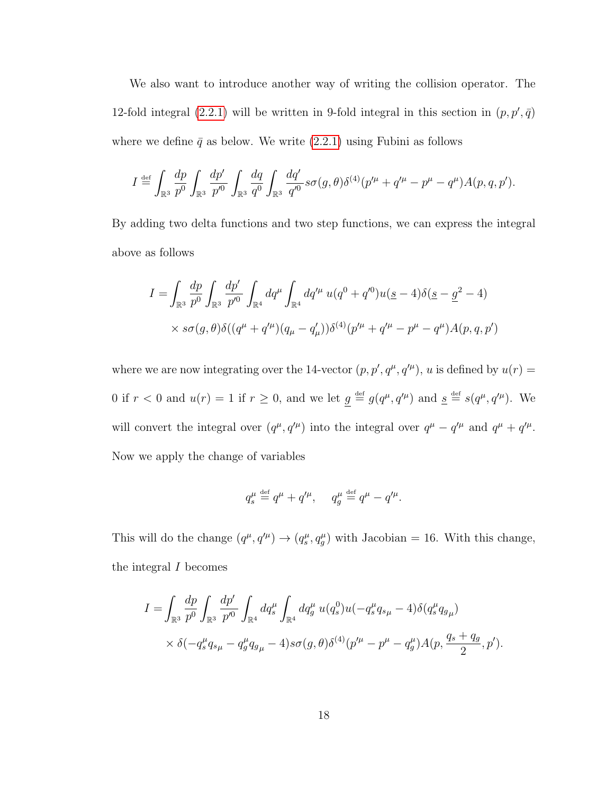We also want to introduce another way of writing the collision operator. The 12-fold integral [\(2.2.1\)](#page-21-1) will be written in 9-fold integral in this section in  $(p, p', \bar{q})$ where we define  $\bar{q}$  as below. We write [\(2.2.1\)](#page-21-1) using Fubini as follows

$$
I \stackrel{\text{def}}{=} \int_{\mathbb{R}^3} \frac{dp}{p^0} \int_{\mathbb{R}^3} \frac{dp'}{p'^0} \int_{\mathbb{R}^3} \frac{dq}{q^0} \int_{\mathbb{R}^3} \frac{dq'}{q'^0} s \sigma(g,\theta) \delta^{(4)}(p'^\mu + q'^\mu - p^\mu - q^\mu) A(p,q,p').
$$

By adding two delta functions and two step functions, we can express the integral above as follows

$$
I = \int_{\mathbb{R}^3} \frac{dp}{p^0} \int_{\mathbb{R}^3} \frac{dp'}{p'^0} \int_{\mathbb{R}^4} dq^{\mu} \int_{\mathbb{R}^4} dq'^{\mu} u(q^0 + q'^0) u(\underline{s} - 4) \delta(\underline{s} - \underline{g}^2 - 4)
$$
  
×  $s\sigma(g, \theta) \delta((q^{\mu} + q'^{\mu})(q_{\mu} - q'_{\mu})) \delta^{(4)}(p'^{\mu} + q'^{\mu} - p^{\mu} - q^{\mu}) A(p, q, p')$ 

where we are now integrating over the 14-vector  $(p, p', q^{\mu}, q'^{\mu})$ , u is defined by  $u(r)$  = 0 if  $r < 0$  and  $u(r) = 1$  if  $r \ge 0$ , and we let  $g \stackrel{\text{def}}{=} g(q^{\mu}, q'^{\mu})$  and  $g \stackrel{\text{def}}{=} s(q^{\mu}, q'^{\mu})$ . We will convert the integral over  $(q^{\mu}, q'^{\mu})$  into the integral over  $q^{\mu} - q'^{\mu}$  and  $q^{\mu} + q'^{\mu}$ . Now we apply the change of variables

$$
q_s^\mu \stackrel{\scriptscriptstyle\rm def}{=} q^\mu + q'^\mu, \quad \ q_g^\mu \stackrel{\scriptscriptstyle\rm def}{=} q^\mu - q'^\mu.
$$

This will do the change  $(q^{\mu}, q'^{\mu}) \rightarrow (q^{\mu}_{s}, q^{\mu}_{g})$  with Jacobian = 16. With this change, the integral  $I$  becomes

$$
I = \int_{\mathbb{R}^3} \frac{dp}{p^0} \int_{\mathbb{R}^3} \frac{dp'}{p'^0} \int_{\mathbb{R}^4} dq_s^{\mu} \int_{\mathbb{R}^4} dq_g^{\mu} u(q_s^0) u(-q_s^{\mu} q_{s\mu} - 4) \delta(q_s^{\mu} q_{g\mu})
$$
  
 
$$
\times \delta(-q_s^{\mu} q_{s\mu} - q_g^{\mu} q_{g\mu} - 4) s \sigma(g, \theta) \delta^{(4)}(p'^{\mu} - p^{\mu} - q_g^{\mu}) A(p, \frac{q_s + q_g}{2}, p').
$$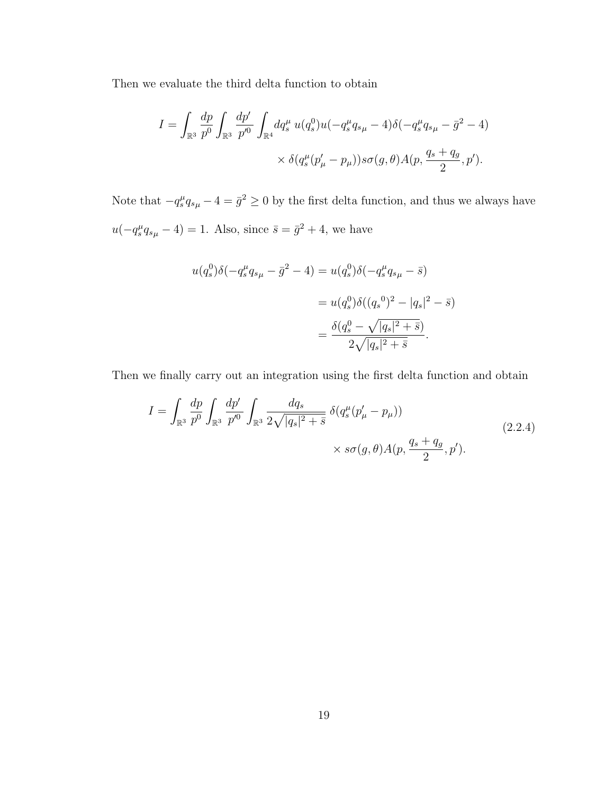Then we evaluate the third delta function to obtain

$$
I = \int_{\mathbb{R}^3} \frac{dp}{p^0} \int_{\mathbb{R}^3} \frac{dp'}{p'^0} \int_{\mathbb{R}^4} dq_s^{\mu} u(q_s^0) u(-q_s^{\mu} q_{s\mu} - 4) \delta(-q_s^{\mu} q_{s\mu} - \bar{g}^2 - 4)
$$
  
 
$$
\times \delta(q_s^{\mu} (p'_{\mu} - p_{\mu})) s\sigma(g, \theta) A(p, \frac{q_s + q_g}{2}, p').
$$

Note that  $-q_s^{\mu}q_{s\mu} - 4 = \bar{g}^2 \ge 0$  by the first delta function, and thus we always have  $u(-q_s^{\mu}q_{s\mu}-4)=1$ . Also, since  $\bar{s}=\bar{g}^2+4$ , we have

$$
u(q_s^0)\delta(-q_s^\mu q_{s\mu} - \bar{g}^2 - 4) = u(q_s^0)\delta(-q_s^\mu q_{s\mu} - \bar{s})
$$
  
=  $u(q_s^0)\delta((q_s^0)^2 - |q_s|^2 - \bar{s})$   
=  $\frac{\delta(q_s^0 - \sqrt{|q_s|^2 + \bar{s}})}{2\sqrt{|q_s|^2 + \bar{s}}}$ .

Then we finally carry out an integration using the first delta function and obtain

$$
I = \int_{\mathbb{R}^3} \frac{dp}{p^0} \int_{\mathbb{R}^3} \frac{dp'}{p'^0} \int_{\mathbb{R}^3} \frac{dq_s}{2\sqrt{|q_s|^2 + \bar{s}}} \, \delta(q_s^\mu (p'_\mu - p_\mu)) \times s\sigma(g, \theta) A(p, \frac{q_s + q_g}{2}, p'). \tag{2.2.4}
$$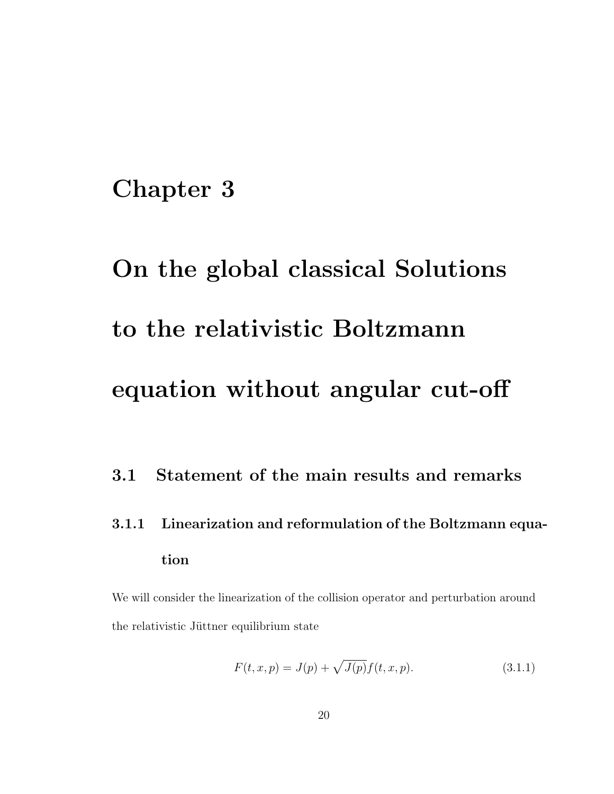# <span id="page-26-0"></span>Chapter 3

# On the global classical Solutions to the relativistic Boltzmann equation without angular cut-off

## <span id="page-26-1"></span>3.1 Statement of the main results and remarks

<span id="page-26-2"></span>3.1.1 Linearization and reformulation of the Boltzmann equation

We will consider the linearization of the collision operator and perturbation around the relativistic Jüttner equilibrium state

<span id="page-26-3"></span>
$$
F(t, x, p) = J(p) + \sqrt{J(p)} f(t, x, p).
$$
\n(3.1.1)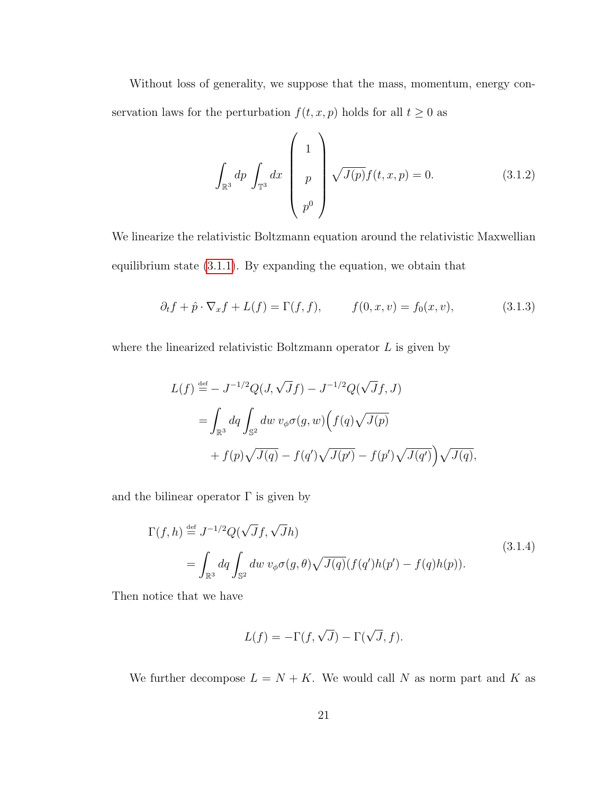Without loss of generality, we suppose that the mass, momentum, energy conservation laws for the perturbation  $f(t, x, p)$  holds for all  $t \geq 0$  as

<span id="page-27-1"></span>
$$
\int_{\mathbb{R}^3} dp \int_{\mathbb{T}^3} dx \begin{pmatrix} 1 \\ p \\ p^0 \end{pmatrix} \sqrt{J(p)} f(t, x, p) = 0.
$$
 (3.1.2)

We linearize the relativistic Boltzmann equation around the relativistic Maxwellian equilibrium state [\(3.1.1\)](#page-26-3). By expanding the equation, we obtain that

$$
\partial_t f + \hat{p} \cdot \nabla_x f + L(f) = \Gamma(f, f), \qquad f(0, x, v) = f_0(x, v),
$$
\n(3.1.3)

where the linearized relativistic Boltzmann operator  $L$  is given by

$$
L(f) \stackrel{\text{def}}{=} -J^{-1/2}Q(J,\sqrt{J}f) - J^{-1/2}Q(\sqrt{J}f,J)
$$
  
= 
$$
\int_{\mathbb{R}^3} dq \int_{\mathbb{S}^2} dw \ v_{\phi} \sigma(g,w) \Big( f(q) \sqrt{J(p)} + f(p) \sqrt{J(q)} - f(q') \sqrt{J(p')} - f(p') \sqrt{J(q')} \Big) \sqrt{J(q)},
$$

<span id="page-27-0"></span>and the bilinear operator  $\Gamma$  is given by

$$
\Gamma(f,h) \stackrel{\text{def}}{=} J^{-1/2} Q(\sqrt{J}f, \sqrt{J}h)
$$
\n
$$
= \int_{\mathbb{R}^3} dq \int_{\mathbb{S}^2} dw \ v_{\phi} \sigma(g,\theta) \sqrt{J(q)} (f(q')h(p') - f(q)h(p)).
$$
\n(3.1.4)

Then notice that we have

$$
L(f) = -\Gamma(f, \sqrt{J}) - \Gamma(\sqrt{J}, f).
$$

We further decompose  $L = N + K$ . We would call N as norm part and K as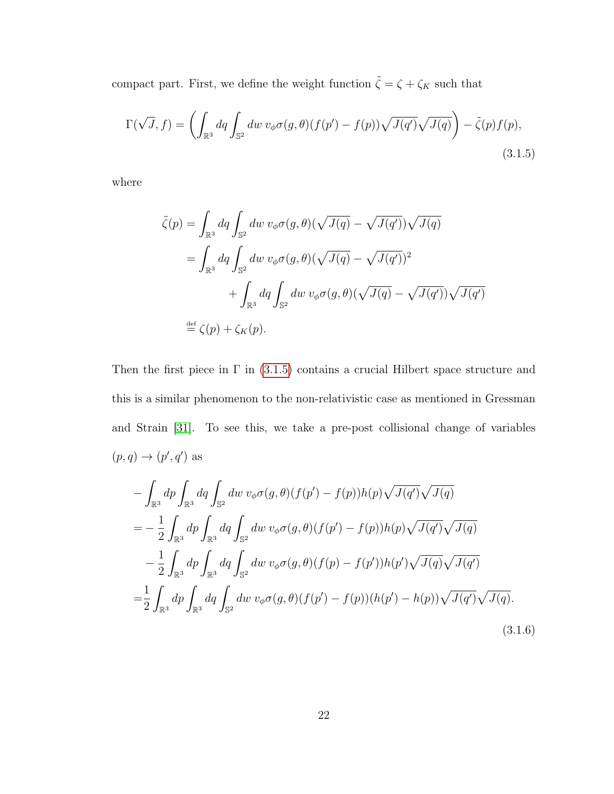compact part. First, we define the weight function  $\tilde{\zeta}=\zeta+\zeta_K$  such that

<span id="page-28-0"></span>
$$
\Gamma(\sqrt{J}, f) = \left( \int_{\mathbb{R}^3} dq \int_{\mathbb{S}^2} dw \ v_{\phi} \sigma(g, \theta) (f(p') - f(p)) \sqrt{J(q')} \sqrt{J(q)} \right) - \tilde{\zeta}(p) f(p),
$$
\n(3.1.5)

where

$$
\tilde{\zeta}(p) = \int_{\mathbb{R}^3} dq \int_{\mathbb{S}^2} dw \ v_{\phi} \sigma(g, \theta) (\sqrt{J(q)} - \sqrt{J(q')}) \sqrt{J(q)}
$$
  
\n
$$
= \int_{\mathbb{R}^3} dq \int_{\mathbb{S}^2} dw \ v_{\phi} \sigma(g, \theta) (\sqrt{J(q)} - \sqrt{J(q')})^2
$$
  
\n
$$
+ \int_{\mathbb{R}^3} dq \int_{\mathbb{S}^2} dw \ v_{\phi} \sigma(g, \theta) (\sqrt{J(q)} - \sqrt{J(q')}) \sqrt{J(q')}
$$
  
\n
$$
\stackrel{\text{def}}{=} \zeta(p) + \zeta_K(p).
$$

Then the first piece in  $\Gamma$  in [\(3.1.5\)](#page-28-0) contains a crucial Hilbert space structure and this is a similar phenomenon to the non-relativistic case as mentioned in Gressman and Strain [\[31\]](#page-130-3). To see this, we take a pre-post collisional change of variables  $(p, q) \rightarrow (p', q')$  as

<span id="page-28-1"></span>
$$
-\int_{\mathbb{R}^3} dp \int_{\mathbb{R}^3} dq \int_{\mathbb{S}^2} dw \, v_{\phi} \sigma(g,\theta) (f(p') - f(p)) h(p) \sqrt{J(q')} \sqrt{J(q)}
$$
  
= 
$$
-\frac{1}{2} \int_{\mathbb{R}^3} dp \int_{\mathbb{R}^3} dq \int_{\mathbb{S}^2} dw \, v_{\phi} \sigma(g,\theta) (f(p') - f(p)) h(p) \sqrt{J(q')} \sqrt{J(q)}
$$
  

$$
-\frac{1}{2} \int_{\mathbb{R}^3} dp \int_{\mathbb{R}^3} dq \int_{\mathbb{S}^2} dw \, v_{\phi} \sigma(g,\theta) (f(p) - f(p')) h(p') \sqrt{J(q)} \sqrt{J(q')}
$$
  
= 
$$
\frac{1}{2} \int_{\mathbb{R}^3} dp \int_{\mathbb{R}^3} dq \int_{\mathbb{S}^2} dw \, v_{\phi} \sigma(g,\theta) (f(p') - f(p)) (h(p') - h(p)) \sqrt{J(q')} \sqrt{J(q)}.
$$
(3.1.6)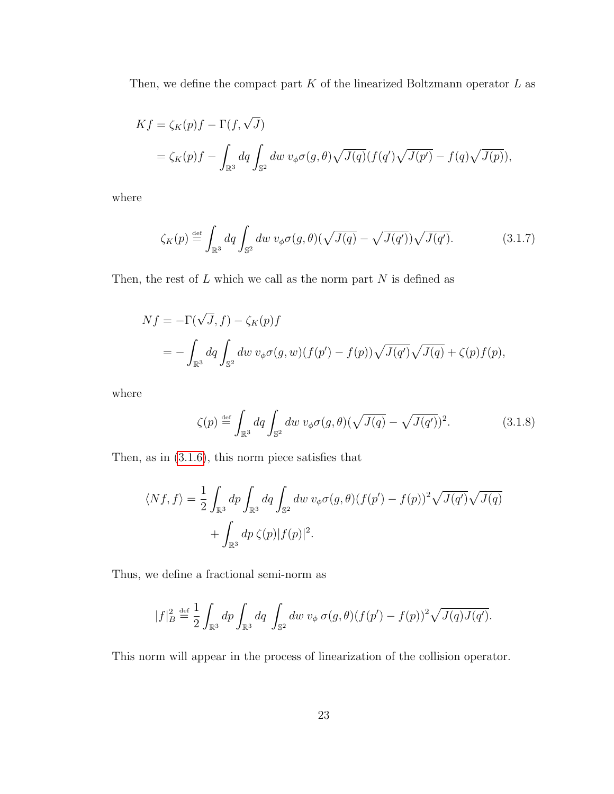Then, we define the compact part  $K$  of the linearized Boltzmann operator  $L$  as

$$
Kf = \zeta_K(p)f - \Gamma(f, \sqrt{J})
$$
  
=  $\zeta_K(p)f - \int_{\mathbb{R}^3} dq \int_{\mathbb{S}^2} dw \ v_{\phi} \sigma(g, \theta) \sqrt{J(q)} (f(q')\sqrt{J(p')} - f(q)\sqrt{J(p)}),$ 

where

$$
\zeta_K(p) \stackrel{\text{def}}{=} \int_{\mathbb{R}^3} dq \int_{\mathbb{S}^2} dw \ v_{\phi} \sigma(g,\theta) (\sqrt{J(q)} - \sqrt{J(q')}) \sqrt{J(q')}.\tag{3.1.7}
$$

Then, the rest of  $L$  which we call as the norm part  $N$  is defined as

$$
Nf = -\Gamma(\sqrt{J}, f) - \zeta_K(p)f
$$
  
= 
$$
- \int_{\mathbb{R}^3} dq \int_{\mathbb{S}^2} dw \, v_{\phi} \sigma(g, w) (f(p') - f(p)) \sqrt{J(q')} \sqrt{J(q)} + \zeta(p) f(p),
$$

where

$$
\zeta(p) \stackrel{\text{def}}{=} \int_{\mathbb{R}^3} dq \int_{\mathbb{S}^2} dw \ v_{\phi} \sigma(g,\theta) (\sqrt{J(q)} - \sqrt{J(q')})^2. \tag{3.1.8}
$$

Then, as in [\(3.1.6\)](#page-28-1), this norm piece satisfies that

$$
\langle Nf, f \rangle = \frac{1}{2} \int_{\mathbb{R}^3} dp \int_{\mathbb{R}^3} dq \int_{\mathbb{S}^2} dw \, v_{\phi} \sigma(g, \theta) (f(p') - f(p))^2 \sqrt{J(q')} \sqrt{J(q)}
$$

$$
+ \int_{\mathbb{R}^3} dp \, \zeta(p) |f(p)|^2.
$$

Thus, we define a fractional semi-norm as

$$
|f|_B^2 \stackrel{\text{def}}{=} \frac{1}{2} \int_{\mathbb{R}^3} dp \int_{\mathbb{R}^3} dq \int_{\mathbb{S}^2} dw \, v_{\phi} \, \sigma(g,\theta) (f(p') - f(p))^2 \sqrt{J(q)J(q')}.
$$

This norm will appear in the process of linearization of the collision operator.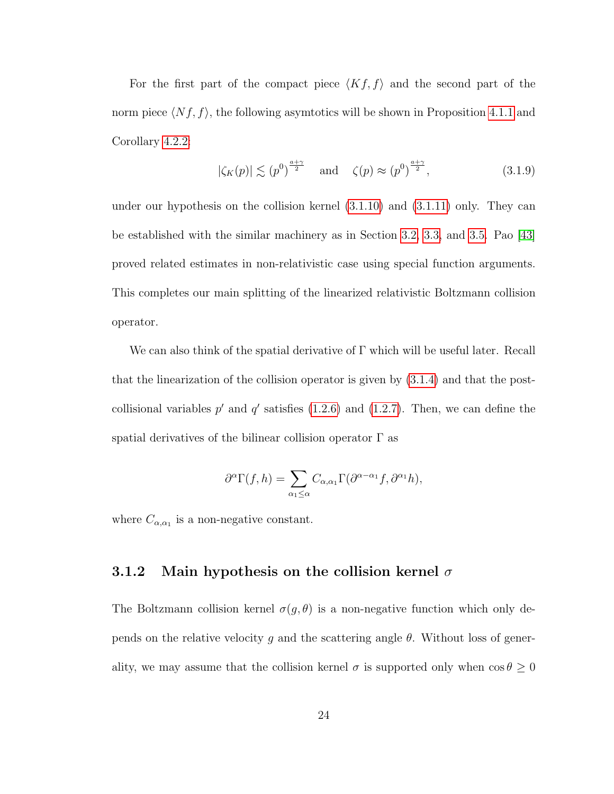For the first part of the compact piece  $\langle Kf, f \rangle$  and the second part of the norm piece  $\langle Nf, f \rangle$ , the following asymtotics will be shown in Proposition [4.1.1](#page-92-1) and Corollary [4.2.2:](#page-97-0)

$$
|\zeta_K(p)| \lesssim (p^0)^{\frac{a+\gamma}{2}} \quad \text{and} \quad \zeta(p) \approx (p^0)^{\frac{a+\gamma}{2}}, \tag{3.1.9}
$$

under our hypothesis on the collision kernel [\(3.1.10\)](#page-31-0) and [\(3.1.11\)](#page-31-1) only. They can be established with the similar machinery as in Section [3.2,](#page-40-0) [3.3,](#page-53-0) and [3.5.](#page-63-0) Pao [\[43\]](#page-131-5) proved related estimates in non-relativistic case using special function arguments. This completes our main splitting of the linearized relativistic Boltzmann collision operator.

We can also think of the spatial derivative of  $\Gamma$  which will be useful later. Recall that the linearization of the collision operator is given by [\(3.1.4\)](#page-27-0) and that the postcollisional variables  $p'$  and  $q'$  satisfies [\(1.2.6\)](#page-11-1) and [\(1.2.7\)](#page-11-2). Then, we can define the spatial derivatives of the bilinear collision operator  $\Gamma$  as

$$
\partial^{\alpha}\Gamma(f,h) = \sum_{\alpha_1 \leq \alpha} C_{\alpha,\alpha_1} \Gamma(\partial^{\alpha-\alpha_1}f, \partial^{\alpha_1}h),
$$

where  $C_{\alpha,\alpha_1}$  is a non-negative constant.

#### <span id="page-30-0"></span>3.1.2 Main hypothesis on the collision kernel  $\sigma$

The Boltzmann collision kernel  $\sigma(g, \theta)$  is a non-negative function which only depends on the relative velocity g and the scattering angle  $\theta$ . Without loss of generality, we may assume that the collision kernel  $\sigma$  is supported only when  $\cos \theta \geq 0$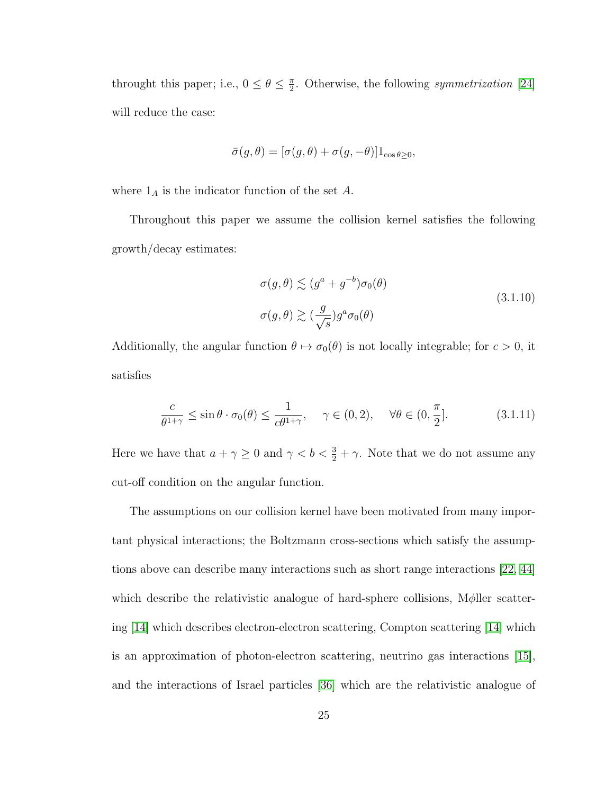throught this paper; i.e.,  $0 \le \theta \le \frac{\pi}{2}$  $\frac{\pi}{2}$ . Otherwise, the following *symmetrization* [\[24\]](#page-129-1) will reduce the case:

$$
\bar{\sigma}(g,\theta) = [\sigma(g,\theta) + \sigma(g,-\theta)]1_{\cos\theta \ge 0},
$$

where  $1_A$  is the indicator function of the set A.

<span id="page-31-0"></span>Throughout this paper we assume the collision kernel satisfies the following growth/decay estimates:

$$
\sigma(g,\theta) \lesssim (g^a + g^{-b})\sigma_0(\theta)
$$
  
\n
$$
\sigma(g,\theta) \gtrsim (\frac{g}{\sqrt{s}})g^a \sigma_0(\theta)
$$
\n(3.1.10)

Additionally, the angular function  $\theta \mapsto \sigma_0(\theta)$  is not locally integrable; for  $c > 0$ , it satisfies

<span id="page-31-1"></span>
$$
\frac{c}{\theta^{1+\gamma}} \le \sin \theta \cdot \sigma_0(\theta) \le \frac{1}{c\theta^{1+\gamma}}, \quad \gamma \in (0, 2), \quad \forall \theta \in (0, \frac{\pi}{2}].
$$
 (3.1.11)

Here we have that  $a + \gamma \geq 0$  and  $\gamma < b < \frac{3}{2} + \gamma$ . Note that we do not assume any cut-off condition on the angular function.

The assumptions on our collision kernel have been motivated from many important physical interactions; the Boltzmann cross-sections which satisfy the assumptions above can describe many interactions such as short range interactions [\[22,](#page-129-0) [44\]](#page-131-0) which describe the relativistic analogue of hard-sphere collisions,  $M\phi$ ller scattering [\[14\]](#page-128-0) which describes electron-electron scattering, Compton scattering [\[14\]](#page-128-0) which is an approximation of photon-electron scattering, neutrino gas interactions [\[15\]](#page-128-1), and the interactions of Israel particles [\[36\]](#page-130-0) which are the relativistic analogue of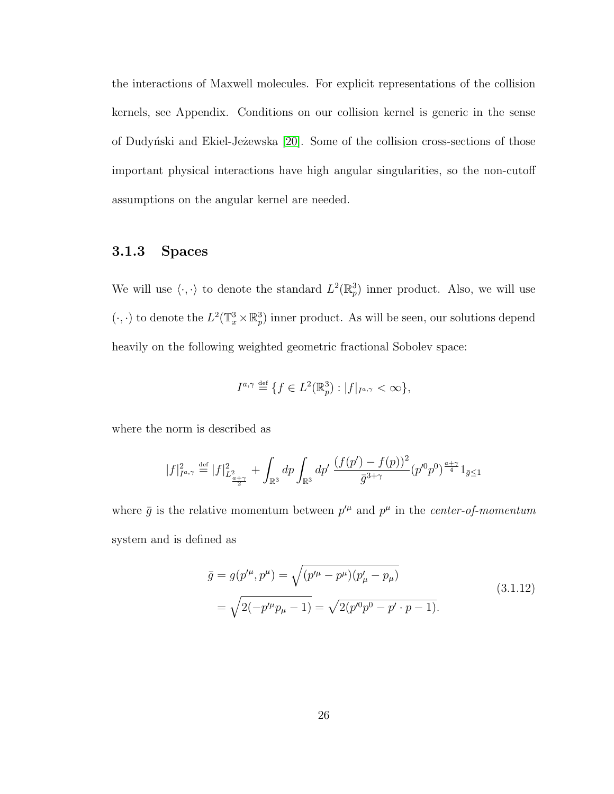the interactions of Maxwell molecules. For explicit representations of the collision kernels, see Appendix. Conditions on our collision kernel is generic in the sense of Dudyński and Ekiel-Jeżewska [\[20\]](#page-128-2). Some of the collision cross-sections of those important physical interactions have high angular singularities, so the non-cutoff assumptions on the angular kernel are needed.

#### <span id="page-32-0"></span>3.1.3 Spaces

We will use  $\langle \cdot, \cdot \rangle$  to denote the standard  $L^2(\mathbb{R}^3_p)$  inner product. Also, we will use  $(\cdot, \cdot)$  to denote the  $L^2(\mathbb{T}_x^3 \times \mathbb{R}_p^3)$  inner product. As will be seen, our solutions depend heavily on the following weighted geometric fractional Sobolev space:

$$
I^{a,\gamma} \stackrel{\text{def}}{=} \{ f \in L^2(\mathbb{R}^3_p) : |f|_{I^{a,\gamma}} < \infty \},
$$

where the norm is described as

$$
|f|_{I^{a,\gamma}}^2\stackrel{\textrm{\tiny{def}}}{=} |f|_{L^2_{\frac{a+\gamma}{2}}}^2+\int_{\mathbb{R}^3}dp\int_{\mathbb{R}^3}dp'\,\frac{(f(p')-f(p))^2}{\bar{g}^{3+\gamma}}(p'^{0}p^{0})^{\frac{a+\gamma}{4}}1_{\bar{g}\leq 1}
$$

where  $\bar{g}$  is the relative momentum between  $p^{\mu}$  and  $p^{\mu}$  in the *center-of-momentum* system and is defined as

$$
\bar{g} = g(p^{\prime \mu}, p^{\mu}) = \sqrt{(p^{\prime \mu} - p^{\mu})(p_{\mu}^{\prime} - p_{\mu})}
$$
\n
$$
= \sqrt{2(-p^{\prime \mu}p_{\mu} - 1)} = \sqrt{2(p^{\prime 0}p^{0} - p^{\prime} \cdot p - 1)}.
$$
\n(3.1.12)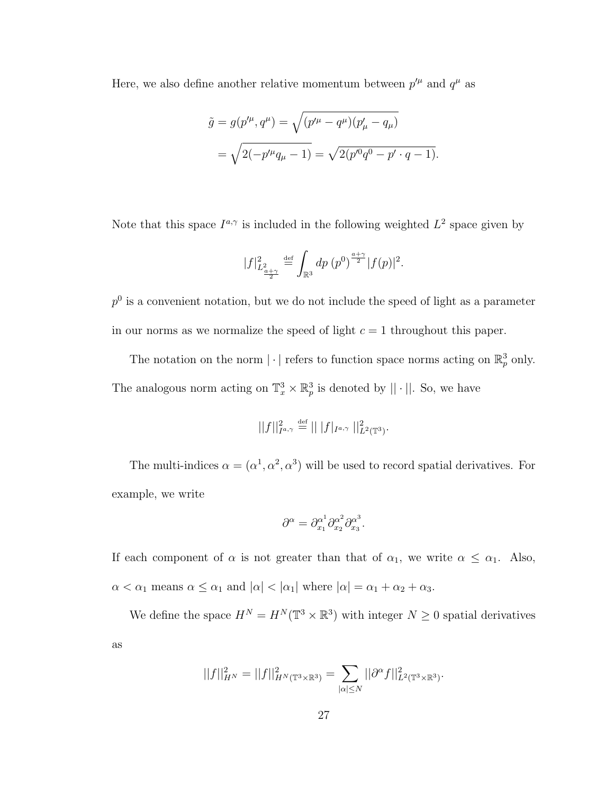Here, we also define another relative momentum between  $p^{\prime \mu}$  and  $q^{\mu}$  as

$$
\tilde{g} = g(p'^{\mu}, q^{\mu}) = \sqrt{(p'^{\mu} - q^{\mu})(p'_{\mu} - q_{\mu})}
$$

$$
= \sqrt{2(-p'^{\mu}q_{\mu} - 1)} = \sqrt{2(p'^{0}q^{0} - p' \cdot q - 1)}.
$$

Note that this space  $I^{a,\gamma}$  is included in the following weighted  $L^2$  space given by

$$
|f|_{L^2_{\frac{a+\gamma}{2}}}^2 \stackrel{\text{def}}{=} \int_{\mathbb{R}^3} dp (p^0)^{\frac{a+\gamma}{2}} |f(p)|^2.
$$

 $p<sup>0</sup>$  is a convenient notation, but we do not include the speed of light as a parameter in our norms as we normalize the speed of light  $c = 1$  throughout this paper.

The notation on the norm  $|\cdot|$  refers to function space norms acting on  $\mathbb{R}^3_p$  only. The analogous norm acting on  $\mathbb{T}_x^3 \times \mathbb{R}_p^3$  is denoted by  $|| \cdot ||$ . So, we have

$$
||f||_{I^{a,\gamma}}^2 \stackrel{\text{def}}{=} || |f|_{I^{a,\gamma}} ||_{L^2(\mathbb{T}^3)}^2.
$$

The multi-indices  $\alpha = (\alpha^1, \alpha^2, \alpha^3)$  will be used to record spatial derivatives. For example, we write

$$
\partial^{\alpha} = \partial_{x_1}^{\alpha^1} \partial_{x_2}^{\alpha^2} \partial_{x_3}^{\alpha^3}.
$$

If each component of  $\alpha$  is not greater than that of  $\alpha_1$ , we write  $\alpha \leq \alpha_1$ . Also,  $\alpha < \alpha_1$  means  $\alpha \leq \alpha_1$  and  $|\alpha| < |\alpha_1|$  where  $|\alpha| = \alpha_1 + \alpha_2 + \alpha_3$ .

We define the space  $H^N = H^N(\mathbb{T}^3 \times \mathbb{R}^3)$  with integer  $N \geq 0$  spatial derivatives as

$$
||f||_{H^N}^2 = ||f||_{H^N(\mathbb{T}^3 \times \mathbb{R}^3)}^2 = \sum_{|\alpha| \le N} ||\partial^{\alpha} f||_{L^2(\mathbb{T}^3 \times \mathbb{R}^3)}^2.
$$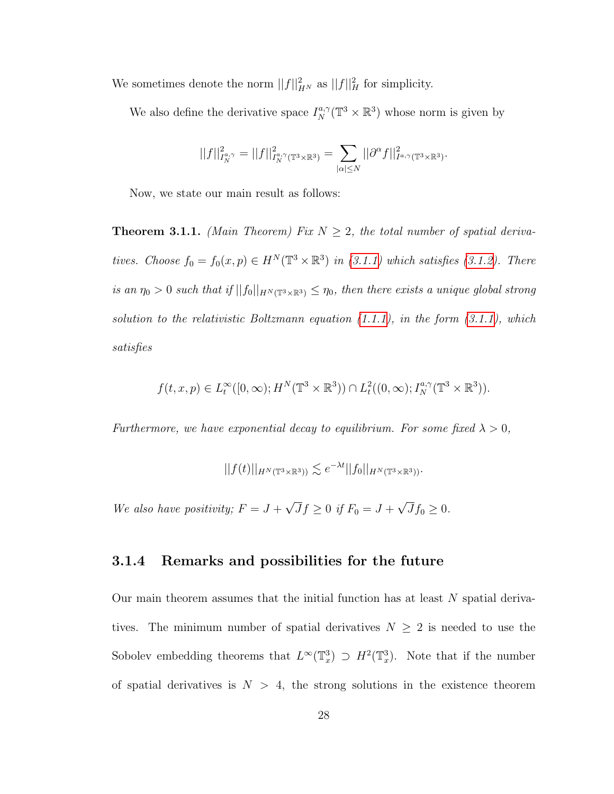We sometimes denote the norm  $||f||_{H^N}^2$  as  $||f||_H^2$  for simplicity.

We also define the derivative space  $I_N^{a,\gamma}(\mathbb{T}^3 \times \mathbb{R}^3)$  whose norm is given by

$$
||f||_{I_N^{a,\gamma}}^2=||f||_{I_N^{a,\gamma}(\mathbb{T}^3\times\mathbb{R}^3)}^2=\sum_{|\alpha|\leq N}||\partial^\alpha f||_{I^{a,\gamma}(\mathbb{T}^3\times\mathbb{R}^3)}^2.
$$

Now, we state our main result as follows:

**Theorem 3.1.1.** (Main Theorem) Fix  $N \geq 2$ , the total number of spatial derivatives. Choose  $f_0 = f_0(x, p) \in H^N(\mathbb{T}^3 \times \mathbb{R}^3)$  in [\(3.1.1\)](#page-26-3) which satisfies [\(3.1.2\)](#page-27-1). There is an  $\eta_0 > 0$  such that if  $||f_0||_{H^N(\mathbb{T}^3 \times \mathbb{R}^3)} \leq \eta_0$ , then there exists a unique global strong solution to the relativistic Boltzmann equation  $(1.1.1)$ , in the form  $(3.1.1)$ , which satisfies

$$
f(t, x, p) \in L_t^{\infty}([0, \infty); H^N(\mathbb{T}^3 \times \mathbb{R}^3)) \cap L_t^2((0, \infty); I_N^{a, \gamma}(\mathbb{T}^3 \times \mathbb{R}^3)).
$$

Furthermore, we have exponential decay to equilibrium. For some fixed  $\lambda > 0$ ,

$$
||f(t)||_{H^N(\mathbb{T}^3 \times \mathbb{R}^3)} \lesssim e^{-\lambda t} ||f_0||_{H^N(\mathbb{T}^3 \times \mathbb{R}^3)}.
$$

We also have positivity;  $F = J +$ √  $Jf \ge 0$  if  $F_0 = J +$ √  $Jf_0 \geq 0.$ 

#### <span id="page-34-0"></span>3.1.4 Remarks and possibilities for the future

Our main theorem assumes that the initial function has at least N spatial derivatives. The minimum number of spatial derivatives  $N \geq 2$  is needed to use the Sobolev embedding theorems that  $L^{\infty}(\mathbb{T}^3_x) \supset H^2(\mathbb{T}^3_x)$ . Note that if the number of spatial derivatives is  $N > 4$ , the strong solutions in the existence theorem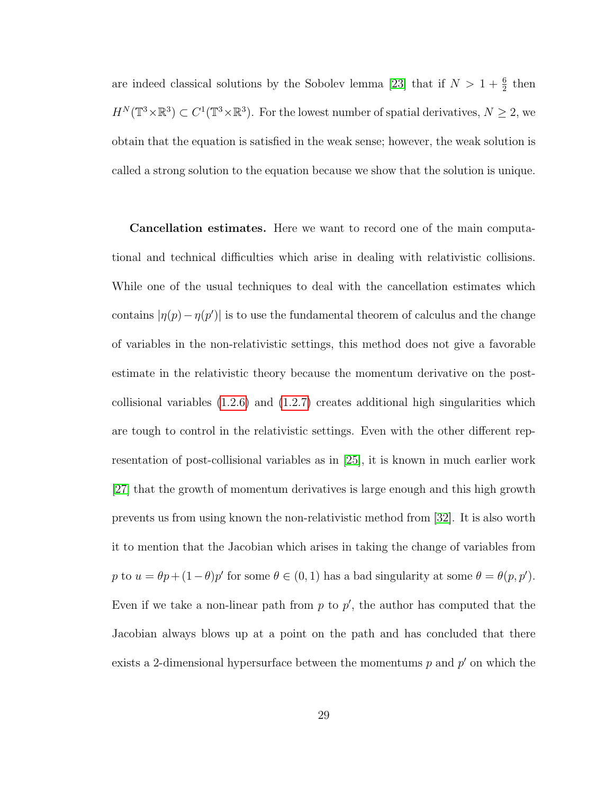are indeed classical solutions by the Sobolev lemma [\[23\]](#page-129-5) that if  $N > 1 + \frac{6}{2}$  then  $H^N(\mathbb{T}^3\times\mathbb{R}^3)\subset C^1(\mathbb{T}^3\times\mathbb{R}^3)$ . For the lowest number of spatial derivatives,  $N\geq 2$ , we obtain that the equation is satisfied in the weak sense; however, the weak solution is called a strong solution to the equation because we show that the solution is unique.

Cancellation estimates. Here we want to record one of the main computational and technical difficulties which arise in dealing with relativistic collisions. While one of the usual techniques to deal with the cancellation estimates which contains  $|\eta(p) - \eta(p')|$  is to use the fundamental theorem of calculus and the change of variables in the non-relativistic settings, this method does not give a favorable estimate in the relativistic theory because the momentum derivative on the postcollisional variables  $(1.2.6)$  and  $(1.2.7)$  creates additional high singularities which are tough to control in the relativistic settings. Even with the other different representation of post-collisional variables as in [\[25\]](#page-129-3), it is known in much earlier work [\[27\]](#page-129-2) that the growth of momentum derivatives is large enough and this high growth prevents us from using known the non-relativistic method from [\[32\]](#page-130-4). It is also worth it to mention that the Jacobian which arises in taking the change of variables from p to  $u = \theta p + (1 - \theta)p'$  for some  $\theta \in (0, 1)$  has a bad singularity at some  $\theta = \theta(p, p').$ Even if we take a non-linear path from  $p$  to  $p'$ , the author has computed that the Jacobian always blows up at a point on the path and has concluded that there exists a 2-dimensional hypersurface between the momentums  $p$  and  $p'$  on which the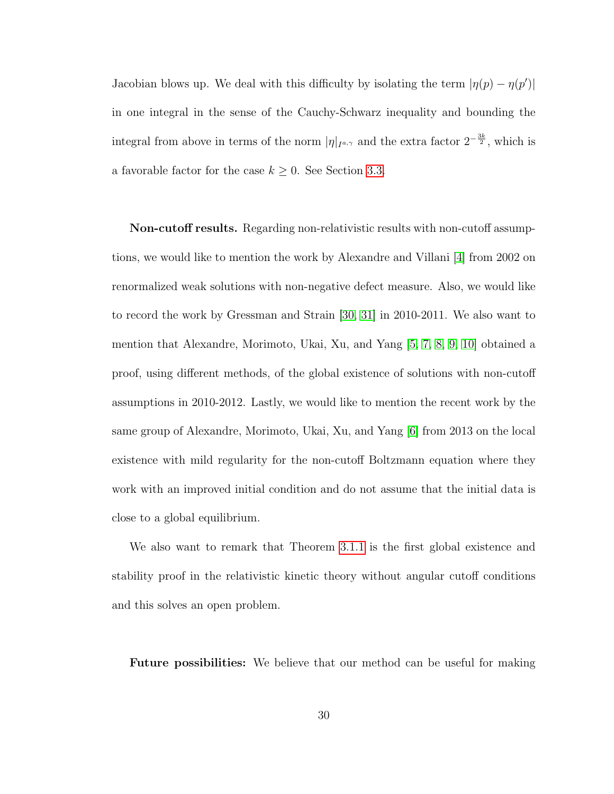Jacobian blows up. We deal with this difficulty by isolating the term  $|\eta(p) - \eta(p')|$ in one integral in the sense of the Cauchy-Schwarz inequality and bounding the integral from above in terms of the norm  $|\eta|_{I^{a,\gamma}}$  and the extra factor  $2^{-\frac{3k}{2}}$ , which is a favorable factor for the case  $k \geq 0$ . See Section [3.3.](#page-53-0)

Non-cutoff results. Regarding non-relativistic results with non-cutoff assumptions, we would like to mention the work by Alexandre and Villani [\[4\]](#page-126-0) from 2002 on renormalized weak solutions with non-negative defect measure. Also, we would like to record the work by Gressman and Strain [\[30,](#page-130-0) [31\]](#page-130-1) in 2010-2011. We also want to mention that Alexandre, Morimoto, Ukai, Xu, and Yang [\[5,](#page-126-1) [7,](#page-127-0) [8,](#page-127-1) [9,](#page-127-2) [10\]](#page-127-3) obtained a proof, using different methods, of the global existence of solutions with non-cutoff assumptions in 2010-2012. Lastly, we would like to mention the recent work by the same group of Alexandre, Morimoto, Ukai, Xu, and Yang [\[6\]](#page-127-4) from 2013 on the local existence with mild regularity for the non-cutoff Boltzmann equation where they work with an improved initial condition and do not assume that the initial data is close to a global equilibrium.

We also want to remark that Theorem [3.1.1](#page-34-0) is the first global existence and stability proof in the relativistic kinetic theory without angular cutoff conditions and this solves an open problem.

Future possibilities: We believe that our method can be useful for making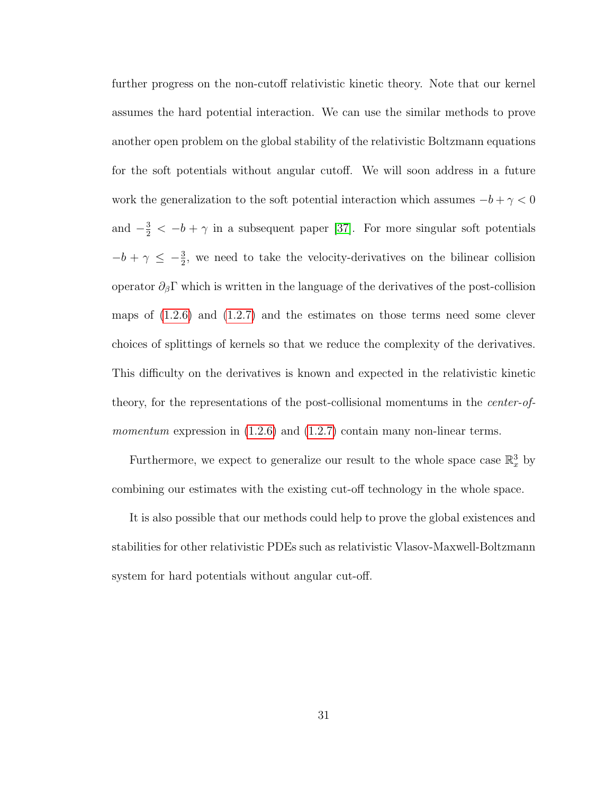further progress on the non-cutoff relativistic kinetic theory. Note that our kernel assumes the hard potential interaction. We can use the similar methods to prove another open problem on the global stability of the relativistic Boltzmann equations for the soft potentials without angular cutoff. We will soon address in a future work the generalization to the soft potential interaction which assumes  $-b + \gamma < 0$ and  $-\frac{3}{2} < -b+\gamma$  in a subsequent paper [\[37\]](#page-130-2). For more singular soft potentials  $-b + \gamma \leq -\frac{3}{2}$ , we need to take the velocity-derivatives on the bilinear collision operator  $\partial_{\beta} \Gamma$  which is written in the language of the derivatives of the post-collision maps of  $(1.2.6)$  and  $(1.2.7)$  and the estimates on those terms need some clever choices of splittings of kernels so that we reduce the complexity of the derivatives. This difficulty on the derivatives is known and expected in the relativistic kinetic theory, for the representations of the post-collisional momentums in the center-ofmomentum expression in  $(1.2.6)$  and  $(1.2.7)$  contain many non-linear terms.

Furthermore, we expect to generalize our result to the whole space case  $\mathbb{R}^3_x$  by combining our estimates with the existing cut-off technology in the whole space.

It is also possible that our methods could help to prove the global existences and stabilities for other relativistic PDEs such as relativistic Vlasov-Maxwell-Boltzmann system for hard potentials without angular cut-off.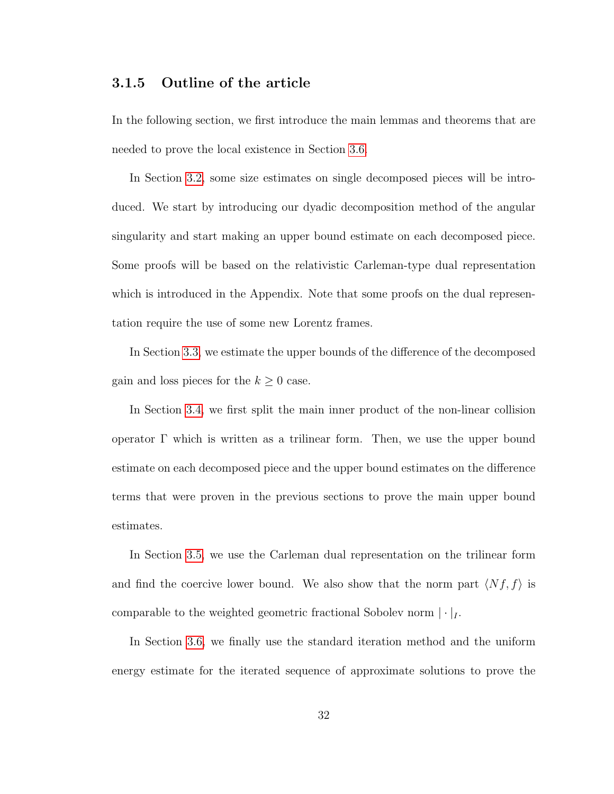### 3.1.5 Outline of the article

In the following section, we first introduce the main lemmas and theorems that are needed to prove the local existence in Section [3.6.](#page-69-0)

In Section [3.2,](#page-40-0) some size estimates on single decomposed pieces will be introduced. We start by introducing our dyadic decomposition method of the angular singularity and start making an upper bound estimate on each decomposed piece. Some proofs will be based on the relativistic Carleman-type dual representation which is introduced in the Appendix. Note that some proofs on the dual representation require the use of some new Lorentz frames.

In Section [3.3,](#page-53-0) we estimate the upper bounds of the difference of the decomposed gain and loss pieces for the  $k \geq 0$  case.

In Section [3.4,](#page-59-0) we first split the main inner product of the non-linear collision operator Γ which is written as a trilinear form. Then, we use the upper bound estimate on each decomposed piece and the upper bound estimates on the difference terms that were proven in the previous sections to prove the main upper bound estimates.

In Section [3.5,](#page-63-0) we use the Carleman dual representation on the trilinear form and find the coercive lower bound. We also show that the norm part  $\langle Nf, f \rangle$  is comparable to the weighted geometric fractional Sobolev norm  $|\cdot|_I$ .

In Section [3.6,](#page-69-0) we finally use the standard iteration method and the uniform energy estimate for the iterated sequence of approximate solutions to prove the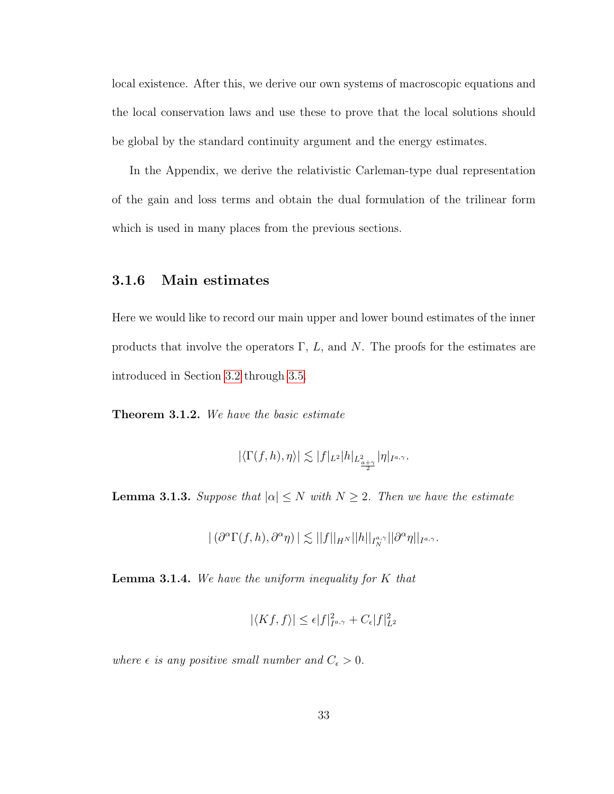local existence. After this, we derive our own systems of macroscopic equations and the local conservation laws and use these to prove that the local solutions should be global by the standard continuity argument and the energy estimates.

In the Appendix, we derive the relativistic Carleman-type dual representation of the gain and loss terms and obtain the dual formulation of the trilinear form which is used in many places from the previous sections.

#### 3.1.6 Main estimates

Here we would like to record our main upper and lower bound estimates of the inner products that involve the operators  $\Gamma$ , L, and N. The proofs for the estimates are introduced in Section [3.2](#page-40-0) through [3.5.](#page-63-0)

<span id="page-39-1"></span>**Theorem 3.1.2.** We have the basic estimate

$$
|\langle \Gamma(f,h),\eta \rangle| \lesssim |f|_{L^2} |h|_{L^2_{\frac{a+\gamma}{2}}} |\eta|_{I^{a,\gamma}}.
$$

<span id="page-39-2"></span>**Lemma 3.1.3.** Suppose that  $|\alpha| \leq N$  with  $N \geq 2$ . Then we have the estimate

$$
|\left(\partial^{\alpha}\Gamma(f,h),\partial^{\alpha}\eta\right)| \lesssim ||f||_{H^{N}}||h||_{I^{a,\gamma}_{N}}||\partial^{\alpha}\eta||_{I^{a,\gamma}}.
$$

<span id="page-39-0"></span>**Lemma 3.1.4.** We have the uniform inequality for  $K$  that

$$
|\langle Kf, f \rangle| \le \epsilon |f|_{I^{a,\gamma}}^2 + C_{\epsilon} |f|_{L^2}^2
$$

where  $\epsilon$  is any positive small number and  $C_{\epsilon} > 0$ .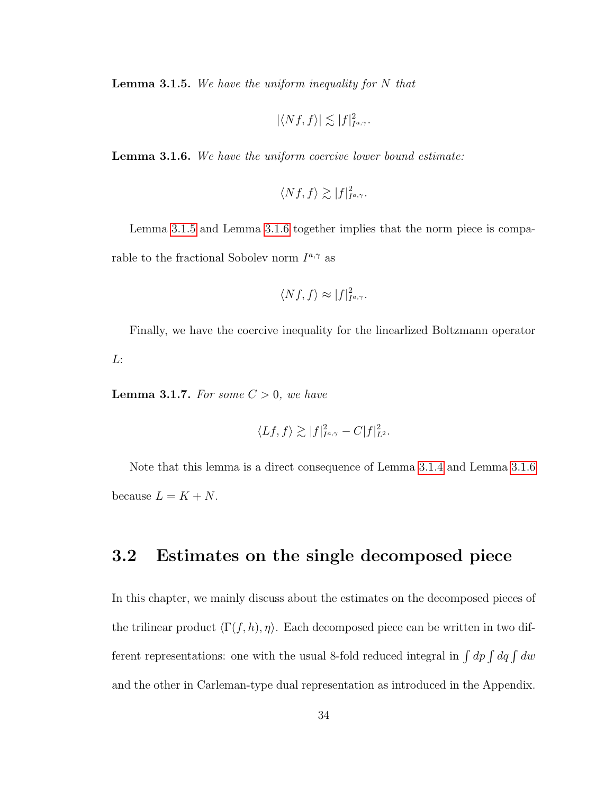<span id="page-40-1"></span>**Lemma 3.1.5.** We have the uniform inequality for  $N$  that

$$
|\langle Nf, f\rangle| \lesssim |f|_{I^{a,\gamma}}^2.
$$

<span id="page-40-2"></span>**Lemma 3.1.6.** We have the uniform coercive lower bound estimate:

$$
\langle Nf, f \rangle \gtrsim |f|_{I^{a,\gamma}}^2.
$$

Lemma [3.1.5](#page-40-1) and Lemma [3.1.6](#page-40-2) together implies that the norm piece is comparable to the fractional Sobolev norm  $I^{a,\gamma}$  as

$$
\langle Nf, f \rangle \approx |f|_{I^{a,\gamma}}^2.
$$

Finally, we have the coercive inequality for the linearlized Boltzmann operator L:

**Lemma 3.1.7.** For some  $C > 0$ , we have

$$
\langle Lf, f \rangle \gtrsim |f|_{I^{a,\gamma}}^2 - C|f|_{L^2}^2.
$$

Note that this lemma is a direct consequence of Lemma [3.1.4](#page-39-0) and Lemma [3.1.6](#page-40-2) because  $L = K + N$ .

### <span id="page-40-0"></span>3.2 Estimates on the single decomposed piece

In this chapter, we mainly discuss about the estimates on the decomposed pieces of the trilinear product  $\langle \Gamma(f, h), \eta \rangle$ . Each decomposed piece can be written in two different representations: one with the usual 8-fold reduced integral in  $\int dp \int dq \int dw$ and the other in Carleman-type dual representation as introduced in the Appendix.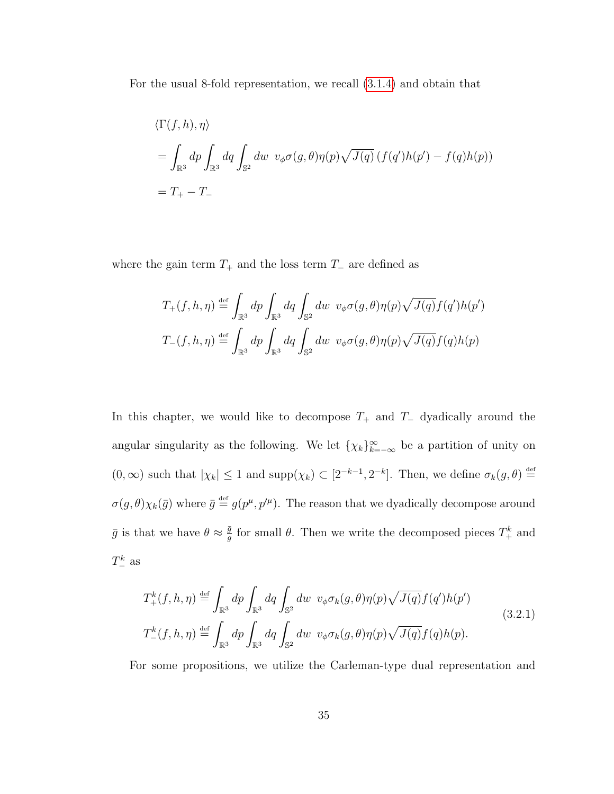For the usual 8-fold representation, we recall [\(3.1.4\)](#page-27-0) and obtain that

$$
\langle \Gamma(f, h), \eta \rangle
$$
  
=  $\int_{\mathbb{R}^3} dp \int_{\mathbb{R}^3} dq \int_{\mathbb{S}^2} dw \ v_{\phi} \sigma(g, \theta) \eta(p) \sqrt{J(q)} (f(q')h(p') - f(q)h(p))$   
=  $T_+ - T_-$ 

where the gain term  $T_+$  and the loss term  $T_-\$  are defined as

$$
T_{+}(f, h, \eta) \stackrel{\text{def}}{=} \int_{\mathbb{R}^{3}} dp \int_{\mathbb{R}^{3}} dq \int_{\mathbb{S}^{2}} dw \ v_{\phi} \sigma(g, \theta) \eta(p) \sqrt{J(q)} f(q') h(p')
$$
  

$$
T_{-}(f, h, \eta) \stackrel{\text{def}}{=} \int_{\mathbb{R}^{3}} dp \int_{\mathbb{R}^{3}} dq \int_{\mathbb{S}^{2}} dw \ v_{\phi} \sigma(g, \theta) \eta(p) \sqrt{J(q)} f(q) h(p)
$$

In this chapter, we would like to decompose  $T_+$  and  $T_-\$  dyadically around the angular singularity as the following. We let  $\{\chi_k\}_{k=-\infty}^{\infty}$  be a partition of unity on  $(0,\infty)$  such that  $|\chi_k| \leq 1$  and  $\text{supp}(\chi_k) \subset [2^{-k-1},2^{-k}]$ . Then, we define  $\sigma_k(g,\theta) \stackrel{\text{def}}{=}$  $\sigma(g,\theta)\chi_k(\bar{g})$  where  $\bar{g} \stackrel{\text{def}}{=} g(p^\mu,p'^\mu)$ . The reason that we dyadically decompose around  $\bar{g}$  is that we have  $\theta \approx \frac{\bar{g}}{g}$  $\frac{\bar{g}}{g}$  for small  $\theta$ . Then we write the decomposed pieces  $T^k_+$  and  $T_{-}^{k}$  as

<span id="page-41-0"></span>
$$
T_{+}^{k}(f, h, \eta) \stackrel{\text{def}}{=} \int_{\mathbb{R}^{3}} dp \int_{\mathbb{R}^{3}} dq \int_{\mathbb{S}^{2}} dw \ v_{\phi} \sigma_{k}(g, \theta) \eta(p) \sqrt{J(q)} f(q') h(p')
$$
\n
$$
T_{-}^{k}(f, h, \eta) \stackrel{\text{def}}{=} \int_{\mathbb{R}^{3}} dp \int_{\mathbb{R}^{3}} dq \int_{\mathbb{S}^{2}} dw \ v_{\phi} \sigma_{k}(g, \theta) \eta(p) \sqrt{J(q)} f(q) h(p).
$$
\n(3.2.1)

For some propositions, we utilize the Carleman-type dual representation and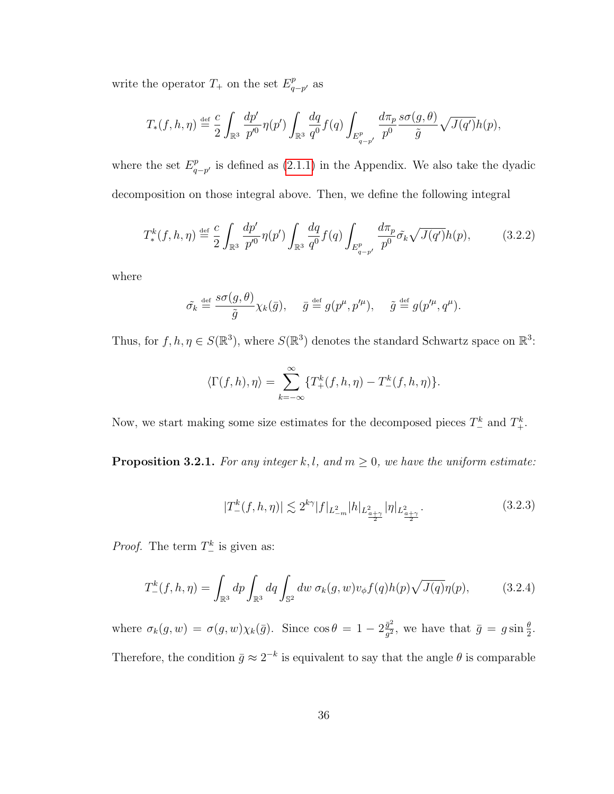write the operator  $T_+$  on the set  $E_a^p$  $_{q-p'}^p$  as

$$
T_*(f, h, \eta) \stackrel{\text{def}}{=} \frac{c}{2} \int_{\mathbb{R}^3} \frac{dp'}{p'^0} \eta(p') \int_{\mathbb{R}^3} \frac{dq}{q^0} f(q) \int_{E_{q-p'}^p} \frac{d\pi_p}{p^0} \frac{s\sigma(g, \theta)}{\tilde{g}} \sqrt{J(q')} h(p),
$$

where the set  $E_a^p$  $_{q-p'}^p$  is defined as [\(2.1.1\)](#page-15-0) in the Appendix. We also take the dyadic decomposition on those integral above. Then, we define the following integral

$$
T_{*}^{k}(f, h, \eta) \stackrel{\text{def}}{=} \frac{c}{2} \int_{\mathbb{R}^{3}} \frac{dp'}{p'^{0}} \eta(p') \int_{\mathbb{R}^{3}} \frac{dq}{q^{0}} f(q) \int_{E_{q-p'}^{p}} \frac{d\pi_{p}}{p^{0}} \tilde{\sigma_{k}} \sqrt{J(q')} h(p), \qquad (3.2.2)
$$

where

$$
\tilde{\sigma_k} \stackrel{\text{def}}{=} \frac{s\sigma(g,\theta)}{\tilde{g}} \chi_k(\bar{g}), \quad \bar{g} \stackrel{\text{def}}{=} g(p^{\mu},p^{\prime \mu}), \quad \tilde{g} \stackrel{\text{def}}{=} g(p^{\prime \mu},q^{\mu}).
$$

Thus, for  $f, h, \eta \in S(\mathbb{R}^3)$ , where  $S(\mathbb{R}^3)$  denotes the standard Schwartz space on  $\mathbb{R}^3$ :

$$
\langle \Gamma(f, h), \eta \rangle = \sum_{k=-\infty}^{\infty} \{T_+^k(f, h, \eta) - T_-^k(f, h, \eta) \}.
$$

Now, we start making some size estimates for the decomposed pieces  $T_{-}^{k}$  and  $T_{+}^{k}$ .

<span id="page-42-1"></span>**Proposition 3.2.1.** For any integer k, l, and  $m \geq 0$ , we have the uniform estimate:

$$
|T_{-}^{k}(f,h,\eta)| \lesssim 2^{k\gamma}|f|_{L_{-m}^{2}}|h|_{L_{\frac{a+\gamma}{2}}}|\eta|_{L_{\frac{a+\gamma}{2}}}.\tag{3.2.3}
$$

*Proof.* The term  $T_{-}^{k}$  is given as:

<span id="page-42-0"></span>
$$
T_{-}^{k}(f,h,\eta) = \int_{\mathbb{R}^3} dp \int_{\mathbb{R}^3} dq \int_{\mathbb{S}^2} dw \,\sigma_k(g,w)v_{\phi}f(q)h(p)\sqrt{J(q)}\eta(p),\tag{3.2.4}
$$

where  $\sigma_k(g, w) = \sigma(g, w) \chi_k(\bar{g})$ . Since  $\cos \theta = 1 - 2 \frac{\bar{g}^2}{g^2}$  $\frac{\bar{g}^2}{g^2}$ , we have that  $\bar{g} = g \sin \frac{\theta}{2}$ . Therefore, the condition  $\bar{g} \approx 2^{-k}$  is equivalent to say that the angle  $\theta$  is comparable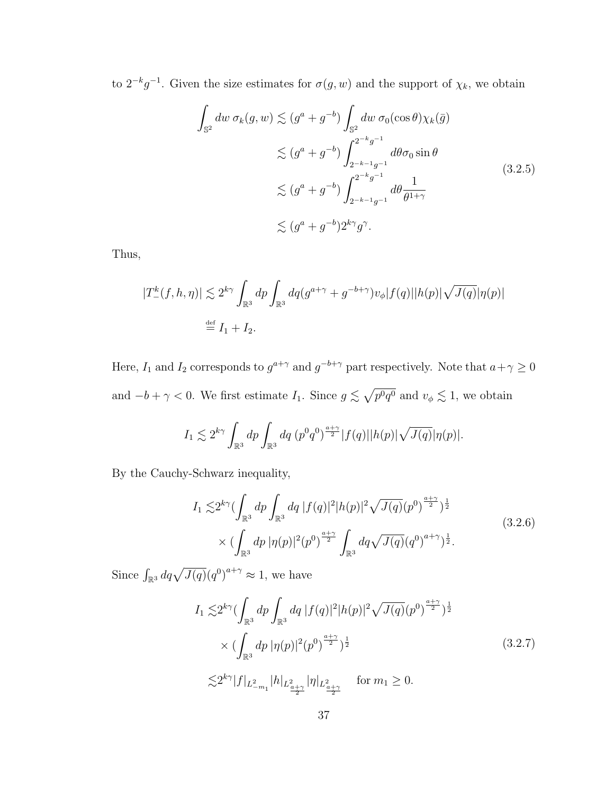<span id="page-43-0"></span>to  $2^{-k}g^{-1}$ . Given the size estimates for  $\sigma(g, w)$  and the support of  $\chi_k$ , we obtain

$$
\int_{\mathbb{S}^2} dw \,\sigma_k(g, w) \lesssim (g^a + g^{-b}) \int_{\mathbb{S}^2} dw \,\sigma_0(\cos \theta) \chi_k(\bar{g})
$$
\n
$$
\lesssim (g^a + g^{-b}) \int_{2^{-k-1}g^{-1}}^{2^{-k}g^{-1}} d\theta \sigma_0 \sin \theta
$$
\n
$$
\lesssim (g^a + g^{-b}) \int_{2^{-k-1}g^{-1}}^{2^{-k}g^{-1}} d\theta \frac{1}{\theta^{1+\gamma}}
$$
\n
$$
\lesssim (g^a + g^{-b}) 2^{k\gamma} g^{\gamma}.
$$
\n(3.2.5)

Thus,

$$
|T_{-}^{k}(f, h, \eta)| \lesssim 2^{k\gamma} \int_{\mathbb{R}^{3}} dp \int_{\mathbb{R}^{3}} dq (g^{a+\gamma} + g^{-b+\gamma}) v_{\phi} |f(q)| |h(p)| \sqrt{J(q)} |\eta(p)|
$$
  

$$
\stackrel{\text{def}}{=} I_{1} + I_{2}.
$$

Here,  $I_1$  and  $I_2$  corresponds to  $g^{a+\gamma}$  and  $g^{-b+\gamma}$  part respectively. Note that  $a+\gamma \geq 0$ and  $-b + \gamma < 0$ . We first estimate  $I_1$ . Since  $g \lesssim \sqrt{p^0 q^0}$  and  $v_{\phi} \lesssim 1$ , we obtain

$$
I_1 \lesssim 2^{k\gamma} \int_{\mathbb{R}^3} dp \int_{\mathbb{R}^3} dq \left( p^0 q^0 \right)^{\frac{a+\gamma}{2}} |f(q)| |h(p)| \sqrt{J(q)} |\eta(p)|.
$$

<span id="page-43-2"></span>By the Cauchy-Schwarz inequality,

$$
I_1 \lesssim 2^{k\gamma} \left( \int_{\mathbb{R}^3} dp \int_{\mathbb{R}^3} dq \left| f(q) \right|^2 |h(p)|^2 \sqrt{J(q)} (p^0)^{\frac{a+\gamma}{2}} \right)^{\frac{1}{2}} \times \left( \int_{\mathbb{R}^3} dp \left| \eta(p) \right|^2 (p^0)^{\frac{a+\gamma}{2}} \int_{\mathbb{R}^3} dq \sqrt{J(q)} (q^0)^{a+\gamma} \right)^{\frac{1}{2}}.
$$
\n(3.2.6)

<span id="page-43-1"></span>Since  $\int_{\mathbb{R}^3} dq \sqrt{J(q)} (q^0)^{a+\gamma} \approx 1$ , we have

$$
I_1 \lesssim 2^{k\gamma} \left( \int_{\mathbb{R}^3} dp \int_{\mathbb{R}^3} dq |f(q)|^2 |h(p)|^2 \sqrt{J(q)} (p^0)^{\frac{a+\gamma}{2}} \right)^{\frac{1}{2}}
$$
  
\$\times \left( \int\_{\mathbb{R}^3} dp |\eta(p)|^2 (p^0)^{\frac{a+\gamma}{2}} \right)^{\frac{1}{2}}\$ (3.2.7)  
\$\lesssim 2^{k\gamma} |f|\_{L^2\_{-m\_1}} |h|\_{L^2\_{\frac{a+\gamma}{2}}} |\eta|\_{L^2\_{\frac{a+\gamma}{2}}} \quad \text{for } m\_1 \ge 0.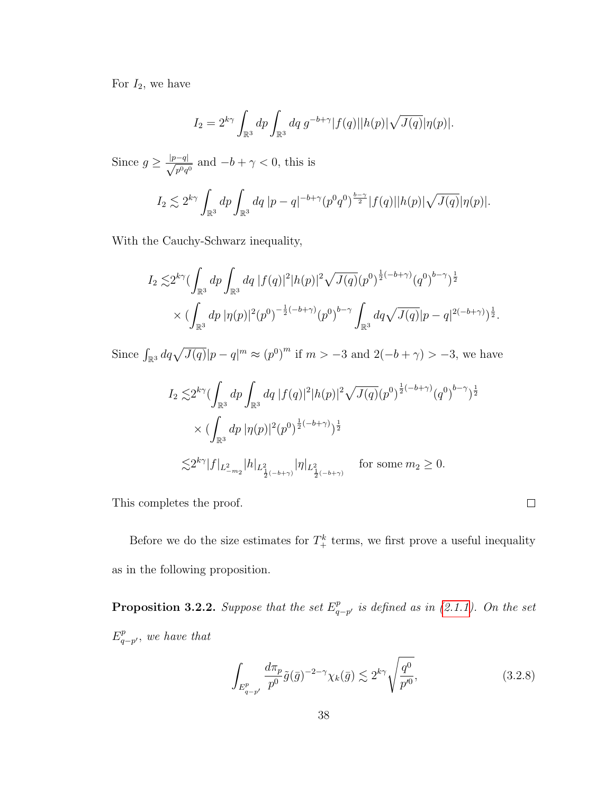For  $I_2$ , we have

$$
I_2 = 2^{k\gamma} \int_{\mathbb{R}^3} dp \int_{\mathbb{R}^3} dq \ g^{-b+\gamma} |f(q)| |h(p)| \sqrt{J(q)} |\eta(p)|.
$$

Since  $g \geq \frac{|p-q|}{\sqrt{2}}$  $\frac{-q_1}{p^0q^0}$  and  $-b+\gamma < 0$ , this is

$$
I_2 \lesssim 2^{k\gamma} \int_{\mathbb{R}^3} dp \int_{\mathbb{R}^3} dq \, |p - q|^{-b + \gamma} (p^0 q^0)^{\frac{b - \gamma}{2}} |f(q)| |h(p)| \sqrt{J(q)} |\eta(p)|.
$$

With the Cauchy-Schwarz inequality,

$$
I_2 \lesssim 2^{k\gamma} \left( \int_{\mathbb{R}^3} dp \int_{\mathbb{R}^3} dq \left| f(q) \right|^2 |h(p)|^2 \sqrt{J(q)} (p^0)^{\frac{1}{2}(-b+\gamma)} (q^0)^{b-\gamma} \right)^{\frac{1}{2}} \times \left( \int_{\mathbb{R}^3} dp \left| \eta(p) \right|^2 (p^0)^{-\frac{1}{2}(-b+\gamma)} (p^0)^{b-\gamma} \int_{\mathbb{R}^3} dq \sqrt{J(q)} |p-q|^{2(-b+\gamma)} \right)^{\frac{1}{2}}.
$$

Since  $\int_{\mathbb{R}^3} dq \sqrt{J(q)} |p-q|^m \approx (p^0)^m$  if  $m > -3$  and  $2(-b+\gamma) > -3$ , we have

$$
\begin{array}{l} I_2 \lesssim \! 2^{k \gamma} ( \int_{\mathbb{R}^3} dp \int_{\mathbb{R}^3} dq \, |f(q)|^2 |h(p)|^2 \sqrt{J(q)} (p^0)^{\frac{1}{2} (-b + \gamma)} (q^0)^{b - \gamma} )^{\frac{1}{2}} \\ \quad \times \, ( \int_{\mathbb{R}^3} dp \, |\eta(p)|^2 (p^0)^{\frac{1}{2} (-b + \gamma)} )^{\frac{1}{2}} \\ \quad \lesssim \! 2^{k \gamma} |f|_{L^2_{-m_2}} |h|_{L^2_{\frac{1}{2} (-b + \gamma)}} |\eta|_{L^2_{\frac{1}{2} (-b + \gamma)}} \quad \text{for some} \ m_2 \geq 0. \end{array}
$$

This completes the proof.

Before we do the size estimates for  $T_{+}^{k}$  terms, we first prove a useful inequality as in the following proposition.

<span id="page-44-0"></span>**Proposition 3.2.2.** Suppose that the set  $E^p_a$  $_{q-p'}^{p}$  is defined as in [\(2.1.1\)](#page-15-0). On the set  $E^p_a$  $_{q-p^{\prime }}^{p},\ we\ have\ that$ 

<span id="page-44-1"></span>
$$
\int_{E_{q-p'}^p} \frac{d\pi_p}{p^0} \tilde{g}(\bar{g})^{-2-\gamma} \chi_k(\bar{g}) \lesssim 2^{k\gamma} \sqrt{\frac{q^0}{p'^0}},\tag{3.2.8}
$$

 $\Box$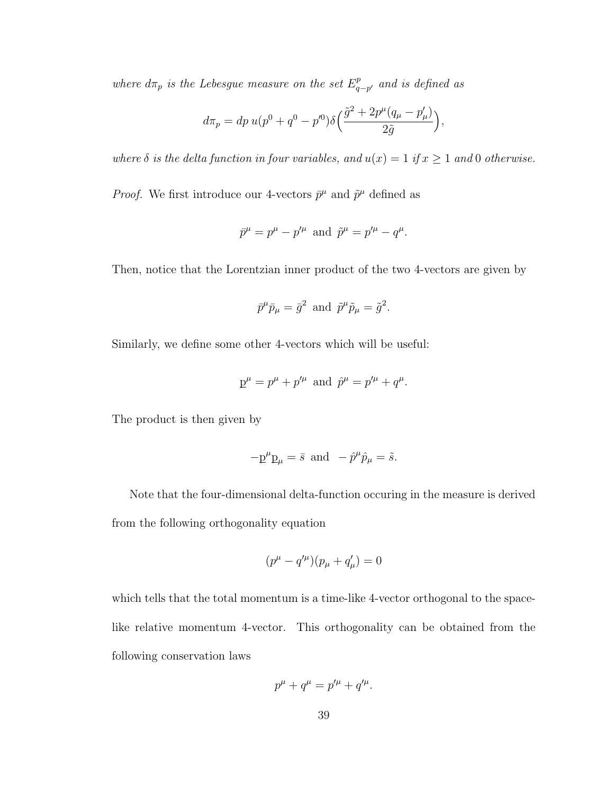where  $d\pi_p$  is the Lebesgue measure on the set  $E^p_q$  $_{q-p^{\prime }}^{p}$  and is defined as

$$
d\pi_p = dp \, u(p^0 + q^0 - p^0) \delta\left(\frac{\tilde{g}^2 + 2p^{\mu}(q_{\mu} - p_{\mu}')}{2\tilde{g}}\right),
$$

where  $\delta$  is the delta function in four variables, and  $u(x) = 1$  if  $x \ge 1$  and 0 otherwise.

*Proof.* We first introduce our 4-vectors  $\bar{p}^{\mu}$  and  $\tilde{p}^{\mu}$  defined as

$$
\bar{p}^{\mu} = p^{\mu} - p'^{\mu}
$$
 and  $\tilde{p}^{\mu} = p'^{\mu} - q^{\mu}$ .

Then, notice that the Lorentzian inner product of the two 4-vectors are given by

$$
\bar{p}^{\mu}\bar{p}_{\mu} = \bar{g}^2 \text{ and } \tilde{p}^{\mu}\tilde{p}_{\mu} = \tilde{g}^2.
$$

Similarly, we define some other 4-vectors which will be useful:

$$
p^{\mu} = p^{\mu} + p'^{\mu}
$$
 and  $\hat{p}^{\mu} = p'^{\mu} + q^{\mu}$ .

The product is then given by

$$
-p^{\mu}p_{\mu} = \bar{s} \text{ and } -\hat{p}^{\mu}\hat{p}_{\mu} = \tilde{s}.
$$

Note that the four-dimensional delta-function occuring in the measure is derived from the following orthogonality equation

$$
(p^{\mu} - q'^{\mu})(p_{\mu} + q'_{\mu}) = 0
$$

which tells that the total momentum is a time-like 4-vector orthogonal to the spacelike relative momentum 4-vector. This orthogonality can be obtained from the following conservation laws

$$
p^{\mu} + q^{\mu} = p'^{\mu} + q'^{\mu}.
$$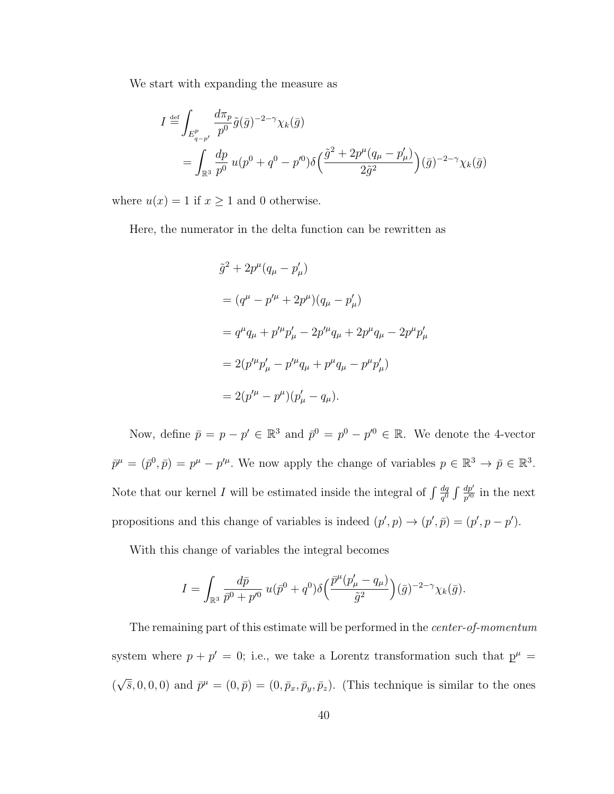We start with expanding the measure as

$$
I \stackrel{\text{def}}{=} \int_{E_{q-p'}^p} \frac{d\pi_p}{p^0} \tilde{g}(\bar{g})^{-2-\gamma} \chi_k(\bar{g})
$$
  
= 
$$
\int_{\mathbb{R}^3} \frac{dp}{p^0} u(p^0 + q^0 - p'^0) \delta\left(\frac{\tilde{g}^2 + 2p^\mu (q_\mu - p'_\mu)}{2\tilde{g}^2}\right) (\bar{g})^{-2-\gamma} \chi_k(\bar{g})
$$

where  $u(x) = 1$  if  $x \ge 1$  and 0 otherwise.

Here, the numerator in the delta function can be rewritten as

$$
\tilde{g}^{2} + 2p^{\mu}(q_{\mu} - p'_{\mu})
$$
\n
$$
= (q^{\mu} - p'^{\mu} + 2p^{\mu})(q_{\mu} - p'_{\mu})
$$
\n
$$
= q^{\mu}q_{\mu} + p'^{\mu}p'_{\mu} - 2p'^{\mu}q_{\mu} + 2p^{\mu}q_{\mu} - 2p^{\mu}p'_{\mu}
$$
\n
$$
= 2(p'^{\mu}p'_{\mu} - p'^{\mu}q_{\mu} + p^{\mu}q_{\mu} - p^{\mu}p'_{\mu})
$$
\n
$$
= 2(p'^{\mu} - p^{\mu})(p'_{\mu} - q_{\mu}).
$$

Now, define  $\bar{p} = p - p' \in \mathbb{R}^3$  and  $\bar{p}^0 = p^0 - p'^0 \in \mathbb{R}$ . We denote the 4-vector  $\bar{p}^{\mu} = (\bar{p}^0, \bar{p}) = p^{\mu} - p'^{\mu}$ . We now apply the change of variables  $p \in \mathbb{R}^3 \to \bar{p} \in \mathbb{R}^3$ . Note that our kernel I will be estimated inside the integral of  $\int \frac{dq}{d\theta}$  $\frac{dq}{q^0} \int \frac{dp'}{p'^0}$  $\frac{dp'}{p'}$  in the next propositions and this change of variables is indeed  $(p', p) \rightarrow (p', \bar{p}) = (p', p - p')$ .

With this change of variables the integral becomes

$$
I = \int_{\mathbb{R}^3} \frac{d\bar{p}}{\bar{p}^0 + p'^0} u(\bar{p}^0 + q^0) \delta\Big(\frac{\bar{p}^{\mu} (p'_{\mu} - q_{\mu})}{\tilde{g}^2}\Big)(\bar{g})^{-2-\gamma} \chi_k(\bar{g}).
$$

The remaining part of this estimate will be performed in the center-of-momentum system where  $p + p' = 0$ ; i.e., we take a Lorentz transformation such that  $p^{\mu} =$ ( √  $\overline{s}, 0, 0, 0$  and  $\overline{p}^{\mu} = (0, \overline{p}) = (0, \overline{p}_x, \overline{p}_y, \overline{p}_z)$ . (This technique is similar to the ones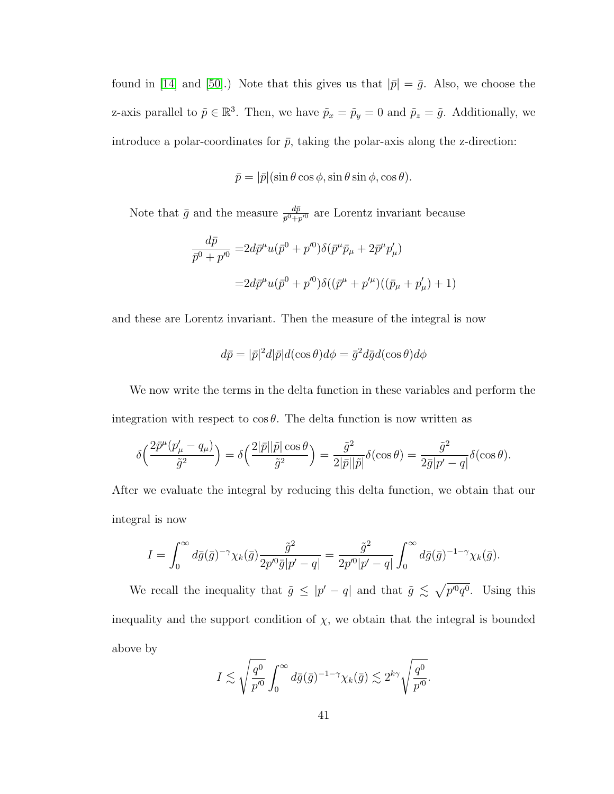found in [\[14\]](#page-128-0) and [\[50\]](#page-132-0).) Note that this gives us that  $|\bar{p}| = \bar{g}$ . Also, we choose the z-axis parallel to  $\tilde{p} \in \mathbb{R}^3$ . Then, we have  $\tilde{p}_x = \tilde{p}_y = 0$  and  $\tilde{p}_z = \tilde{g}$ . Additionally, we introduce a polar-coordinates for  $\bar{p}$ , taking the polar-axis along the z-direction:

$$
\bar{p} = |\bar{p}|(\sin \theta \cos \phi, \sin \theta \sin \phi, \cos \theta).
$$

Note that  $\bar{g}$  and the measure  $\frac{d\bar{p}}{\bar{p}^0+p'^0}$  are Lorentz invariant because

$$
\frac{d\bar{p}}{\bar{p}^0 + p'^0} = 2d\bar{p}^\mu u(\bar{p}^0 + p'^0)\delta(\bar{p}^\mu \bar{p}_\mu + 2\bar{p}^\mu p'_\mu)
$$
  
=  $2d\bar{p}^\mu u(\bar{p}^0 + p'^0)\delta((\bar{p}^\mu + p'^\mu)((\bar{p}_\mu + p'_\mu) + 1)$ 

and these are Lorentz invariant. Then the measure of the integral is now

$$
d\bar{p} = |\bar{p}|^2 d|\bar{p}|d(\cos\theta)d\phi = \bar{g}^2 d\bar{g}d(\cos\theta)d\phi
$$

We now write the terms in the delta function in these variables and perform the integration with respect to  $\cos \theta$ . The delta function is now written as

$$
\delta\Big(\frac{2\bar{p}^{\mu}(p'_{\mu}-q_{\mu})}{\tilde{g}^{2}}\Big) = \delta\Big(\frac{2|\bar{p}||\tilde{p}|\cos\theta}{\tilde{g}^{2}}\Big) = \frac{\tilde{g}^{2}}{2|\bar{p}||\tilde{p}|}\delta(\cos\theta) = \frac{\tilde{g}^{2}}{2\bar{g}|p'-q|}\delta(\cos\theta).
$$

After we evaluate the integral by reducing this delta function, we obtain that our integral is now

$$
I = \int_0^\infty d\bar{g}(\bar{g})^{-\gamma} \chi_k(\bar{g}) \frac{\tilde{g}^2}{2p'^0 \bar{g}|p'-q|} = \frac{\tilde{g}^2}{2p'^0|p'-q|} \int_0^\infty d\bar{g}(\bar{g})^{-1-\gamma} \chi_k(\bar{g}).
$$

We recall the inequality that  $\tilde{g} \leq |p'-q|$  and that  $\tilde{g} \leq \sqrt{p'^0q^0}$ . Using this inequality and the support condition of  $\chi$ , we obtain that the integral is bounded above by

$$
I \lesssim \sqrt{\frac{q^0}{p'^0}} \int_0^\infty d\bar{g}(\bar{g})^{-1-\gamma} \chi_k(\bar{g}) \lesssim 2^{k\gamma} \sqrt{\frac{q^0}{p'^0}}.
$$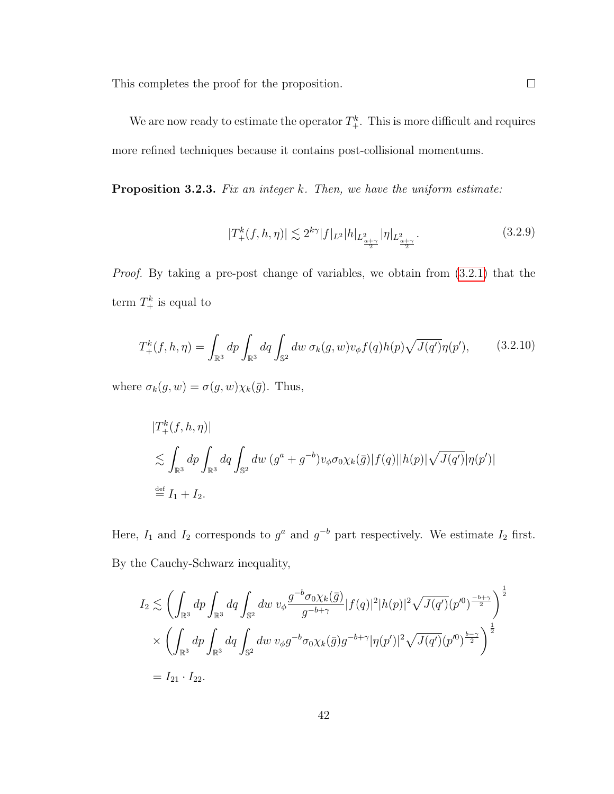This completes the proof for the proposition.

We are now ready to estimate the operator  $T^k_+$ . This is more difficult and requires more refined techniques because it contains post-collisional momentums.

<span id="page-48-1"></span>**Proposition 3.2.3.** Fix an integer  $k$ . Then, we have the uniform estimate:

$$
|T_{+}^{k}(f, h, \eta)| \lesssim 2^{k\gamma} |f|_{L^{2}} |h|_{L^{2}_{\frac{a+\gamma}{2}}} |\eta|_{L^{2}_{\frac{a+\gamma}{2}}}.
$$
\n(3.2.9)

Proof. By taking a pre-post change of variables, we obtain from [\(3.2.1\)](#page-41-0) that the term  $T^k_+$  is equal to

<span id="page-48-0"></span>
$$
T_{+}^{k}(f, h, \eta) = \int_{\mathbb{R}^{3}} dp \int_{\mathbb{R}^{3}} dq \int_{\mathbb{S}^{2}} dw \,\sigma_{k}(g, w)v_{\phi}f(q)h(p)\sqrt{J(q')} \eta(p'), \quad (3.2.10)
$$

where  $\sigma_k(g, w) = \sigma(g, w) \chi_k(\bar{g})$ . Thus,

$$
\begin{aligned} |T^k_+(f,h,\eta)|\\ &\lesssim \int_{\mathbb{R}^3} dp \int_{\mathbb{R}^3} dq \int_{\mathbb{S}^2} dw \ (g^a + g^{-b}) v_\phi \sigma_0 \chi_k(\bar{g}) |f(q)| |h(p)| \sqrt{J(q')} |\eta(p')|\\ &\stackrel{\text{def}}{=} I_1 + I_2. \end{aligned}
$$

Here,  $I_1$  and  $I_2$  corresponds to  $g^a$  and  $g^{-b}$  part respectively. We estimate  $I_2$  first. By the Cauchy-Schwarz inequality,

$$
I_2 \lesssim \left( \int_{\mathbb{R}^3} dp \int_{\mathbb{R}^3} dq \int_{\mathbb{S}^2} dw \, v_{\phi} \frac{g^{-b} \sigma_0 \chi_k(\bar{g})}{g^{-b+\gamma}} |f(q)|^2 |h(p)|^2 \sqrt{J(q')} (p'^0)^{\frac{-b+\gamma}{2}} \right)^{\frac{1}{2}}
$$
  
\$\times \left( \int\_{\mathbb{R}^3} dp \int\_{\mathbb{R}^3} dq \int\_{\mathbb{S}^2} dw \, v\_{\phi} g^{-b} \sigma\_0 \chi\_k(\bar{g}) g^{-b+\gamma} |\eta(p')|^2 \sqrt{J(q')} (p'^0)^{\frac{b-\gamma}{2}} \right)^{\frac{1}{2}}\$  
= I\_{21} \cdot I\_{22}.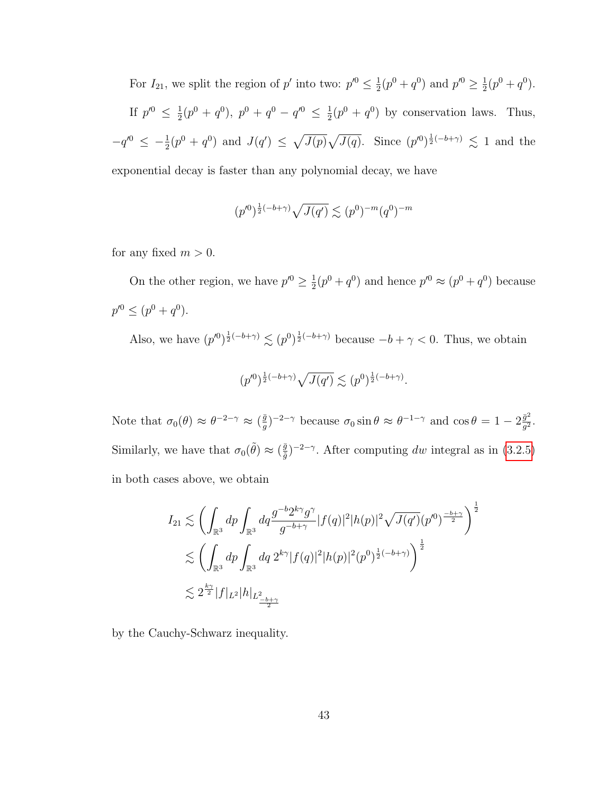For  $I_{21}$ , we split the region of p' into two:  $p'^0 \n\t\leq \frac{1}{2}$  $\frac{1}{2}(p^0+q^0)$  and  $p'^0 \ge \frac{1}{2}$  $\frac{1}{2}(p^0+q^0).$ If  $p'^{0} \leq \frac{1}{2}$  $\frac{1}{2}(p^0+q^0),\ p^0+q^0-q'^0\ \leq\ \frac{1}{2}$  $\frac{1}{2}(p^0 + q^0)$  by conservation laws. Thus,  $-q'^0 \leq -\frac{1}{2}(p^0 + q^0)$  and  $J(q') \leq \sqrt{J(p)}\sqrt{J(q)}$ . Since  $(p'^0)^{\frac{1}{2}(-b+\gamma)} \leq 1$  and the exponential decay is faster than any polynomial decay, we have

$$
(p'^0)^{\frac{1}{2}(-b+\gamma)}\sqrt{J(q')}\lesssim (p^0)^{-m}(q^0)^{-m}
$$

for any fixed  $m > 0$ .

On the other region, we have  $p'^0 \geq \frac{1}{2}$  $\frac{1}{2}(p^0+q^0)$  and hence  $p'^0 \approx (p^0+q^0)$  because  $p^{\prime 0} \leq (p^0 + q^0).$ 

Also, we have  $(p'^0)^{\frac{1}{2}(-b+\gamma)} \lesssim (p^0)^{\frac{1}{2}(-b+\gamma)}$  because  $-b+\gamma < 0$ . Thus, we obtain

$$
(p'^0)^{\frac{1}{2}(-b+\gamma)}\sqrt{J(q')}\lesssim (p^0)^{\frac{1}{2}(-b+\gamma)}.
$$

Note that  $\sigma_0(\theta) \approx \theta^{-2-\gamma} \approx (\frac{\bar{g}}{g})$  $(\frac{\bar{g}}{g})^{-2-\gamma}$  because  $\sigma_0 \sin \theta \approx \theta^{-1-\gamma}$  and  $\cos \theta = 1 - 2 \frac{\bar{g}^2}{g^2}$  $\frac{\bar{g}^2}{g^2}.$ Similarly, we have that  $\sigma_0(\tilde{\theta}) \approx (\frac{\bar{g}}{\tilde{\theta}})$  $(\frac{\bar{g}}{\tilde{g}})^{-2-\gamma}$ . After computing dw integral as in [\(3.2.5\)](#page-43-0) in both cases above, we obtain

$$
I_{21} \lesssim \left( \int_{\mathbb{R}^3} dp \int_{\mathbb{R}^3} dq \frac{g^{-b} 2^{k\gamma} g^{\gamma}}{g^{-b+\gamma}} |f(q)|^2 |h(p)|^2 \sqrt{J(q')} (p'^0)^{\frac{-b+\gamma}{2}} \right)^{\frac{1}{2}}
$$
  

$$
\lesssim \left( \int_{\mathbb{R}^3} dp \int_{\mathbb{R}^3} dq \ 2^{k\gamma} |f(q)|^2 |h(p)|^2 (p^0)^{\frac{1}{2}(-b+\gamma)} \right)^{\frac{1}{2}}
$$
  

$$
\lesssim 2^{\frac{k\gamma}{2}} |f|_{L^2} |h|_{L^2_{\frac{-b+\gamma}{2}}}
$$

by the Cauchy-Schwarz inequality.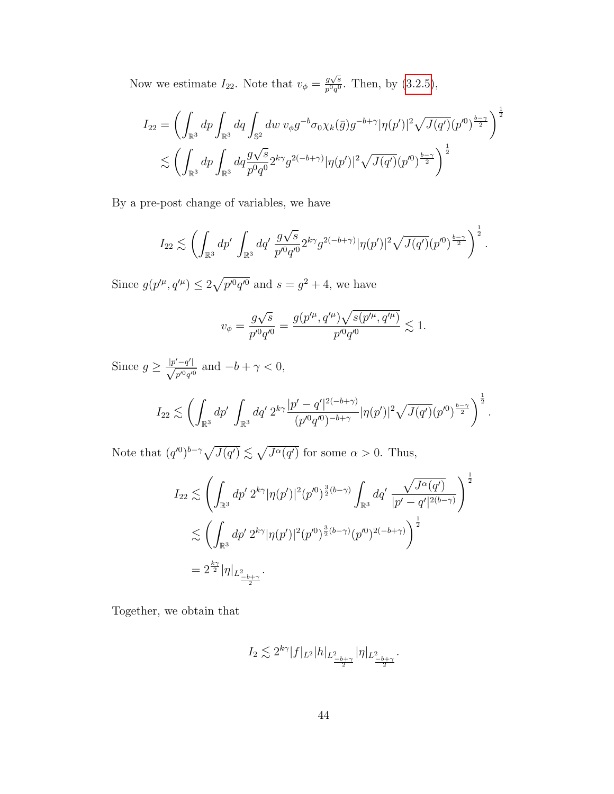Now we estimate  $I_{22}$ . Note that  $v_{\phi} = \frac{g\sqrt{s}}{n^0g^0}$  $\frac{g\sqrt{s}}{p^0q^0}$ . Then, by  $(3.2.5)$ ,

$$
I_{22} = \left( \int_{\mathbb{R}^3} dp \int_{\mathbb{R}^3} dq \int_{\mathbb{S}^2} dw \, v_{\phi} g^{-b} \sigma_0 \chi_k(\bar{g}) g^{-b+\gamma} |\eta(p')|^2 \sqrt{J(q')} (p'^0)^{\frac{b-\gamma}{2}} \right)^{\frac{1}{2}}
$$
  

$$
\lesssim \left( \int_{\mathbb{R}^3} dp \int_{\mathbb{R}^3} dq \frac{g\sqrt{s}}{p^0 q^0} 2^{k\gamma} g^{2(-b+\gamma)} |\eta(p')|^2 \sqrt{J(q')} (p'^0)^{\frac{b-\gamma}{2}} \right)^{\frac{1}{2}}
$$

By a pre-post change of variables, we have

$$
I_{22} \lesssim \left( \int_{\mathbb{R}^3} dp' \, \int_{\mathbb{R}^3} dq' \, \frac{g\sqrt{s}}{p'^0 q'^0} 2^{k\gamma} g^{2(-b+\gamma)} |\eta(p')|^2 \sqrt{J(q')}(p'^0)^{\frac{b-\gamma}{2}} \right)^{\frac{1}{2}}.
$$

Since  $g(p^{\prime \mu}, q^{\prime \mu}) \leq 2\sqrt{p^{\prime 0}q^{\prime 0}}$  and  $s = q^2 + 4$ , we have

$$
v_{\phi} = \frac{g\sqrt{s}}{p'^0q'^0} = \frac{g(p'^\mu, q'^\mu)\sqrt{s(p'^\mu, q'^\mu)}}{p'^0q'^0} \lesssim 1.
$$

Since  $g \geq \frac{|p'-q'|}{\sqrt{m}}$  $\frac{q}{p'^0q'^0}$  and  $-b+\gamma < 0$ ,

$$
I_{22} \lesssim \left( \int_{\mathbb{R}^3} dp' \int_{\mathbb{R}^3} dq' 2^{k\gamma} \frac{|p'-q'|^{2(-b+\gamma)}}{(p'^0q'^0)^{-b+\gamma}} |\eta(p')|^2 \sqrt{J(q')}(p'^0)^{\frac{b-\gamma}{2}} \right)^{\frac{1}{2}}.
$$

Note that  $(q^{(0)})^{b-\gamma} \sqrt{J(q')} \lesssim \sqrt{J^{\alpha}(q')}$  for some  $\alpha > 0$ . Thus,

$$
I_{22} \lesssim \left( \int_{\mathbb{R}^3} dp' \ 2^{k\gamma} |\eta(p')|^2 (p'^0)^{\frac{3}{2}(b-\gamma)} \int_{\mathbb{R}^3} dq' \ \frac{\sqrt{J^{\alpha}(q')}}{|p'-q'|^{2(b-\gamma)}} \right)^{\frac{1}{2}}
$$
  

$$
\lesssim \left( \int_{\mathbb{R}^3} dp' \ 2^{k\gamma} |\eta(p')|^2 (p'^0)^{\frac{3}{2}(b-\gamma)} (p'^0)^{2(-b+\gamma)} \right)^{\frac{1}{2}}
$$
  

$$
= 2^{\frac{k\gamma}{2}} |\eta|_{L^2_{\frac{-b+\gamma}{2}}}.
$$

Together, we obtain that

$$
I_2 \lesssim 2^{k\gamma} |f|_{L^2} |h|_{L^2_{\frac{-b+\gamma}{2}}} |\eta|_{L^2_{\frac{-b+\gamma}{2}}}.
$$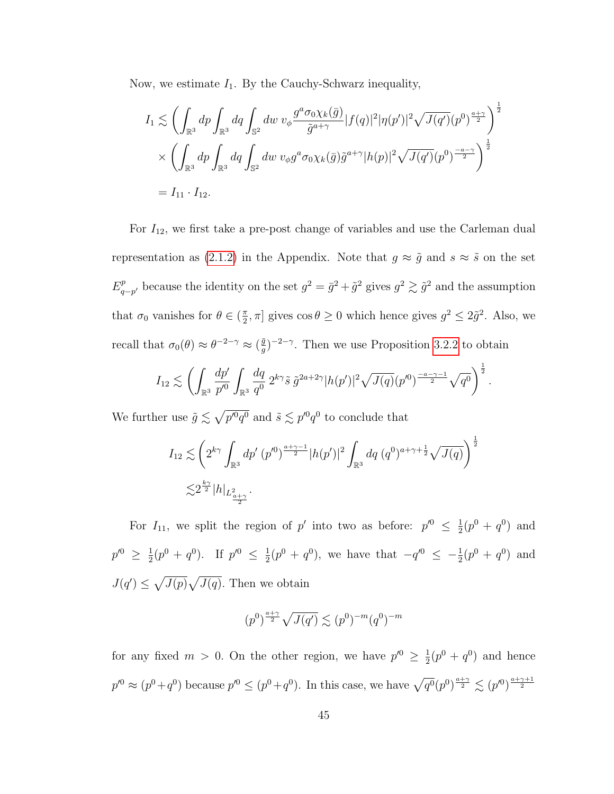Now, we estimate  $I_1$ . By the Cauchy-Schwarz inequality,

$$
I_1 \lesssim \left( \int_{\mathbb{R}^3} dp \int_{\mathbb{R}^3} dq \int_{\mathbb{S}^2} dw \, v_{\phi} \frac{g^a \sigma_0 \chi_k(\bar{g})}{\tilde{g}^{a+\gamma}} |f(q)|^2 |\eta(p')|^2 \sqrt{J(q')}(p^0)^{\frac{a+\gamma}{2}} \right)^{\frac{1}{2}}
$$
  
\$\times \left( \int\_{\mathbb{R}^3} dp \int\_{\mathbb{R}^3} dq \int\_{\mathbb{S}^2} dw \, v\_{\phi} g^a \sigma\_0 \chi\_k(\bar{g}) \tilde{g}^{a+\gamma} |h(p)|^2 \sqrt{J(q')}(p^0)^{\frac{-a-\gamma}{2}} \right)^{\frac{1}{2}}\$  
= I\_{11} \cdot I\_{12}.

For  $I_{12}$ , we first take a pre-post change of variables and use the Carleman dual representation as [\(2.1.2\)](#page-17-0) in the Appendix. Note that  $g \approx \tilde{g}$  and  $s \approx \tilde{s}$  on the set  $E^p_a$  $q_{-p'}^p$  because the identity on the set  $g^2 = \bar{g}^2 + \tilde{g}^2$  gives  $g^2 \gtrsim \tilde{g}^2$  and the assumption that  $\sigma_0$  vanishes for  $\theta \in (\frac{\pi}{2})$  $\frac{\pi}{2}$ ,  $\pi$ ] gives  $\cos \theta \ge 0$  which hence gives  $g^2 \le 2\tilde{g}^2$ . Also, we recall that  $\sigma_0(\theta) \approx \theta^{-2-\gamma} \approx (\frac{\bar{g}}{g})$  $(\frac{\bar{g}}{g})^{-2-\gamma}$ . Then we use Proposition [3.2.2](#page-44-0) to obtain

$$
I_{12} \lesssim \left( \int_{\mathbb{R}^3} \frac{dp'}{p'^0} \int_{\mathbb{R}^3} \frac{dq}{q^0} 2^{k\gamma} \tilde{s} \, \tilde{g}^{2a+2\gamma} |h(p')|^2 \sqrt{J(q)} (p'^0)^{\frac{-a-\gamma-1}{2}} \sqrt{q^0} \right)^{\frac{1}{2}}.
$$

We further use  $\tilde{g} \lesssim \sqrt{p'^0q^0}$  and  $\tilde{s} \lesssim p'^0q^0$  to conclude that

$$
I_{12} \lesssim \left(2^{k\gamma} \int_{\mathbb{R}^3} dp' \ (p'^0)^{\frac{a+\gamma-1}{2}} |h(p')|^2 \int_{\mathbb{R}^3} dq \ (q^0)^{a+\gamma+\frac{1}{2}} \sqrt{J(q)} \right)^{\frac{1}{2}}
$$
  

$$
\lesssim 2^{\frac{k\gamma}{2}} |h|_{L^2_{\frac{a+\gamma}{2}}}.
$$

For  $I_{11}$ , we split the region of p' into two as before:  $p'^0 \leq \frac{1}{2}$  $\frac{1}{2}(p^0 + q^0)$  and  $p'^{0} \geq \frac{1}{2}$  $\frac{1}{2}(p^0 + q^0)$ . If  $p'^0 \leq \frac{1}{2}$  $\frac{1}{2}(p^0 + q^0)$ , we have that  $-q'^0 \leq -\frac{1}{2}(p^0 + q^0)$  and  $J(q') \leq \sqrt{J(p)}\sqrt{J(q)}$ . Then we obtain

$$
(p^0)^{\frac{a+\gamma}{2}}\sqrt{J(q')}\lesssim (p^0)^{-m}(q^0)^{-m}
$$

for any fixed  $m > 0$ . On the other region, we have  $p'^0 \geq \frac{1}{2}$  $\frac{1}{2}(p^0+q^0)$  and hence  $p'^0 \approx (p^0 + q^0)$  because  $p'^0 \le (p^0 + q^0)$ . In this case, we have  $\sqrt{q^0} (p^0)^{\frac{a+\gamma}{2}} \lesssim (p'^0)^{\frac{a+\gamma+1}{2}}$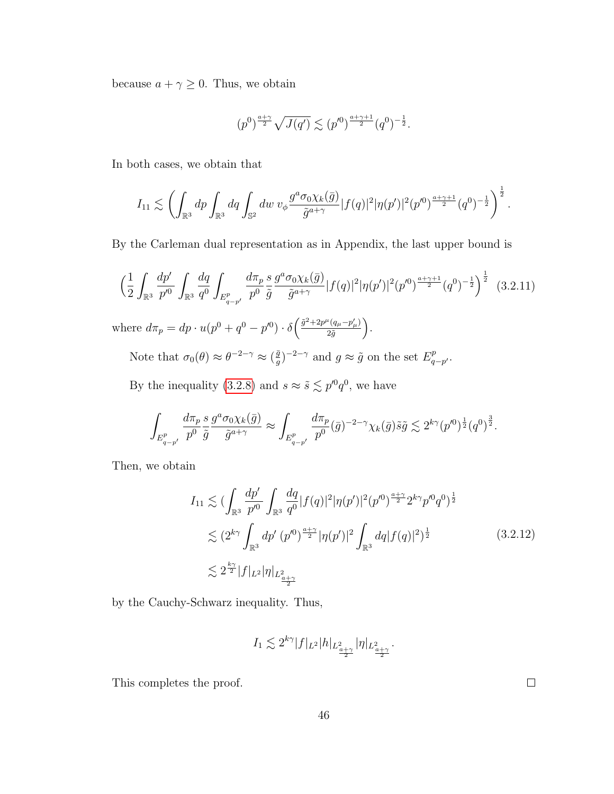because  $a + \gamma \geq 0$ . Thus, we obtain

$$
(p^0)^{\frac{a+\gamma}{2}}\sqrt{J(q')}\lesssim (p'^0)^{\frac{a+\gamma+1}{2}}(q^0)^{-\frac{1}{2}}.
$$

In both cases, we obtain that

$$
I_{11} \lesssim \left( \int_{\mathbb{R}^3} dp \int_{\mathbb{R}^3} dq \int_{\mathbb{S}^2} dw \ v_{\phi} \frac{g^a \sigma_0 \chi_k(\bar{g})}{\tilde{g}^{a+\gamma}} |f(q)|^2 |\eta(p')|^2 (p'^0)^{\frac{a+\gamma+1}{2}} (q^0)^{-\frac{1}{2}} \right)^{\frac{1}{2}}.
$$

By the Carleman dual representation as in Appendix, the last upper bound is

$$
\left(\frac{1}{2}\int_{\mathbb{R}^3}\frac{dp'}{p'^0}\int_{\mathbb{R}^3}\frac{dq}{q^0}\int_{E_{q-p'}^p}\frac{d\pi_p}{p^0}\frac{s}{\tilde{g}}\frac{g^a\sigma_0\chi_k(\bar{g})}{\tilde{g}^{a+\gamma}}|f(q)|^2|\eta(p')|^2(p'^0)^{\frac{a+\gamma+1}{2}}(q^0)^{-\frac{1}{2}}\right)^{\frac{1}{2}}\tag{3.2.11}
$$
\nwhere  $d\pi_p = dp \cdot u(p^0 + q^0 - p'^0) \cdot \delta\left(\frac{\tilde{g}^2 + 2p^\mu(q_\mu - p'_\mu)}{2\tilde{g}}\right).$ \nNote that  $\sigma_0(\theta) \approx \theta^{-2-\gamma} \approx (\frac{\tilde{g}}{g})^{-2-\gamma}$  and  $g \approx \tilde{g}$  on the set  $E_{q-p'}^p$ .

By the inequality [\(3.2.8\)](#page-44-1) and  $s \approx \tilde{s} \lesssim p'^0 q^0$ , we have

$$
\int_{E_{q-p'}^p}\frac{d\pi_p}{p^0}\frac{s}{\tilde{g}}\frac{g^a\sigma_0\chi_k(\bar{g})}{\tilde{g}^{a+\gamma}}\approx \int_{E_{q-p'}^p}\frac{d\pi_p}{p^0}(\bar{g})^{-2-\gamma}\chi_k(\bar{g})\tilde{s}\tilde{g}\lesssim 2^{k\gamma}(p'^0)^{\frac{1}{2}}(q^0)^{\frac{3}{2}}.
$$

Then, we obtain

$$
I_{11} \lesssim \left(\int_{\mathbb{R}^3} \frac{dp'}{p'^0} \int_{\mathbb{R}^3} \frac{dq}{q^0} |f(q)|^2 |\eta(p')|^2 (p'^0)^{\frac{a+\gamma}{2}} 2^{k\gamma} p'^0 q^0)^{\frac{1}{2}} \lesssim (2^{k\gamma} \int_{\mathbb{R}^3} dp' (p'^0)^{\frac{a+\gamma}{2}} |\eta(p')|^2 \int_{\mathbb{R}^3} dq |f(q)|^2)^{\frac{1}{2}} \lesssim 2^{\frac{k\gamma}{2}} |f|_{L^2} |\eta|_{L^2_{\frac{a+\gamma}{2}}} \tag{3.2.12}
$$

by the Cauchy-Schwarz inequality. Thus,

$$
I_1\lesssim 2^{k\gamma}|f|_{L^2}|h|_{L^2_{\frac{a+\gamma}{2}} }|\eta|_{L^2_{\frac{a+\gamma}{2}} }.
$$

This completes the proof.

46

 $\Box$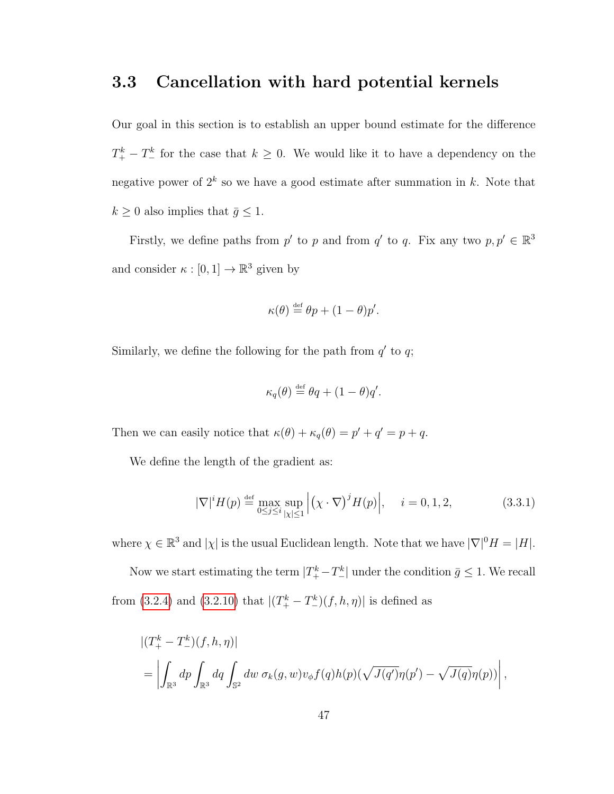### <span id="page-53-0"></span>3.3 Cancellation with hard potential kernels

Our goal in this section is to establish an upper bound estimate for the difference  $T_{+}^{k} - T_{-}^{k}$  for the case that  $k \geq 0$ . We would like it to have a dependency on the negative power of  $2^k$  so we have a good estimate after summation in k. Note that  $k\geq 0$  also implies that  $\bar{g}\leq 1.$ 

Firstly, we define paths from p' to p and from q' to q. Fix any two  $p, p' \in \mathbb{R}^3$ and consider  $\kappa : [0,1] \to \mathbb{R}^3$  given by

$$
\kappa(\theta) \stackrel{\text{def}}{=} \theta p + (1 - \theta) p'.
$$

Similarly, we define the following for the path from  $q'$  to  $q$ ;

$$
\kappa_q(\theta) \stackrel{\text{def}}{=} \theta q + (1 - \theta) q'.
$$

Then we can easily notice that  $\kappa(\theta) + \kappa_q(\theta) = p' + q' = p + q$ .

We define the length of the gradient as:

<span id="page-53-1"></span>
$$
|\nabla|^i H(p) \stackrel{\text{def}}{=} \max_{0 \le j \le i} \sup_{|\chi| \le 1} \left| (\chi \cdot \nabla)^j H(p) \right|, \quad i = 0, 1, 2,
$$
 (3.3.1)

where  $\chi \in \mathbb{R}^3$  and  $|\chi|$  is the usual Euclidean length. Note that we have  $|\nabla|^0 H = |H|$ .

Now we start estimating the term  $|T_+^k - T_-^k|$  under the condition  $\bar{g} \leq 1$ . We recall from [\(3.2.4\)](#page-42-0) and [\(3.2.10\)](#page-48-0) that  $|(T_{+}^{k} - T_{-}^{k})(f, h, \eta)|$  is defined as

$$
\begin{aligned} &\left| (T^k_+ - T^k_-)(f, h, \eta) \right| \\ &= \left| \int_{\mathbb{R}^3} dp \int_{\mathbb{R}^3} dq \int_{\mathbb{S}^2} dw \, \sigma_k(g, w) v_{\phi} f(q) h(p) (\sqrt{J(q')}\eta(p') - \sqrt{J(q)}\eta(p)) \right|, \end{aligned}
$$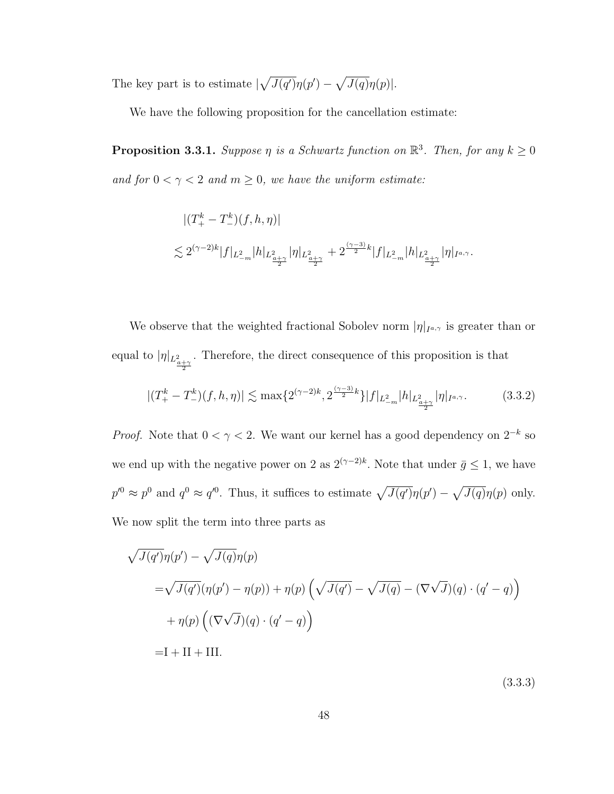The key part is to estimate  $\sqrt{J(q')}\eta(p') - \sqrt{J(q)}\eta(p)$ .

We have the following proposition for the cancellation estimate:

**Proposition 3.3.1.** Suppose  $\eta$  is a Schwartz function on  $\mathbb{R}^3$ . Then, for any  $k \geq 0$ and for  $0 < \gamma < 2$  and  $m \ge 0$ , we have the uniform estimate:

$$
\begin{aligned} &\left| (T^k_+-T^k_-)(f,h,\eta) \right|\\ \lesssim 2^{(\gamma-2)k} |f|_{L^2_{-m}}|h|_{L^2_{\frac{a+\gamma}{2}}}|\eta|_{L^2_{\frac{a+\gamma}{2}}}+2^{\frac{(\gamma-3)}{2}k}|f|_{L^2_{-m}}|h|_{L^2_{\frac{a+\gamma}{2}}}|\eta|_{I^{a,\gamma}}. \end{aligned}
$$

We observe that the weighted fractional Sobolev norm  $|\eta|_{I^{a,\gamma}}$  is greater than or equal to  $|\eta|_{L^2_{\frac{a+\gamma}{2}}}$ . Therefore, the direct consequence of this proposition is that

<span id="page-54-0"></span>
$$
|(T_{+}^{k} - T_{-}^{k})(f, h, \eta)| \lesssim \max\{2^{(\gamma - 2)k}, 2^{\frac{(\gamma - 3)}{2}k}\}|f|_{L_{-m}^{2}}|h|_{L_{\frac{a+\gamma}{2}}}|\eta|_{I^{a,\gamma}}.\tag{3.3.2}
$$

*Proof.* Note that  $0 < \gamma < 2$ . We want our kernel has a good dependency on  $2^{-k}$  so we end up with the negative power on 2 as  $2^{(\gamma-2)k}$ . Note that under  $\bar{g} \leq 1$ , we have  $p'^0 \approx p^0$  and  $q^0 \approx q'^0$ . Thus, it suffices to estimate  $\sqrt{J(q')}\eta(p') - \sqrt{J(q)}\eta(p)$  only. We now split the term into three parts as

<span id="page-54-1"></span>
$$
\sqrt{J(q')}\eta(p') - \sqrt{J(q)}\eta(p)
$$
  
=\sqrt{J(q')}(\eta(p') - \eta(p)) + \eta(p) \left(\sqrt{J(q')} - \sqrt{J(q)} - (\nabla\sqrt{J})(q) \cdot (q' - q)\right)  
+ \eta(p) \left((\nabla\sqrt{J})(q) \cdot (q' - q)\right)  
= I + II + III.

(3.3.3)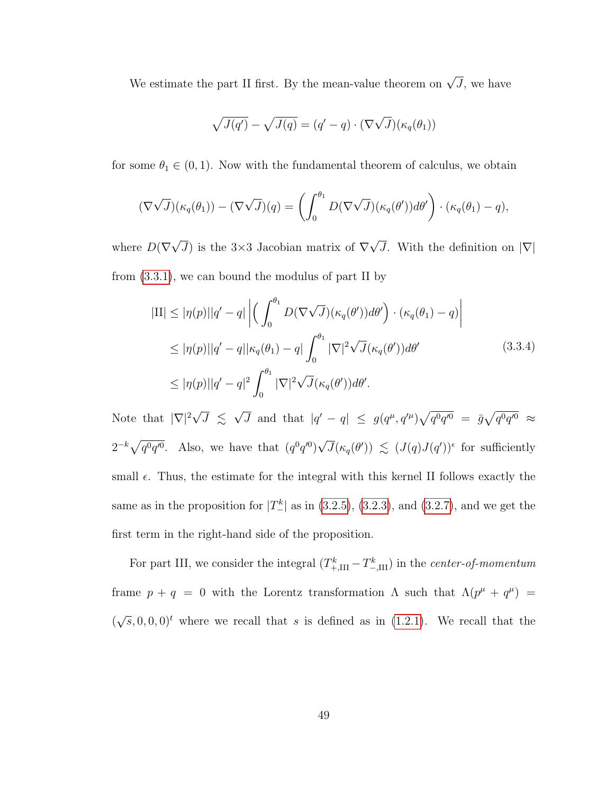We estimate the part II first. By the mean-value theorem on  $\sqrt{J}$ , we have

$$
\sqrt{J(q')} - \sqrt{J(q)} = (q' - q) \cdot (\nabla \sqrt{J})(\kappa_q(\theta_1))
$$

for some  $\theta_1 \in (0, 1)$ . Now with the fundamental theorem of calculus, we obtain

$$
(\nabla \sqrt{J})(\kappa_q(\theta_1)) - (\nabla \sqrt{J})(q) = \left(\int_0^{\theta_1} D(\nabla \sqrt{J})(\kappa_q(\theta'))d\theta'\right) \cdot (\kappa_q(\theta_1) - q),
$$

where  $D(\nabla)$ √ J) is the  $3\times3$  Jacobian matrix of  $\nabla$ √ J. With the definition on  $|\nabla|$ from [\(3.3.1\)](#page-53-1), we can bound the modulus of part II by

<span id="page-55-0"></span>
$$
|\mathrm{II}| \le |\eta(p)||q' - q| \left| \left( \int_0^{\theta_1} D(\nabla \sqrt{J})(\kappa_q(\theta')) d\theta' \right) \cdot (\kappa_q(\theta_1) - q) \right|
$$
  
\n
$$
\le |\eta(p)||q' - q||\kappa_q(\theta_1) - q| \int_0^{\theta_1} |\nabla|^2 \sqrt{J}(\kappa_q(\theta')) d\theta'
$$
  
\n
$$
\le |\eta(p)||q' - q|^2 \int_0^{\theta_1} |\nabla|^2 \sqrt{J}(\kappa_q(\theta')) d\theta'.
$$
\n(3.3.4)

Note that  $|\nabla|^2$  $\sqrt{J} \leqslant \sqrt{J}$ J and that  $|q'-q| \leq g(q^{\mu}, q'^{\mu})\sqrt{q^0q'^0} = \bar{g}\sqrt{q^0q'^0} \approx$  $2^{-k}\sqrt{q^0q'^0}$ . Also, we have that  $(q^0q'^0)$ √  $\overline{J}(\kappa_q(\theta')) \leq (J(q)J(q'))^{\epsilon}$  for sufficiently small  $\epsilon$ . Thus, the estimate for the integral with this kernel II follows exactly the same as in the proposition for  $|T_{-}^{k}|$  as in [\(3.2.5\)](#page-43-0), [\(3.2.3\)](#page-42-1), and [\(3.2.7\)](#page-43-1), and we get the first term in the right-hand side of the proposition.

For part III, we consider the integral  $(T^k_{+,III} - T^k_{-,III})$  in the *center-of-momentum* frame  $p + q = 0$  with the Lorentz transformation  $\Lambda$  such that  $\Lambda(p^{\mu} + q^{\mu}) =$ (  $\sqrt{s}$ , 0, 0, 0)<sup>t</sup> where we recall that s is defined as in [\(1.2.1\)](#page-9-0). We recall that the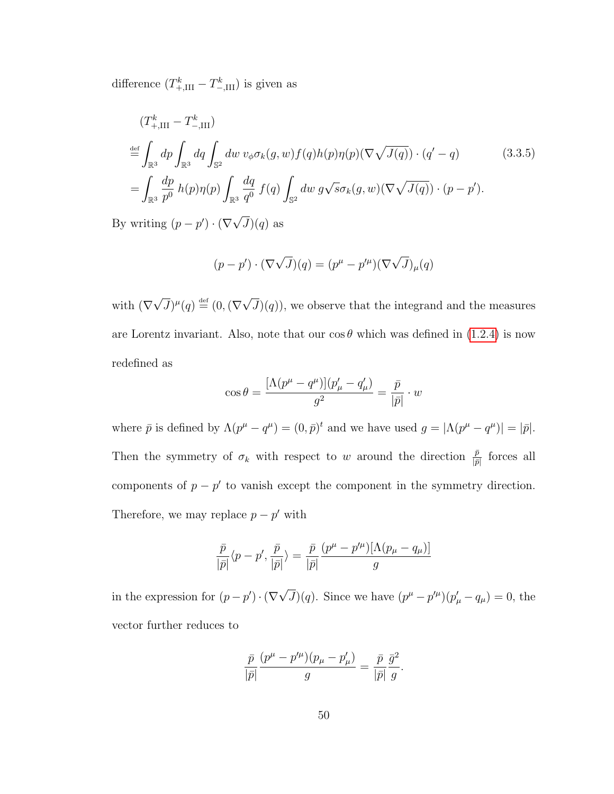difference  $(T_{+,III}^k - T_{-,III}^k)$  is given as

<span id="page-56-0"></span>
$$
(T_{+,\text{III}}^k - T_{-,\text{III}}^k)
$$
  
\n
$$
\stackrel{\text{def}}{=} \int_{\mathbb{R}^3} dp \int_{\mathbb{R}^3} dq \int_{\mathbb{S}^2} dw \ v_{\phi} \sigma_k(g, w) f(q) h(p) \eta(p) (\nabla \sqrt{J(q)}) \cdot (q' - q)
$$
 (3.3.5)  
\n
$$
= \int_{\mathbb{R}^3} \frac{dp}{p^0} h(p) \eta(p) \int_{\mathbb{R}^3} \frac{dq}{q^0} f(q) \int_{\mathbb{S}^2} dw \ g \sqrt{s} \sigma_k(g, w) (\nabla \sqrt{J(q)}) \cdot (p - p').
$$

By writing  $(p - p') \cdot (\nabla)$  $J)(q)$  as

$$
(p - p') \cdot (\nabla \sqrt{J})(q) = (p^{\mu} - p'^{\mu})(\nabla \sqrt{J})_{\mu}(q)
$$

with (∇ √  $\overline{J})^{\mu}(q) \stackrel{\text{\tiny def}}{=} (0, (\nabla$ √  $J(q)$ , we observe that the integrand and the measures are Lorentz invariant. Also, note that our  $\cos \theta$  which was defined in [\(1.2.4\)](#page-10-0) is now redefined as

$$
\cos\theta = \frac{[\Lambda(p^\mu-q^\mu)](p'_\mu-q'_\mu)}{g^2} = \frac{\bar{p}}{|\bar{p}|}\cdot w
$$

where  $\bar{p}$  is defined by  $\Lambda(p^{\mu} - q^{\mu}) = (0, \bar{p})^t$  and we have used  $g = |\Lambda(p^{\mu} - q^{\mu})| = |\bar{p}|$ . Then the symmetry of  $\sigma_k$  with respect to w around the direction  $\frac{\bar{p}}{|\bar{p}|}$  forces all components of  $p - p'$  to vanish except the component in the symmetry direction. Therefore, we may replace  $p - p'$  with

$$
\frac{\bar{p}}{|\bar{p}|}\langle p-p',\frac{\bar{p}}{|\bar{p}|}\rangle = \frac{\bar{p}}{|\bar{p}|}\frac{(p^{\mu}-p'^{\mu})[\Lambda(p_{\mu}-q_{\mu})]}{g}
$$

in the expression for  $(p - p') \cdot (\nabla)$ √  $\overline{J}(q)$ . Since we have  $(p^{\mu} - p'^{\mu})(p'_{\mu} - q_{\mu}) = 0$ , the vector further reduces to

$$
\frac{\bar{p}}{|\bar{p}|}\frac{(p^{\mu}-p'^{\mu})(p_{\mu}-p'_{\mu})}{g}=\frac{\bar{p}}{|\bar{p}|}\frac{\bar{g}^{2}}{g}.
$$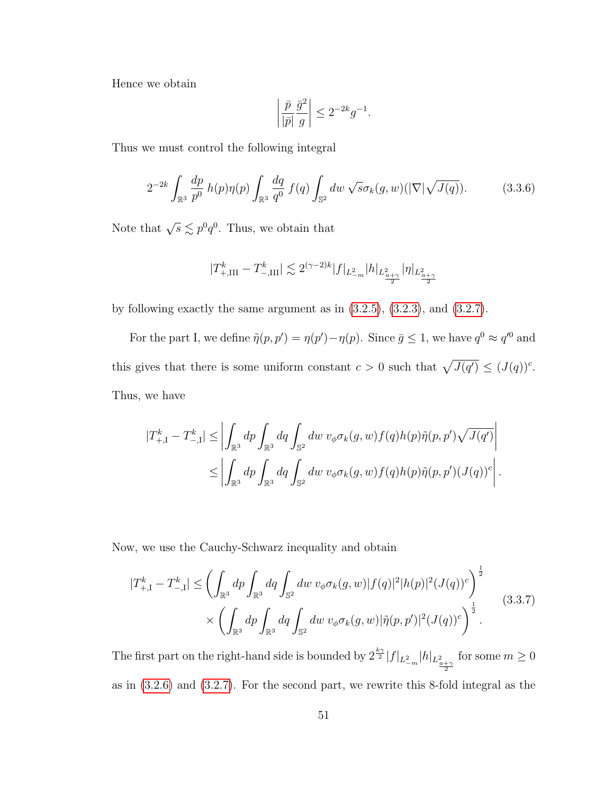Hence we obtain

$$
\left| \frac{\bar{p}}{|\bar{p}|} \frac{\bar{g}^2}{g} \right| \le 2^{-2k} g^{-1}.
$$

Thus we must control the following integral

$$
2^{-2k} \int_{\mathbb{R}^3} \frac{dp}{p^0} \, h(p)\eta(p) \int_{\mathbb{R}^3} \frac{dq}{q^0} \, f(q) \int_{\mathbb{S}^2} dw \, \sqrt{s} \sigma_k(g, w) (|\nabla|\sqrt{J(q)}). \tag{3.3.6}
$$

Note that  $\sqrt{s} \lesssim p^0 q^0$ . Thus, we obtain that

$$
|T^k_{+,\rm{III}}-T^k_{-,\rm{III}}|\lesssim 2^{(\gamma-2)k}|f|_{L^2_{-m}}|h|_{L^2_{\frac{a+\gamma}{2}} }|\eta|_{L^2_{\frac{a+\gamma}{2}}}
$$

by following exactly the same argument as in [\(3.2.5\)](#page-43-0), [\(3.2.3\)](#page-42-1), and [\(3.2.7\)](#page-43-1).

For the part I, we define  $\tilde{\eta}(p, p') = \eta(p') - \eta(p)$ . Since  $\bar{g} \leq 1$ , we have  $q^0 \approx q'^0$  and this gives that there is some uniform constant  $c > 0$  such that  $\sqrt{J(q')} \leq (J(q))^c$ . Thus, we have

$$
|T_{+,I}^k - T_{-,I}^k| \leq \left| \int_{\mathbb{R}^3} dp \int_{\mathbb{R}^3} dq \int_{\mathbb{S}^2} dw \ v_{\phi} \sigma_k(g, w) f(q) h(p) \tilde{\eta}(p, p') \sqrt{J(q')} \right|
$$
  

$$
\leq \left| \int_{\mathbb{R}^3} dp \int_{\mathbb{R}^3} dq \int_{\mathbb{S}^2} dw \ v_{\phi} \sigma_k(g, w) f(q) h(p) \tilde{\eta}(p, p') (J(q))^c \right|.
$$

Now, we use the Cauchy-Schwarz inequality and obtain

<span id="page-57-0"></span>
$$
|T_{+,I}^{k} - T_{-,I}^{k}| \leq \left(\int_{\mathbb{R}^{3}} dp \int_{\mathbb{R}^{3}} dq \int_{\mathbb{S}^{2}} dw \ v_{\phi} \sigma_{k}(g,w) |f(q)|^{2} |h(p)|^{2} (J(q))^{c}\right)^{\frac{1}{2}} \times \left(\int_{\mathbb{R}^{3}} dp \int_{\mathbb{R}^{3}} dq \int_{\mathbb{S}^{2}} dw \ v_{\phi} \sigma_{k}(g,w) |\tilde{\eta}(p,p')|^{2} (J(q))^{c}\right)^{\frac{1}{2}}.
$$
\n(3.3.7)

The first part on the right-hand side is bounded by  $2^{\frac{k\gamma}{2}}|f|_{L_{-m}^2}|h|_{L_{\frac{a+\gamma}{2}}}$ for some  $m \geq 0$ as in [\(3.2.6\)](#page-43-2) and [\(3.2.7\)](#page-43-1). For the second part, we rewrite this 8-fold integral as the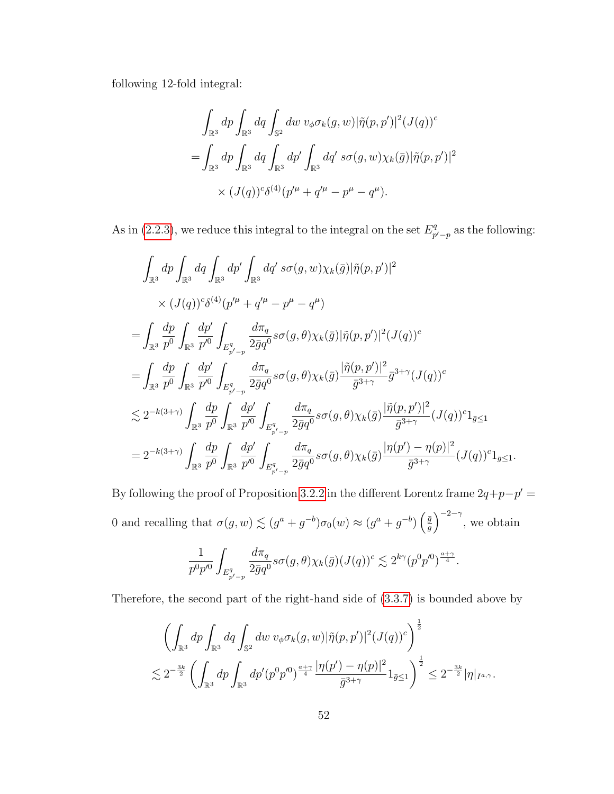following 12-fold integral:

$$
\int_{\mathbb{R}^3} dp \int_{\mathbb{R}^3} dq \int_{\mathbb{S}^2} dw \, v_{\phi} \sigma_k(g, w) |\tilde{\eta}(p, p')|^2 (J(q))^c
$$
  
= 
$$
\int_{\mathbb{R}^3} dp \int_{\mathbb{R}^3} dq \int_{\mathbb{R}^3} dp' \int_{\mathbb{R}^3} dq' \, s \sigma(g, w) \chi_k(\bar{g}) |\tilde{\eta}(p, p')|^2
$$
  

$$
\times (J(q))^c \delta^{(4)}(p'^{\mu} + q'^{\mu} - p^{\mu} - q^{\mu}).
$$

As in [\(2.2.3\)](#page-23-0), we reduce this integral to the integral on the set  $E_n^q$  $p'_{p'-p}$  as the following:

$$
\int_{\mathbb{R}^{3}} dp \int_{\mathbb{R}^{3}} dq \int_{\mathbb{R}^{3}} dp' \int_{\mathbb{R}^{3}} dq' s\sigma(g, w) \chi_{k}(\bar{g}) |\tilde{\eta}(p, p')|^{2} \times (J(q))^{c} \delta^{(4)}(p'^{\mu} + q'^{\mu} - p^{\mu} - q^{\mu}) \n= \int_{\mathbb{R}^{3}} \frac{dp}{p^{0}} \int_{\mathbb{R}^{3}} \frac{dp'}{p'^{0}} \int_{E_{p'-p}^{q}} \frac{d\pi_{q}}{2\bar{g}q^{0}} s\sigma(g, \theta) \chi_{k}(\bar{g}) |\tilde{\eta}(p, p')|^{2} (J(q))^{c} \n= \int_{\mathbb{R}^{3}} \frac{dp}{p^{0}} \int_{\mathbb{R}^{3}} \frac{dp'}{p'^{0}} \int_{E_{p'-p}^{q}} \frac{d\pi_{q}}{2\bar{g}q^{0}} s\sigma(g, \theta) \chi_{k}(\bar{g}) \frac{|\tilde{\eta}(p, p')|^{2}}{\bar{g}^{3+\gamma}} \bar{g}^{3+\gamma} (J(q))^{c} \n\lesssim 2^{-k(3+\gamma)} \int_{\mathbb{R}^{3}} \frac{dp}{p^{0}} \int_{\mathbb{R}^{3}} \frac{dp'}{p'^{0}} \int_{E_{p'-p}^{q}} \frac{d\pi_{q}}{2\bar{g}q^{0}} s\sigma(g, \theta) \chi_{k}(\bar{g}) \frac{|\tilde{\eta}(p, p')|^{2}}{\bar{g}^{3+\gamma}} (J(q))^{c} 1_{\bar{g} \leq 1} \n= 2^{-k(3+\gamma)} \int_{\mathbb{R}^{3}} \frac{dp}{p^{0}} \int_{\mathbb{R}^{3}} \frac{dp'}{p'^{0}} \int_{E_{p'-p}^{q}} \frac{d\pi_{q}}{2\bar{g}q^{0}} s\sigma(g, \theta) \chi_{k}(\bar{g}) \frac{|\eta(p') - \eta(p)|^{2}}{\bar{g}^{3+\gamma}} (J(q))^{c} 1_{\bar{g} \leq 1}.
$$

By following the proof of Proposition [3.2.2](#page-44-0) in the different Lorentz frame  $2q+p-p' =$ 0 and recalling that  $\sigma(g, w) \lesssim (g^a + g^{-b}) \sigma_0(w) \approx (g^a + g^{-b}) \left(\frac{\bar{g}}{g}\right)$  $(\frac{\bar{g}}{g})^{-2-\gamma}$ , we obtain

$$
\frac{1}{p^0p'^0}\int_{E_{p'-p}^q}\frac{d\pi_q}{2\bar g q^0}s\sigma(g,\theta)\chi_k(\bar g)(J(q))^c\lesssim 2^{k\gamma}(p^0p'^0)^{\frac{a+\gamma}{4}}.
$$

Therefore, the second part of the right-hand side of [\(3.3.7\)](#page-57-0) is bounded above by

$$
\left(\int_{\mathbb{R}^3} dp \int_{\mathbb{R}^3} dq \int_{\mathbb{S}^2} dw \, v_{\phi} \sigma_k(g, w) |\tilde{\eta}(p, p')|^2 (J(q))^{c}\right)^{\frac{1}{2}}\n\n\lesssim 2^{-\frac{3k}{2}} \left(\int_{\mathbb{R}^3} dp \int_{\mathbb{R}^3} dp'(p^0 p'^0)^{\frac{a+\gamma}{4}} \frac{|\eta(p') - \eta(p)|^2}{\bar{g}^{3+\gamma}} 1_{\bar{g} \le 1}\right)^{\frac{1}{2}} \le 2^{-\frac{3k}{2}} |\eta|_{I^{a,\gamma}}.
$$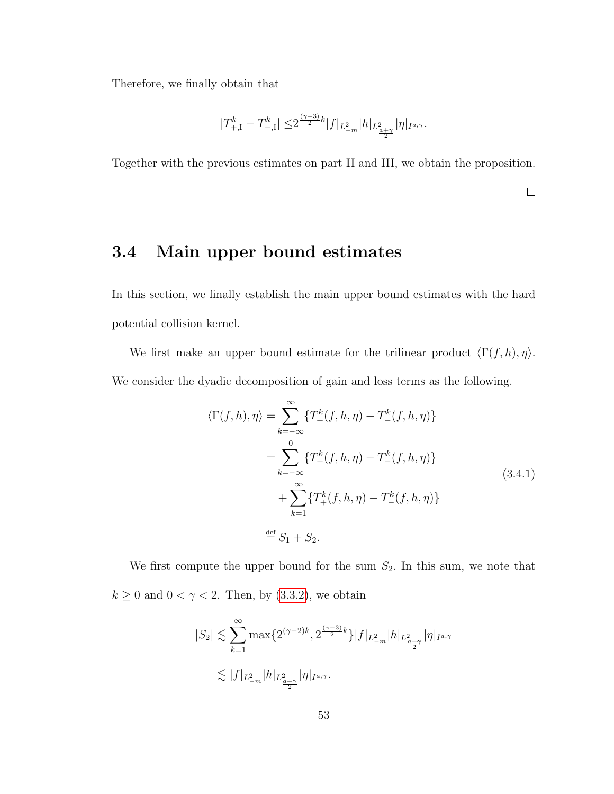Therefore, we finally obtain that

$$
|T^k_{+, \mathrm{I}} - T^k_{-, \mathrm{I}}| \leq 2^{\frac{(\gamma - 3)}{2}k} |f|_{L^2_{-m}} |h|_{L^2_{\frac{a+\gamma}{2}}} |\eta|_{I^{a,\gamma}}.
$$

Together with the previous estimates on part II and III, we obtain the proposition.

 $\Box$ 

# <span id="page-59-0"></span>3.4 Main upper bound estimates

In this section, we finally establish the main upper bound estimates with the hard potential collision kernel.

<span id="page-59-1"></span>We first make an upper bound estimate for the trilinear product  $\langle \Gamma(f, h), \eta \rangle$ . We consider the dyadic decomposition of gain and loss terms as the following.

$$
\langle \Gamma(f, h), \eta \rangle = \sum_{k=-\infty}^{\infty} \{T_{+}^{k}(f, h, \eta) - T_{-}^{k}(f, h, \eta)\}
$$
  
= 
$$
\sum_{k=-\infty}^{0} \{T_{+}^{k}(f, h, \eta) - T_{-}^{k}(f, h, \eta)\}
$$
  
+ 
$$
\sum_{k=1}^{\infty} \{T_{+}^{k}(f, h, \eta) - T_{-}^{k}(f, h, \eta)\}
$$
  

$$
\stackrel{\text{def}}{=} S_{1} + S_{2}.
$$
 (3.4.1)

We first compute the upper bound for the sum  $S_2$ . In this sum, we note that  $k\geq 0$  and  $0<\gamma<2.$  Then, by [\(3.3.2\)](#page-54-0), we obtain

$$
\begin{aligned} |S_2| &\lesssim \sum_{k=1}^{\infty} \max\{2^{(\gamma-2)k},2^{\frac{(\gamma-3)}{2}k}\}|f|_{L^2_{-m}}|h|_{L^2_{\frac{\alpha+\gamma}{2}}}|\eta|_{I^{a,\gamma}}\\ &\lesssim |f|_{L^2_{-m}}|h|_{L^2_{\frac{\alpha+\gamma}{2}}}|\eta|_{I^{a,\gamma}}. \end{aligned}
$$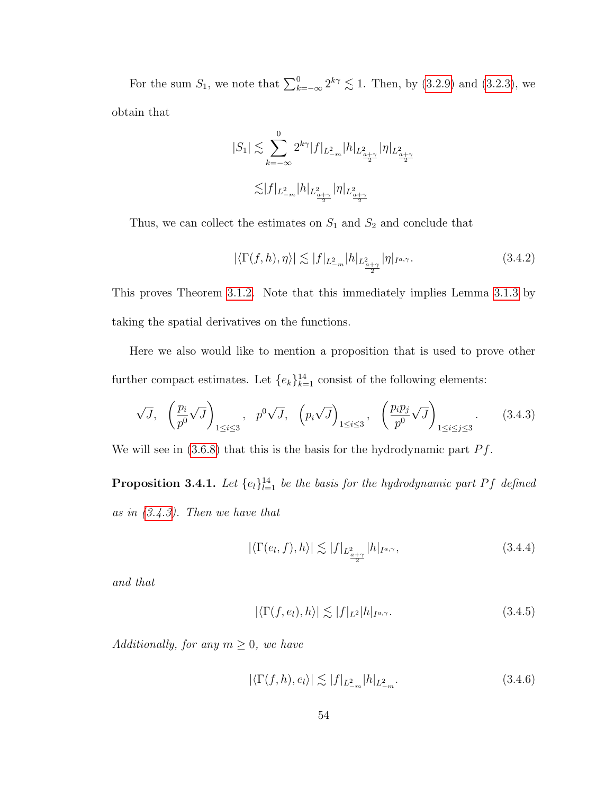For the sum  $S_1$ , we note that  $\sum_{k=-\infty}^{0} 2^{k\gamma} \lesssim 1$ . Then, by [\(3.2.9\)](#page-48-1) and [\(3.2.3\)](#page-42-1), we obtain that

$$
\begin{split} |S_1| \lesssim & \sum_{k=-\infty}^0 2^{k\gamma} |f|_{L^2_{-m}} |h|_{L^2_{\frac{a+\gamma}{2}}} |\eta|_{L^2_{\frac{a+\gamma}{2}}}\\ \lesssim & |f|_{L^2_{-m}} |h|_{L^2_{\frac{a+\gamma}{2}}} |\eta|_{L^2_{\frac{a+\gamma}{2}}} \end{split}
$$

Thus, we can collect the estimates on  $S_1$  and  $S_2$  and conclude that

<span id="page-60-2"></span>
$$
|\langle \Gamma(f,h),\eta \rangle| \lesssim |f|_{L^2_{-m}} |h|_{L^2_{\frac{\alpha+\gamma}{2}}} |\eta|_{I^{a,\gamma}}.
$$
\n(3.4.2)

This proves Theorem [3.1.2.](#page-39-1) Note that this immediately implies Lemma [3.1.3](#page-39-2) by taking the spatial derivatives on the functions.

Here we also would like to mention a proposition that is used to prove other further compact estimates. Let  ${e_k}_{k=1}^{14}$  consist of the following elements:

<span id="page-60-0"></span>
$$
\sqrt{J}, \quad \left(\frac{p_i}{p^0}\sqrt{J}\right)_{1\leq i\leq 3}, \quad p^0\sqrt{J}, \quad \left(p_i\sqrt{J}\right)_{1\leq i\leq 3}, \quad \left(\frac{p_ip_j}{p^0}\sqrt{J}\right)_{1\leq i\leq j\leq 3}.\tag{3.4.3}
$$

We will see in  $(3.6.8)$  that this is the basis for the hydrodynamic part  $Pf$ .

**Proposition 3.4.1.** Let  $\{e_l\}_{l=1}^{14}$  be the basis for the hydrodynamic part Pf defined as in [\(3.4.3\)](#page-60-0). Then we have that

<span id="page-60-1"></span>
$$
|\langle \Gamma(e_l, f), h \rangle| \lesssim |f|_{L^2_{\frac{a+\gamma}{2}}} |h|_{I^{a,\gamma}}, \tag{3.4.4}
$$

and that

<span id="page-60-3"></span>
$$
|\langle \Gamma(f, e_l), h \rangle| \lesssim |f|_{L^2} |h|_{I^{a,\gamma}}.
$$
\n(3.4.5)

Additionally, for any  $m \geq 0$ , we have

<span id="page-60-4"></span>
$$
|\langle \Gamma(f,h), e_l \rangle| \lesssim |f|_{L^2_{-m}} |h|_{L^2_{-m}}.\tag{3.4.6}
$$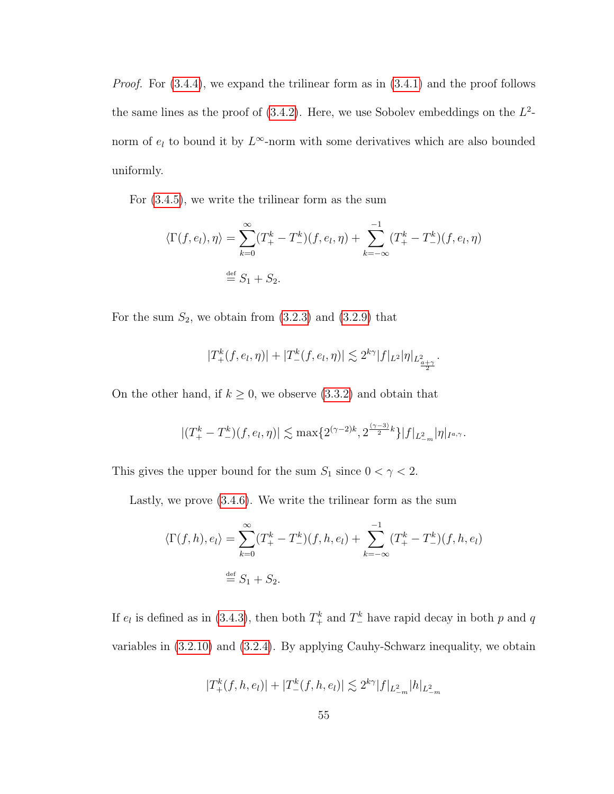*Proof.* For  $(3.4.4)$ , we expand the trilinear form as in  $(3.4.1)$  and the proof follows the same lines as the proof of  $(3.4.2)$ . Here, we use Sobolev embeddings on the  $L^2$ norm of  $e_l$  to bound it by  $L^{\infty}$ -norm with some derivatives which are also bounded uniformly.

For [\(3.4.5\)](#page-60-3), we write the trilinear form as the sum

$$
\langle \Gamma(f, e_l), \eta \rangle = \sum_{k=0}^{\infty} (T_+^k - T_-^k)(f, e_l, \eta) + \sum_{k=-\infty}^{-1} (T_+^k - T_-^k)(f, e_l, \eta)
$$
  

$$
\stackrel{\text{def}}{=} S_1 + S_2.
$$

For the sum  $S_2$ , we obtain from  $(3.2.3)$  and  $(3.2.9)$  that

$$
|T_{+}^{k}(f, e_{l}, \eta)| + |T_{-}^{k}(f, e_{l}, \eta)| \lesssim 2^{k\gamma}|f|_{L^{2}}|\eta|_{L^{2}_{\frac{a}{2}}}.
$$

On the other hand, if  $k \geq 0$ , we observe [\(3.3.2\)](#page-54-0) and obtain that

$$
|(T_{+}^{k}-T_{-}^{k})(f,e_{l},\eta)| \lesssim \max\{2^{(\gamma-2)k},2^{\frac{(\gamma-3)}{2}k}\}|f|_{L_{-m}^{2}}|\eta|_{I^{a,\gamma}}.
$$

This gives the upper bound for the sum  $S_1$  since  $0 < \gamma < 2$ .

Lastly, we prove [\(3.4.6\)](#page-60-4). We write the trilinear form as the sum

$$
\langle \Gamma(f, h), e_l \rangle = \sum_{k=0}^{\infty} (T_+^k - T_-^k)(f, h, e_l) + \sum_{k=-\infty}^{-1} (T_+^k - T_-^k)(f, h, e_l)
$$
  

$$
\stackrel{\text{def}}{=} S_1 + S_2.
$$

If  $e_l$  is defined as in [\(3.4.3\)](#page-60-0), then both  $T^k_+$  and  $T^k_-$  have rapid decay in both p and q variables in [\(3.2.10\)](#page-48-0) and [\(3.2.4\)](#page-42-0). By applying Cauhy-Schwarz inequality, we obtain

$$
|T_+^k(f,h,e_l)|+|T_-^k(f,h,e_l)|\lesssim 2^{k\gamma}|f|_{L^2_{-m}}|h|_{L^2_{-m}}
$$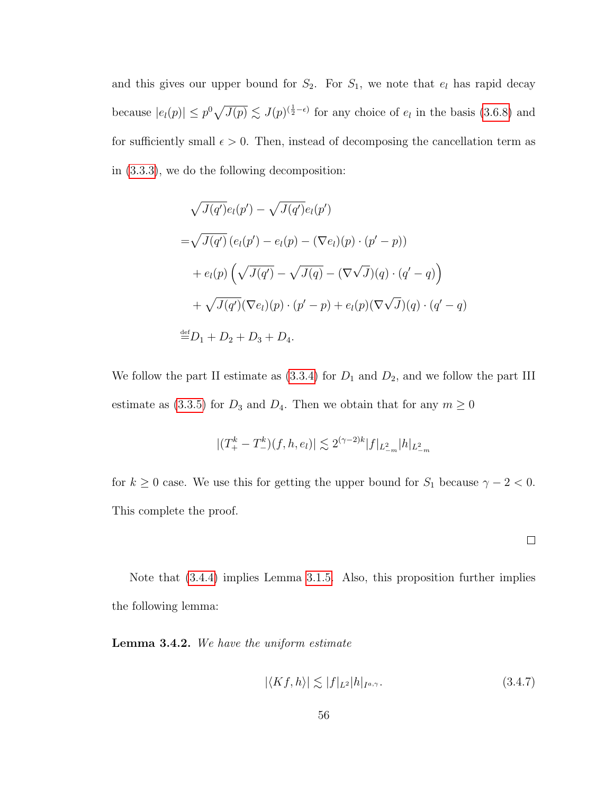and this gives our upper bound for  $S_2$ . For  $S_1$ , we note that  $e_l$  has rapid decay because  $|e_l(p)| \leq p^0 \sqrt{J(p)} \lesssim J(p)^{(\frac{1}{2}-\epsilon)}$  for any choice of  $e_l$  in the basis [\(3.6.8\)](#page-76-0) and for sufficiently small  $\epsilon > 0$ . Then, instead of decomposing the cancellation term as in [\(3.3.3\)](#page-54-1), we do the following decomposition:

$$
\sqrt{J(q')}e_l(p') - \sqrt{J(q')}e_l(p')
$$
  
= $\sqrt{J(q')} (e_l(p') - e_l(p) - (\nabla e_l)(p) \cdot (p' - p))$   
+ $e_l(p) (\sqrt{J(q')} - \sqrt{J(q)} - (\nabla \sqrt{J})(q) \cdot (q' - q))$   
+ $\sqrt{J(q')} (\nabla e_l)(p) \cdot (p' - p) + e_l(p) (\nabla \sqrt{J})(q) \cdot (q' - q)$   
 $\stackrel{\text{def}}{=} D_1 + D_2 + D_3 + D_4.$ 

We follow the part II estimate as  $(3.3.4)$  for  $D_1$  and  $D_2$ , and we follow the part III estimate as [\(3.3.5\)](#page-56-0) for  $D_3$  and  $D_4$ . Then we obtain that for any  $m \geq 0$ 

$$
|(T^k_+ - T^k_-(f,h,e_l)| \lesssim 2^{(\gamma-2)k} |f|_{L^2_{-m}} |h|_{L^2_{-m}}
$$

for  $k \geq 0$  case. We use this for getting the upper bound for  $S_1$  because  $\gamma - 2 < 0$ . This complete the proof.

 $\Box$ 

Note that [\(3.4.4\)](#page-60-1) implies Lemma [3.1.5.](#page-40-1) Also, this proposition further implies the following lemma:

Lemma 3.4.2. We have the uniform estimate

<span id="page-62-0"></span>
$$
|\langle Kf, h \rangle| \lesssim |f|_{L^2} |h|_{I^{a,\gamma}}.\tag{3.4.7}
$$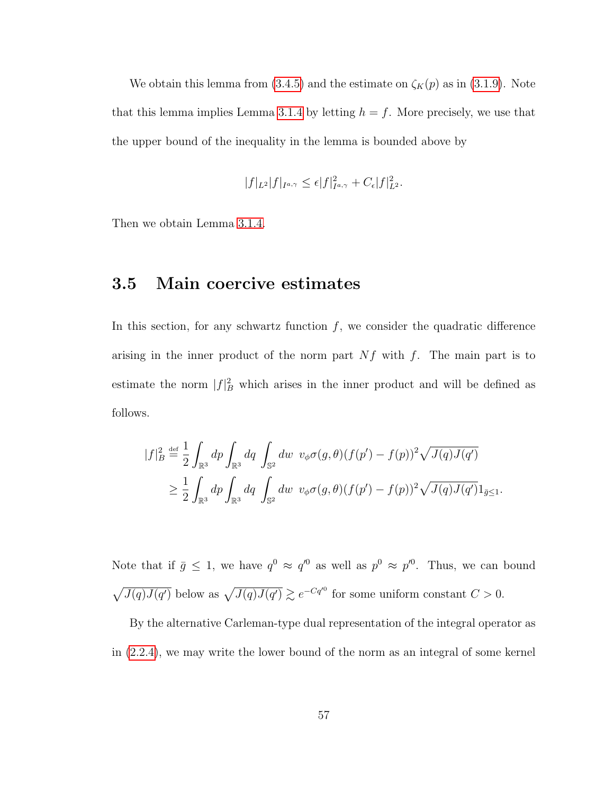We obtain this lemma from [\(3.4.5\)](#page-60-3) and the estimate on  $\zeta_K(p)$  as in [\(3.1.9\)](#page-30-0). Note that this lemma implies Lemma [3.1.4](#page-39-0) by letting  $h = f$ . More precisely, we use that the upper bound of the inequality in the lemma is bounded above by

$$
|f|_{L^2}|f|_{I^{a,\gamma}} \leq \epsilon |f|_{I^{a,\gamma}}^2 + C_{\epsilon}|f|_{L^2}^2.
$$

<span id="page-63-0"></span>Then we obtain Lemma [3.1.4.](#page-39-0)

# 3.5 Main coercive estimates

In this section, for any schwartz function  $f$ , we consider the quadratic difference arising in the inner product of the norm part  $Nf$  with f. The main part is to estimate the norm  $|f|^2$  which arises in the inner product and will be defined as follows.

$$
|f|_B^2 \stackrel{\text{def}}{=} \frac{1}{2} \int_{\mathbb{R}^3} dp \int_{\mathbb{R}^3} dq \int_{\mathbb{S}^2} dw \ v_{\phi} \sigma(g,\theta) (f(p') - f(p))^2 \sqrt{J(q)J(q')}
$$
  

$$
\geq \frac{1}{2} \int_{\mathbb{R}^3} dp \int_{\mathbb{R}^3} dq \int_{\mathbb{S}^2} dw \ v_{\phi} \sigma(g,\theta) (f(p') - f(p))^2 \sqrt{J(q)J(q')} 1_{\bar{g} \leq 1}.
$$

Note that if  $\bar{g} \leq 1$ , we have  $q^0 \approx q^{0}$  as well as  $p^0 \approx p^{0}$ . Thus, we can bound  $\sqrt{J(q)J(q')}$  below as  $\sqrt{J(q)J(q')} \gtrsim e^{-Cq'^{0}}$  for some uniform constant  $C > 0$ .

By the alternative Carleman-type dual representation of the integral operator as in [\(2.2.4\)](#page-25-0), we may write the lower bound of the norm as an integral of some kernel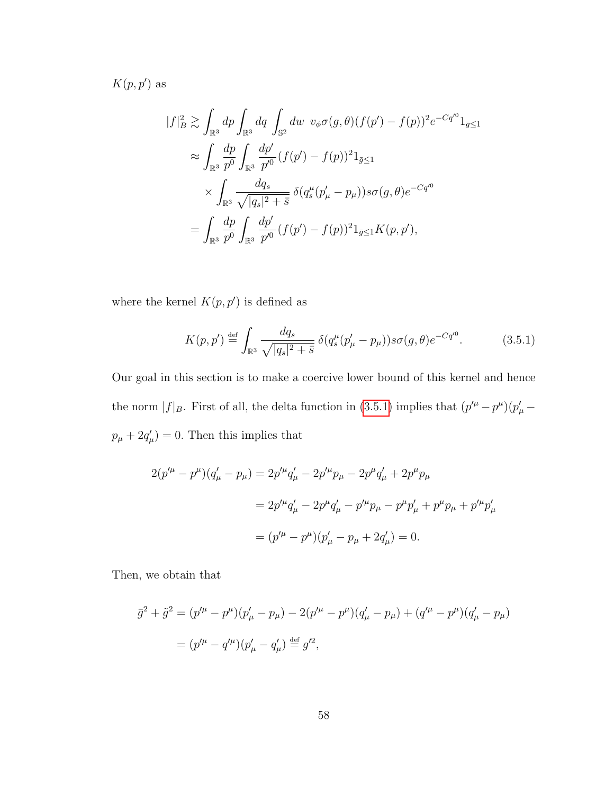$K(p, p')$  as

$$
|f|_B^2 \gtrsim \int_{\mathbb{R}^3} dp \int_{\mathbb{R}^3} dq \int_{\mathbb{S}^2} dw \ v_{\phi} \sigma(g, \theta) (f(p') - f(p))^2 e^{-Cq'^0} 1_{\bar{g} \le 1}
$$
  

$$
\approx \int_{\mathbb{R}^3} \frac{dp}{p^0} \int_{\mathbb{R}^3} \frac{dp'}{p'^0} (f(p') - f(p))^2 1_{\bar{g} \le 1}
$$
  

$$
\times \int_{\mathbb{R}^3} \frac{dq_s}{\sqrt{|q_s|^2 + \bar{s}}} \delta(q_s^\mu (p'_\mu - p_\mu)) s \sigma(g, \theta) e^{-Cq'^0}
$$
  

$$
= \int_{\mathbb{R}^3} \frac{dp}{p^0} \int_{\mathbb{R}^3} \frac{dp'}{p'^0} (f(p') - f(p))^2 1_{\bar{g} \le 1} K(p, p'),
$$

where the kernel  $K(p, p')$  is defined as

<span id="page-64-0"></span>
$$
K(p, p') \stackrel{\text{def}}{=} \int_{\mathbb{R}^3} \frac{dq_s}{\sqrt{|q_s|^2 + \bar{s}}} \, \delta(q_s^\mu (p'_\mu - p_\mu)) s \sigma(g, \theta) e^{-C q'^0}.
$$
 (3.5.1)

Our goal in this section is to make a coercive lower bound of this kernel and hence the norm  $|f|_B$ . First of all, the delta function in [\(3.5.1\)](#page-64-0) implies that  $(p'^{\mu} - p^{\mu})(p'_{\mu} - p^{\mu})$  $p_{\mu} + 2q_{\mu}'$  = 0. Then this implies that

$$
2(p'^{\mu} - p^{\mu})(q'_{\mu} - p_{\mu}) = 2p'^{\mu}q'_{\mu} - 2p'^{\mu}p_{\mu} - 2p^{\mu}q'_{\mu} + 2p^{\mu}p_{\mu}
$$
  

$$
= 2p'^{\mu}q'_{\mu} - 2p^{\mu}q'_{\mu} - p'^{\mu}p_{\mu} - p^{\mu}p'_{\mu} + p^{\mu}p_{\mu} + p'^{\mu}p'_{\mu}
$$
  

$$
= (p'^{\mu} - p^{\mu})(p'_{\mu} - p_{\mu} + 2q'_{\mu}) = 0.
$$

Then, we obtain that

$$
\overline{g}^2 + \tilde{g}^2 = (p'^\mu - p^\mu)(p'_\mu - p_\mu) - 2(p'^\mu - p^\mu)(q'_\mu - p_\mu) + (q'^\mu - p^\mu)(q'_\mu - p_\mu)
$$
  
=  $(p'^\mu - q'^\mu)(p'_\mu - q'_\mu) \stackrel{\text{def}}{=} g'^2$ ,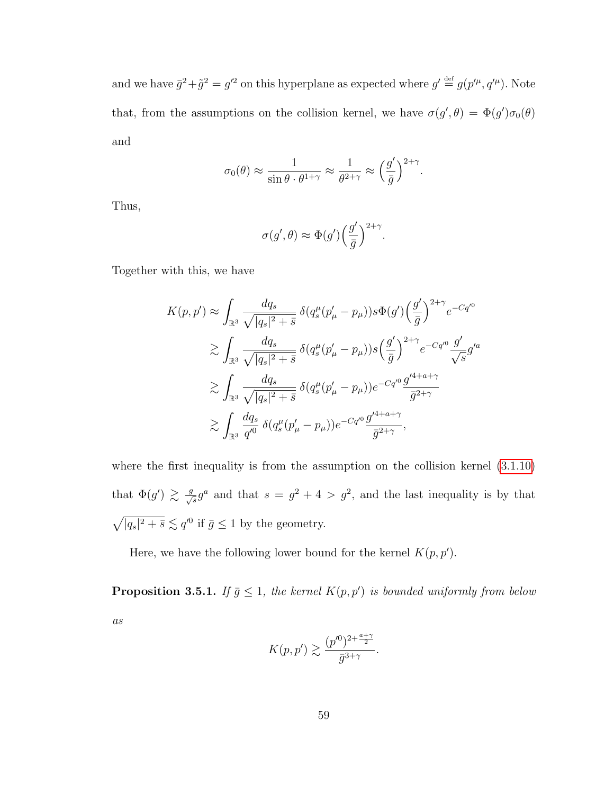and we have  $\bar{g}^2 + \tilde{g}^2 = g'^2$  on this hyperplane as expected where  $g' \stackrel{\text{def}}{=} g(p'^\mu, q'^\mu)$ . Note that, from the assumptions on the collision kernel, we have  $\sigma(g',\theta) = \Phi(g')\sigma_0(\theta)$ and

$$
\sigma_0(\theta) \approx \frac{1}{\sin \theta \cdot \theta^{1+\gamma}} \approx \frac{1}{\theta^{2+\gamma}} \approx \left(\frac{g'}{\bar{g}}\right)^{2+\gamma}.
$$

Thus,

$$
\sigma(g',\theta) \approx \Phi(g') \Big(\frac{g'}{\bar{g}}\Big)^{2+\gamma}.
$$

Together with this, we have

$$
K(p, p') \approx \int_{\mathbb{R}^3} \frac{dq_s}{\sqrt{|q_s|^2 + \bar{s}}} \, \delta(q_s^{\mu} (p'_{\mu} - p_{\mu})) s \Phi(g') \left(\frac{g'}{\bar{g}}\right)^{2+\gamma} e^{-Cq'^0}
$$
  
\n
$$
\gtrsim \int_{\mathbb{R}^3} \frac{dq_s}{\sqrt{|q_s|^2 + \bar{s}}} \, \delta(q_s^{\mu} (p'_{\mu} - p_{\mu})) s \left(\frac{g'}{\bar{g}}\right)^{2+\gamma} e^{-Cq'^0} \frac{g'}{\sqrt{s}} g'^a
$$
  
\n
$$
\gtrsim \int_{\mathbb{R}^3} \frac{dq_s}{\sqrt{|q_s|^2 + \bar{s}}} \, \delta(q_s^{\mu} (p'_{\mu} - p_{\mu})) e^{-Cq'^0} \frac{g'^{4+a+\gamma}}{\bar{g}^{2+\gamma}}
$$
  
\n
$$
\gtrsim \int_{\mathbb{R}^3} \frac{dq_s}{q'^0} \, \delta(q_s^{\mu} (p'_{\mu} - p_{\mu})) e^{-Cq'^0} \frac{g'^{4+a+\gamma}}{\bar{g}^{2+\gamma}},
$$

where the first inequality is from the assumption on the collision kernel  $(3.1.10)$ that  $\Phi(g') \gtrsim \frac{g}{\sqrt{s}} g^a$  and that  $s = g^2 + 4 > g^2$ , and the last inequality is by that  $\sqrt{|q_s|^2 + \bar{s}} \lesssim q^{0}$  if  $\bar{g} \leq 1$  by the geometry.

Here, we have the following lower bound for the kernel  $K(p, p')$ .

<span id="page-65-0"></span>**Proposition 3.5.1.** If  $\bar{g} \leq 1$ , the kernel  $K(p, p')$  is bounded uniformly from below as

$$
K(p, p') \gtrsim \frac{(p'^0)^{2 + \frac{a + \gamma}{2}}}{\bar{g}^{3 + \gamma}}.
$$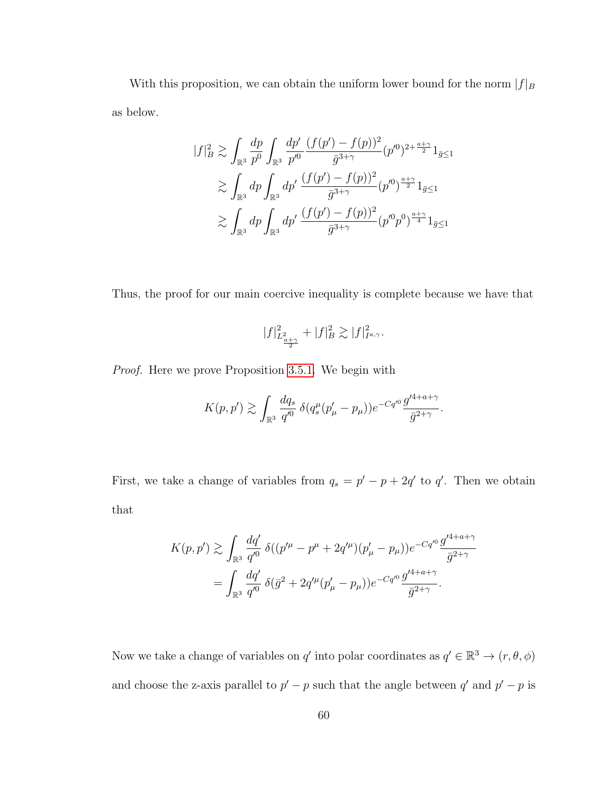With this proposition, we can obtain the uniform lower bound for the norm  $|f|_B$ as below.

$$
\begin{split} |f|_B^2 &\gtrsim \int_{\mathbb{R}^3} \frac{dp}{p^0} \int_{\mathbb{R}^3} \frac{dp'}{p'^0} \frac{(f(p') - f(p))^2}{\bar{g}^{3+\gamma}} (p'^0)^{2 + \frac{a+\gamma}{2}} 1_{\bar{g} \le 1} \\ &\gtrsim \int_{\mathbb{R}^3} dp \int_{\mathbb{R}^3} dp' \frac{(f(p') - f(p))^2}{\bar{g}^{3+\gamma}} (p'^0)^{\frac{a+\gamma}{2}} 1_{\bar{g} \le 1} \\ &\gtrsim \int_{\mathbb{R}^3} dp \int_{\mathbb{R}^3} dp' \frac{(f(p') - f(p))^2}{\bar{g}^{3+\gamma}} (p'^0 p^0)^{\frac{a+\gamma}{4}} 1_{\bar{g} \le 1} \end{split}
$$

Thus, the proof for our main coercive inequality is complete because we have that

$$
|f|^2_{L^2_{\frac{a+\gamma}{2}}} + |f|^2_B \gtrsim |f|^2_{I^{a,\gamma}}.
$$

Proof. Here we prove Proposition [3.5.1.](#page-65-0) We begin with

$$
K(p, p') \gtrsim \int_{\mathbb{R}^3} \frac{dq_s}{q'^0} \, \delta(q_s^{\mu} (p'_{\mu} - p_{\mu})) e^{-Cq'^0} \frac{g'^{4+a+\gamma}}{\bar{g}^{2+\gamma}}.
$$

First, we take a change of variables from  $q_s = p' - p + 2q'$  to q'. Then we obtain that

$$
K(p, p') \gtrsim \int_{\mathbb{R}^3} \frac{dq'}{q'^0} \, \delta((p'^\mu - p^\mu + 2q'^\mu)(p'_\mu - p_\mu)) e^{-Cq'^0} \frac{g'^{4+a+\gamma}}{\bar{g}^{2+\gamma}}
$$

$$
= \int_{\mathbb{R}^3} \frac{dq'}{q'^0} \, \delta(\bar{g}^2 + 2q'^\mu(p'_\mu - p_\mu)) e^{-Cq'^0} \frac{g'^{4+a+\gamma}}{\bar{g}^{2+\gamma}}.
$$

Now we take a change of variables on q' into polar coordinates as  $q' \in \mathbb{R}^3 \to (r, \theta, \phi)$ and choose the z-axis parallel to  $p' - p$  such that the angle between q' and  $p' - p$  is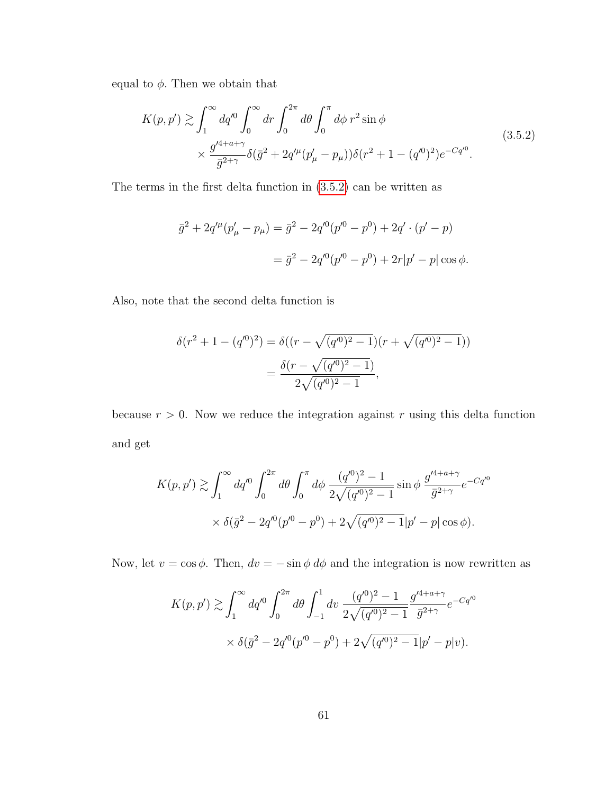equal to  $\phi$ . Then we obtain that

<span id="page-67-0"></span>
$$
K(p, p') \gtrsim \int_{1}^{\infty} dq'^{0} \int_{0}^{\infty} dr \int_{0}^{2\pi} d\theta \int_{0}^{\pi} d\phi \ r^{2} \sin \phi
$$
  
 
$$
\times \frac{g'^{4+a+\gamma}}{\bar{g}^{2+\gamma}} \delta(\bar{g}^{2} + 2q'^{\mu}(p'_{\mu} - p_{\mu})) \delta(r^{2} + 1 - (q'^{0})^{2}) e^{-Cq'^{0}}.
$$
 (3.5.2)

The terms in the first delta function in [\(3.5.2\)](#page-67-0) can be written as

$$
\bar{g}^2 + 2q'^{\mu}(p'_{\mu} - p_{\mu}) = \bar{g}^2 - 2q'^0(p'^0 - p^0) + 2q' \cdot (p' - p)
$$

$$
= \bar{g}^2 - 2q'^0(p'^0 - p^0) + 2r|p' - p|\cos\phi.
$$

Also, note that the second delta function is

$$
\delta(r^2 + 1 - (q^0)^2) = \delta((r - \sqrt{(q^0)^2 - 1})(r + \sqrt{(q^0)^2 - 1}))
$$

$$
= \frac{\delta(r - \sqrt{(q^0)^2 - 1})}{2\sqrt{(q^0)^2 - 1}},
$$

because  $r > 0$ . Now we reduce the integration against r using this delta function and get

$$
K(p, p') \gtrsim \int_1^\infty dq'^0 \int_0^{2\pi} d\theta \int_0^{\pi} d\phi \, \frac{(q'^0)^2 - 1}{2\sqrt{(q'^0)^2 - 1}} \sin \phi \, \frac{g'^{4+a+\gamma}}{\bar{g}^{2+\gamma}} e^{-Cq'^0}
$$

$$
\times \delta(\bar{g}^2 - 2q'^0(p'^0 - p^0) + 2\sqrt{(q'^0)^2 - 1}|p' - p| \cos \phi).
$$

Now, let  $v = \cos \phi$ . Then,  $dv = -\sin \phi d\phi$  and the integration is now rewritten as

$$
K(p, p') \gtrsim \int_1^{\infty} dq'^0 \int_0^{2\pi} d\theta \int_{-1}^1 dv \, \frac{(q'^0)^2 - 1}{2\sqrt{(q'^0)^2 - 1}} \frac{g'^{4+a+\gamma}}{\bar{g}^{2+\gamma}} e^{-Cq'^0}
$$
  
 
$$
\times \delta(\bar{g}^2 - 2q'^0(p'^0 - p^0) + 2\sqrt{(q'^0)^2 - 1}|p' - p|v).
$$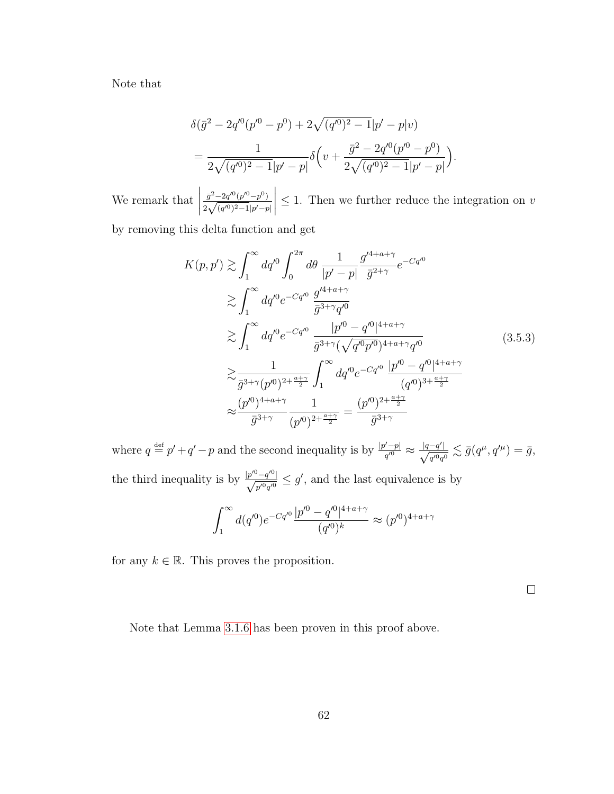Note that

$$
\delta(\bar{g}^2 - 2q'^0(p'^0 - p^0) + 2\sqrt{(q'^0)^2 - 1}|p' - p|v) \n= \frac{1}{2\sqrt{(q'^0)^2 - 1}|p' - p|}\delta\left(v + \frac{\bar{g}^2 - 2q'^0(p'^0 - p^0)}{2\sqrt{(q'^0)^2 - 1}|p' - p|}\right).
$$

We remark that  $\begin{array}{c} \begin{array}{c} \begin{array}{c} \begin{array}{c} \end{array} \\ \end{array} \\ \begin{array}{c} \end{array} \end{array} \end{array} \end{array}$  $\bar{g}^2-2q'^0(p'^0-p^0)$  $\frac{\bar{g}^2 - 2q'^0(p'^0 - p^0)}{2\sqrt{(q'^0)^2 - 1}|p' - p|}$  $\begin{array}{c} \begin{array}{c} \begin{array}{c} \begin{array}{c} \end{array} \\ \end{array} \\ \begin{array}{c} \end{array} \end{array} \end{array} \end{array}$  $\leq$  1. Then we further reduce the integration on v

by removing this delta function and get

$$
K(p, p') \gtrsim \int_{1}^{\infty} dq'^{0} \int_{0}^{2\pi} d\theta \, \frac{1}{|p'-p|} \frac{g'^{4+a+\gamma}}{\bar{g}^{2+\gamma}} e^{-Cq'^{0}}
$$
  
\n
$$
\gtrsim \int_{1}^{\infty} dq'^{0} e^{-Cq'^{0}} \, \frac{g'^{4+a+\gamma}}{\bar{g}^{3+\gamma}q'^{0}}
$$
  
\n
$$
\gtrsim \int_{1}^{\infty} dq'^{0} e^{-Cq'^{0}} \, \frac{|p'^{0} - q'^{0}|^{4+a+\gamma}}{\bar{g}^{3+\gamma}(\sqrt{q'^{0}p'^{0}})^{4+a+\gamma}q'^{0}}
$$
  
\n
$$
\gtrsim \frac{1}{\bar{g}^{3+\gamma}(p'^{0})^{2+\frac{a+\gamma}{2}}} \int_{1}^{\infty} dq'^{0} e^{-Cq'^{0}} \, \frac{|p'^{0} - q'^{0}|^{4+a+\gamma}}{(q'^{0})^{3+\frac{a+\gamma}{2}}}
$$
  
\n
$$
\approx \frac{(p'^{0})^{4+a+\gamma}}{\bar{g}^{3+\gamma}} \frac{1}{(p'^{0})^{2+\frac{a+\gamma}{2}}} = \frac{(p'^{0})^{2+\frac{a+\gamma}{2}}}{\bar{g}^{3+\gamma}}
$$
  
\n(3.5.3)

where  $q \stackrel{\text{def}}{=} p' + q' - p$  and the second inequality is by  $\frac{|p'-p|}{q^{(0)}}$  $\frac{|q-q'|}{q'^0} \approx \frac{|q-q'|}{\sqrt{q'^0}q^0}$  $\frac{-q'|}{q'^0q^0}\lesssim \bar{g}(q^\mu,q'^\mu)=\bar{g},$ the third inequality is by  $\frac{|p'^0 - q'^0|}{\sqrt{p'^0 - q'^0}}$  $\frac{\partial^2 - q^{\prime 0}}{p^{\prime 0} q^{\prime 0}} \leq g'$ , and the last equivalence is by

$$
\int_{1}^{\infty} d(q'^0) e^{-Cq'^0} \frac{|p'^0 - q'^0|^{4+a+\gamma}}{(q'^0)^k} \approx (p'^0)^{4+a+\gamma}
$$

for any  $k \in \mathbb{R}$ . This proves the proposition.

 $\Box$ 

Note that Lemma [3.1.6](#page-40-2) has been proven in this proof above.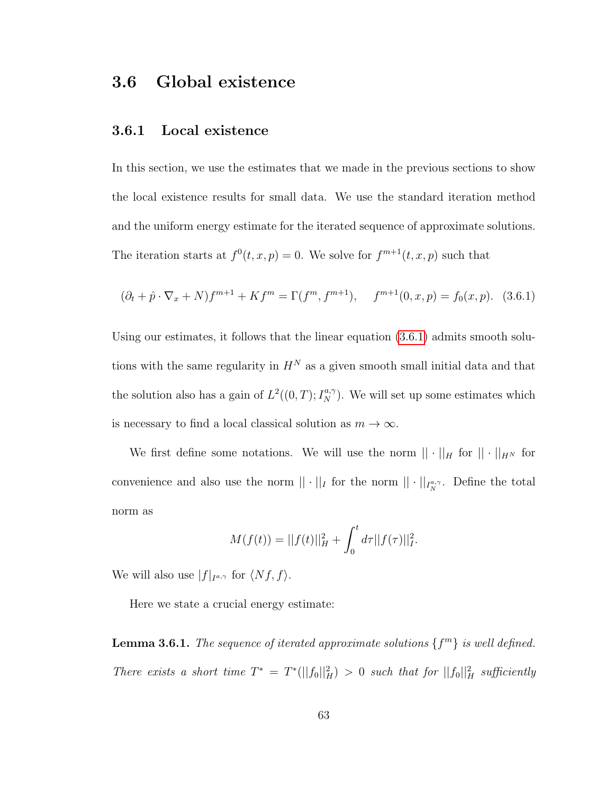## <span id="page-69-0"></span>3.6 Global existence

#### 3.6.1 Local existence

In this section, we use the estimates that we made in the previous sections to show the local existence results for small data. We use the standard iteration method and the uniform energy estimate for the iterated sequence of approximate solutions. The iteration starts at  $f^{0}(t, x, p) = 0$ . We solve for  $f^{m+1}(t, x, p)$  such that

<span id="page-69-1"></span>
$$
(\partial_t + \hat{p} \cdot \nabla_x + N) f^{m+1} + K f^m = \Gamma(f^m, f^{m+1}), \quad f^{m+1}(0, x, p) = f_0(x, p). \tag{3.6.1}
$$

Using our estimates, it follows that the linear equation [\(3.6.1\)](#page-69-1) admits smooth solutions with the same regularity in  $H^N$  as a given smooth small initial data and that the solution also has a gain of  $L^2((0,T); I_N^{a,\gamma})$ . We will set up some estimates which is necessary to find a local classical solution as  $m \to \infty$ .

We first define some notations. We will use the norm  $|| \cdot ||_H$  for  $|| \cdot ||_{H^N}$  for convenience and also use the norm  $|| \cdot ||_I$  for the norm  $|| \cdot ||_{I_N^{a,\gamma}}$ . Define the total norm as

$$
M(f(t)) = ||f(t)||_H^2 + \int_0^t d\tau ||f(\tau)||_I^2.
$$

We will also use  $|f|_{I^{a,\gamma}}$  for  $\langle Nf, f \rangle$ .

Here we state a crucial energy estimate:

**Lemma 3.6.1.** The sequence of iterated approximate solutions  $\{f^m\}$  is well defined. There exists a short time  $T^* = T^*(||f_0||_H^2) > 0$  such that for  $||f_0||_H^2$  sufficiently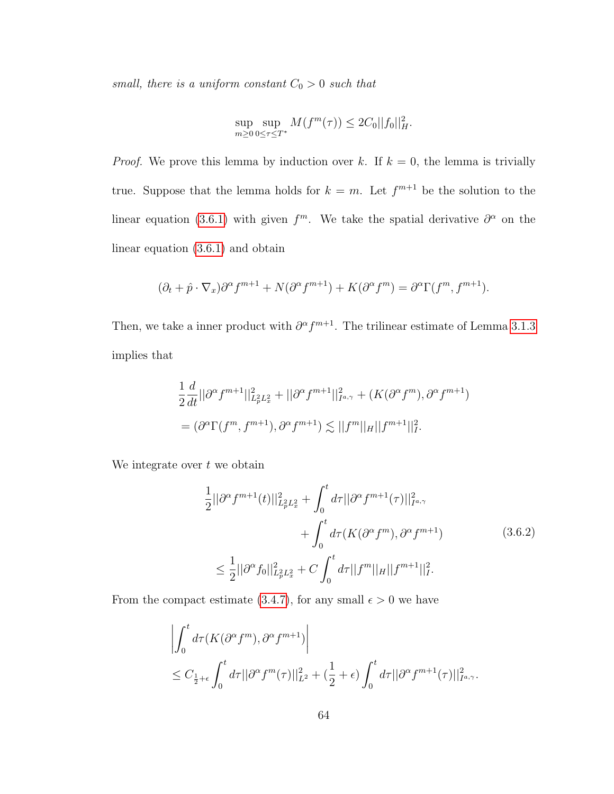small, there is a uniform constant  $C_0 > 0$  such that

$$
\sup_{m\geq 0}\sup_{0\leq\tau\leq T^*}M(f^m(\tau))\leq 2C_0||f_0||_H^2.
$$

*Proof.* We prove this lemma by induction over k. If  $k = 0$ , the lemma is trivially true. Suppose that the lemma holds for  $k = m$ . Let  $f^{m+1}$  be the solution to the linear equation [\(3.6.1\)](#page-69-1) with given  $f^m$ . We take the spatial derivative  $\partial^{\alpha}$  on the linear equation [\(3.6.1\)](#page-69-1) and obtain

$$
(\partial_t + \hat{p} \cdot \nabla_x)\partial^{\alpha} f^{m+1} + N(\partial^{\alpha} f^{m+1}) + K(\partial^{\alpha} f^m) = \partial^{\alpha} \Gamma(f^m, f^{m+1}).
$$

Then, we take a inner product with  $\partial^{\alpha} f^{m+1}$ . The trilinear estimate of Lemma [3.1.3](#page-39-2) implies that

$$
\frac{1}{2}\frac{d}{dt}||\partial^{\alpha}f^{m+1}||_{L_{p}^{2}L_{x}^{2}}^{2} + ||\partial^{\alpha}f^{m+1}||_{I^{a,\gamma}}^{2} + (K(\partial^{\alpha}f^{m}), \partial^{\alpha}f^{m+1})
$$
  
=  $(\partial^{\alpha}\Gamma(f^{m}, f^{m+1}), \partial^{\alpha}f^{m+1}) \lesssim ||f^{m}||_{H}||f^{m+1}||_{I}^{2}.$ 

<span id="page-70-0"></span>We integrate over  $t$  we obtain

$$
\frac{1}{2}||\partial^{\alpha} f^{m+1}(t)||_{L_{p}^{2}L_{x}^{2}}^{2} + \int_{0}^{t} d\tau ||\partial^{\alpha} f^{m+1}(\tau)||_{I^{a,\gamma}}^{2} + \int_{0}^{t} d\tau (K(\partial^{\alpha} f^{m}), \partial^{\alpha} f^{m+1})
$$
\n
$$
\leq \frac{1}{2}||\partial^{\alpha} f_{0}||_{L_{p}^{2}L_{x}^{2}}^{2} + C \int_{0}^{t} d\tau ||f^{m}||_{H}||f^{m+1}||_{I}^{2}.
$$
\n(3.6.2)

From the compact estimate [\(3.4.7\)](#page-62-0), for any small  $\epsilon > 0$  we have

$$
\left| \int_0^t d\tau (K(\partial^{\alpha} f^m), \partial^{\alpha} f^{m+1}) \right|
$$
  
\n
$$
\leq C_{\frac{1}{2}+\epsilon} \int_0^t d\tau ||\partial^{\alpha} f^m(\tau)||_{L^2}^2 + (\frac{1}{2}+\epsilon) \int_0^t d\tau ||\partial^{\alpha} f^{m+1}(\tau)||_{I^{a,\gamma}}^2.
$$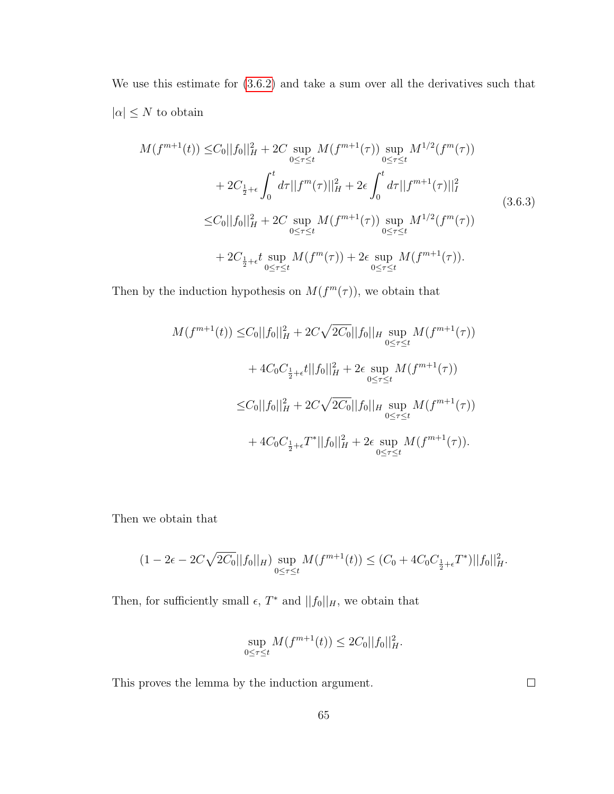We use this estimate for  $(3.6.2)$  and take a sum over all the derivatives such that  $|\alpha| \leq N$  to obtain

$$
M(f^{m+1}(t)) \leq C_0||f_0||_H^2 + 2C \sup_{0 \leq \tau \leq t} M(f^{m+1}(\tau)) \sup_{0 \leq \tau \leq t} M^{1/2}(f^m(\tau))
$$
  
+ 
$$
2C_{\frac{1}{2}+\epsilon} \int_0^t d\tau ||f^m(\tau)||_H^2 + 2\epsilon \int_0^t d\tau ||f^{m+1}(\tau)||_I^2
$$
  

$$
\leq C_0||f_0||_H^2 + 2C \sup_{0 \leq \tau \leq t} M(f^{m+1}(\tau)) \sup_{0 \leq \tau \leq t} M^{1/2}(f^m(\tau))
$$
  
+ 
$$
2C_{\frac{1}{2}+\epsilon} t \sup_{0 \leq \tau \leq t} M(f^m(\tau)) + 2\epsilon \sup_{0 \leq \tau \leq t} M(f^{m+1}(\tau)).
$$
\n(3.6.3)

Then by the induction hypothesis on  $M(f^m(\tau))$ , we obtain that

$$
M(f^{m+1}(t)) \leq C_0||f_0||_H^2 + 2C\sqrt{2C_0}||f_0||_H \sup_{0 \leq \tau \leq t} M(f^{m+1}(\tau))
$$
  
+ 
$$
4C_0C_{\frac{1}{2}+\epsilon}t||f_0||_H^2 + 2\epsilon \sup_{0 \leq \tau \leq t} M(f^{m+1}(\tau))
$$
  

$$
\leq C_0||f_0||_H^2 + 2C\sqrt{2C_0}||f_0||_H \sup_{0 \leq \tau \leq t} M(f^{m+1}(\tau))
$$
  
+ 
$$
4C_0C_{\frac{1}{2}+\epsilon}T^*||f_0||_H^2 + 2\epsilon \sup_{0 \leq \tau \leq t} M(f^{m+1}(\tau)).
$$

Then we obtain that

$$
(1 - 2\epsilon - 2C\sqrt{2C_0}||f_0||_H) \sup_{0 \le \tau \le t} M(f^{m+1}(t)) \le (C_0 + 4C_0C_{\frac{1}{2} + \epsilon}T^*)||f_0||_H^2.
$$

Then, for sufficiently small  $\epsilon$ ,  $T^*$  and  $||f_0||_H$ , we obtain that

$$
\sup_{0 \le \tau \le t} M(f^{m+1}(t)) \le 2C_0 ||f_0||_H^2.
$$

This proves the lemma by the induction argument.

 $\Box$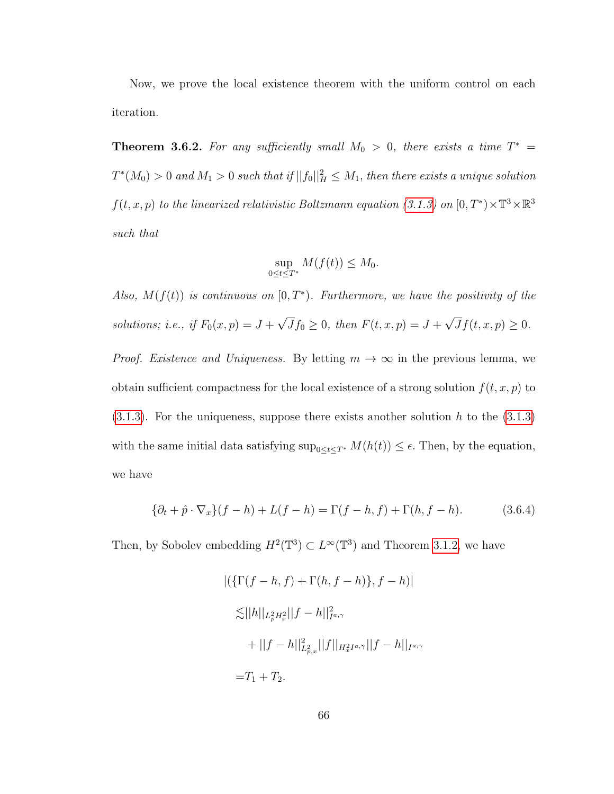Now, we prove the local existence theorem with the uniform control on each iteration.

<span id="page-72-1"></span>**Theorem 3.6.2.** For any sufficiently small  $M_0 > 0$ , there exists a time  $T^* =$  $T^*(M_0) > 0$  and  $M_1 > 0$  such that if  $||f_0||_H^2 \leq M_1$ , then there exists a unique solution  $f(t, x, p)$  to the linearized relativistic Boltzmann equation [\(3.1.3\)](#page-27-0) on  $[0, T^*) \times \mathbb{T}^3 \times \mathbb{R}^3$ such that

$$
\sup_{0\leq t\leq T^*} M(f(t)) \leq M_0.
$$

Also,  $M(f(t))$  is continuous on  $[0, T^*)$ . Furthermore, we have the positivity of the solutions; i.e., if  $F_0(x,p) = J +$ √  $Jf_0 \geq 0$ , then  $F(t, x, p) = J +$ √  $Jf(t, x, p) \geq 0.$ *Proof. Existence and Uniqueness.* By letting  $m \to \infty$  in the previous lemma, we obtain sufficient compactness for the local existence of a strong solution  $f(t, x, p)$  to  $(3.1.3)$ . For the uniqueness, suppose there exists another solution h to the  $(3.1.3)$ with the same initial data satisfying  $\sup_{0 \le t \le T^*} M(h(t)) \le \epsilon$ . Then, by the equation, we have

<span id="page-72-0"></span>
$$
\{\partial_t + \hat{p} \cdot \nabla_x\}(f - h) + L(f - h) = \Gamma(f - h, f) + \Gamma(h, f - h). \tag{3.6.4}
$$

Then, by Sobolev embedding  $H^2(\mathbb{T}^3) \subset L^\infty(\mathbb{T}^3)$  and Theorem [3.1.2,](#page-39-0) we have

$$
|(\{\Gamma(f-h,f)+\Gamma(h,f-h)\},f-h)|
$$
  
\n
$$
\lesssim ||h||_{L_p^2 H_x^2} ||f-h||_{I^{a,\gamma}}^2
$$
  
\n
$$
+ ||f-h||_{L_{p,x}}^2 ||f||_{H_x^2 I^{a,\gamma}} ||f-h||_{I^{a,\gamma}}
$$
  
\n
$$
= T_1 + T_2.
$$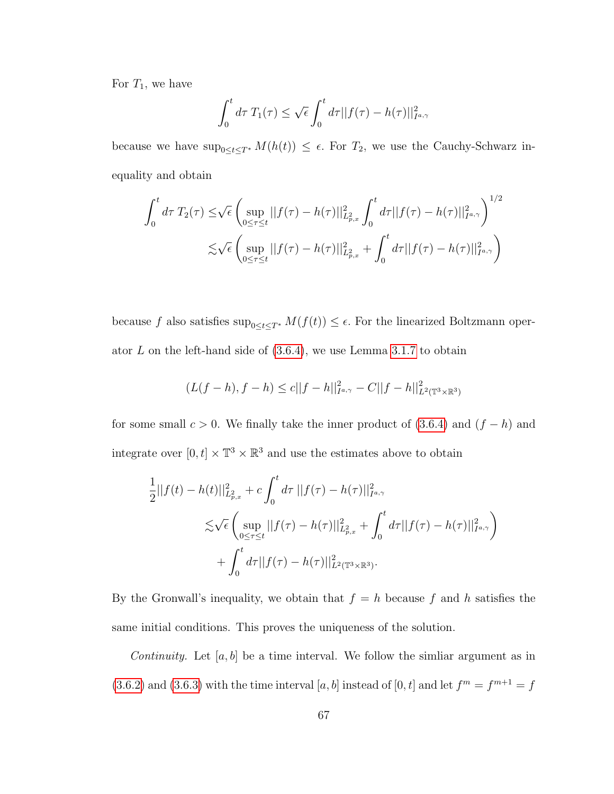For  $T_1$ , we have

$$
\int_0^t d\tau \, T_1(\tau) \le \sqrt{\epsilon} \int_0^t d\tau ||f(\tau) - h(\tau)||_{I^{a,\gamma}}^2
$$

because we have  $\sup_{0\leq t\leq T^*} M(h(t)) \leq \epsilon$ . For  $T_2$ , we use the Cauchy-Schwarz inequality and obtain

$$
\int_0^t d\tau \, T_2(\tau) \le \sqrt{\epsilon} \left( \sup_{0 \le \tau \le t} ||f(\tau) - h(\tau)||_{L_{p,x}^2}^2 \int_0^t d\tau ||f(\tau) - h(\tau)||_{I^{a,\gamma}}^2 \right)^{1/2}
$$
  

$$
\lesssim \sqrt{\epsilon} \left( \sup_{0 \le \tau \le t} ||f(\tau) - h(\tau)||_{L_{p,x}^2}^2 + \int_0^t d\tau ||f(\tau) - h(\tau)||_{I^{a,\gamma}}^2 \right)
$$

because f also satisfies  $\sup_{0\leq t\leq T^*}M(f(t))\leq \epsilon.$  For the linearized Boltzmann operator  $L$  on the left-hand side of  $(3.6.4)$ , we use Lemma [3.1.7](#page-40-0) to obtain

$$
(L(f-h), f-h) \le c||f-h||_{I^{a,\gamma}}^2 - C||f-h||_{L^2(\mathbb{T}^3 \times \mathbb{R}^3)}^2
$$

for some small  $c > 0$ . We finally take the inner product of [\(3.6.4\)](#page-72-0) and  $(f - h)$  and integrate over  $[0, t] \times \mathbb{T}^3 \times \mathbb{R}^3$  and use the estimates above to obtain

$$
\frac{1}{2}||f(t) - h(t)||_{L_{p,x}^{2}}^{2} + c \int_{0}^{t} d\tau ||f(\tau) - h(\tau)||_{I^{a,\gamma}}^{2}
$$
\n
$$
\lesssim \sqrt{\epsilon} \left( \sup_{0 \le \tau \le t} ||f(\tau) - h(\tau)||_{L_{p,x}^{2}}^{2} + \int_{0}^{t} d\tau ||f(\tau) - h(\tau)||_{I^{a,\gamma}}^{2} \right)
$$
\n
$$
+ \int_{0}^{t} d\tau ||f(\tau) - h(\tau)||_{L^{2}(\mathbb{T}^{3} \times \mathbb{R}^{3})}^{2}.
$$

By the Gronwall's inequality, we obtain that  $f = h$  because f and h satisfies the same initial conditions. This proves the uniqueness of the solution.

*Continuity.* Let  $[a, b]$  be a time interval. We follow the similar argument as in  $(3.6.2)$  and  $(3.6.3)$  with the time interval  $[a, b]$  instead of  $[0, t]$  and let  $f<sup>m</sup> = f<sup>m+1</sup> = f$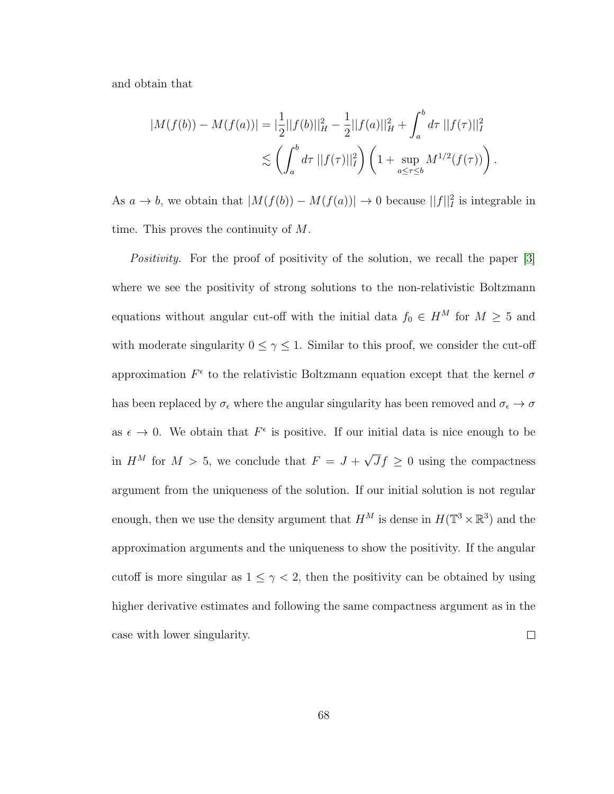and obtain that

$$
|M(f(b)) - M(f(a))| = \left|\frac{1}{2}||f(b)||_H^2 - \frac{1}{2}||f(a)||_H^2 + \int_a^b d\tau ||f(\tau)||_I^2
$$
  

$$
\lesssim \left(\int_a^b d\tau ||f(\tau)||_I^2\right) \left(1 + \sup_{a \le \tau \le b} M^{1/2}(f(\tau))\right).
$$

As  $a \to b$ , we obtain that  $|M(f(b)) - M(f(a))| \to 0$  because  $||f||_I^2$  is integrable in time. This proves the continuity of M.

Positivity. For the proof of positivity of the solution, we recall the paper [\[3\]](#page-126-0) where we see the positivity of strong solutions to the non-relativistic Boltzmann equations without angular cut-off with the initial data  $f_0 \in H^M$  for  $M \geq 5$  and with moderate singularity  $0 \le \gamma \le 1$ . Similar to this proof, we consider the cut-off approximation  $F^{\epsilon}$  to the relativistic Boltzmann equation except that the kernel  $\sigma$ has been replaced by  $\sigma_\epsilon$  where the angular singularity has been removed and  $\sigma_\epsilon\to\sigma$ as  $\epsilon \to 0$ . We obtain that  $F^{\epsilon}$  is positive. If our initial data is nice enough to be √ in  $H^M$  for  $M > 5$ , we conclude that  $F = J +$  $Jf \geq 0$  using the compactness argument from the uniqueness of the solution. If our initial solution is not regular enough, then we use the density argument that  $H^M$  is dense in  $H(\mathbb{T}^3 \times \mathbb{R}^3)$  and the approximation arguments and the uniqueness to show the positivity. If the angular cutoff is more singular as  $1 \leq \gamma < 2$ , then the positivity can be obtained by using higher derivative estimates and following the same compactness argument as in the case with lower singularity.  $\Box$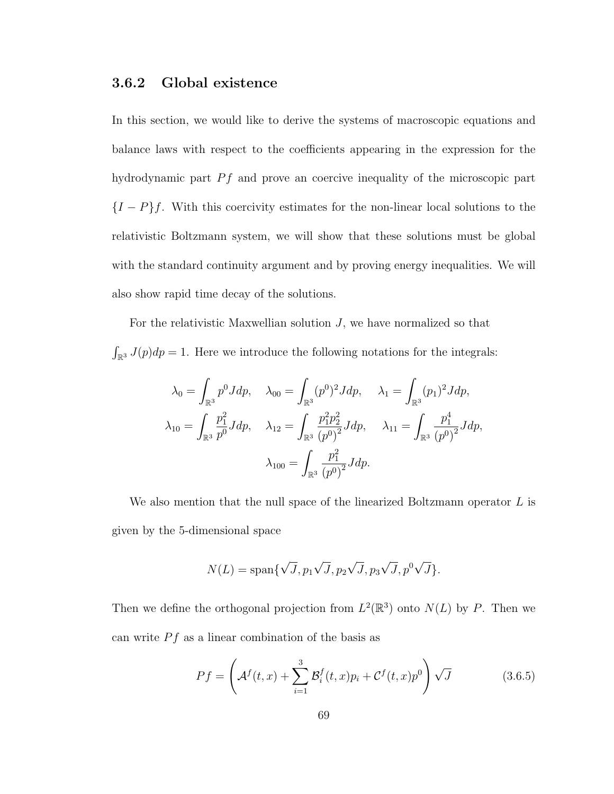#### 3.6.2 Global existence

In this section, we would like to derive the systems of macroscopic equations and balance laws with respect to the coefficients appearing in the expression for the hydrodynamic part  $Pf$  and prove an coercive inequality of the microscopic part  ${I-P}f$ . With this coercivity estimates for the non-linear local solutions to the relativistic Boltzmann system, we will show that these solutions must be global with the standard continuity argument and by proving energy inequalities. We will also show rapid time decay of the solutions.

For the relativistic Maxwellian solution  $J$ , we have normalized so that  $\int_{\mathbb{R}^3} J(p) dp = 1$ . Here we introduce the following notations for the integrals:

$$
\lambda_0 = \int_{\mathbb{R}^3} p^0 J dp, \quad \lambda_{00} = \int_{\mathbb{R}^3} (p^0)^2 J dp, \quad \lambda_1 = \int_{\mathbb{R}^3} (p_1)^2 J dp,
$$

$$
\lambda_{10} = \int_{\mathbb{R}^3} \frac{p_1^2}{p^0} J dp, \quad \lambda_{12} = \int_{\mathbb{R}^3} \frac{p_1^2 p_2^2}{(p^0)^2} J dp, \quad \lambda_{11} = \int_{\mathbb{R}^3} \frac{p_1^4}{(p^0)^2} J dp,
$$

$$
\lambda_{100} = \int_{\mathbb{R}^3} \frac{p_1^2}{(p^0)^2} J dp.
$$

We also mention that the null space of the linearized Boltzmann operator  $L$  is given by the 5-dimensional space

$$
N(L) = \text{span}\{\sqrt{J}, p_1\sqrt{J}, p_2\sqrt{J}, p_3\sqrt{J}, p^0\sqrt{J}\}.
$$

Then we define the orthogonal projection from  $L^2(\mathbb{R}^3)$  onto  $N(L)$  by P. Then we can write  $Pf$  as a linear combination of the basis as

<span id="page-75-0"></span>
$$
Pf = \left(\mathcal{A}^f(t,x) + \sum_{i=1}^3 \mathcal{B}_i^f(t,x)p_i + \mathcal{C}^f(t,x)p^0\right)\sqrt{J}
$$
(3.6.5)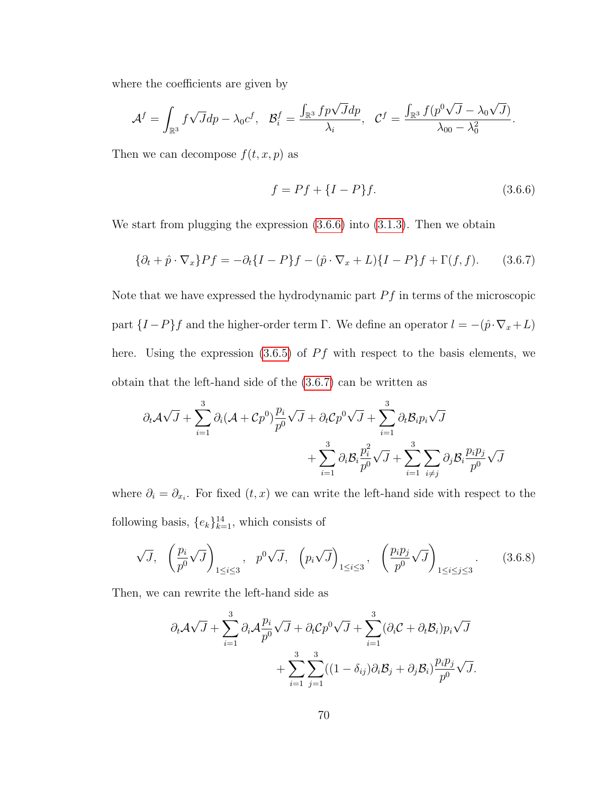where the coefficients are given by

$$
\mathcal{A}^f = \int_{\mathbb{R}^3} f\sqrt{J}dp - \lambda_0 c^f, \quad \mathcal{B}_i^f = \frac{\int_{\mathbb{R}^3} fp\sqrt{J}dp}{\lambda_i}, \quad \mathcal{C}^f = \frac{\int_{\mathbb{R}^3} f(p^0\sqrt{J} - \lambda_0\sqrt{J})}{\lambda_{00} - \lambda_0^2}.
$$

Then we can decompose  $f(t, x, p)$  as

<span id="page-76-0"></span>
$$
f = Pf + \{I - P\}f.
$$
\n(3.6.6)

We start from plugging the expression  $(3.6.6)$  into  $(3.1.3)$ . Then we obtain

<span id="page-76-1"></span>
$$
\{\partial_t + \hat{p} \cdot \nabla_x\}Pf = -\partial_t\{I - P\}f - (\hat{p} \cdot \nabla_x + L)\{I - P\}f + \Gamma(f, f). \tag{3.6.7}
$$

Note that we have expressed the hydrodynamic part  $Pf$  in terms of the microscopic part  $\{I-P\}f$  and the higher-order term Γ. We define an operator  $l = -(\hat{p} \cdot \nabla_x + L)$ here. Using the expression  $(3.6.5)$  of  $Pf$  with respect to the basis elements, we obtain that the left-hand side of the [\(3.6.7\)](#page-76-1) can be written as

$$
\partial_t \mathcal{A} \sqrt{J} + \sum_{i=1}^3 \partial_i (\mathcal{A} + Cp^0) \frac{p_i}{p^0} \sqrt{J} + \partial_t Cp^0 \sqrt{J} + \sum_{i=1}^3 \partial_t \mathcal{B}_i p_i \sqrt{J} + \sum_{i=1}^3 \partial_i \mathcal{B}_i \frac{p_i^2}{p^0} \sqrt{J} + \sum_{i=1}^3 \sum_{i \neq j} \partial_j \mathcal{B}_i \frac{p_i p_j}{p^0} \sqrt{J}
$$

where  $\partial_i = \partial_{x_i}$ . For fixed  $(t, x)$  we can write the left-hand side with respect to the following basis,  $\{e_k\}_{k=1}^{14}$ , which consists of

$$
\sqrt{J}, \quad \left(\frac{p_i}{p^0}\sqrt{J}\right)_{1\leq i\leq 3}, \quad p^0\sqrt{J}, \quad \left(p_i\sqrt{J}\right)_{1\leq i\leq 3}, \quad \left(\frac{p_ip_j}{p^0}\sqrt{J}\right)_{1\leq i\leq j\leq 3}.\tag{3.6.8}
$$

Then, we can rewrite the left-hand side as

$$
\partial_t \mathcal{A} \sqrt{J} + \sum_{i=1}^3 \partial_i \mathcal{A} \frac{p_i}{p^0} \sqrt{J} + \partial_t \mathcal{C} p^0 \sqrt{J} + \sum_{i=1}^3 (\partial_i \mathcal{C} + \partial_t \mathcal{B}_i) p_i \sqrt{J} + \sum_{i=1}^3 \sum_{j=1}^3 ((1 - \delta_{ij}) \partial_i \mathcal{B}_j + \partial_j \mathcal{B}_i) \frac{p_i p_j}{p^0} \sqrt{J}.
$$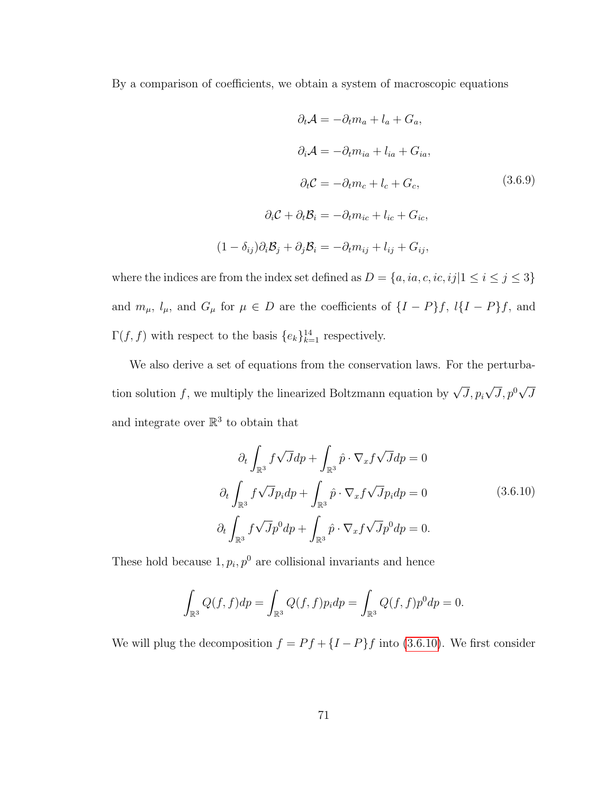<span id="page-77-1"></span>By a comparison of coefficients, we obtain a system of macroscopic equations

$$
\partial_t \mathcal{A} = -\partial_t m_a + l_a + G_a,
$$
  
\n
$$
\partial_i \mathcal{A} = -\partial_t m_{ia} + l_{ia} + G_{ia},
$$
  
\n
$$
\partial_t \mathcal{C} = -\partial_t m_c + l_c + G_c,
$$
  
\n
$$
\partial_i \mathcal{C} + \partial_t \mathcal{B}_i = -\partial_t m_{ic} + l_{ic} + G_{ic},
$$
  
\n
$$
(1 - \delta_{ij})\partial_i \mathcal{B}_j + \partial_j \mathcal{B}_i = -\partial_t m_{ij} + l_{ij} + G_{ij},
$$
\n(1 - \delta\_{ij})\partial\_i \mathcal{B}\_j + \partial\_j \mathcal{B}\_i = -\partial\_t m\_{ij} + l\_{ij} + G\_{ij},

where the indices are from the index set defined as  $D = \{a, ia, c, ic, ij | 1 \leq i \leq j \leq 3\}$ and  $m_{\mu}$ ,  $l_{\mu}$ , and  $G_{\mu}$  for  $\mu \in D$  are the coefficients of  $\{I - P\}f$ ,  $l\{I - P\}f$ , and  $\Gamma(f, f)$  with respect to the basis  $\{e_k\}_{k=1}^{14}$  respectively.

We also derive a set of equations from the conservation laws. For the perturbation solution  $f$ , we multiply the linearized Boltzmann equation by  $\sqrt{J}$ ,  $p_i$ √  $\overline{J}, p^0$ √ J and integrate over  $\mathbb{R}^3$  to obtain that

$$
\partial_t \int_{\mathbb{R}^3} f \sqrt{J} dp + \int_{\mathbb{R}^3} \hat{p} \cdot \nabla_x f \sqrt{J} dp = 0
$$
  

$$
\partial_t \int_{\mathbb{R}^3} f \sqrt{J} p_i dp + \int_{\mathbb{R}^3} \hat{p} \cdot \nabla_x f \sqrt{J} p_i dp = 0
$$
(3.6.10)  

$$
\partial_t \int_{\mathbb{R}^3} f \sqrt{J} p^0 dp + \int_{\mathbb{R}^3} \hat{p} \cdot \nabla_x f \sqrt{J} p^0 dp = 0.
$$

<span id="page-77-0"></span>These hold because  $1, p_i, p^0$  are collisional invariants and hence

$$
\int_{\mathbb{R}^3} Q(f,f) dp = \int_{\mathbb{R}^3} Q(f,f) p_i dp = \int_{\mathbb{R}^3} Q(f,f) p^0 dp = 0.
$$

We will plug the decomposition  $f = Pf + \{I - P\}f$  into [\(3.6.10\)](#page-77-0). We first consider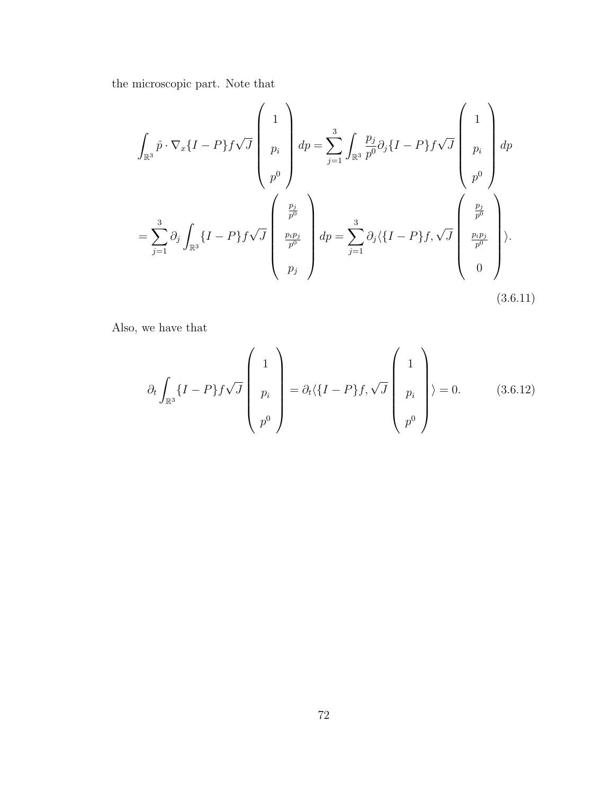the microscopic part. Note that

<span id="page-78-0"></span>
$$
\int_{\mathbb{R}^3} \hat{p} \cdot \nabla_x \{I - P\} f \sqrt{J} \begin{pmatrix} 1 \\ p_i \\ p_i \\ p^0 \end{pmatrix} dp = \sum_{j=1}^3 \int_{\mathbb{R}^3} \frac{p_j}{p^0} \partial_j \{I - P\} f \sqrt{J} \begin{pmatrix} 1 \\ p_i \\ p^0 \\ p^0 \end{pmatrix} dp
$$

$$
= \sum_{j=1}^3 \partial_j \int_{\mathbb{R}^3} \{I - P\} f \sqrt{J} \begin{pmatrix} \frac{p_j}{p^0} \\ \frac{p_i p_j}{p^0} \\ p_j \end{pmatrix} dp = \sum_{j=1}^3 \partial_j \langle \{I - P\} f, \sqrt{J} \begin{pmatrix} \frac{p_j}{p^0} \\ \frac{p_i p_j}{p^0} \\ 0 \end{pmatrix} \rangle.
$$
(3.6.11)

Also, we have that

<span id="page-78-1"></span>
$$
\partial_t \int_{\mathbb{R}^3} \{I - P\} f \sqrt{J} \begin{pmatrix} 1 \\ p_i \\ p^0 \end{pmatrix} = \partial_t \langle \{I - P\} f, \sqrt{J} \begin{pmatrix} 1 \\ p_i \\ p^0 \end{pmatrix} \rangle = 0.
$$
 (3.6.12)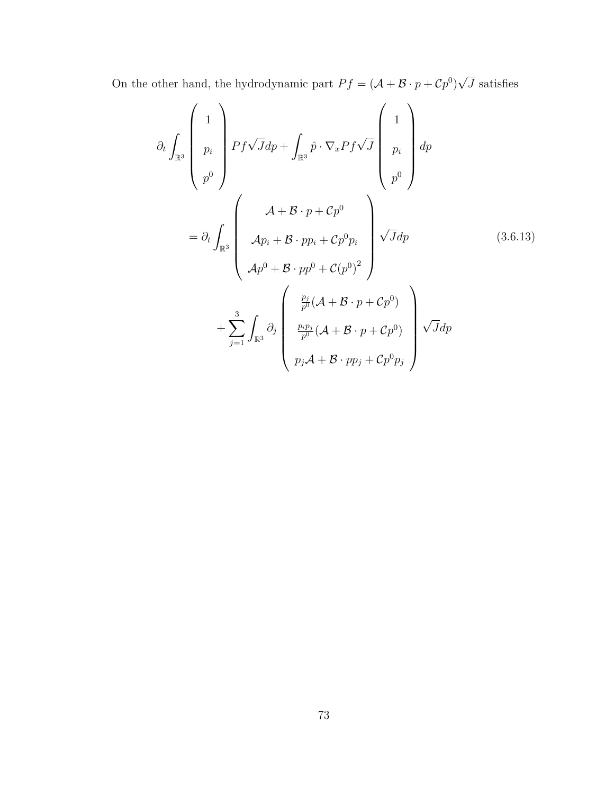On the other hand, the hydrodynamic part  $Pf = (\mathcal{A} + \mathcal{B} \cdot p + Cp^0)$ √ J satisfies

$$
\partial_t \int_{\mathbb{R}^3} \begin{pmatrix} 1 \\ p_i \\ p^0 \end{pmatrix} Pf \sqrt{J} dp + \int_{\mathbb{R}^3} \hat{p} \cdot \nabla_x P f \sqrt{J} \begin{pmatrix} 1 \\ p_i \\ p^0 \end{pmatrix} dp
$$

$$
= \partial_t \int_{\mathbb{R}^3} \begin{pmatrix} \mathcal{A} + \mathcal{B} \cdot p + \mathcal{C}p^0 \\ \mathcal{A}p_i + \mathcal{B} \cdot pp_i + \mathcal{C}p^0 p_i \\ \mathcal{A}p^0 + \mathcal{B} \cdot pp^0 + \mathcal{C}(p^0)^2 \end{pmatrix} \sqrt{J} dp \qquad (3.6.13)
$$

$$
+ \sum_{j=1}^3 \int_{\mathbb{R}^3} \partial_j \begin{pmatrix} \frac{p_j}{p^0} (\mathcal{A} + \mathcal{B} \cdot p + \mathcal{C}p^0) \\ \frac{p_i p_j}{p^0} (\mathcal{A} + \mathcal{B} \cdot p + \mathcal{C}p^0) \\ p_j \mathcal{A} + \mathcal{B} \cdot pp_j + \mathcal{C}p^0 p_j \end{pmatrix} \sqrt{J} dp
$$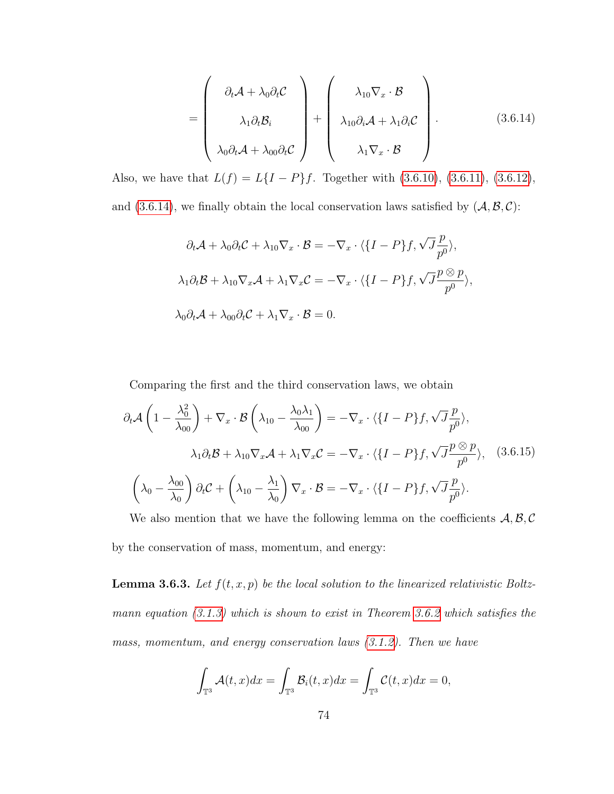<span id="page-80-0"></span>
$$
= \begin{pmatrix} \partial_t \mathcal{A} + \lambda_0 \partial_t \mathcal{C} \\ \lambda_1 \partial_t \mathcal{B}_i \\ \lambda_0 \partial_t \mathcal{A} + \lambda_{00} \partial_t \mathcal{C} \end{pmatrix} + \begin{pmatrix} \lambda_{10} \nabla_x \cdot \mathcal{B} \\ \lambda_{10} \partial_i \mathcal{A} + \lambda_1 \partial_i \mathcal{C} \\ \lambda_1 \nabla_x \cdot \mathcal{B} \end{pmatrix}.
$$
 (3.6.14)

Also, we have that  $L(f) = L\{I - P\}f$ . Together with [\(3.6.10\)](#page-77-0), [\(3.6.11\)](#page-78-0), [\(3.6.12\)](#page-78-1), and [\(3.6.14\)](#page-80-0), we finally obtain the local conservation laws satisfied by  $(A, \mathcal{B}, \mathcal{C})$ :

$$
\partial_t \mathcal{A} + \lambda_0 \partial_t \mathcal{C} + \lambda_{10} \nabla_x \cdot \mathcal{B} = -\nabla_x \cdot \langle \{I - P\} f, \sqrt{J} \frac{p}{p^0} \rangle,
$$
  

$$
\lambda_1 \partial_t \mathcal{B} + \lambda_{10} \nabla_x \mathcal{A} + \lambda_1 \nabla_x \mathcal{C} = -\nabla_x \cdot \langle \{I - P\} f, \sqrt{J} \frac{p \otimes p}{p^0} \rangle,
$$
  

$$
\lambda_0 \partial_t \mathcal{A} + \lambda_{00} \partial_t \mathcal{C} + \lambda_1 \nabla_x \cdot \mathcal{B} = 0.
$$

Comparing the first and the third conservation laws, we obtain

<span id="page-80-1"></span>
$$
\partial_t \mathcal{A} \left( 1 - \frac{\lambda_0^2}{\lambda_{00}} \right) + \nabla_x \cdot \mathcal{B} \left( \lambda_{10} - \frac{\lambda_0 \lambda_1}{\lambda_{00}} \right) = -\nabla_x \cdot \langle \{I - P\} f, \sqrt{J} \frac{p}{p^0} \rangle,
$$
  

$$
\lambda_1 \partial_t \mathcal{B} + \lambda_{10} \nabla_x \mathcal{A} + \lambda_1 \nabla_x \mathcal{C} = -\nabla_x \cdot \langle \{I - P\} f, \sqrt{J} \frac{p \otimes p}{p^0} \rangle, \quad (3.6.15)
$$
  

$$
\left( \lambda_0 - \frac{\lambda_{00}}{\lambda_0} \right) \partial_t \mathcal{C} + \left( \lambda_{10} - \frac{\lambda_1}{\lambda_0} \right) \nabla_x \cdot \mathcal{B} = -\nabla_x \cdot \langle \{I - P\} f, \sqrt{J} \frac{p}{p^0} \rangle.
$$

We also mention that we have the following lemma on the coefficients  $A, B, C$ by the conservation of mass, momentum, and energy:

<span id="page-80-2"></span>**Lemma 3.6.3.** Let  $f(t, x, p)$  be the local solution to the linearized relativistic Boltzmann equation  $(3.1.3)$  which is shown to exist in Theorem [3.6.2](#page-72-1) which satisfies the mass, momentum, and energy conservation laws [\(3.1.2\)](#page-27-1). Then we have

$$
\int_{\mathbb{T}^3} \mathcal{A}(t,x)dx = \int_{\mathbb{T}^3} \mathcal{B}_i(t,x)dx = \int_{\mathbb{T}^3} \mathcal{C}(t,x)dx = 0,
$$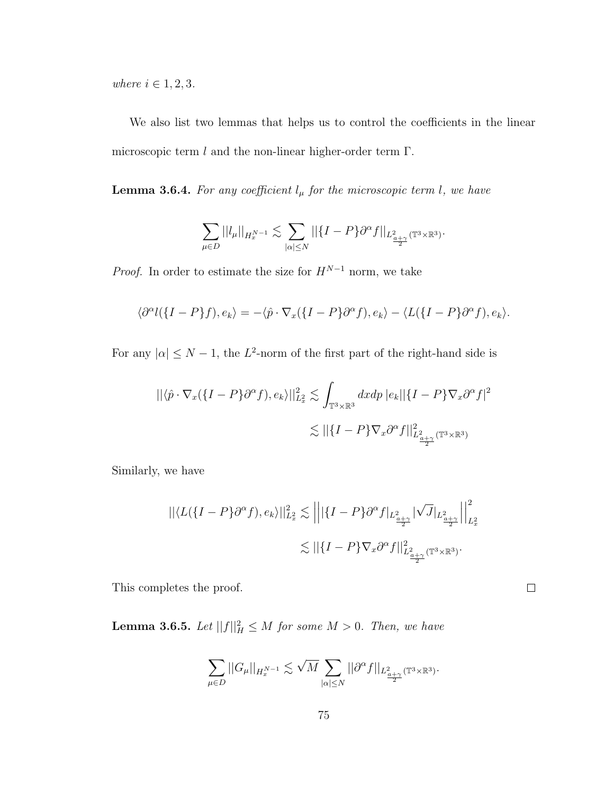where  $i \in 1, 2, 3$ .

We also list two lemmas that helps us to control the coefficients in the linear microscopic term  $l$  and the non-linear higher-order term  $\Gamma$ .

<span id="page-81-0"></span>**Lemma 3.6.4.** For any coefficient  $l_{\mu}$  for the microscopic term l, we have

$$
\sum_{\mu \in D} ||l_{\mu}||_{H^{N-1}_x} \lesssim \sum_{|\alpha| \le N} ||\{I - P\} \partial^{\alpha} f||_{L^2_{\frac{a+\gamma}{2}}(\mathbb{T}^3 \times \mathbb{R}^3)}.
$$

*Proof.* In order to estimate the size for  $H^{N-1}$  norm, we take

$$
\langle \partial^{\alpha} l(\{I-P\}f), e_k \rangle = -\langle \hat{p} \cdot \nabla_x (\{I-P\} \partial^{\alpha}f), e_k \rangle - \langle L(\{I-P\} \partial^{\alpha}f), e_k \rangle.
$$

For any  $|\alpha| \leq N-1$ , the L<sup>2</sup>-norm of the first part of the right-hand side is

$$
\begin{aligned} ||\langle \hat{p} \cdot \nabla_x (\{I - P\} \partial^\alpha f), e_k \rangle ||_{L_x^2}^2 &\lesssim \int_{\mathbb{T}^3 \times \mathbb{R}^3} dx dp \, |e_k| |\{I - P\} \nabla_x \partial^\alpha f|^2 \\ &\lesssim ||\{I - P\} \nabla_x \partial^\alpha f||_{L_{\frac{a}{2\gamma}}^2(\mathbb{T}^3 \times \mathbb{R}^3)}^2 \end{aligned}
$$

Similarly, we have

$$
\begin{aligned} ||\langle L(\{I-P\}\partial^\alpha f),e_k\rangle||_{L_x^2}^2&\lesssim\left|\left|\left|\{I-P\}\partial^\alpha f|_{L_{\frac{a+\gamma}{2}}}|\sqrt{J}|_{L_{\frac{a+\gamma}{2}}}|\right|\right|_{L_x^2}^2\right|\\ &\lesssim||\{I-P\}\nabla_x\partial^\alpha f||_{L_{\frac{a+\gamma}{2}}^2(\mathbb{T}^3\times\mathbb{R}^3)}^2.\end{aligned}
$$

<span id="page-81-1"></span>This completes the proof.

**Lemma 3.6.5.** Let  $||f||_H^2 \leq M$  for some  $M > 0$ . Then, we have

$$
\sum_{\mu \in D} ||G_{\mu}||_{H^{N-1}_x} \lesssim \sqrt{M} \sum_{|\alpha| \le N} ||\partial^{\alpha} f||_{L^2_{\frac{\alpha+\gamma}{2}}(\mathbb{T}^3 \times \mathbb{R}^3)}.
$$

 $\Box$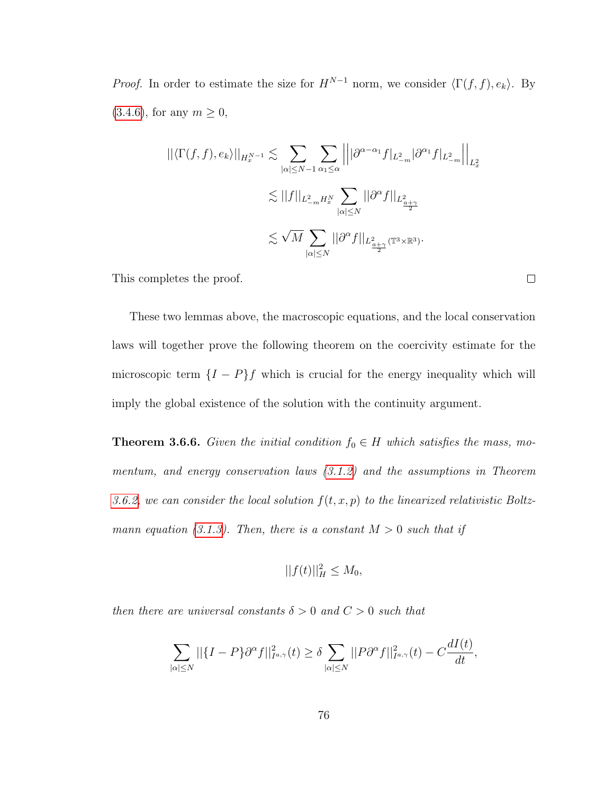*Proof.* In order to estimate the size for  $H^{N-1}$  norm, we consider  $\langle \Gamma(f, f), e_k \rangle$ . By  $(3.4.6)$ , for any  $m \ge 0$ ,

$$
\begin{split} ||\langle \Gamma(f,f),e_k\rangle||_{H^{N-1}_x} \lesssim & \sum_{|\alpha|\leq N-1}\sum_{\alpha_1\leq \alpha}\left|\left||\partial^{\alpha-\alpha_1}f|_{L^2_{-m}}|\partial^{\alpha_1}f|_{L^2_{-m}}\right|\right|_{L^2_x}\\ \lesssim & ||f||_{L^2_{-m}H^N_x}\sum_{|\alpha|\leq N}||\partial^\alpha f||_{L^2_{\frac{a+\gamma}{2}}}\\ \lesssim & \sqrt{M}\sum_{|\alpha|\leq N}||\partial^\alpha f||_{L^2_{\frac{a+\gamma}{2}}(\mathbb{T}^3\times\mathbb{R}^3)}. \end{split}
$$

This completes the proof.

These two lemmas above, the macroscopic equations, and the local conservation laws will together prove the following theorem on the coercivity estimate for the microscopic term  $\{I - P\}f$  which is crucial for the energy inequality which will imply the global existence of the solution with the continuity argument.

<span id="page-82-0"></span>**Theorem 3.6.6.** Given the initial condition  $f_0 \in H$  which satisfies the mass, momentum, and energy conservation laws [\(3.1.2\)](#page-27-1) and the assumptions in Theorem [3.6.2,](#page-72-1) we can consider the local solution  $f(t, x, p)$  to the linearized relativistic Boltz-mann equation [\(3.1.3\)](#page-27-0). Then, there is a constant  $M > 0$  such that if

$$
||f(t)||_H^2 \le M_0,
$$

then there are universal constants  $\delta > 0$  and  $C > 0$  such that

$$
\sum_{|\alpha| \leq N} ||{I - P} \partial^{\alpha} f||_{I^{a,\gamma}}^2(t) \geq \delta \sum_{|\alpha| \leq N} ||P \partial^{\alpha} f||_{I^{a,\gamma}}^2(t) - C \frac{dI(t)}{dt},
$$

 $\Box$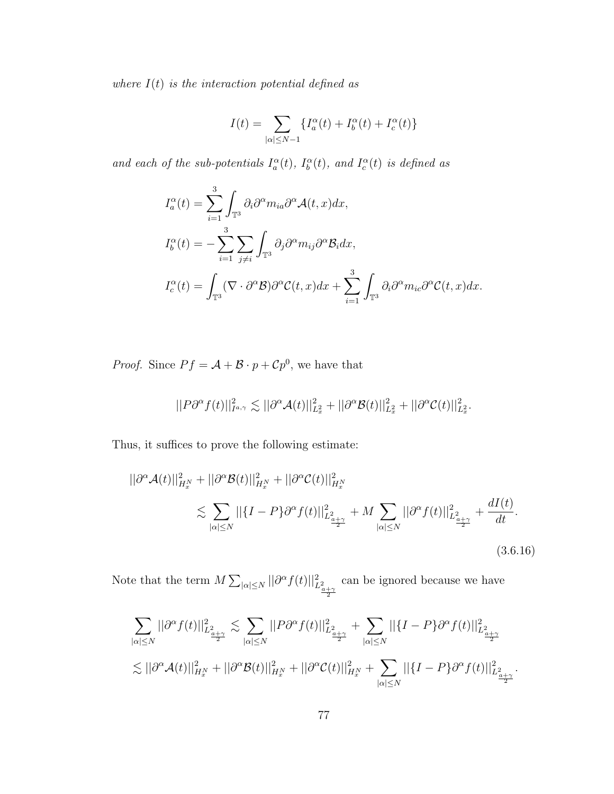where  $I(t)$  is the interaction potential defined as

$$
I(t) = \sum_{|\alpha| \leq N-1} \{I_a^\alpha(t) + I_b^\alpha(t) + I_c^\alpha(t)\}
$$

and each of the sub-potentials  $I_a^{\alpha}(t)$ ,  $I_b^{\alpha}(t)$ , and  $I_c^{\alpha}(t)$  is defined as

$$
I_a^{\alpha}(t) = \sum_{i=1}^3 \int_{\mathbb{T}^3} \partial_i \partial^{\alpha} m_{ia} \partial^{\alpha} \mathcal{A}(t, x) dx,
$$
  
\n
$$
I_b^{\alpha}(t) = -\sum_{i=1}^3 \sum_{j \neq i} \int_{\mathbb{T}^3} \partial_j \partial^{\alpha} m_{ij} \partial^{\alpha} \mathcal{B}_i dx,
$$
  
\n
$$
I_c^{\alpha}(t) = \int_{\mathbb{T}^3} (\nabla \cdot \partial^{\alpha} \mathcal{B}) \partial^{\alpha} \mathcal{C}(t, x) dx + \sum_{i=1}^3 \int_{\mathbb{T}^3} \partial_i \partial^{\alpha} m_{ic} \partial^{\alpha} \mathcal{C}(t, x) dx.
$$

*Proof.* Since  $Pf = A + B \cdot p + Cp^0$ , we have that

$$
||P\partial^{\alpha}f(t)||_{I^{a,\gamma}}^2 \lesssim ||\partial^{\alpha}\mathcal{A}(t)||_{L_x^2}^2 + ||\partial^{\alpha}\mathcal{B}(t)||_{L_x^2}^2 + ||\partial^{\alpha}\mathcal{C}(t)||_{L_x^2}^2.
$$

Thus, it suffices to prove the following estimate:

<span id="page-83-0"></span>
$$
||\partial^{\alpha} \mathcal{A}(t)||_{H_x^N}^2 + ||\partial^{\alpha} \mathcal{B}(t)||_{H_x^N}^2 + ||\partial^{\alpha} \mathcal{C}(t)||_{H_x^N}^2
$$
  

$$
\lesssim \sum_{|\alpha| \le N} ||\{I - P\} \partial^{\alpha} f(t)||_{L_{\frac{2}{\alpha + \gamma}}^2}^2 + M \sum_{|\alpha| \le N} ||\partial^{\alpha} f(t)||_{L_{\frac{2}{\alpha + \gamma}}^2}^2 + \frac{dI(t)}{dt}.
$$
  
(3.6.16)

Note that the term  $M \sum_{|\alpha| \le N} ||\partial^{\alpha} f(t)||_{L^2_{\frac{\alpha + \gamma}{2}}}^2$ can be ignored because we have

$$
\begin{aligned} &\sum_{|\alpha|\leq N}||\partial^{\alpha}f(t)||^{2}_{L^{2}_{\frac{\alpha+\gamma}{2}}}\lesssim \sum_{|\alpha|\leq N}||P\partial^{\alpha}f(t)||^{2}_{L^{2}_{\frac{\alpha+\gamma}{2}}}+\sum_{|\alpha|\leq N}||\{I-P\}\partial^{\alpha}f(t)||^{2}_{L^{2}_{\frac{\alpha+\gamma}{2}}}\\ &\lesssim ||\partial^{\alpha}\mathcal{A}(t)||^{2}_{H^{N}_{x}}+||\partial^{\alpha}\mathcal{B}(t)||^{2}_{H^{N}_{x}}+||\partial^{\alpha}\mathcal{C}(t)||^{2}_{H^{N}_{x}}+\sum_{|\alpha|\leq N}||\{I-P\}\partial^{\alpha}f(t)||^{2}_{L^{2}_{\frac{\alpha+\gamma}{2}}}.\end{aligned}
$$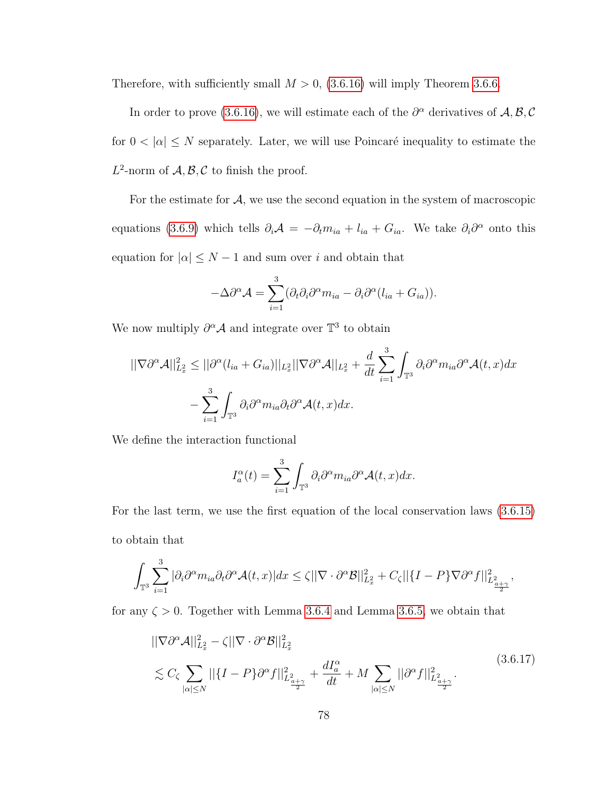Therefore, with sufficiently small  $M > 0$ , [\(3.6.16\)](#page-83-0) will imply Theorem [3.6.6.](#page-82-0)

In order to prove [\(3.6.16\)](#page-83-0), we will estimate each of the  $\partial^{\alpha}$  derivatives of  $\mathcal{A}, \mathcal{B}, \mathcal{C}$ for  $0 < |\alpha| \leq N$  separately. Later, we will use Poincaré inequality to estimate the  $L^2$ -norm of  $\mathcal{A}, \mathcal{B}, \mathcal{C}$  to finish the proof.

For the estimate for  $A$ , we use the second equation in the system of macroscopic equations [\(3.6.9\)](#page-77-1) which tells  $\partial_i A = -\partial_t m_{ia} + l_{ia} + G_{ia}$ . We take  $\partial_i \partial^\alpha$  onto this equation for  $|\alpha| \leq N - 1$  and sum over i and obtain that

$$
-\Delta\partial^{\alpha}\mathcal{A} = \sum_{i=1}^{3} (\partial_{i}\partial_{i}\partial^{\alpha}m_{ia} - \partial_{i}\partial^{\alpha}(l_{ia} + G_{ia})).
$$

We now multiply  $\partial^{\alpha} A$  and integrate over  $\mathbb{T}^3$  to obtain

$$
||\nabla \partial^{\alpha} \mathcal{A}||_{L_{x}^{2}}^{2} \leq ||\partial^{\alpha} (l_{ia} + G_{ia})||_{L_{x}^{2}} ||\nabla \partial^{\alpha} \mathcal{A}||_{L_{x}^{2}} + \frac{d}{dt} \sum_{i=1}^{3} \int_{\mathbb{T}^{3}} \partial_{i} \partial^{\alpha} m_{ia} \partial^{\alpha} \mathcal{A}(t, x) dx
$$

$$
- \sum_{i=1}^{3} \int_{\mathbb{T}^{3}} \partial_{i} \partial^{\alpha} m_{ia} \partial_{t} \partial^{\alpha} \mathcal{A}(t, x) dx.
$$

We define the interaction functional

$$
I_a^{\alpha}(t) = \sum_{i=1}^3 \int_{\mathbb{T}^3} \partial_i \partial^{\alpha} m_{ia} \partial^{\alpha} \mathcal{A}(t, x) dx.
$$

For the last term, we use the first equation of the local conservation laws [\(3.6.15\)](#page-80-1) to obtain that

$$
\int_{\mathbb{T}^3} \sum_{i=1}^3 |\partial_i \partial^\alpha m_{ia} \partial_t \partial^\alpha \mathcal{A}(t,x)| dx \leq \zeta ||\nabla \cdot \partial^\alpha \mathcal{B}||_{L_x^2}^2 + C_{\zeta} ||\{I - P\} \nabla \partial^\alpha f||_{L_{\frac{a}{2}+2}}^2,
$$

<span id="page-84-0"></span>for any  $\zeta > 0$ . Together with Lemma [3.6.4](#page-81-0) and Lemma [3.6.5,](#page-81-1) we obtain that

$$
\|\nabla\partial^{\alpha}\mathcal{A}\|_{L_x^2}^2 - \zeta \|\nabla \cdot \partial^{\alpha}\mathcal{B}\|_{L_x^2}^2
$$
  

$$
\lesssim C_{\zeta} \sum_{|\alpha| \le N} ||\{I - P\}\partial^{\alpha}f||_{L_{\frac{a+\gamma}{2}}}^2 + \frac{dI_{a}^{\alpha}}{dt} + M \sum_{|\alpha| \le N} ||\partial^{\alpha}f||_{L_{\frac{a+\gamma}{2}}}^2.
$$
  
(3.6.17)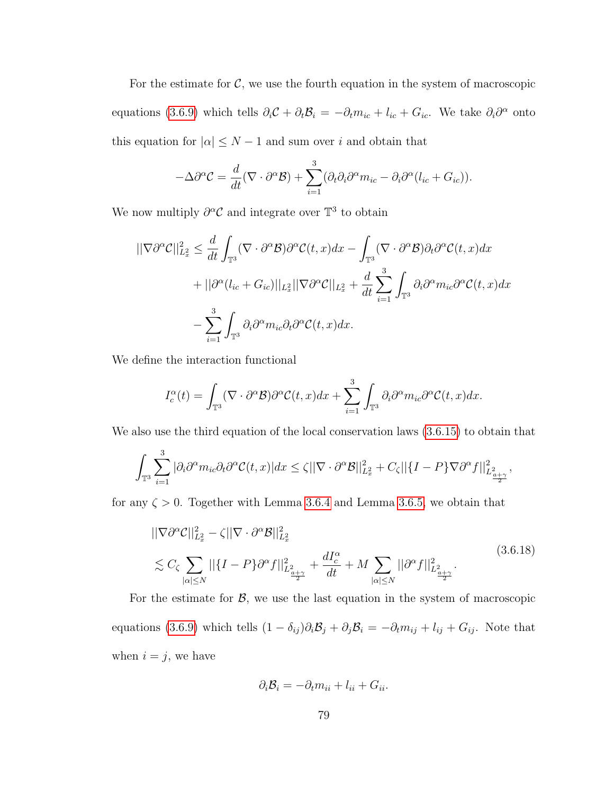For the estimate for  $C$ , we use the fourth equation in the system of macroscopic equations [\(3.6.9\)](#page-77-1) which tells  $\partial_i C + \partial_t \mathcal{B}_i = -\partial_t m_{ic} + l_{ic} + G_{ic}$ . We take  $\partial_i \partial^\alpha$  onto this equation for  $|\alpha| \leq N-1$  and sum over  $i$  and obtain that

$$
-\Delta\partial^{\alpha}\mathcal{C} = \frac{d}{dt}(\nabla \cdot \partial^{\alpha}\mathcal{B}) + \sum_{i=1}^{3} (\partial_{t}\partial_{i}\partial^{\alpha}m_{ic} - \partial_{i}\partial^{\alpha}(l_{ic} + G_{ic})).
$$

We now multiply  $\partial^{\alpha} \mathcal{C}$  and integrate over  $\mathbb{T}^3$  to obtain

$$
\begin{split} ||\nabla \partial^{\alpha} \mathcal{C}||_{L_{x}^{2}}^{2} &\leq \frac{d}{dt} \int_{\mathbb{T}^{3}} (\nabla \cdot \partial^{\alpha} \mathcal{B}) \partial^{\alpha} \mathcal{C}(t, x) dx - \int_{\mathbb{T}^{3}} (\nabla \cdot \partial^{\alpha} \mathcal{B}) \partial_{t} \partial^{\alpha} \mathcal{C}(t, x) dx \\ &+ ||\partial^{\alpha} (l_{ic} + G_{ic})||_{L_{x}^{2}} ||\nabla \partial^{\alpha} \mathcal{C}||_{L_{x}^{2}} + \frac{d}{dt} \sum_{i=1}^{3} \int_{\mathbb{T}^{3}} \partial_{i} \partial^{\alpha} m_{ic} \partial^{\alpha} \mathcal{C}(t, x) dx \\ &- \sum_{i=1}^{3} \int_{\mathbb{T}^{3}} \partial_{i} \partial^{\alpha} m_{ic} \partial_{t} \partial^{\alpha} \mathcal{C}(t, x) dx. \end{split}
$$

We define the interaction functional

$$
I_c^{\alpha}(t) = \int_{\mathbb{T}^3} (\nabla \cdot \partial^{\alpha} \mathcal{B}) \partial^{\alpha} \mathcal{C}(t, x) dx + \sum_{i=1}^3 \int_{\mathbb{T}^3} \partial_i \partial^{\alpha} m_{ic} \partial^{\alpha} \mathcal{C}(t, x) dx.
$$

We also use the third equation of the local conservation laws [\(3.6.15\)](#page-80-1) to obtain that

$$
\int_{\mathbb{T}^3} \sum_{i=1}^3 |\partial_i \partial^{\alpha} m_{ic} \partial_t \partial^{\alpha} \mathcal{C}(t,x)| dx \leq \zeta ||\nabla \cdot \partial^{\alpha} \mathcal{B}||_{L_x^2}^2 + C_{\zeta} ||\{I - P\} \nabla \partial^{\alpha} f||_{L_{\frac{a}{2}}^2}^2,
$$

<span id="page-85-0"></span>for any  $\zeta > 0$ . Together with Lemma [3.6.4](#page-81-0) and Lemma [3.6.5,](#page-81-1) we obtain that

$$
\|\nabla\partial^{\alpha}\mathcal{C}\|_{L_x^2}^2 - \zeta\|\nabla\cdot\partial^{\alpha}\mathcal{B}\|_{L_x^2}^2
$$
  

$$
\lesssim C_{\zeta} \sum_{|\alpha|\leq N} ||\{I - P\}\partial^{\alpha}f||_{L_{\frac{2+\gamma}{2}}}^2 + \frac{dI_c^{\alpha}}{dt} + M \sum_{|\alpha|\leq N} ||\partial^{\alpha}f||_{L_{\frac{2+\gamma}{2}}}^2.
$$
 (3.6.18)

For the estimate for  $\mathcal{B}$ , we use the last equation in the system of macroscopic equations [\(3.6.9\)](#page-77-1) which tells  $(1 - \delta_{ij})\partial_i \mathcal{B}_j + \partial_j \mathcal{B}_i = -\partial_t m_{ij} + l_{ij} + G_{ij}$ . Note that when  $i = j$ , we have

$$
\partial_i \mathcal{B}_i = -\partial_t m_{ii} + l_{ii} + G_{ii}.
$$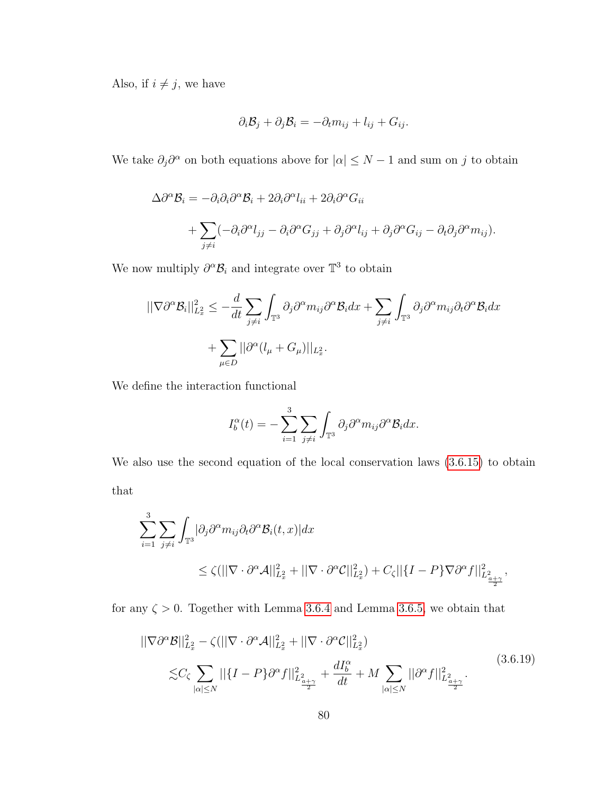Also, if  $i \neq j,$  we have

$$
\partial_i \mathcal{B}_j + \partial_j \mathcal{B}_i = -\partial_t m_{ij} + l_{ij} + G_{ij}.
$$

We take  $\partial_j \partial^\alpha$  on both equations above for  $|\alpha| \leq N-1$  and sum on j to obtain

$$
\Delta \partial^{\alpha} \mathcal{B}_{i} = -\partial_{i} \partial_{i} \partial^{\alpha} \mathcal{B}_{i} + 2 \partial_{i} \partial^{\alpha} l_{ii} + 2 \partial_{i} \partial^{\alpha} G_{ii}
$$
  
+ 
$$
\sum_{j \neq i} (-\partial_{i} \partial^{\alpha} l_{jj} - \partial_{i} \partial^{\alpha} G_{jj} + \partial_{j} \partial^{\alpha} l_{ij} + \partial_{j} \partial^{\alpha} G_{ij} - \partial_{i} \partial_{j} \partial^{\alpha} m_{ij}).
$$

We now multiply  $\partial^{\alpha} \mathcal{B}_i$  and integrate over  $\mathbb{T}^3$  to obtain

$$
\begin{aligned} ||\nabla \partial^{\alpha} \mathcal{B}_{i}||_{L_{x}^{2}}^{2} &\leq -\frac{d}{dt} \sum_{j\neq i} \int_{\mathbb{T}^{3}} \partial_{j} \partial^{\alpha} m_{ij} \partial^{\alpha} \mathcal{B}_{i} dx + \sum_{j\neq i} \int_{\mathbb{T}^{3}} \partial_{j} \partial^{\alpha} m_{ij} \partial_{t} \partial^{\alpha} \mathcal{B}_{i} dx \\ &+ \sum_{\mu \in D} ||\partial^{\alpha} (l_{\mu} + G_{\mu})||_{L_{x}^{2}}. \end{aligned}
$$

We define the interaction functional

$$
I_b^{\alpha}(t) = -\sum_{i=1}^{3} \sum_{j \neq i} \int_{\mathbb{T}^3} \partial_j \partial^{\alpha} m_{ij} \partial^{\alpha} \mathcal{B}_i dx.
$$

We also use the second equation of the local conservation laws  $(3.6.15)$  to obtain that

$$
\sum_{i=1}^{3} \sum_{j\neq i} \int_{\mathbb{T}^3} |\partial_j \partial^{\alpha} m_{ij} \partial_t \partial^{\alpha} \mathcal{B}_i(t, x)| dx
$$
  

$$
\leq \zeta(||\nabla \cdot \partial^{\alpha} \mathcal{A}||_{L_x^2}^2 + ||\nabla \cdot \partial^{\alpha} \mathcal{C}||_{L_x^2}^2) + C_{\zeta} ||\{I - P\} \nabla \partial^{\alpha} f||_{L_{\frac{\alpha}{2}+\gamma}^2}^2,
$$

for any  $\zeta > 0$ . Together with Lemma [3.6.4](#page-81-0) and Lemma [3.6.5,](#page-81-1) we obtain that

<span id="page-86-0"></span>
$$
||\nabla \partial^{\alpha} \mathcal{B}||_{L_{x}^{2}}^{2} - \zeta(||\nabla \cdot \partial^{\alpha} \mathcal{A}||_{L_{x}^{2}}^{2} + ||\nabla \cdot \partial^{\alpha} \mathcal{C}||_{L_{x}^{2}}^{2})
$$
  

$$
\lesssim C_{\zeta} \sum_{|\alpha| \le N} ||\{I - P\} \partial^{\alpha} f||_{L_{\frac{a}{2}+2}^{2}}^{2} + \frac{dI_{b}^{\alpha}}{dt} + M \sum_{|\alpha| \le N} ||\partial^{\alpha} f||_{L_{\frac{a}{2}+2}^{2}}^{2}.
$$
\n(3.6.19)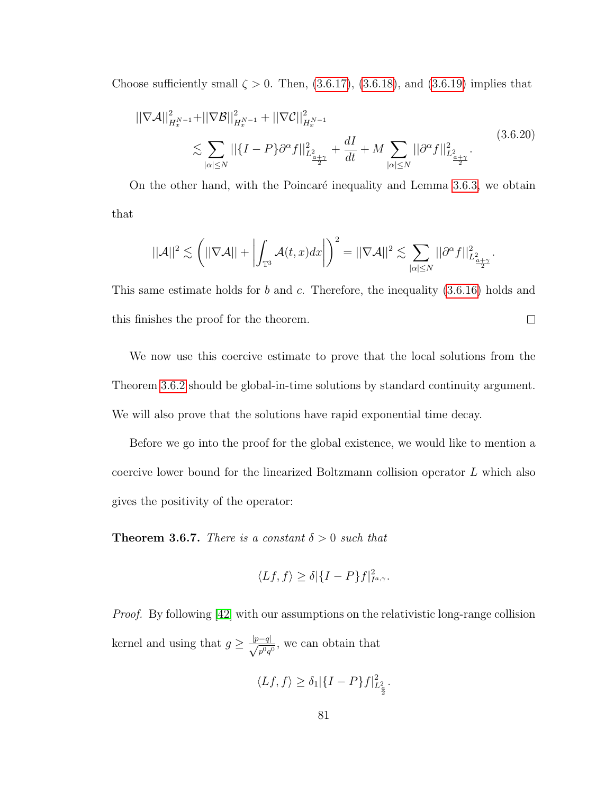Choose sufficiently small  $\zeta > 0$ . Then, [\(3.6.17\)](#page-84-0), [\(3.6.18\)](#page-85-0), and [\(3.6.19\)](#page-86-0) implies that

$$
\|\nabla \mathcal{A}\|_{H_x^{N-1}}^2 + \|\nabla \mathcal{B}\|_{H_x^{N-1}}^2 + \|\nabla \mathcal{C}\|_{H_x^{N-1}}^2
$$
\n
$$
\lesssim \sum_{|\alpha| \le N} ||\{I - P\} \partial^{\alpha} f\|_{L_{\frac{a+\gamma}{2}}}^2 + \frac{dI}{dt} + M \sum_{|\alpha| \le N} ||\partial^{\alpha} f||_{L_{\frac{a+\gamma}{2}}}^2.
$$
\n(3.6.20)

On the other hand, with the Poincaré inequality and Lemma [3.6.3,](#page-80-2) we obtain that

$$
||\mathcal{A}||^2 \lesssim \left(||\nabla \mathcal{A}|| + \left| \int_{\mathbb{T}^3} \mathcal{A}(t,x) dx \right| \right)^2 = ||\nabla \mathcal{A}||^2 \lesssim \sum_{|\alpha| \le N} ||\partial^{\alpha} f||^2_{L^2_{\frac{\alpha+\gamma}{2}}}.
$$

This same estimate holds for  $b$  and  $c$ . Therefore, the inequality  $(3.6.16)$  holds and  $\Box$ this finishes the proof for the theorem.

We now use this coercive estimate to prove that the local solutions from the Theorem [3.6.2](#page-72-1) should be global-in-time solutions by standard continuity argument. We will also prove that the solutions have rapid exponential time decay.

Before we go into the proof for the global existence, we would like to mention a coercive lower bound for the linearized Boltzmann collision operator L which also gives the positivity of the operator:

<span id="page-87-0"></span>**Theorem 3.6.7.** There is a constant  $\delta > 0$  such that

$$
\langle Lf, f \rangle \ge \delta |\{I - P\}f|_{I^{a,\gamma}}^2.
$$

*Proof.* By following [\[42\]](#page-131-0) with our assumptions on the relativistic long-range collision kernel and using that  $g \geq \frac{|p-q|}{\sqrt{2}}$  $\frac{q}{p^0q^0}$ , we can obtain that

$$
\langle Lf, f \rangle \ge \delta_1 |\{I-P\}f|_{L^2_{\frac{\alpha}{2}}}^2.
$$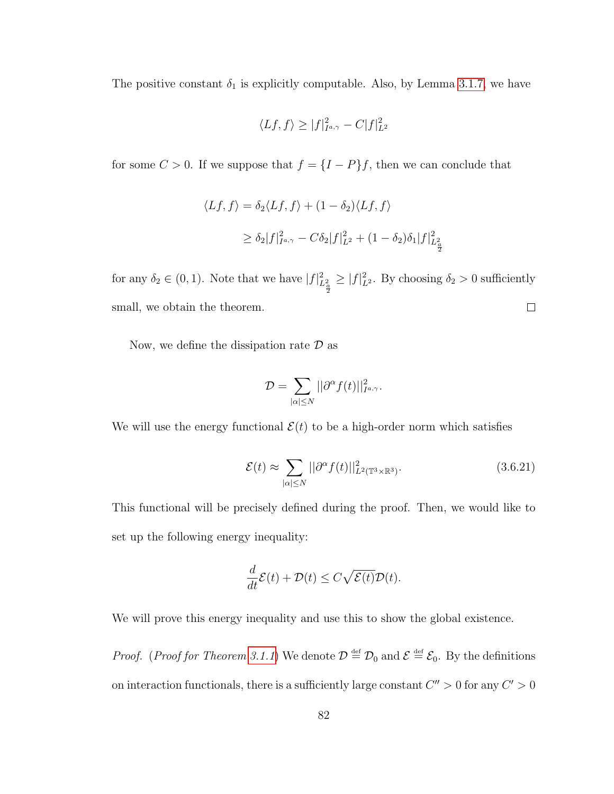The positive constant  $\delta_1$  is explicitly computable. Also, by Lemma [3.1.7,](#page-40-0) we have

$$
\langle Lf, f \rangle \ge |f|_{I^{a,\gamma}}^2 - C|f|_{L^2}^2
$$

for some  $C > 0$ . If we suppose that  $f = \{I - P\}f$ , then we can conclude that

$$
\langle Lf, f \rangle = \delta_2 \langle Lf, f \rangle + (1 - \delta_2) \langle Lf, f \rangle
$$
  
 
$$
\geq \delta_2 |f|_{I^{a,\gamma}}^2 - C\delta_2 |f|_{L^2}^2 + (1 - \delta_2)\delta_1 |f|_{L^2_{\frac{\alpha}{2}}}^2
$$

for any  $\delta_2 \in (0, 1)$ . Note that we have  $|f|_{L^2_{\frac{\alpha}{2}}}^2$  $\geq |f|^2_{L^2}$ . By choosing  $\delta_2 > 0$  sufficiently small, we obtain the theorem.  $\Box$ 

Now, we define the dissipation rate  $\mathcal D$  as

$$
\mathcal{D}=\sum_{|\alpha|\leq N}||\partial^\alpha f(t)||^2_{I^{a,\gamma}}.
$$

We will use the energy functional  $\mathcal{E}(t)$  to be a high-order norm which satisfies

<span id="page-88-0"></span>
$$
\mathcal{E}(t) \approx \sum_{|\alpha| \le N} ||\partial^{\alpha} f(t)||_{L^2(\mathbb{T}^3 \times \mathbb{R}^3)}^2.
$$
 (3.6.21)

This functional will be precisely defined during the proof. Then, we would like to set up the following energy inequality:

$$
\frac{d}{dt}\mathcal{E}(t) + \mathcal{D}(t) \le C\sqrt{\mathcal{E}(t)}\mathcal{D}(t).
$$

We will prove this energy inequality and use this to show the global existence.

*Proof.* (*Proof for Theorem [3.1.1](#page-34-0)*) We denote  $\mathcal{D} \stackrel{\text{def}}{=} \mathcal{D}_0$  and  $\mathcal{E} \stackrel{\text{def}}{=} \mathcal{E}_0$ . By the definitions on interaction functionals, there is a sufficiently large constant  $C'' > 0$  for any  $C' > 0$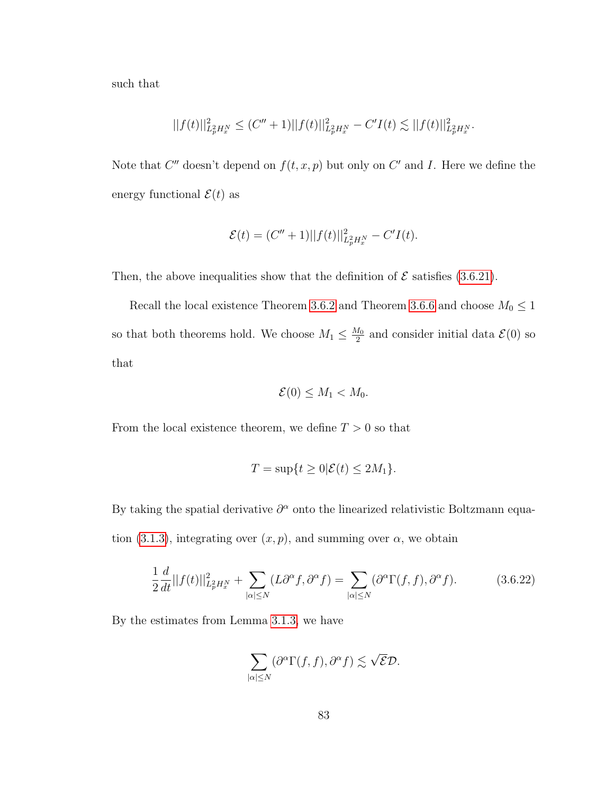such that

$$
||f(t)||_{L^2_p H^N_x}^2 \le (C'' + 1)||f(t)||_{L^2_p H^N_x}^2 - C'I(t) \lesssim ||f(t)||_{L^2_p H^N_x}^2.
$$

Note that  $C''$  doesn't depend on  $f(t, x, p)$  but only on  $C'$  and I. Here we define the energy functional  $\mathcal{E}(t)$  as

$$
\mathcal{E}(t) = (C'' + 1)||f(t)||_{L_p^2 H_x^N}^2 - C'I(t).
$$

Then, the above inequalities show that the definition of  $\mathcal E$  satisfies [\(3.6.21\)](#page-88-0).

Recall the local existence Theorem [3.6.2](#page-72-1) and Theorem [3.6.6](#page-82-0) and choose  $M_0 \leq 1$ so that both theorems hold. We choose  $M_1 \leq \frac{M_0}{2}$  $\frac{d_0}{2}$  and consider initial data  $\mathcal{E}(0)$  so that

$$
\mathcal{E}(0) \leq M_1 < M_0.
$$

From the local existence theorem, we define  $T > 0$  so that

$$
T = \sup\{t \ge 0 | \mathcal{E}(t) \le 2M_1\}.
$$

By taking the spatial derivative  $\partial^{\alpha}$  onto the linearized relativistic Boltzmann equa-tion [\(3.1.3\)](#page-27-0), integrating over  $(x, p)$ , and summing over  $\alpha$ , we obtain

<span id="page-89-0"></span>
$$
\frac{1}{2}\frac{d}{dt}||f(t)||_{L^2_p H^N_x}^2 + \sum_{|\alpha| \le N} (L\partial^{\alpha} f, \partial^{\alpha} f) = \sum_{|\alpha| \le N} (\partial^{\alpha} \Gamma(f, f), \partial^{\alpha} f). \tag{3.6.22}
$$

By the estimates from Lemma [3.1.3,](#page-39-1) we have

$$
\sum_{|\alpha| \leq N} (\partial^{\alpha} \Gamma(f, f), \partial^{\alpha} f) \lesssim \sqrt{\mathcal{E}} \mathcal{D}.
$$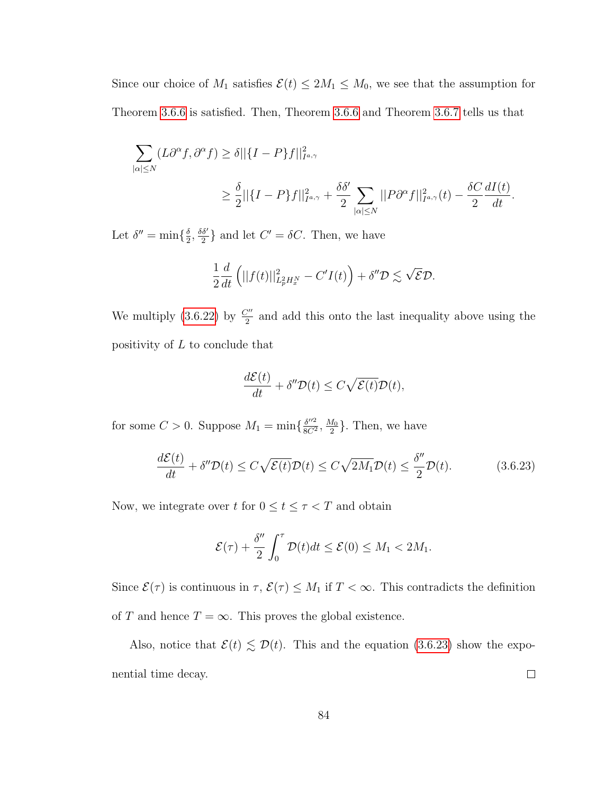Since our choice of  $M_1$  satisfies  $\mathcal{E}(t) \leq 2M_1 \leq M_0$ , we see that the assumption for Theorem [3.6.6](#page-82-0) is satisfied. Then, Theorem [3.6.6](#page-82-0) and Theorem [3.6.7](#page-87-0) tells us that

$$
\sum_{|\alpha| \le N} (L\partial^{\alpha} f, \partial^{\alpha} f) \ge \delta ||\{I - P\}f||_{I^{a,\gamma}}^2
$$
  

$$
\ge \frac{\delta}{2} ||\{I - P\}f||_{I^{a,\gamma}}^2 + \frac{\delta \delta'}{2} \sum_{|\alpha| \le N} ||P\partial^{\alpha} f||_{I^{a,\gamma}}^2(t) - \frac{\delta C}{2} \frac{dI(t)}{dt}.
$$

Let  $\delta'' = \min\{\frac{\delta}{2}$  $\frac{\delta}{2}$ ,  $\frac{\delta \delta'}{2}$  $\frac{\delta'}{2}$  and let  $C' = \delta C$ . Then, we have

$$
\frac{1}{2}\frac{d}{dt}\left(||f(t)||^2_{L^2_pH^N_x}-C'I(t)\right)+\delta''\mathcal{D}\lesssim \sqrt{\mathcal{E}}\mathcal{D}.
$$

We multiply [\(3.6.22\)](#page-89-0) by  $\frac{C''}{2}$  and add this onto the last inequality above using the positivity of  $L$  to conclude that

$$
\frac{d\mathcal{E}(t)}{dt} + \delta'' \mathcal{D}(t) \le C\sqrt{\mathcal{E}(t)}\mathcal{D}(t),
$$

for some  $C > 0$ . Suppose  $M_1 = \min\{\frac{\delta''^2}{8C^2}\}$  $\frac{\delta''^2}{8C^2}, \frac{M_0}{2}$  $\frac{d_0}{2}$ . Then, we have

<span id="page-90-0"></span>
$$
\frac{d\mathcal{E}(t)}{dt} + \delta'' \mathcal{D}(t) \le C\sqrt{\mathcal{E}(t)}\mathcal{D}(t) \le C\sqrt{2M_1}\mathcal{D}(t) \le \frac{\delta''}{2}\mathcal{D}(t). \tag{3.6.23}
$$

Now, we integrate over t for  $0 \le t \le \tau < T$  and obtain

$$
\mathcal{E}(\tau) + \frac{\delta''}{2} \int_0^{\tau} \mathcal{D}(t) dt \le \mathcal{E}(0) \le M_1 < 2M_1.
$$

Since  $\mathcal{E}(\tau)$  is continuous in  $\tau$ ,  $\mathcal{E}(\tau) \leq M_1$  if  $T < \infty$ . This contradicts the definition of  $T$  and hence  $T = \infty$ . This proves the global existence.

Also, notice that  $\mathcal{E}(t) \lesssim \mathcal{D}(t)$ . This and the equation [\(3.6.23\)](#page-90-0) show the expo- $\Box$ nential time decay.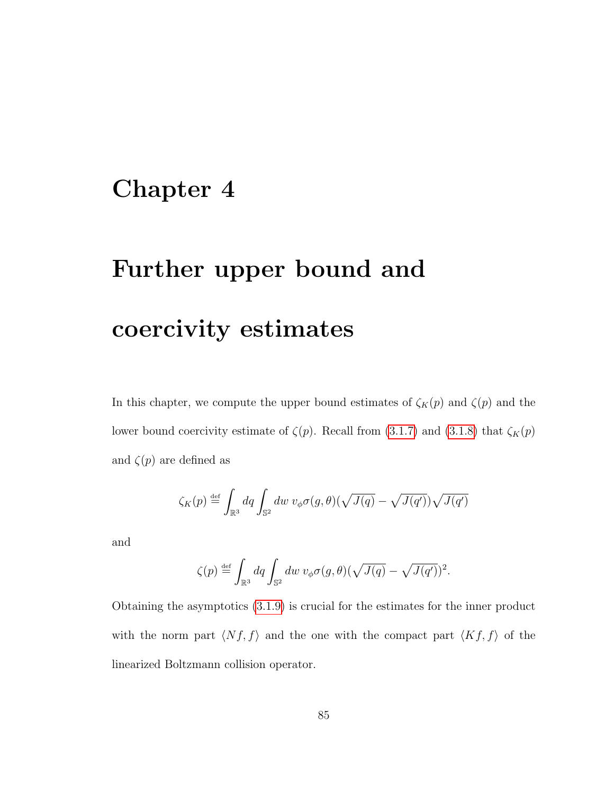## Chapter 4

# Further upper bound and coercivity estimates

In this chapter, we compute the upper bound estimates of  $\zeta_K(p)$  and  $\zeta(p)$  and the lower bound coercivity estimate of  $\zeta(p)$ . Recall from [\(3.1.7\)](#page-29-0) and [\(3.1.8\)](#page-29-1) that  $\zeta_K(p)$ and  $\zeta(p)$  are defined as

$$
\zeta_K(p) \stackrel{\text{def}}{=} \int_{\mathbb{R}^3} dq \int_{\mathbb{S}^2} dw \ v_{\phi} \sigma(g,\theta) (\sqrt{J(q)} - \sqrt{J(q')}) \sqrt{J(q')}
$$

and

$$
\zeta(p) \stackrel{\text{def}}{=} \int_{\mathbb{R}^3} dq \int_{\mathbb{S}^2} dw \ v_{\phi} \sigma(g,\theta) (\sqrt{J(q)} - \sqrt{J(q')})^2.
$$

Obtaining the asymptotics [\(3.1.9\)](#page-30-0) is crucial for the estimates for the inner product with the norm part  $\langle Nf, f \rangle$  and the one with the compact part  $\langle Kf, f \rangle$  of the linearized Boltzmann collision operator.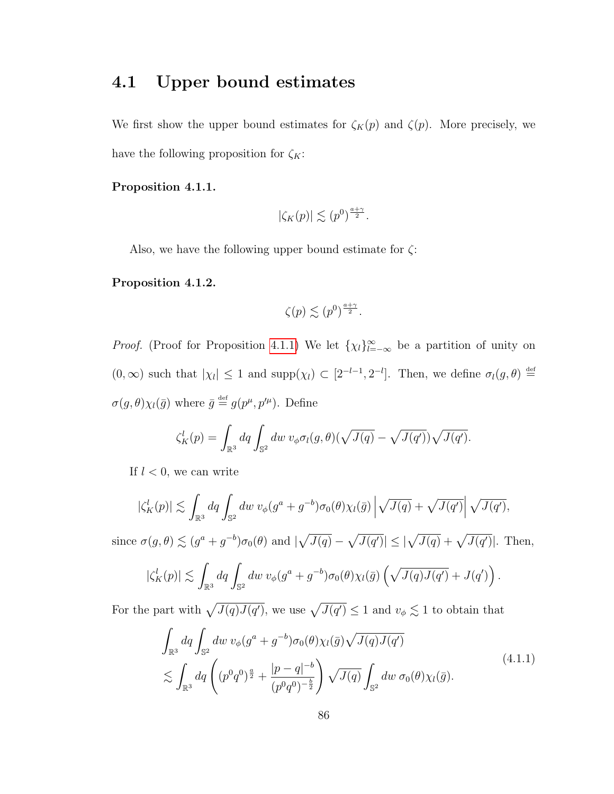#### 4.1 Upper bound estimates

We first show the upper bound estimates for  $\zeta_K(p)$  and  $\zeta(p)$ . More precisely, we have the following proposition for  $\zeta_K$ :

#### <span id="page-92-0"></span>Proposition 4.1.1.

$$
|\zeta_K(p)| \lesssim (p^0)^{\frac{a+\gamma}{2}}.
$$

Also, we have the following upper bound estimate for  $\zeta$ :

#### <span id="page-92-2"></span>Proposition 4.1.2.

$$
\zeta(p) \lesssim (p^0)^{\frac{a+\gamma}{2}}.
$$

*Proof.* (Proof for Proposition [4.1.1\)](#page-92-0) We let  $\{\chi_l\}_{l=-\infty}^{\infty}$  be a partition of unity on  $(0,\infty)$  such that  $|\chi_l|\leq 1$  and  $\text{supp}(\chi_l)\subset [2^{-l-1},2^{-l}]$ . Then, we define  $\sigma_l(g,\theta)\stackrel{\text{def}}{=}$  $\sigma(g,\theta)\chi_l(\bar{g})$  where  $\bar{g} \stackrel{\text{def}}{=} g(p^{\mu},p'^{\mu})$ . Define

$$
\zeta_K^l(p) = \int_{\mathbb{R}^3} dq \int_{\mathbb{S}^2} dw \, v_{\phi} \sigma_l(g, \theta) (\sqrt{J(q)} - \sqrt{J(q')}) \sqrt{J(q')}.
$$

If  $l < 0$ , we can write

$$
|\zeta_K^l(p)| \lesssim \int_{\mathbb{R}^3} dq \int_{\mathbb{S}^2} dw \ v_{\phi}(g^a + g^{-b}) \sigma_0(\theta) \chi_l(\bar{g}) \left| \sqrt{J(q)} + \sqrt{J(q')} \right| \sqrt{J(q')},
$$

since  $\sigma(g,\theta) \lesssim (g^a + g^{-b})\sigma_0(\theta)$  and  $|\sqrt{J(q)} - \sqrt{J(q')}| \leq |\sqrt{J(q)} + \sqrt{J(q')}|$ . Then,

$$
|\zeta_K^l(p)| \lesssim \int_{\mathbb{R}^3} dq \int_{\mathbb{S}^2} dw \ v_{\phi}(g^a + g^{-b}) \sigma_0(\theta) \chi_l(\bar{g}) \left(\sqrt{J(q)J(q')} + J(q')\right).
$$

<span id="page-92-1"></span>For the part with  $\sqrt{J(q)J(q')}$ , we use  $\sqrt{J(q')} \leq 1$  and  $v_{\phi} \lesssim 1$  to obtain that

$$
\int_{\mathbb{R}^3} dq \int_{\mathbb{S}^2} dw \, v_{\phi}(g^a + g^{-b}) \sigma_0(\theta) \chi_l(\bar{g}) \sqrt{J(q)J(q')}
$$
\n
$$
\lesssim \int_{\mathbb{R}^3} dq \left( (p^0 q^0)^{\frac{a}{2}} + \frac{|p - q|^{-b}}{(p^0 q^0)^{-\frac{b}{2}}} \right) \sqrt{J(q)} \int_{\mathbb{S}^2} dw \, \sigma_0(\theta) \chi_l(\bar{g}).
$$
\n(4.1.1)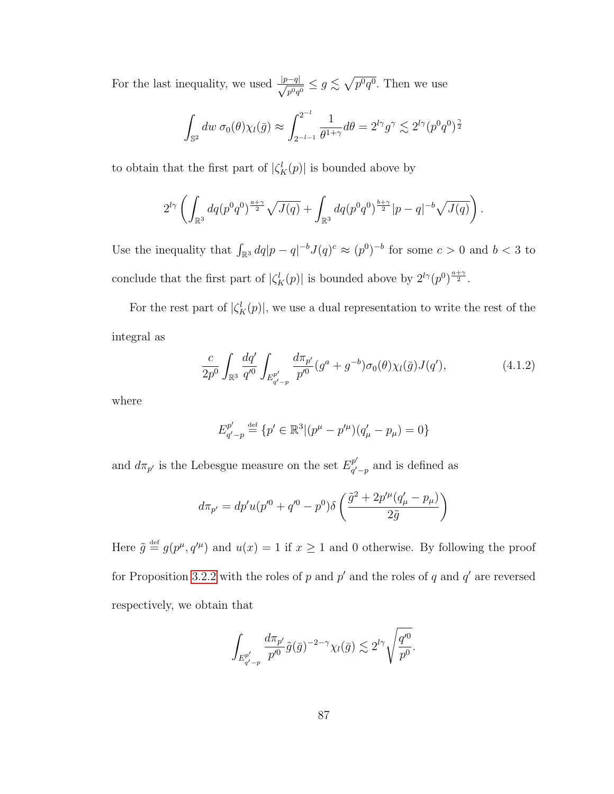For the last inequality, we used  $\frac{|p-q|}{\sqrt{p}}$  $\frac{-q|}{p^0q^0} \leq g \lesssim \sqrt{p^0q^0}$ . Then we use

$$
\int_{\mathbb{S}^2} dw \,\sigma_0(\theta) \chi_l(\bar{g}) \approx \int_{2^{-l-1}}^{2^{-l}} \frac{1}{\theta^{1+\gamma}} d\theta = 2^{l\gamma} g^{\gamma} \lesssim 2^{l\gamma} (p^0 q^0)^{\frac{\gamma}{2}}
$$

to obtain that the first part of  $|\zeta_K^l(p)|$  is bounded above by

$$
2^{l\gamma} \left( \int_{\mathbb{R}^3} dq (p^0 q^0)^{\frac{a+\gamma}{2}} \sqrt{J(q)} + \int_{\mathbb{R}^3} dq (p^0 q^0)^{\frac{b+\gamma}{2}} |p-q|^{-b} \sqrt{J(q)} \right).
$$

Use the inequality that  $\int_{\mathbb{R}^3} dq |p - q|^{-b} J(q)^c \approx (p^0)^{-b}$  for some  $c > 0$  and  $b < 3$  to conclude that the first part of  $|\zeta_K^l(p)|$  is bounded above by  $2^{l\gamma}(p^0)^{\frac{a+\gamma}{2}}$ .

For the rest part of  $|\zeta_K^l(p)|$ , we use a dual representation to write the rest of the integral as

<span id="page-93-0"></span>
$$
\frac{c}{2p^0} \int_{\mathbb{R}^3} \frac{dq'}{q'^0} \int_{E_{q'-p}^{p'}} \frac{d\pi_{p'}}{p'^0} (g^a + g^{-b}) \sigma_0(\theta) \chi_l(\bar{g}) J(q'), \tag{4.1.2}
$$

where

$$
E_{q'-p}^{p'} \stackrel{\text{def}}{=} \{p' \in \mathbb{R}^3 | (p^{\mu} - p'^{\mu})(q'_{\mu} - p_{\mu}) = 0\}
$$

and  $d\pi_{p'}$  is the Lebesgue measure on the set  $E_{q'}^{p'}$  $_{q'-p}^{p}$  and is defined as

$$
d\pi_{p'} = dp'u(p'^0 + q'^0 - p^0)\delta\left(\frac{\tilde{g}^2 + 2p'^\mu(q'_\mu - p_\mu)}{2\tilde{g}}\right)
$$

Here  $\tilde{g} \stackrel{\text{def}}{=} g(p^{\mu}, q^{\prime \mu})$  and  $u(x) = 1$  if  $x \ge 1$  and 0 otherwise. By following the proof for Proposition [3.2.2](#page-44-0) with the roles of p and p' and the roles of q and  $q'$  are reversed respectively, we obtain that

$$
\int_{E_{q'-p}^{p'}} \frac{d\pi_{p'}}{p'^0} \tilde{g}(\bar{g})^{-2-\gamma} \chi_l(\bar{g}) \lesssim 2^{l\gamma} \sqrt{\frac{q'^0}{p^0}}.
$$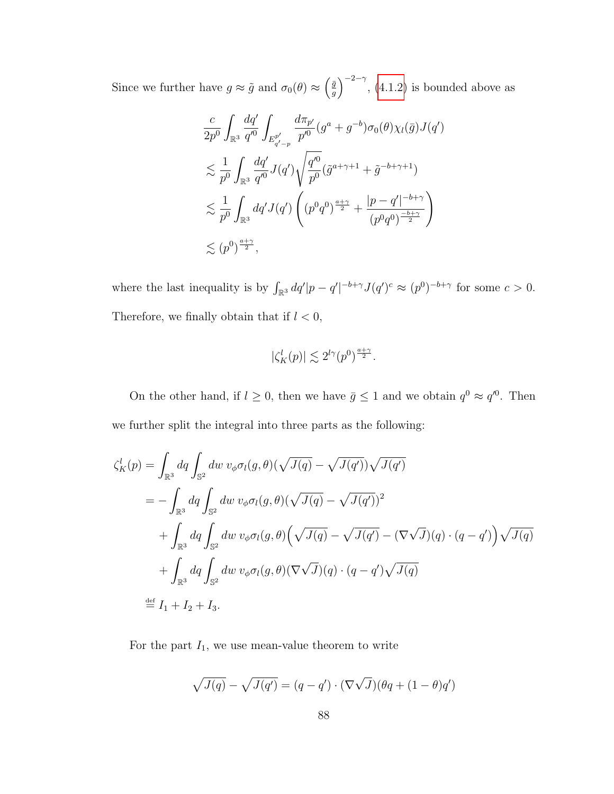Since we further have  $g \approx \tilde{g}$  and  $\sigma_0(\theta) \approx \left(\frac{\bar{g}}{g}\right)$  $(\frac{\bar{g}}{g})^{-2-\gamma}$ , [\(4.1.2\)](#page-93-0) is bounded above as

$$
\frac{c}{2p^0} \int_{\mathbb{R}^3} \frac{dq'}{q'^0} \int_{E_{q'-p}^{p'}} \frac{d\pi_{p'}}{p'^0} (g^a + g^{-b}) \sigma_0(\theta) \chi_l(\bar{g}) J(q')
$$
\n
$$
\lesssim \frac{1}{p^0} \int_{\mathbb{R}^3} \frac{dq'}{q'^0} J(q') \sqrt{\frac{q'^0}{p^0} (\tilde{g}^{a+\gamma+1} + \tilde{g}^{-b+\gamma+1})}
$$
\n
$$
\lesssim \frac{1}{p^0} \int_{\mathbb{R}^3} dq' J(q') \left( (p^0 q^0)^{\frac{a+\gamma}{2}} + \frac{|p-q'|^{-b+\gamma}}{(p^0 q^0)^{\frac{-b+\gamma}{2}}} \right)
$$
\n
$$
\lesssim (p^0)^{\frac{a+\gamma}{2}},
$$

where the last inequality is by  $\int_{\mathbb{R}^3} dq' |p - q'|^{-b + \gamma} J(q')^c \approx (p^0)^{-b + \gamma}$  for some  $c > 0$ . Therefore, we finally obtain that if  $l < 0$ ,

$$
|\zeta_K^l(p)| \lesssim 2^{l\gamma} (p^0)^{\frac{a+\gamma}{2}}.
$$

On the other hand, if  $l \geq 0$ , then we have  $\bar{g} \leq 1$  and we obtain  $q^0 \approx q^{0}$ . Then we further split the integral into three parts as the following:

$$
\begin{split}\n\zeta_K^l(p) &= \int_{\mathbb{R}^3} dq \int_{\mathbb{S}^2} dw \, v_{\phi} \sigma_l(g, \theta) (\sqrt{J(q)} - \sqrt{J(q')}) \sqrt{J(q')} \\
&= -\int_{\mathbb{R}^3} dq \int_{\mathbb{S}^2} dw \, v_{\phi} \sigma_l(g, \theta) (\sqrt{J(q)} - \sqrt{J(q')})^2 \\
&\quad + \int_{\mathbb{R}^3} dq \int_{\mathbb{S}^2} dw \, v_{\phi} \sigma_l(g, \theta) (\sqrt{J(q)} - \sqrt{J(q')} - (\nabla \sqrt{J})(q) \cdot (q - q') ) \sqrt{J(q)} \\
&\quad + \int_{\mathbb{R}^3} dq \int_{\mathbb{S}^2} dw \, v_{\phi} \sigma_l(g, \theta) (\nabla \sqrt{J})(q) \cdot (q - q') \sqrt{J(q)} \\
&\stackrel{\text{def}}{=} I_1 + I_2 + I_3.\n\end{split}
$$

For the part  $I_1$ , we use mean-value theorem to write

$$
\sqrt{J(q)} - \sqrt{J(q')} = (q - q') \cdot (\nabla \sqrt{J})(\theta q + (1 - \theta)q')
$$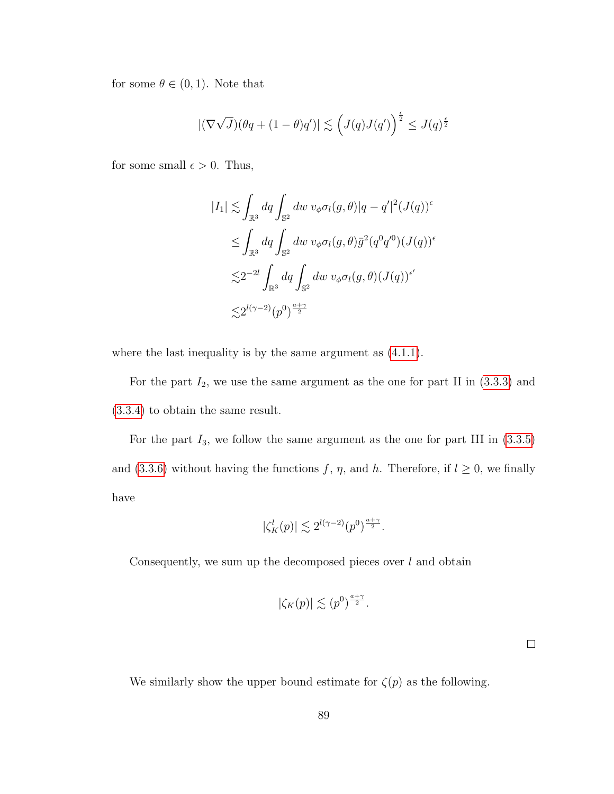for some  $\theta \in (0,1)$ . Note that

$$
|(\nabla \sqrt{J})(\theta q + (1 - \theta)q')| \lesssim \left(J(q)J(q')\right)^{\frac{\epsilon}{2}} \leq J(q)^{\frac{\epsilon}{2}}
$$

for some small  $\epsilon > 0$ . Thus,

$$
|I_1| \lesssim \int_{\mathbb{R}^3} dq \int_{\mathbb{S}^2} dw \ v_{\phi} \sigma_l(g,\theta) |q - q'|^2 (J(q))^{\epsilon}
$$
  

$$
\leq \int_{\mathbb{R}^3} dq \int_{\mathbb{S}^2} dw \ v_{\phi} \sigma_l(g,\theta) \overline{g}^2 (q^0 q'^0) (J(q))^{\epsilon}
$$
  

$$
\lesssim 2^{-2l} \int_{\mathbb{R}^3} dq \int_{\mathbb{S}^2} dw \ v_{\phi} \sigma_l(g,\theta) (J(q))^{\epsilon'}
$$
  

$$
\lesssim 2^{l(\gamma - 2)} (p^0)^{\frac{a + \gamma}{2}}
$$

where the last inequality is by the same argument as  $(4.1.1)$ .

For the part  $I_2$ , we use the same argument as the one for part II in  $(3.3.3)$  and [\(3.3.4\)](#page-55-0) to obtain the same result.

For the part  $I_3$ , we follow the same argument as the one for part III in  $(3.3.5)$ and [\(3.3.6\)](#page-57-0) without having the functions f,  $\eta$ , and h. Therefore, if  $l \geq 0$ , we finally have

$$
|\zeta_K^l(p)| \lesssim 2^{l(\gamma-2)}(p^0)^{\frac{a+\gamma}{2}}.
$$

Consequently, we sum up the decomposed pieces over  $l$  and obtain

$$
|\zeta_K(p)| \lesssim (p^0)^{\frac{a+\gamma}{2}}.
$$

We similarly show the upper bound estimate for  $\zeta(p)$  as the following.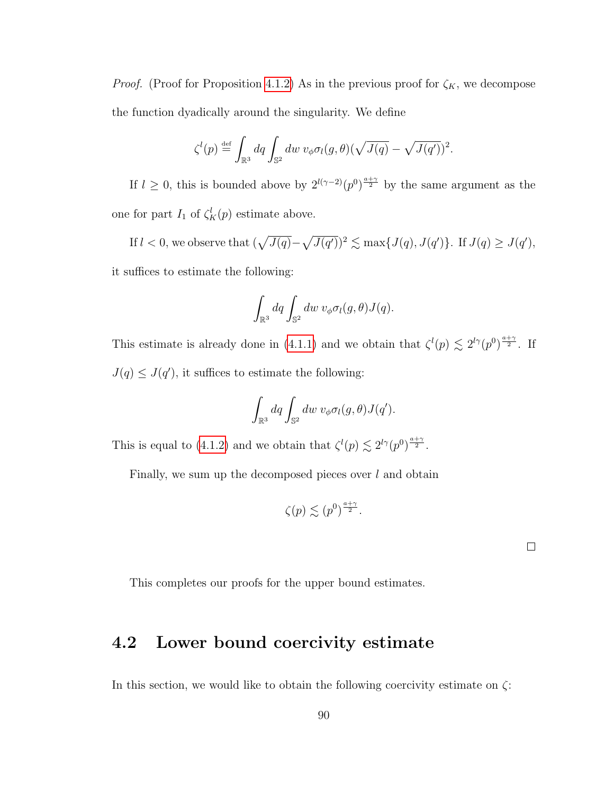*Proof.* (Proof for Proposition [4.1.2\)](#page-92-2) As in the previous proof for  $\zeta_K$ , we decompose the function dyadically around the singularity. We define

$$
\zeta^l(p) \stackrel{\text{def}}{=} \int_{\mathbb{R}^3} dq \int_{\mathbb{S}^2} dw \ v_{\phi} \sigma_l(g,\theta) (\sqrt{J(q)} - \sqrt{J(q')})^2.
$$

If  $l \geq 0$ , this is bounded above by  $2^{l(\gamma-2)}(p^0)^{\frac{a+\gamma}{2}}$  by the same argument as the one for part  $I_1$  of  $\zeta_K^l(p)$  estimate above.

If  $l < 0$ , we observe that  $(\sqrt{J(q)} - \sqrt{J(q')})^2 \lesssim \max\{J(q), J(q')\}$ . If  $J(q) \geq J(q')$ , it suffices to estimate the following:

$$
\int_{\mathbb{R}^3} dq \int_{\mathbb{S}^2} dw \ v_{\phi} \sigma_l(g,\theta) J(q).
$$

This estimate is already done in [\(4.1.1\)](#page-92-1) and we obtain that  $\zeta^l(p) \lesssim 2^{l\gamma}(p^0)^{\frac{a+\gamma}{2}}$ . If  $J(q) \leq J(q')$ , it suffices to estimate the following:

$$
\int_{\mathbb{R}^3} dq \int_{\mathbb{S}^2} dw \ v_{\phi} \sigma_l(g,\theta) J(q').
$$

This is equal to [\(4.1.2\)](#page-93-0) and we obtain that  $\zeta^l(p) \lesssim 2^{l\gamma}(p)^{\frac{a+\gamma}{2}}$ .

Finally, we sum up the decomposed pieces over  $l$  and obtain

$$
\zeta(p) \lesssim (p^0)^{\frac{a+\gamma}{2}}.
$$

|  | This completes our proofs for the upper bound estimates. |  |  |  |  |  |  |  |
|--|----------------------------------------------------------|--|--|--|--|--|--|--|
|--|----------------------------------------------------------|--|--|--|--|--|--|--|

### 4.2 Lower bound coercivity estimate

In this section, we would like to obtain the following coercivity estimate on  $\zeta$ :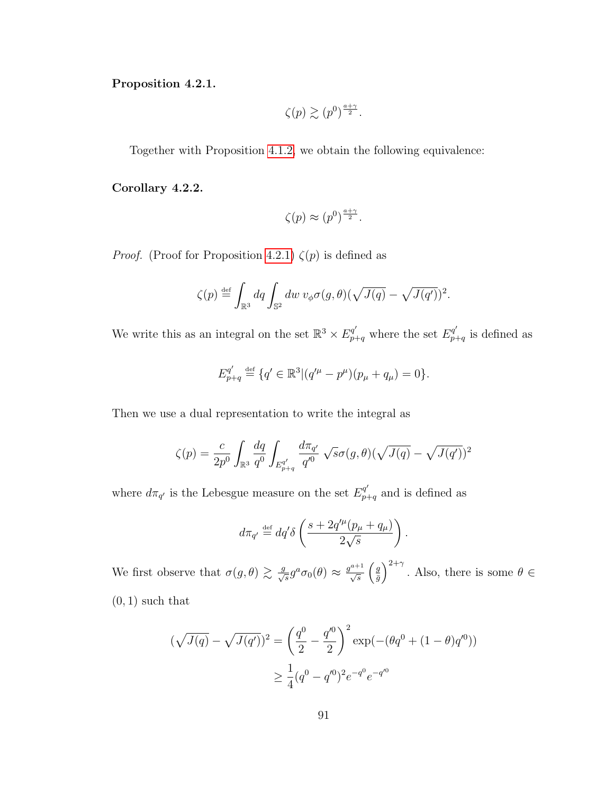<span id="page-97-0"></span>Proposition 4.2.1.

$$
\zeta(p) \gtrsim (p^0)^{\frac{a+\gamma}{2}}.
$$

Together with Proposition [4.1.2,](#page-92-2) we obtain the following equivalence:

Corollary 4.2.2.

$$
\zeta(p) \approx (p^0)^{\frac{a+\gamma}{2}}.
$$

*Proof.* (Proof for Proposition [4.2.1\)](#page-97-0)  $\zeta(p)$  is defined as

$$
\zeta(p) \stackrel{\text{def}}{=} \int_{\mathbb{R}^3} dq \int_{\mathbb{S}^2} dw \ v_{\phi} \sigma(g,\theta) (\sqrt{J(q)} - \sqrt{J(q')})^2.
$$

We write this as an integral on the set  $\mathbb{R}^3 \times E_{p+q}^{q'}$  where the set  $E_{p+q}^{q'}$  $_{p+q}^{q}$  is defined as

$$
E_{p+q}^{q'} \stackrel{\text{def}}{=} \{q' \in \mathbb{R}^3 | (q'^{\mu} - p^{\mu})(p_{\mu} + q_{\mu}) = 0 \}.
$$

Then we use a dual representation to write the integral as

$$
\zeta(p) = \frac{c}{2p^0} \int_{\mathbb{R}^3} \frac{dq}{q^0} \int_{E_{p+q}^{q'}} \frac{d\pi_{q'}}{q'^0} \sqrt{s} \sigma(g,\theta) (\sqrt{J(q)} - \sqrt{J(q')})^2
$$

where  $d\pi_{q'}$  is the Lebesgue measure on the set  $E_{p+q}^{q'}$  and is defined as

$$
d\pi_{q'} \stackrel{\text{def}}{=} dq'\delta\left(\frac{s + 2q'^{\mu}(p_{\mu} + q_{\mu})}{2\sqrt{s}}\right).
$$

We first observe that  $\sigma(g,\theta) \gtrsim \frac{g}{\sqrt{s}} g^a \sigma_0(\theta) \approx \frac{g^{a+1}}{\sqrt{s}} \left( \frac{g}{\overline{g}} \right)$  $\left(\frac{g}{\bar{g}}\right)^{2+\gamma}$ . Also, there is some  $\theta \in$  $(0, 1)$  such that

$$
(\sqrt{J(q)} - \sqrt{J(q')})^2 = \left(\frac{q^0}{2} - \frac{q'^0}{2}\right)^2 \exp(-(\theta q^0 + (1 - \theta)q'^0))
$$

$$
\geq \frac{1}{4}(q^0 - q'^0)^2 e^{-q^0} e^{-q'^0}
$$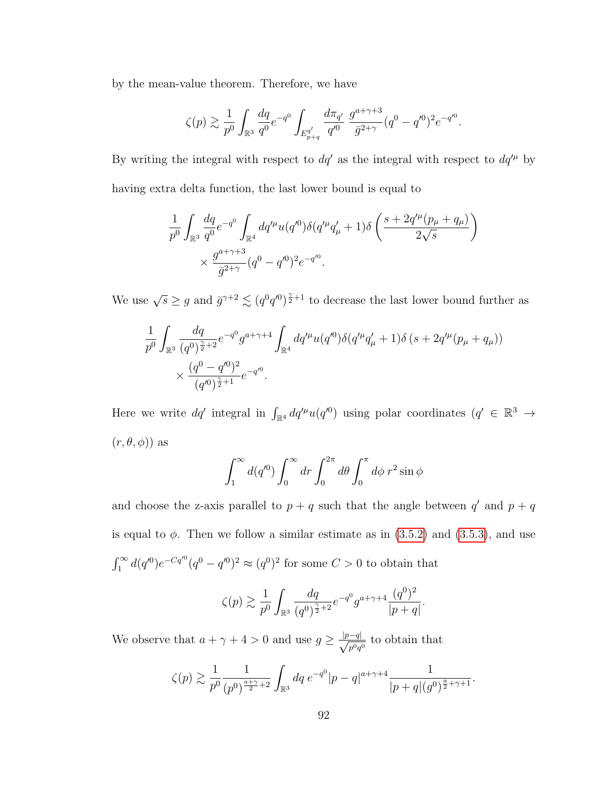by the mean-value theorem. Therefore, we have

$$
\zeta(p) \gtrsim \frac{1}{p^0} \int_{\mathbb{R}^3} \frac{dq}{q^0} e^{-q^0} \int_{E_{p+q}^{q'}} \frac{d\pi_{q'}}{q'^0} \frac{g^{a+\gamma+3}}{\bar{g}^{2+\gamma}} (q^0 - q'^0)^2 e^{-q'^0}.
$$

By writing the integral with respect to  $dq'$  as the integral with respect to  $dq'^{\mu}$  by having extra delta function, the last lower bound is equal to

$$
\frac{1}{p^0} \int_{\mathbb{R}^3} \frac{dq}{q^0} e^{-q^0} \int_{\mathbb{R}^4} dq'^\mu u(q'^0) \delta(q'^\mu q'_\mu + 1) \delta\left(\frac{s + 2q'^\mu (p_\mu + q_\mu)}{2\sqrt{s}}\right) \times \frac{g^{a + \gamma + 3}}{\bar{g}^{2 + \gamma}} (q^0 - q'^0)^2 e^{-q'^0}.
$$

We use  $\sqrt{s} \ge g$  and  $\bar{g}^{\gamma+2} \lesssim (q^0 q'^0)^{\frac{\gamma}{2}+1}$  to decrease the last lower bound further as

$$
\frac{1}{p^0} \int_{\mathbb{R}^3} \frac{dq}{(q^0)^{\frac{\gamma}{2}+2}} e^{-q^0} g^{a+\gamma+4} \int_{\mathbb{R}^4} dq'^\mu u(q'^0) \delta(q'^\mu q'_\mu + 1) \delta(s + 2q'^\mu (p_\mu + q_\mu))
$$
\n
$$
\times \frac{(q^0 - q'^0)^2}{(q'^0)^{\frac{\gamma}{2}+1}} e^{-q'^0}.
$$

Here we write  $dq'$  integral in  $\int_{\mathbb{R}^4} dq'^\mu u(q'^0)$  using polar coordinates  $(q' \in \mathbb{R}^3 \to$  $(r, \theta, \phi)$  as

$$
\int_1^\infty d(q'^0) \int_0^\infty dr \int_0^{2\pi} d\theta \int_0^\pi d\phi \ r^2 \sin \phi
$$

and choose the z-axis parallel to  $p + q$  such that the angle between  $q'$  and  $p + q$ is equal to  $\phi$ . Then we follow a similar estimate as in  $(3.5.2)$  and  $(3.5.3)$ , and use  $\int_1^{\infty} d(q'^0) e^{-Cq'^0} (q^0 - q'^0)^2 \approx (q^0)^2$  for some  $C > 0$  to obtain that

$$
\zeta(p) \gtrsim \frac{1}{p^0} \int_{\mathbb{R}^3} \frac{dq}{(q^0)^{\frac{\gamma}{2}+2}} e^{-q^0} g^{a+\gamma+4} \frac{(q^0)^2}{|p+q|}.
$$

We observe that  $a + \gamma + 4 > 0$  and use  $g \geq \frac{|p-q|}{\sqrt{2}}$  $\frac{q}{p^0q^0}$  to obtain that

$$
\zeta(p) \gtrsim \frac{1}{p^0} \frac{1}{(p^0)^{\frac{a+\gamma}{2}+2}} \int_{\mathbb{R}^3} dq \ e^{-q^0} |p-q|^{a+\gamma+4} \frac{1}{|p+q|(g^0)^{\frac{a}{2}+\gamma+1}}.
$$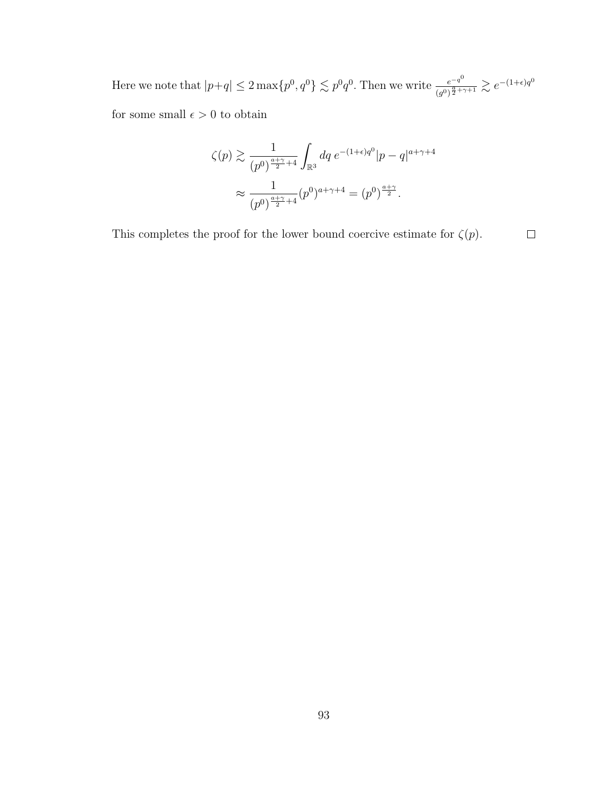Here we note that  $|p+q| \leq 2 \max\{p^0, q^0\} \lesssim p^0 q^0$ . Then we write  $\frac{e^{-q^0}}{(q^0)^{\frac{q}{2}+1}}$  $\frac{e^{-q^0}}{(g^0)^{\frac{a}{2}+\gamma+1}} \gtrsim e^{-(1+\epsilon)q^0}$ for some small  $\epsilon > 0$  to obtain

$$
\zeta(p) \gtrsim \frac{1}{(p^0)^{\frac{a+\gamma}{2}+4}} \int_{\mathbb{R}^3} dq \, e^{-(1+\epsilon)q^0} |p-q|^{a+\gamma+4}
$$

$$
\approx \frac{1}{(p^0)^{\frac{a+\gamma}{2}+4}} (p^0)^{a+\gamma+4} = (p^0)^{\frac{a+\gamma}{2}}.
$$

This completes the proof for the lower bound coercive estimate for  $\zeta(p).$  $\Box$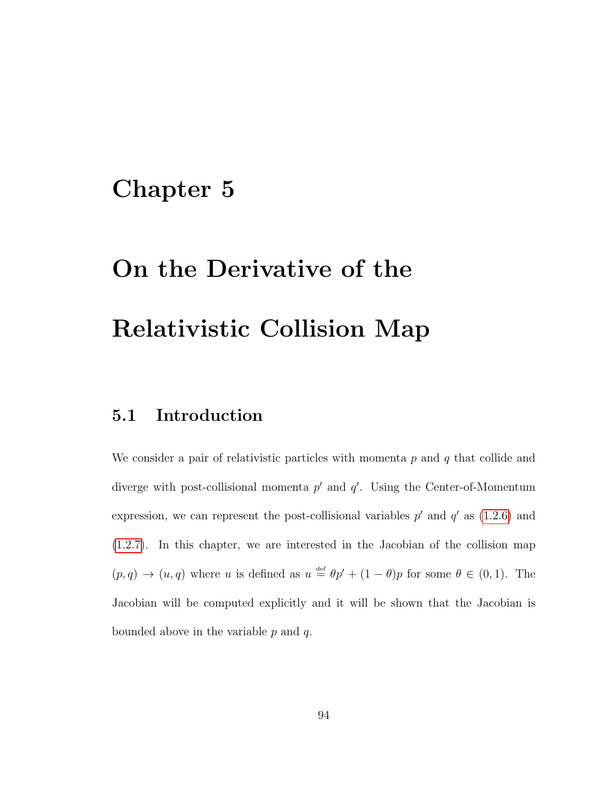## Chapter 5

# On the Derivative of the Relativistic Collision Map

### 5.1 Introduction

We consider a pair of relativistic particles with momenta  $p$  and  $q$  that collide and diverge with post-collisional momenta  $p'$  and  $q'$ . Using the Center-of-Momentum expression, we can represent the post-collisional variables  $p'$  and  $q'$  as [\(1.2.6\)](#page-11-0) and [\(1.2.7\)](#page-11-1). In this chapter, we are interested in the Jacobian of the collision map  $(p,q) \rightarrow (u,q)$  where u is defined as  $u \stackrel{\text{def}}{=} \theta p' + (1-\theta)p$  for some  $\theta \in (0,1)$ . The Jacobian will be computed explicitly and it will be shown that the Jacobian is bounded above in the variable  $p$  and  $q$ .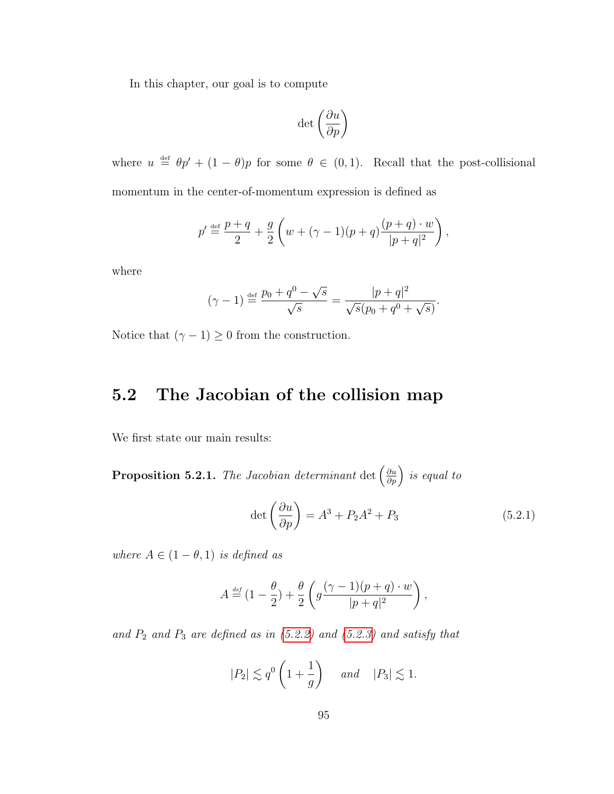In this chapter, our goal is to compute

$$
\det\left(\frac{\partial u}{\partial p}\right)
$$

where  $u \stackrel{\text{def}}{=} \theta p' + (1 - \theta)p$  for some  $\theta \in (0, 1)$ . Recall that the post-collisional momentum in the center-of-momentum expression is defined as

$$
p' \stackrel{\text{def}}{=} \frac{p+q}{2} + \frac{g}{2} \left( w + (\gamma - 1)(p+q) \frac{(p+q) \cdot w}{|p+q|^2} \right),
$$

where

$$
(\gamma - 1) \stackrel{\text{def}}{=} \frac{p_0 + q^0 - \sqrt{s}}{\sqrt{s}} = \frac{|p + q|^2}{\sqrt{s}(p_0 + q^0 + \sqrt{s})}.
$$

Notice that  $(\gamma - 1) \ge 0$  from the construction.

## 5.2 The Jacobian of the collision map

We first state our main results:

<span id="page-101-0"></span>**Proposition 5.2.1.** The Jacobian determinant  $\det\left(\frac{\partial u}{\partial p}\right)$  is equal to

$$
\det\left(\frac{\partial u}{\partial p}\right) = A^3 + P_2 A^2 + P_3 \tag{5.2.1}
$$

where  $A \in (1 - \theta, 1)$  is defined as

$$
A \stackrel{\text{\tiny def}}{=} (1 - \frac{\theta}{2}) + \frac{\theta}{2} \left( g \frac{(\gamma - 1)(p + q) \cdot w}{|p + q|^2} \right),
$$

and  $P_2$  and  $P_3$  are defined as in  $(5.2.2)$  and  $(5.2.3)$  and satisfy that

$$
|P_2| \lesssim q^0 \left(1 + \frac{1}{g}\right) \quad \text{and} \quad |P_3| \lesssim 1.
$$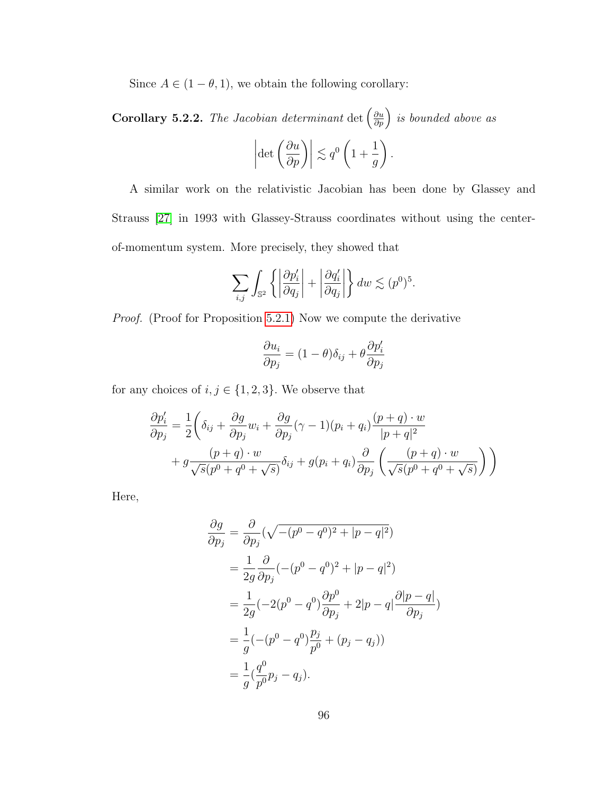Since  $A \in (1 - \theta, 1)$ , we obtain the following corollary:

**Corollary 5.2.2.** The Jacobian determinant  $\det\left(\frac{\partial u}{\partial p}\right)$  is bounded above as  $\begin{array}{c} \begin{array}{c} \begin{array}{c} \end{array} \\ \begin{array}{c} \end{array} \end{array} \end{array}$  $\det\left(\frac{\partial u}{\partial p}\right)\bigg|$  $\lesssim q^0$ 1 + 1 g  $\setminus$ .

A similar work on the relativistic Jacobian has been done by Glassey and Strauss [\[27\]](#page-129-0) in 1993 with Glassey-Strauss coordinates without using the centerof-momentum system. More precisely, they showed that

$$
\sum_{i,j} \int_{\mathbb{S}^2} \left\{ \left| \frac{\partial p'_i}{\partial q_j} \right| + \left| \frac{\partial q'_i}{\partial q_j} \right| \right\} dw \lesssim (p^0)^5.
$$

Proof. (Proof for Proposition [5.2.1\)](#page-101-0) Now we compute the derivative

$$
\frac{\partial u_i}{\partial p_j} = (1 - \theta)\delta_{ij} + \theta \frac{\partial p'_i}{\partial p_j}
$$

for any choices of  $i, j \in \{1, 2, 3\}$ . We observe that

$$
\frac{\partial p'_i}{\partial p_j} = \frac{1}{2} \left( \delta_{ij} + \frac{\partial g}{\partial p_j} w_i + \frac{\partial g}{\partial p_j} (\gamma - 1)(p_i + q_i) \frac{(p+q) \cdot w}{|p+q|^2} + g \frac{(p+q) \cdot w}{\sqrt{s}(p^0 + q^0 + \sqrt{s})} \delta_{ij} + g(p_i + q_i) \frac{\partial}{\partial p_j} \left( \frac{(p+q) \cdot w}{\sqrt{s}(p^0 + q^0 + \sqrt{s})} \right) \right)
$$

Here,

$$
\frac{\partial g}{\partial p_j} = \frac{\partial}{\partial p_j} (\sqrt{-(p^0 - q^0)^2 + |p - q|^2})
$$
  
=  $\frac{1}{2g} \frac{\partial}{\partial p_j} (- (p^0 - q^0)^2 + |p - q|^2)$   
=  $\frac{1}{2g} (-2(p^0 - q^0) \frac{\partial p^0}{\partial p_j} + 2|p - q| \frac{\partial |p - q|}{\partial p_j})$   
=  $\frac{1}{g} (- (p^0 - q^0) \frac{p_j}{p^0} + (p_j - q_j))$   
=  $\frac{1}{g} (\frac{q^0}{p^0} p_j - q_j).$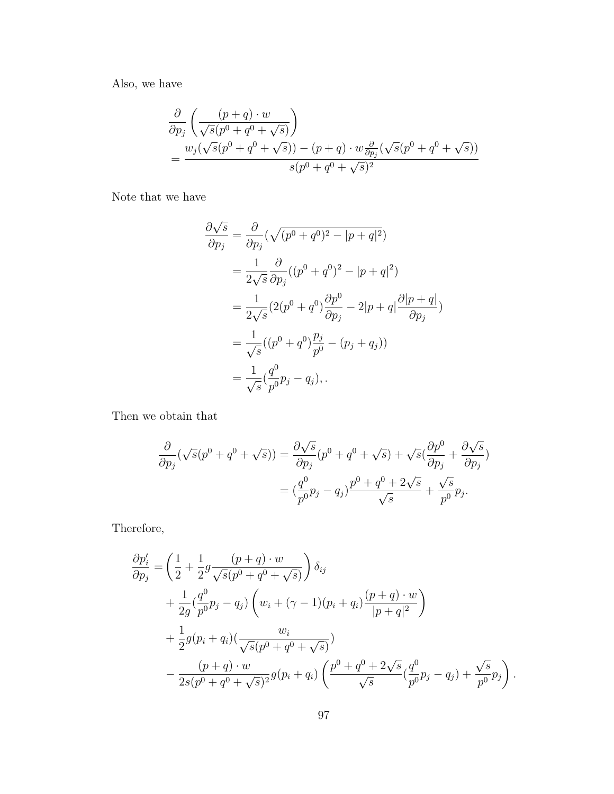Also, we have

$$
\frac{\partial}{\partial p_j} \left( \frac{(p+q) \cdot w}{\sqrt{s}(p^0 + q^0 + \sqrt{s})} \right)
$$
\n
$$
= \frac{w_j(\sqrt{s}(p^0 + q^0 + \sqrt{s})) - (p+q) \cdot w \frac{\partial}{\partial p_j}(\sqrt{s}(p^0 + q^0 + \sqrt{s}))}{s(p^0 + q^0 + \sqrt{s})^2}
$$

Note that we have

$$
\frac{\partial \sqrt{s}}{\partial p_j} = \frac{\partial}{\partial p_j} (\sqrt{(p^0 + q^0)^2 - |p + q|^2})
$$
  
=  $\frac{1}{2\sqrt{s}} \frac{\partial}{\partial p_j} ((p^0 + q^0)^2 - |p + q|^2)$   
=  $\frac{1}{2\sqrt{s}} (2(p^0 + q^0) \frac{\partial p^0}{\partial p_j} - 2|p + q| \frac{\partial |p + q|}{\partial p_j})$   
=  $\frac{1}{\sqrt{s}} ((p^0 + q^0) \frac{p_j}{p^0} - (p_j + q_j))$   
=  $\frac{1}{\sqrt{s}} (\frac{q^0}{p^0} p_j - q_j),$ 

Then we obtain that

$$
\frac{\partial}{\partial p_j}(\sqrt{s}(p^0+q^0+\sqrt{s})) = \frac{\partial\sqrt{s}}{\partial p_j}(p^0+q^0+\sqrt{s}) + \sqrt{s}(\frac{\partial p^0}{\partial p_j} + \frac{\partial\sqrt{s}}{\partial p_j})
$$

$$
= (\frac{q^0}{p^0}p_j - q_j)\frac{p^0+q^0+2\sqrt{s}}{\sqrt{s}} + \frac{\sqrt{s}}{p^0}p_j.
$$

Therefore,

$$
\frac{\partial p'_i}{\partial p_j} = \left(\frac{1}{2} + \frac{1}{2}g\frac{(p+q)\cdot w}{\sqrt{s}(p^0+q^0+\sqrt{s})}\right)\delta_{ij} \n+ \frac{1}{2g}\left(\frac{q^0}{p^0}p_j - q_j\right)\left(w_i + (\gamma - 1)(p_i + q_i)\frac{(p+q)\cdot w}{|p+q|^2}\right) \n+ \frac{1}{2}g(p_i + q_i)\left(\frac{w_i}{\sqrt{s}(p^0+q^0+\sqrt{s})}\right) \n- \frac{(p+q)\cdot w}{2s(p^0+q^0+\sqrt{s})^2}g(p_i + q_i)\left(\frac{p^0+q^0+2\sqrt{s}}{\sqrt{s}}\left(\frac{q^0}{p^0}p_j - q_j\right) + \frac{\sqrt{s}}{p^0}p_j\right).
$$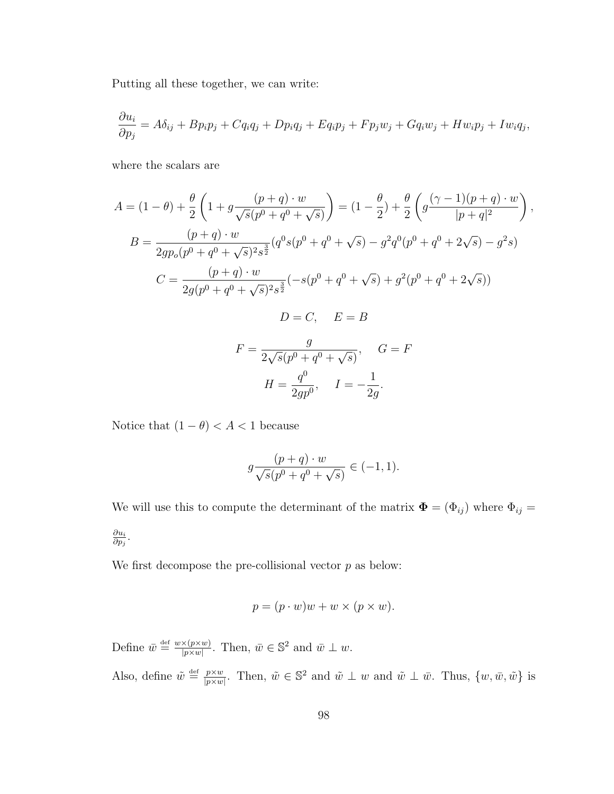Putting all these together, we can write:

$$
\frac{\partial u_i}{\partial p_j} = A\delta_{ij} + Bp_ip_j + Cq_iq_j + Dp_iq_j + Eq_ip_j + Fp_jw_j + Gq_iw_j + Hw_ip_j + Iw_iq_j,
$$

where the scalars are

$$
A = (1 - \theta) + \frac{\theta}{2} \left( 1 + g \frac{(p+q) \cdot w}{\sqrt{s}(p^0 + q^0 + \sqrt{s})} \right) = (1 - \frac{\theta}{2}) + \frac{\theta}{2} \left( g \frac{(\gamma - 1)(p+q) \cdot w}{|p+q|^2} \right),
$$
  
\n
$$
B = \frac{(p+q) \cdot w}{2gp_o(p^0 + q^0 + \sqrt{s})^2 s^{\frac{3}{2}}} (q^0 s(p^0 + q^0 + \sqrt{s}) - g^2 q^0 (p^0 + q^0 + 2\sqrt{s}) - g^2 s)
$$
  
\n
$$
C = \frac{(p+q) \cdot w}{2g(p^0 + q^0 + \sqrt{s})^2 s^{\frac{3}{2}}} (-s(p^0 + q^0 + \sqrt{s}) + g^2 (p^0 + q^0 + 2\sqrt{s}))
$$
  
\n
$$
D = C, \quad E = B
$$
  
\n
$$
F = \frac{g}{2\sqrt{s}(p^0 + q^0 + \sqrt{s})}, \quad G = F
$$
  
\n
$$
H = \frac{q^0}{2gp^0}, \quad I = -\frac{1}{2g}.
$$

Notice that  $(1-\theta) < A < 1$  because

$$
g \frac{(p+q) \cdot w}{\sqrt{s}(p^0 + q^0 + \sqrt{s})} \in (-1, 1).
$$

We will use this to compute the determinant of the matrix  $\mathbf{\Phi} = (\Phi_{ij})$  where  $\Phi_{ij} =$  $\partial u_i$  $\frac{\partial u_i}{\partial p_j}.$ 

We first decompose the pre-collisional vector  $p$  as below:

$$
p = (p \cdot w)w + w \times (p \times w).
$$

Define  $\bar{w} \stackrel{\text{def}}{=} \frac{w \times (p \times w)}{|w \times w|}$  $\frac{\partial \times (p \times w)}{\partial |p \times w|}$ . Then,  $\bar{w} \in \mathbb{S}^2$  and  $\bar{w} \perp w$ .

Also, define  $\tilde{w} \stackrel{\text{def}}{=} \frac{p \times w}{|w \times w}$  $\frac{p \times w}{p \times w}$ . Then,  $\tilde{w} \in \mathbb{S}^2$  and  $\tilde{w} \perp w$  and  $\tilde{w} \perp \bar{w}$ . Thus,  $\{w, \bar{w}, \tilde{w}\}$  is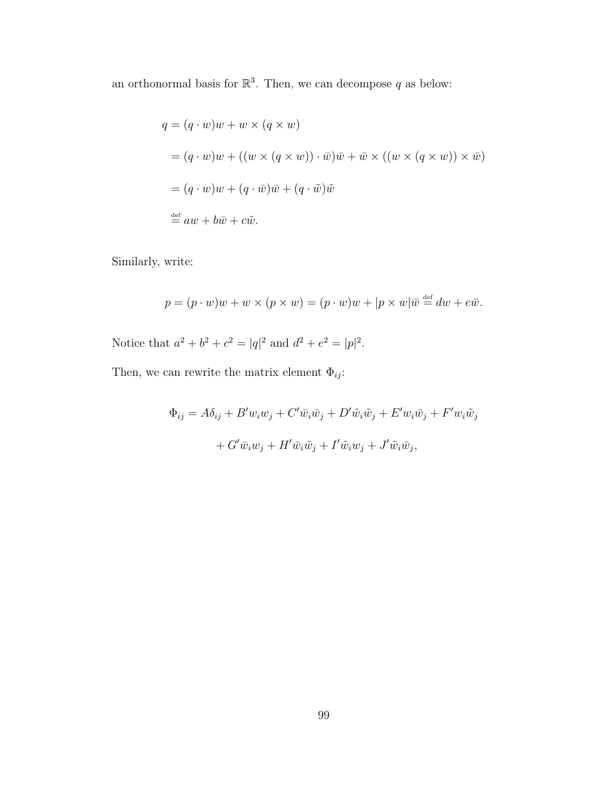an orthonormal basis for  $\mathbb{R}^3$ . Then, we can decompose q as below:

$$
q = (q \cdot w)w + w \times (q \times w)
$$
  
=  $(q \cdot w)w + ((w \times (q \times w)) \cdot \overline{w})\overline{w} + \overline{w} \times ((w \times (q \times w)) \times \overline{w})$   
=  $(q \cdot w)w + (q \cdot \overline{w})\overline{w} + (q \cdot \tilde{w})\tilde{w}$   
 $\stackrel{\text{def}}{=} aw + b\overline{w} + c\tilde{w}.$ 

Similarly, write:

$$
p = (p \cdot w)w + w \times (p \times w) = (p \cdot w)w + |p \times w|\overline{w} \stackrel{\text{def}}{=} dw + e\overline{w}.
$$

Notice that  $a^2 + b^2 + c^2 = |q|^2$  and  $d^2 + e^2 = |p|^2$ .

Then, we can rewrite the matrix element  $\Phi_{ij} \colon$ 

 $\Phi_{ij} = A\delta_{ij} + B'w_iw_j + C'\bar{w}_i\bar{w}_j + D'\tilde{w}_i\tilde{w}_j + E'w_i\bar{w}_j + F'w_i\tilde{w}_j$  $+ G' \bar{w}_i w_j + H' \bar{w}_i \tilde{w}_j + I' \tilde{w}_i w_j + J' \tilde{w}_i \bar{w}_j,$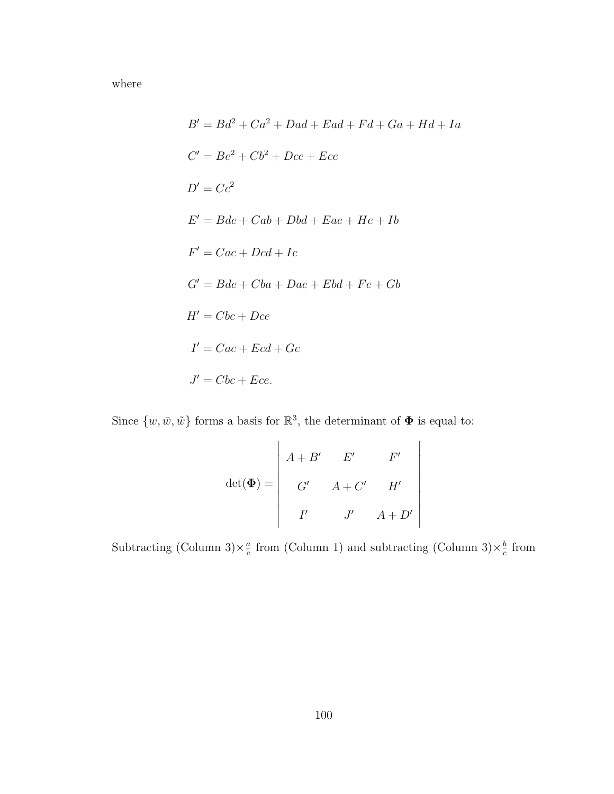where

$$
B' = Bd^2 + Ca^2 + Dad + Ead + Fd + Ga + Hd + Ia
$$
  
\n
$$
C' = Be^2 + Cb^2 + Dec + Ece
$$
  
\n
$$
D' = Cc^2
$$
  
\n
$$
E' = Bde + Cab + Dbd + Eae + He + Ib
$$
  
\n
$$
F' = Cac + Dcd + Ic
$$
  
\n
$$
G' = Bde + Cba + Dae + Ebd + Fe + Gb
$$
  
\n
$$
H' = Cbc + Dce
$$
  
\n
$$
I' = Cac + Ecd + Gc
$$
  
\n
$$
J' = Cbc + Ece.
$$

Since  $\{w, \bar{w}, \tilde{w}\}\)$  forms a basis for  $\mathbb{R}^3$ , the determinant of  $\Phi$  is equal to:

$$
\det(\Phi) = \begin{vmatrix} A+B' & E' & F' \\ G' & A+C' & H' \\ I' & J' & A+D' \end{vmatrix}
$$

 

 $\overline{\phantom{a}}$ 

Subtracting (Column 3) $\times \frac{a}{c}$  $\frac{a}{c}$  from (Column 1) and subtracting (Column 3) $\times \frac{b}{c}$  $\frac{b}{c}$  from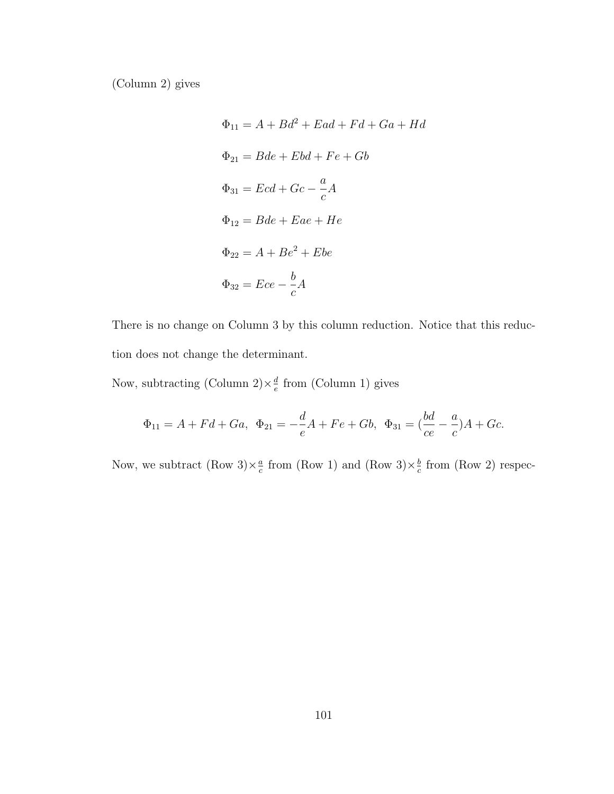(Column 2) gives

$$
\Phi_{11} = A + Bd^2 + Ead + Fd + Ga + Hd
$$
  
\n
$$
\Phi_{21} = Bde + Ebd + Fe + Gb
$$
  
\n
$$
\Phi_{31} = Ecd + Gc - \frac{a}{c}A
$$
  
\n
$$
\Phi_{12} = Bde + Eae + He
$$
  
\n
$$
\Phi_{22} = A + Be^2 + Ebe
$$
  
\n
$$
\Phi_{32} = Ece - \frac{b}{c}A
$$

There is no change on Column 3 by this column reduction. Notice that this reduction does not change the determinant.

Now, subtracting (Column 2) $\times \frac{d}{e}$  $\frac{d}{e}$  from (Column 1) gives

$$
\Phi_{11} = A + Fd + Ga, \quad \Phi_{21} = -\frac{d}{e}A + Fe + Gb, \quad \Phi_{31} = (\frac{bd}{ce} - \frac{a}{c})A + Gc.
$$

Now, we subtract  $(\text{Row } 3) \times \frac{a}{c}$  $\frac{a}{c}$  from (Row 1) and (Row 3) $\times \frac{b}{c}$  $\frac{b}{c}$  from (Row 2) respec-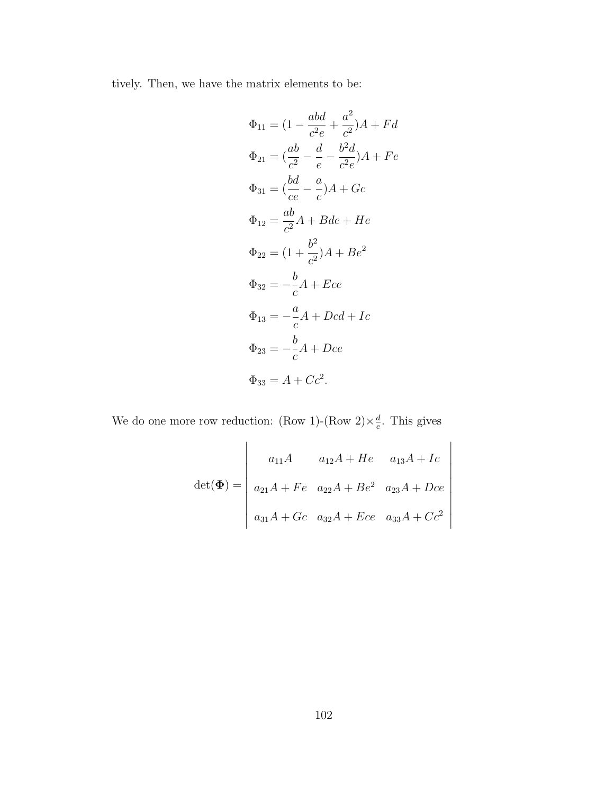tively. Then, we have the matrix elements to be:

$$
\Phi_{11} = (1 - \frac{abd}{c^2 e} + \frac{a^2}{c^2})A + Fd
$$
  
\n
$$
\Phi_{21} = (\frac{ab}{c^2} - \frac{d}{e} - \frac{b^2 d}{c^2 e})A + Fe
$$
  
\n
$$
\Phi_{31} = (\frac{bd}{ce} - \frac{a}{c})A + Gc
$$
  
\n
$$
\Phi_{12} = \frac{ab}{c^2}A + Bde + He
$$
  
\n
$$
\Phi_{22} = (1 + \frac{b^2}{c^2})A + Be^2
$$
  
\n
$$
\Phi_{32} = -\frac{b}{c}A + Ece
$$
  
\n
$$
\Phi_{13} = -\frac{a}{c}A + Dcd + Ic
$$
  
\n
$$
\Phi_{23} = -\frac{b}{c}A + Dce
$$
  
\n
$$
\Phi_{33} = A + Cc^2.
$$

We do one more row reduction: (Row 1)-(Row 2) $\times \frac{d}{a}$  $\frac{d}{e}$ . This gives

$$
det(\Phi) = \begin{vmatrix} a_{11}A & a_{12}A + He & a_{13}A + Ic \\ a_{21}A + Fe & a_{22}A + Be^2 & a_{23}A + Dce \\ a_{31}A + Gc & a_{32}A + Ece & a_{33}A + Cc^2 \end{vmatrix}
$$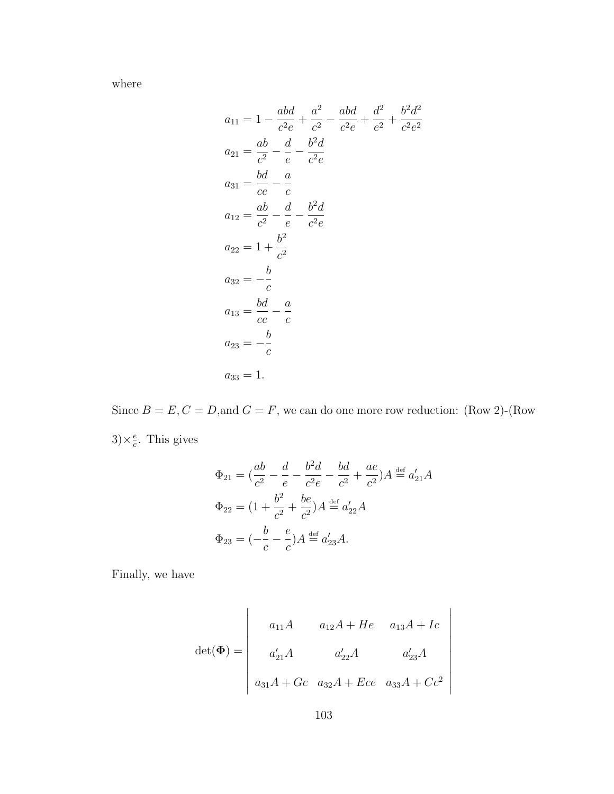where

$$
a_{11} = 1 - \frac{abd}{c^2 e} + \frac{a^2}{c^2} - \frac{abd}{c^2 e} + \frac{d^2}{e^2} + \frac{b^2 d^2}{c^2 e^2}
$$
  
\n
$$
a_{21} = \frac{ab}{c^2} - \frac{d}{e} - \frac{b^2 d}{c^2 e}
$$
  
\n
$$
a_{31} = \frac{bd}{ce} - \frac{a}{c}
$$
  
\n
$$
a_{12} = \frac{ab}{c^2} - \frac{d}{e} - \frac{b^2 d}{c^2 e}
$$
  
\n
$$
a_{22} = 1 + \frac{b^2}{c^2}
$$
  
\n
$$
a_{32} = -\frac{b}{c}
$$
  
\n
$$
a_{13} = \frac{bd}{ce} - \frac{a}{c}
$$
  
\n
$$
a_{23} = -\frac{b}{c}
$$
  
\n
$$
a_{33} = 1.
$$

Since  $B = E, C = D$ , and  $G = F$ , we can do one more row reduction: (Row 2)-(Row  $3) \times \frac{e}{e}$  $\frac{e}{c}$ . This gives

$$
\Phi_{21} = \left(\frac{ab}{c^2} - \frac{d}{e} - \frac{b^2d}{c^2e} - \frac{bd}{c^2} + \frac{ae}{c^2}\right)A \stackrel{\text{def}}{=} a'_{21}A
$$
  
\n
$$
\Phi_{22} = \left(1 + \frac{b^2}{c^2} + \frac{be}{c^2}\right)A \stackrel{\text{def}}{=} a'_{22}A
$$
  
\n
$$
\Phi_{23} = \left(-\frac{b}{c} - \frac{e}{c}\right)A \stackrel{\text{def}}{=} a'_{23}A.
$$

Finally, we have

$$
det(\Phi) = \begin{vmatrix} a_{11}A & a_{12}A + He & a_{13}A + Ic \\ a'_{21}A & a'_{22}A & a'_{23}A \\ a_{31}A + Gc & a_{32}A + Ece & a_{33}A + Cc^2 \end{vmatrix}
$$

 $\overline{\phantom{a}}$  $\overline{\phantom{a}}$  $\overline{\phantom{a}}$  $\overline{\phantom{a}}$  $\overline{\phantom{a}}$  $\overline{\phantom{a}}$  $\overline{\phantom{a}}$  $\Big\}$  $\Big\}$  $\overline{\phantom{a}}$  $\overline{\phantom{a}}$  $\vert$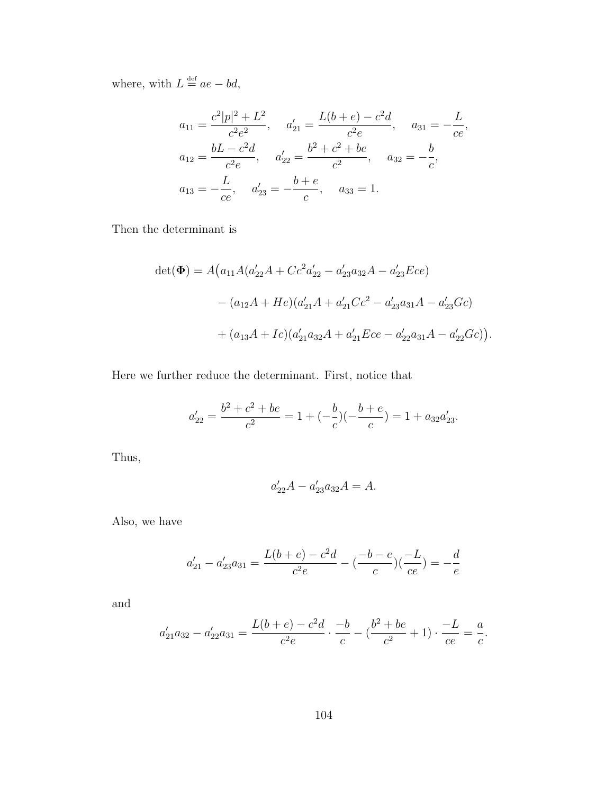where, with  $L \stackrel{\text{def}}{=} ae - bd$ ,

$$
a_{11} = \frac{c^2|p|^2 + L^2}{c^2e^2}, \quad a'_{21} = \frac{L(b+e) - c^2d}{c^2e}, \quad a_{31} = -\frac{L}{ce},
$$
  
\n
$$
a_{12} = \frac{bL - c^2d}{c^2e}, \quad a'_{22} = \frac{b^2 + c^2 + be}{c^2}, \quad a_{32} = -\frac{b}{c},
$$
  
\n
$$
a_{13} = -\frac{L}{ce}, \quad a'_{23} = -\frac{b+e}{c}, \quad a_{33} = 1.
$$

Then the determinant is

$$
det(\Phi) = A(a_{11}A(a'_{22}A + Cc^2a'_{22} - a'_{23}a_{32}A - a'_{23}Ece)
$$

$$
-(a_{12}A + He)(a'_{21}A + a'_{21}Ce^2 - a'_{23}a_{31}A - a'_{23}Ge)
$$

$$
+(a_{13}A + Ic)(a'_{21}a_{32}A + a'_{21}Ece - a'_{22}a_{31}A - a'_{22}Ge)).
$$

Here we further reduce the determinant. First, notice that

$$
a'_{22} = \frac{b^2 + c^2 + be}{c^2} = 1 + (-\frac{b}{c})(-\frac{b+e}{c}) = 1 + a_{32}a'_{23}.
$$

Thus,

$$
a'_{22}A - a'_{23}a_{32}A = A.
$$

Also, we have

$$
a_{21}'-a_{23}'a_{31}=\frac{L(b+e)-c^2d}{c^2e}-(\frac{-b-e}{c})(\frac{-L}{ce})=-\frac{d}{e}
$$

and

$$
a'_{21}a_{32} - a'_{22}a_{31} = \frac{L(b+e) - c^2d}{c^2e} \cdot \frac{-b}{c} - (\frac{b^2 + be}{c^2} + 1) \cdot \frac{-L}{ce} = \frac{a}{c}.
$$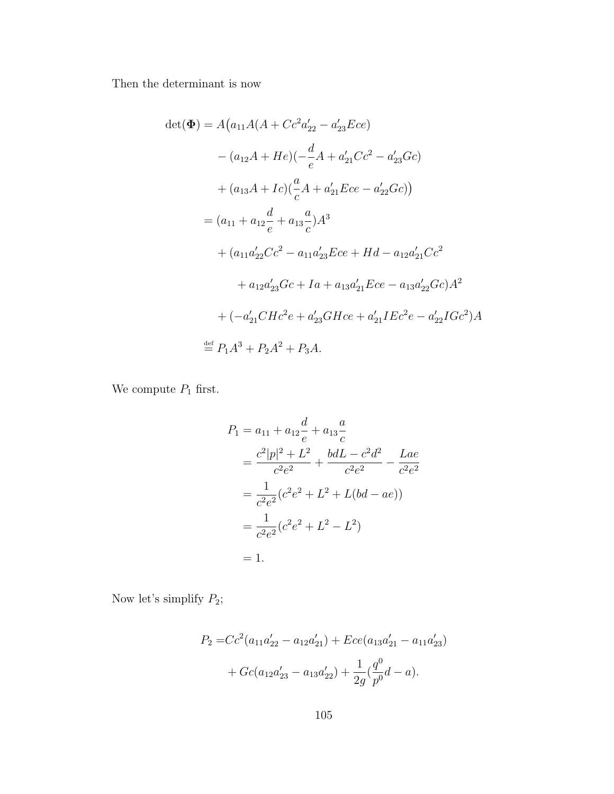Then the determinant is now

$$
det(\Phi) = A(a_{11}A(A + Cc^2 a'_{22} - a'_{23}Ece)
$$
  
\n
$$
- (a_{12}A + He)(-\frac{d}{e}A + a'_{21}Cc^2 - a'_{23}Gc)
$$
  
\n
$$
+ (a_{13}A + Ic)(\frac{a}{c}A + a'_{21}Ece - a'_{22}Gc)
$$
  
\n
$$
= (a_{11} + a_{12}\frac{d}{e} + a_{13}\frac{a}{c})A^3
$$
  
\n
$$
+ (a_{11}a'_{22}Cc^2 - a_{11}a'_{23}Ece + Hd - a_{12}a'_{21}Cc^2
$$
  
\n
$$
+ a_{12}a'_{23}Gc + Ia + a_{13}a'_{21}Ece - a_{13}a'_{22}Gc)A^2
$$
  
\n
$$
+ (-a'_{21}CHc^2e + a'_{23}GHce + a'_{21}IEc^2e - a'_{22}IGc^2)A
$$
  
\n
$$
\stackrel{\text{def}}{=} P_1A^3 + P_2A^2 + P_3A.
$$

We compute  $P_1$  first.

$$
P_1 = a_{11} + a_{12} \frac{d}{e} + a_{13} \frac{a}{c}
$$
  
=  $\frac{c^2 |p|^2 + L^2}{c^2 e^2} + \frac{bdL - c^2 d^2}{c^2 e^2} - \frac{Lae}{c^2 e^2}$   
=  $\frac{1}{c^2 e^2} (c^2 e^2 + L^2 + L(bd - ae))$   
=  $\frac{1}{c^2 e^2} (c^2 e^2 + L^2 - L^2)$   
= 1.

Now let's simplify  $P_2$ ;

$$
P_2 = Cc^2(a_{11}a'_{22} - a_{12}a'_{21}) + Ece(a_{13}a'_{21} - a_{11}a'_{23})
$$

$$
+ Gc(a_{12}a'_{23} - a_{13}a'_{22}) + \frac{1}{2g}(\frac{q^0}{p^0}d - a).
$$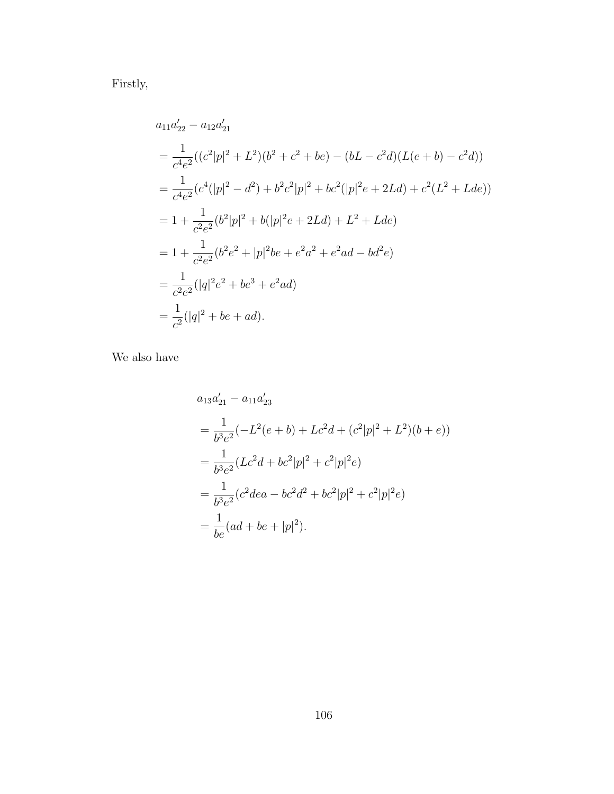Firstly,

$$
a_{11}a'_{22} - a_{12}a'_{21}
$$
  
=  $\frac{1}{c^4e^2}((c^2|p|^2 + L^2)(b^2 + c^2 + be) - (bL - c^2d)(L(e + b) - c^2d))$   
=  $\frac{1}{c^4e^2}(c^4(|p|^2 - d^2) + b^2c^2|p|^2 + bc^2(|p|^2e + 2Ld) + c^2(L^2 + Lde))$   
=  $1 + \frac{1}{c^2e^2}(b^2|p|^2 + b(|p|^2e + 2Ld) + L^2 + Lde)$   
=  $1 + \frac{1}{c^2e^2}(b^2e^2 + |p|^2be + e^2a^2 + e^2ad - bd^2e)$   
=  $\frac{1}{c^2e^2}(|q|^2e^2 + be^3 + e^2ad)$   
=  $\frac{1}{c^2}(|q|^2 + be + ad)$ .

We also have

$$
a_{13}a'_{21} - a_{11}a'_{23}
$$
  
=  $\frac{1}{b^3e^2}(-L^2(e+b) + Lc^2d + (c^2|p|^2 + L^2)(b+e))$   
=  $\frac{1}{b^3e^2}(Lc^2d + bc^2|p|^2 + c^2|p|^2e)$   
=  $\frac{1}{b^3e^2}(c^2dea - bc^2d^2 + bc^2|p|^2 + c^2|p|^2e)$   
=  $\frac{1}{be}(ad + be + |p|^2).$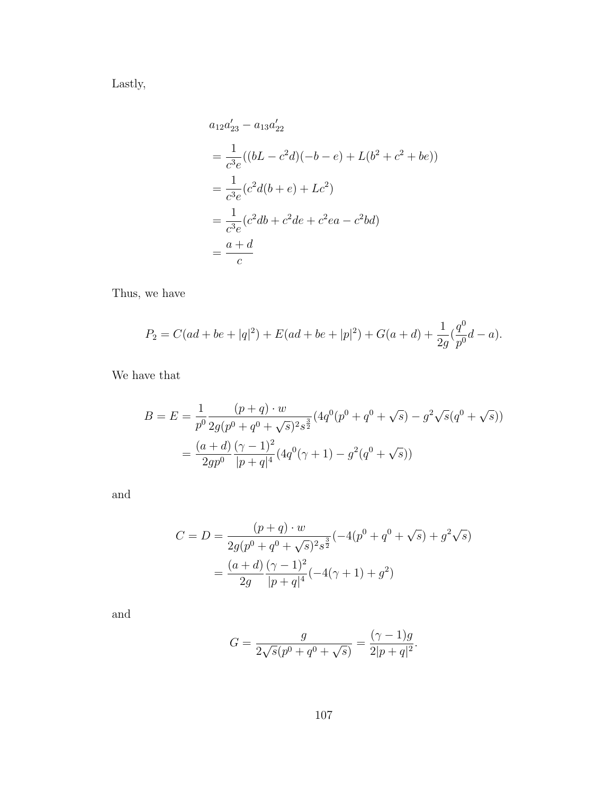Lastly,

$$
a_{12}a'_{23} - a_{13}a'_{22}
$$
  
=  $\frac{1}{c^3e}((bL - c^2d)(-b - e) + L(b^2 + c^2 + be))$   
=  $\frac{1}{c^3e}(c^2d(b + e) + Lc^2)$   
=  $\frac{1}{c^3e}(c^2db + c^2de + c^2ea - c^2bd)$   
=  $\frac{a + d}{c}$ 

Thus, we have

$$
P_2 = C(ad + be + |q|^2) + E(ad + be + |p|^2) + G(a + d) + \frac{1}{2g}(\frac{q^0}{p^0}d - a).
$$

We have that

$$
B = E = \frac{1}{p^0} \frac{(p+q) \cdot w}{2g(p^0 + q^0 + \sqrt{s})^2 s^{\frac{3}{2}}} (4q^0(p^0 + q^0 + \sqrt{s}) - g^2 \sqrt{s} (q^0 + \sqrt{s}))
$$
  
= 
$$
\frac{(a+d)}{2gp^0} \frac{(\gamma - 1)^2}{|p+q|^4} (4q^0(\gamma + 1) - g^2(q^0 + \sqrt{s}))
$$

and

$$
C = D = \frac{(p+q) \cdot w}{2g(p^0 + q^0 + \sqrt{s})^2 s^{\frac{3}{2}}} (-4(p^0 + q^0 + \sqrt{s}) + g^2 \sqrt{s})
$$

$$
= \frac{(a+d)}{2g} \frac{(\gamma - 1)^2}{|p+q|^4} (-4(\gamma + 1) + g^2)
$$

and

$$
G = \frac{g}{2\sqrt{s}(p^0 + q^0 + \sqrt{s})} = \frac{(\gamma - 1)g}{2|p + q|^2}.
$$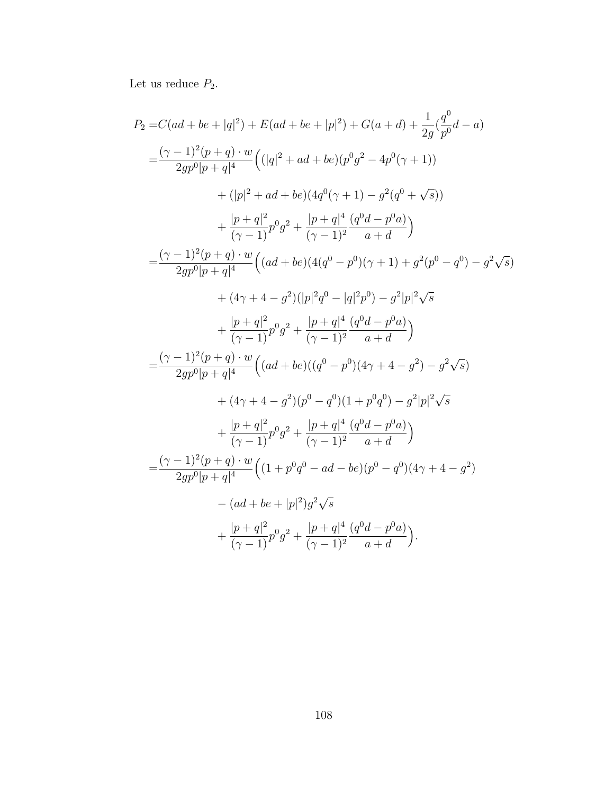Let us reduce  $P_2$ .

$$
P_2 = C(ad + be + |q|^2) + E(ad + be + |p|^2) + G(a + d) + \frac{1}{2g}(\frac{q^0}{p^0}d - a)
$$
  
\n
$$
= \frac{(\gamma - 1)^2(p+q) \cdot w}{2gp^0[p+q]^4} ((|q|^2 + ad + be)(p^0g^2 - 4p^0(\gamma + 1))
$$
  
\n
$$
+ (|p|^2 + ad + be)(4q^0(\gamma + 1) - g^2(q^0 + \sqrt{s}))
$$
  
\n
$$
+ \frac{|p+q|^2}{(\gamma - 1)}p^0g^2 + \frac{|p+q|^4}{(\gamma - 1)^2}\frac{(q^0d - p^0a)}{a + d})
$$
  
\n
$$
= \frac{(\gamma - 1)^2(p+q) \cdot w}{2gp^0[p+q]^4} ((ad + be)(4(q^0 - p^0)(\gamma + 1) + g^2(p^0 - q^0) - g^2\sqrt{s})
$$
  
\n
$$
+ (4\gamma + 4 - g^2)(|p|^2q^0 - |q|^2p^0) - g^2|p|^2\sqrt{s}
$$
  
\n
$$
+ \frac{|p+q|^2}{(\gamma - 1)}p^0g^2 + \frac{|p+q|^4}{(\gamma - 1)^2}\frac{(q^0d - p^0a)}{a + d})
$$
  
\n
$$
= \frac{(\gamma - 1)^2(p+q) \cdot w}{2gp^0[p+q]^4} ((ad + be)((q^0 - p^0)(4\gamma + 4 - g^2) - g^2\sqrt{s})
$$
  
\n
$$
+ (4\gamma + 4 - g^2)(p^0 - q^0)(1 + p^0q^0) - g^2|p|^2\sqrt{s}
$$
  
\n
$$
+ \frac{|p+q|^2}{(\gamma - 1)}p^0g^2 + \frac{|p+q|^4}{(\gamma - 1)^2}\frac{(q^0d - p^0a)}{a + d})
$$
  
\n
$$
= \frac{(\gamma - 1)^2(p+q) \cdot w}{2gp^0[p+q]^4} ((1 + p^0q^0 - ad - be)(p^0 - q^0)(4\gamma + 4 - g^2)
$$
  
\n
$$
- (ad + be + |p|^2)g^2\sqrt{s}
$$
  
\n
$$
+ \frac{|p+q|^2}{(\
$$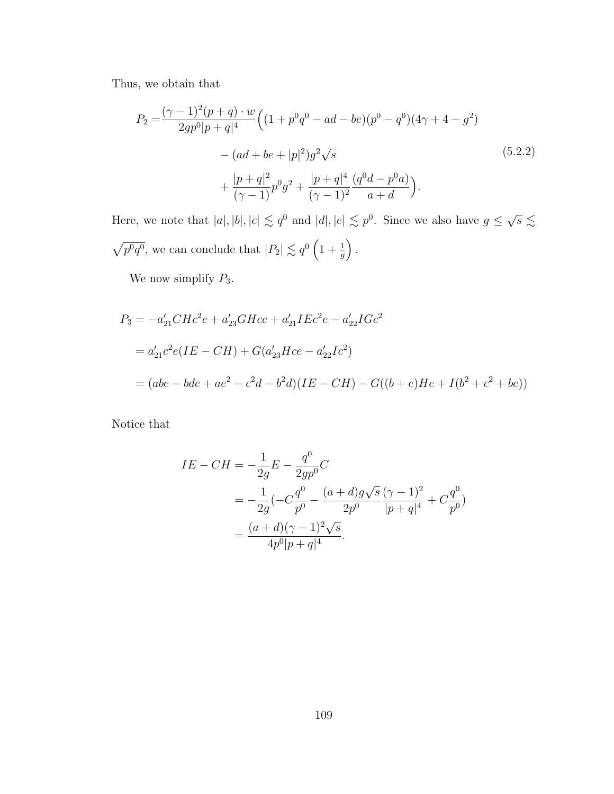Thus, we obtain that

$$
P_2 = \frac{(\gamma - 1)^2 (p + q) \cdot w}{2gp^0 |p + q|^4} \left( (1 + p^0 q^0 - ad - be)(p^0 - q^0)(4\gamma + 4 - g^2) \right.- (ad + be + |p|^2) g^2 \sqrt{s} + \frac{|p + q|^2}{(\gamma - 1)} p^0 g^2 + \frac{|p + q|^4}{(\gamma - 1)^2} \frac{(q^0 d - p^0 a)}{a + d} \right).
$$
(5.2.2)

Here, we note that  $|a|, |b|, |c| \leq q^0$  and  $|d|, |e| \leq p^0$ . Since we also have  $g \leq$  $\sqrt{s}$  $\lesssim$  $\sqrt{p^0q^0}$ , we can conclude that  $|P_2| \lesssim q^0 \left(1 + \frac{1}{g}\right)$ .

We now simplify  $P_3$ .

$$
P_3 = -a'_{21}CHc^2e + a'_{23}GHce + a'_{21}IEc^2e - a'_{22}IGc^2
$$
  
=  $a'_{21}c^2e(IE - CH) + G(a'_{23}Hce - a'_{22}Ic^2)$   
=  $(abe - bde + ae^2 - c^2d - b^2d)(IE - CH) - G((b + e)He + I(b^2 + c^2 + be))$ 

Notice that

$$
IE - CH = -\frac{1}{2g}E - \frac{q^0}{2gp^0}C
$$
  
=  $-\frac{1}{2g}(-C\frac{q^0}{p^0} - \frac{(a+d)g\sqrt{s}}{2p^0} \frac{(\gamma-1)^2}{|p+q|^4} + C\frac{q^0}{p^0})$   
=  $\frac{(a+d)(\gamma-1)^2\sqrt{s}}{4p^0|p+q|^4}.$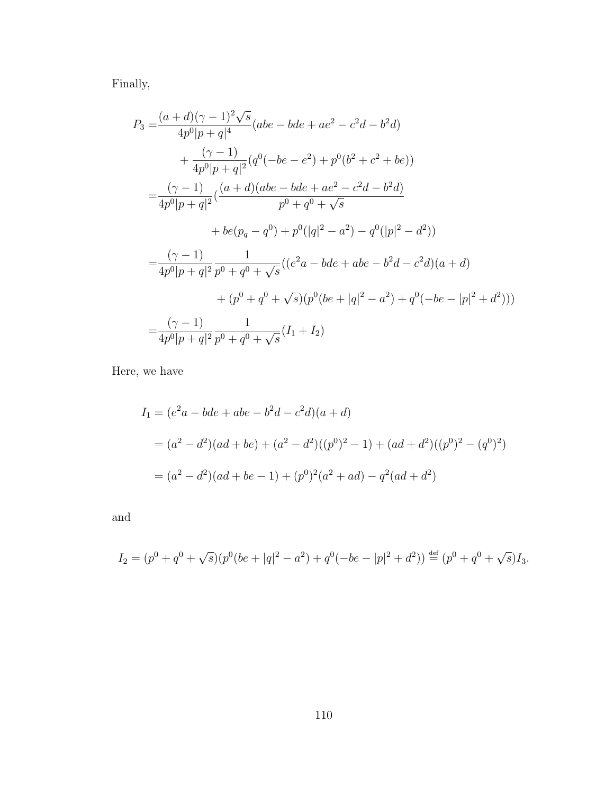Finally,

$$
P_3 = \frac{(a+d)(\gamma - 1)^2 \sqrt{s}}{4p^0|p+q|^4} (abe - bde + ae^2 - c^2d - b^2d)
$$
  
+ 
$$
\frac{(\gamma - 1)}{4p^0|p+q|^2} (q^0(-be - e^2) + p^0(b^2 + c^2 + be))
$$
  
= 
$$
\frac{(\gamma - 1)}{4p^0|p+q|^2} (\frac{(a+d)(abe - bde + ae^2 - c^2d - b^2d)}{p^0 + q^0 + \sqrt{s}}
$$
  
+ 
$$
be(p_q - q^0) + p^0(|q|^2 - a^2) - q^0(|p|^2 - d^2))
$$
  
= 
$$
\frac{(\gamma - 1)}{4p^0|p+q|^2} \frac{1}{p^0 + q^0 + \sqrt{s}} ((e^2a - bde + abe - b^2d - c^2d)(a + d)
$$
  
+ 
$$
(p^0 + q^0 + \sqrt{s})(p^0(be + |q|^2 - a^2) + q^0(-be - |p|^2 + d^2)))
$$
  
= 
$$
\frac{(\gamma - 1)}{4p^0|p+q|^2} \frac{1}{p^0 + q^0 + \sqrt{s}} (I_1 + I_2)
$$

Here, we have

$$
I_1 = (e^2a - bde + abe - b^2d - c^2d)(a + d)
$$
  
=  $(a^2 - d^2)(ad + be) + (a^2 - d^2)((p^0)^2 - 1) + (ad + d^2)((p^0)^2 - (q^0)^2)$   
=  $(a^2 - d^2)(ad + be - 1) + (p^0)^2(a^2 + ad) - q^2(ad + d^2)$ 

and

$$
I_2 = (p^0 + q^0 + \sqrt{s})(p^0(be + |q|^2 - a^2) + q^0(-be - |p|^2 + d^2)) \stackrel{\text{def}}{=} (p^0 + q^0 + \sqrt{s})I_3.
$$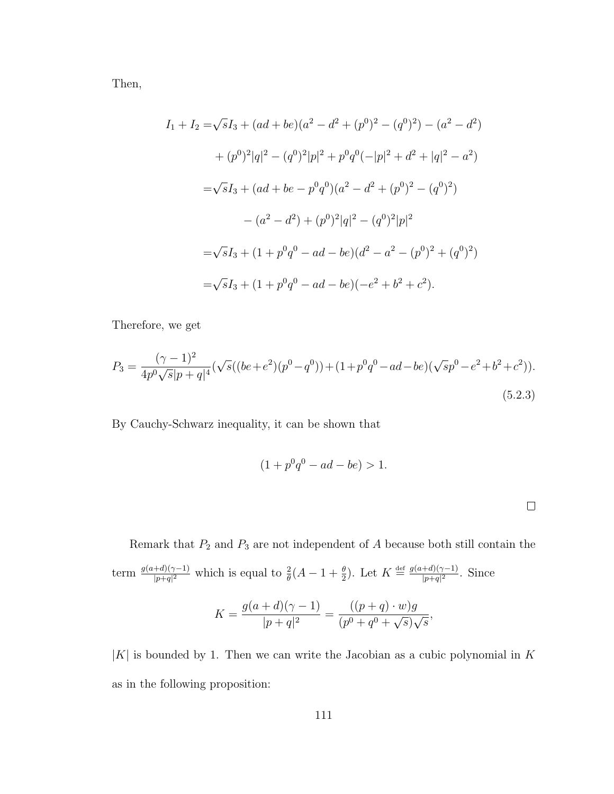Then,

$$
I_1 + I_2 = \sqrt{s}I_3 + (ad + be)(a^2 - d^2 + (p^0)^2 - (q^0)^2) - (a^2 - d^2)
$$
  
+  $(p^0)^2|q|^2 - (q^0)^2|p|^2 + p^0q^0(-|p|^2 + d^2 + |q|^2 - a^2)$   
=  $\sqrt{s}I_3 + (ad + be - p^0q^0)(a^2 - d^2 + (p^0)^2 - (q^0)^2)$   
 $- (a^2 - d^2) + (p^0)^2|q|^2 - (q^0)^2|p|^2$   
=  $\sqrt{s}I_3 + (1 + p^0q^0 - ad - be)(d^2 - a^2 - (p^0)^2 + (q^0)^2)$   
=  $\sqrt{s}I_3 + (1 + p^0q^0 - ad - be)(-e^2 + b^2 + c^2).$ 

Therefore, we get

$$
P_3 = \frac{(\gamma - 1)^2}{4p^0\sqrt{s}|p+q|^4} (\sqrt{s}((be + e^2)(p^0 - q^0)) + (1 + p^0q^0 - ad - be)(\sqrt{s}p^0 - e^2 + b^2 + c^2)).
$$
\n(5.2.3)

By Cauchy-Schwarz inequality, it can be shown that

$$
(1 + p0q0 - ad - be) > 1.
$$

Remark that  $P_2$  and  $P_3$  are not independent of A because both still contain the term  $\frac{g(a+d)(\gamma-1)}{|p+q|^2}$  which is equal to  $\frac{2}{\theta}(A-1+\frac{\theta}{2})$ . Let  $K \stackrel{\text{def}}{=} \frac{g(a+d)(\gamma-1)}{|p+q|^2}$  $\frac{+a)(\gamma-1)}{|p+q|^2}$ . Since  $\eta$ (a + d)(*l* 

$$
K = \frac{g(a+d)(\gamma - 1)}{|p+q|^2} = \frac{((p+q) \cdot w)g}{(p^0 + q^0 + \sqrt{s})\sqrt{s}},
$$

 $|K|$  is bounded by 1. Then we can write the Jacobian as a cubic polynomial in K as in the following proposition: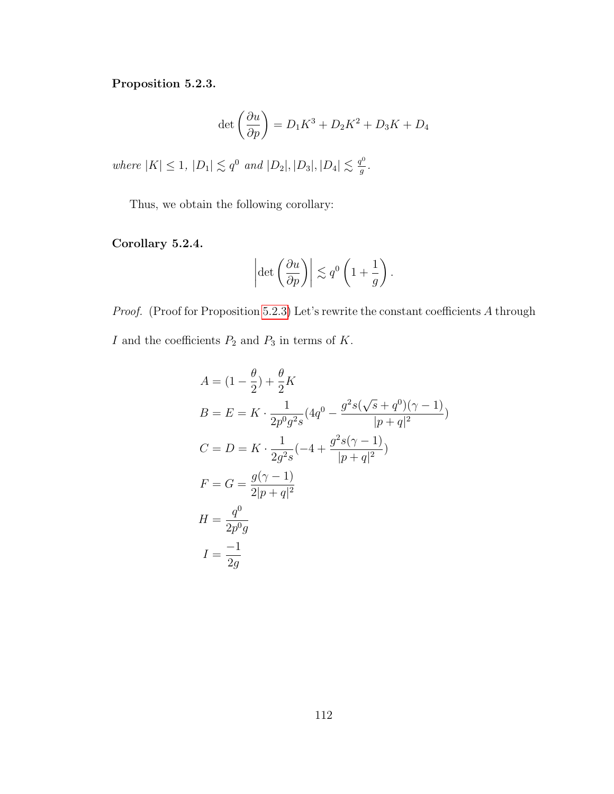#### <span id="page-118-0"></span>Proposition 5.2.3.

$$
\det\left(\frac{\partial u}{\partial p}\right) = D_1 K^3 + D_2 K^2 + D_3 K + D_4
$$

where  $|K| \leq 1$ ,  $|D_1| \lesssim q^0$  and  $|D_2|, |D_3|, |D_4| \lesssim \frac{q^0}{q}$  $\frac{p^{\mathsf{o}}}{g}$  .

Thus, we obtain the following corollary:

#### Corollary 5.2.4.

$$
\left|\det\left(\frac{\partial u}{\partial p}\right)\right| \lesssim q^0 \left(1 + \frac{1}{g}\right).
$$

Proof. (Proof for Proposition [5.2.3\)](#page-118-0) Let's rewrite the constant coefficients A through  $I$  and the coefficients  $P_2$  and  $P_3$  in terms of  $K.$ 

$$
A = (1 - \frac{\theta}{2}) + \frac{\theta}{2}K
$$
  
\n
$$
B = E = K \cdot \frac{1}{2p^0 g^2 s} (4q^0 - \frac{g^2 s(\sqrt{s} + q^0)(\gamma - 1)}{|p + q|^2})
$$
  
\n
$$
C = D = K \cdot \frac{1}{2g^2 s} (-4 + \frac{g^2 s(\gamma - 1)}{|p + q|^2})
$$
  
\n
$$
F = G = \frac{g(\gamma - 1)}{2|p + q|^2}
$$
  
\n
$$
H = \frac{q^0}{2p^0 g}
$$
  
\n
$$
I = \frac{-1}{2g}
$$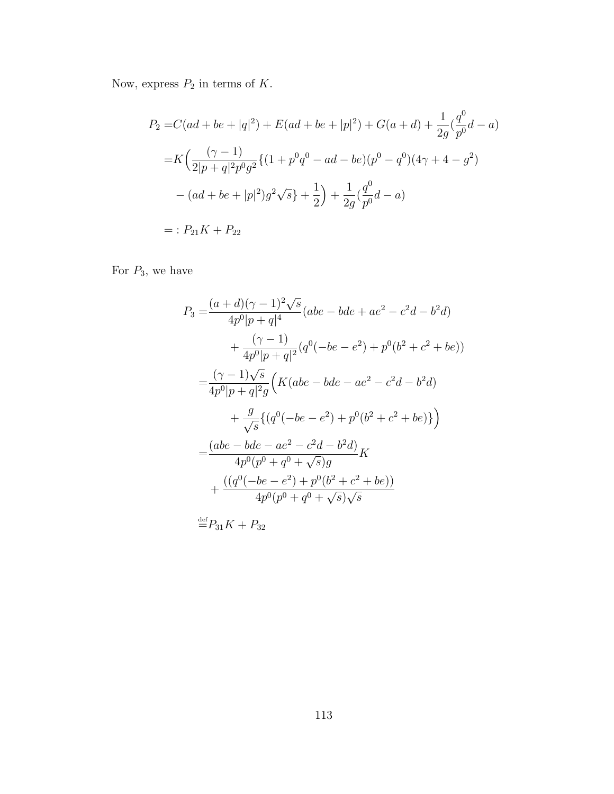Now, express  $P_2$  in terms of K.

$$
P_2 = C(ad + be + |q|^2) + E(ad + be + |p|^2) + G(a + d) + \frac{1}{2g}(\frac{q^0}{p^0}d - a)
$$
  
=  $K\left(\frac{(\gamma - 1)}{2|p + q|^2 p^0 g^2} \{ (1 + p^0 q^0 - ad - be)(p^0 - q^0)(4\gamma + 4 - g^2) - (ad + be + |p|^2)g^2 \sqrt{s} \} + \frac{1}{2}\right) + \frac{1}{2g}(\frac{q^0}{p^0}d - a)$   
= :  $P_{21}K + P_{22}$ 

For  $P_3$ , we have

$$
P_3 = \frac{(a+d)(\gamma - 1)^2 \sqrt{s}}{4p^0|p+q|^4} (abe - bde + ae^2 - c^2d - b^2d)
$$
  
+ 
$$
\frac{(\gamma - 1)}{4p^0|p+q|^2} (q^0(-be - e^2) + p^0(b^2 + c^2 + be))
$$
  
= 
$$
\frac{(\gamma - 1)\sqrt{s}}{4p^0|p+q|^2g} \Big( K(abe - bde - ae^2 - c^2d - b^2d)
$$
  
+ 
$$
\frac{g}{\sqrt{s}} \{ (q^0(-be - e^2) + p^0(b^2 + c^2 + be)) \} \Big)
$$
  
= 
$$
\frac{(abe - bde - ae^2 - c^2d - b^2d)}{4p^0(p^0 + q^0 + \sqrt{s})g} K
$$
  
+ 
$$
\frac{((q^0(-be - e^2) + p^0(b^2 + c^2 + be))}{4p^0(p^0 + q^0 + \sqrt{s})\sqrt{s}}
$$

 $\stackrel{\text{\tiny def}}{=} P_{31}K + P_{32}$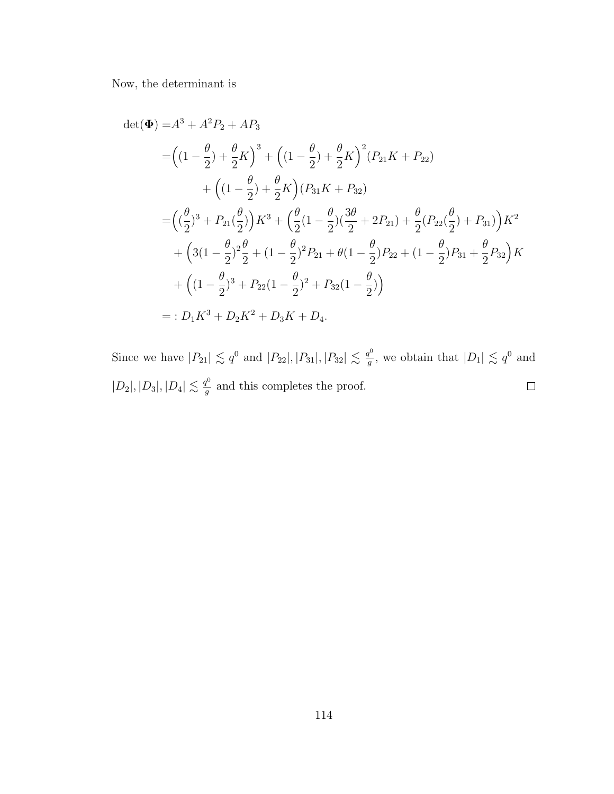Now, the determinant is

$$
\det(\Phi) = A^3 + A^2 P_2 + AP_3
$$
  
=  $\left( (1 - \frac{\theta}{2}) + \frac{\theta}{2} K \right)^3 + \left( (1 - \frac{\theta}{2}) + \frac{\theta}{2} K \right)^2 (P_{21} K + P_{22})$   
+  $\left( (1 - \frac{\theta}{2}) + \frac{\theta}{2} K \right) (P_{31} K + P_{32})$   
=  $\left( (\frac{\theta}{2})^3 + P_{21} (\frac{\theta}{2}) \right) K^3 + \left( \frac{\theta}{2} (1 - \frac{\theta}{2}) (\frac{3\theta}{2} + 2P_{21}) + \frac{\theta}{2} (P_{22} (\frac{\theta}{2}) + P_{31}) \right) K^2$   
+  $\left( 3(1 - \frac{\theta}{2})^2 \frac{\theta}{2} + (1 - \frac{\theta}{2})^2 P_{21} + \theta (1 - \frac{\theta}{2}) P_{22} + (1 - \frac{\theta}{2}) P_{31} + \frac{\theta}{2} P_{32} \right) K$   
+  $\left( (1 - \frac{\theta}{2})^3 + P_{22} (1 - \frac{\theta}{2})^2 + P_{32} (1 - \frac{\theta}{2}) \right)$   
= :  $D_1 K^3 + D_2 K^2 + D_3 K + D_4$ .

Since we have  $|P_{21}| \lesssim q^0$  and  $|P_{22}|, |P_{31}|, |P_{32}| \lesssim \frac{q^0}{q}$  $\frac{q^0}{g}$ , we obtain that  $|D_1| \lesssim q^0$  and  $|D_2|, |D_3|, |D_4| \lesssim \frac{q^0}{q}$  $\Box$  $\frac{q^{\nu}}{g}$  and this completes the proof.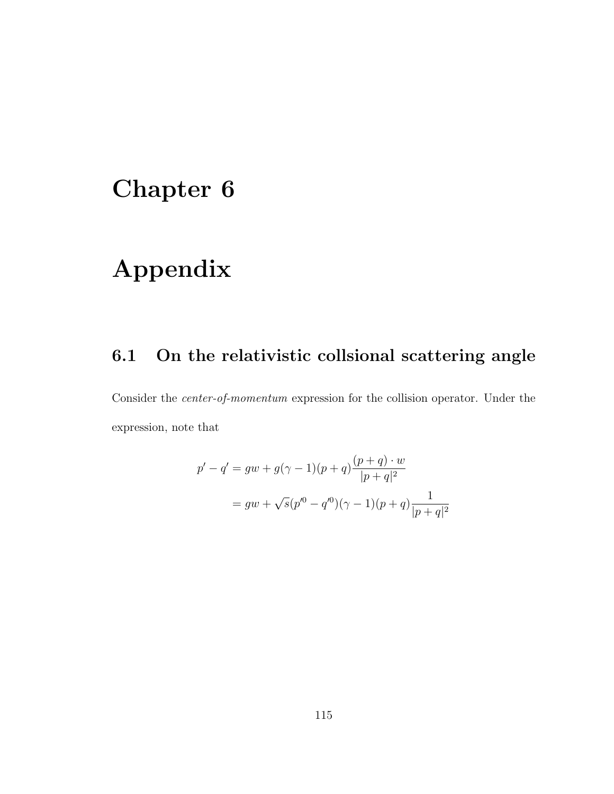## Chapter 6

# Appendix

## 6.1 On the relativistic collsional scattering angle

Consider the center-of-momentum expression for the collision operator. Under the expression, note that

$$
p' - q' = gw + g(\gamma - 1)(p + q)\frac{(p + q) \cdot w}{|p + q|^2}
$$

$$
= gw + \sqrt{s}(p'^0 - q'^0)(\gamma - 1)(p + q)\frac{1}{|p + q|^2}
$$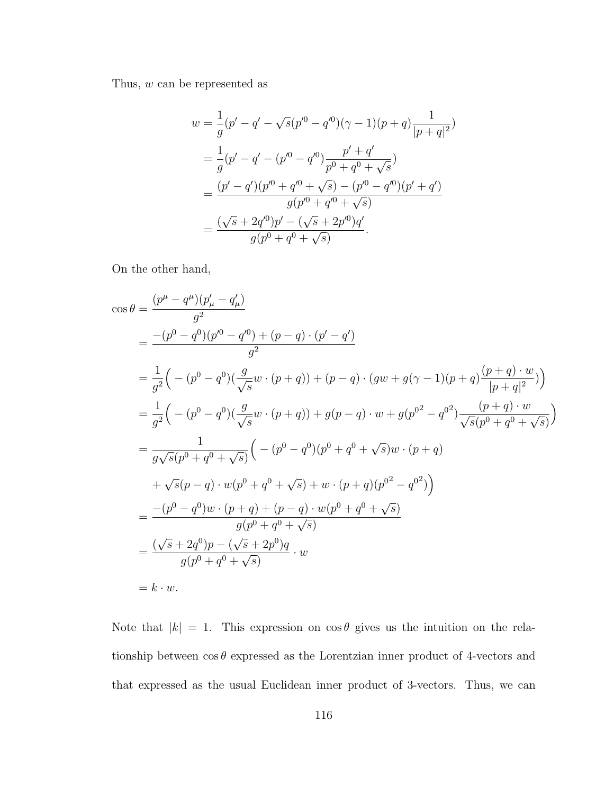Thus, w can be represented as

$$
w = \frac{1}{g}(p' - q' - \sqrt{s}(p'^0 - q'^0)(\gamma - 1)(p + q)\frac{1}{|p + q|^2})
$$
  
= 
$$
\frac{1}{g}(p' - q' - (p'^0 - q'^0)\frac{p' + q'}{p^0 + q^0 + \sqrt{s}})
$$
  
= 
$$
\frac{(p' - q')(p'^0 + q'^0 + \sqrt{s}) - (p'^0 - q'^0)(p' + q')}{g(p'^0 + q'^0 + \sqrt{s})}
$$
  
= 
$$
\frac{(\sqrt{s} + 2q'^0)p' - (\sqrt{s} + 2p'^0)q'}{g(p^0 + q^0 + \sqrt{s})}.
$$

On the other hand,

$$
\cos \theta = \frac{(p^{\mu} - q^{\mu})(p'_{\mu} - q'_{\mu})}{g^2}
$$
  
\n
$$
= \frac{-(p^0 - q^0)(p'^0 - q'^0) + (p - q) \cdot (p' - q')}{g^2}
$$
  
\n
$$
= \frac{1}{g^2} \Big( -(p^0 - q^0) \Big( \frac{g}{\sqrt{s}} w \cdot (p + q) \Big) + (p - q) \cdot (gw + g(\gamma - 1)(p + q) \frac{(p + q) \cdot w}{|p + q|^2} \Big) \Big)
$$
  
\n
$$
= \frac{1}{g^2} \Big( -(p^0 - q^0) \Big( \frac{g}{\sqrt{s}} w \cdot (p + q) \Big) + g(p - q) \cdot w + g(p^{0^2} - q^{0^2}) \frac{(p + q) \cdot w}{\sqrt{s}(p^0 + q^0 + \sqrt{s})} \Big)
$$
  
\n
$$
= \frac{1}{g\sqrt{s}(p^0 + q^0 + \sqrt{s})} \Big( -(p^0 - q^0)(p^0 + q^0 + \sqrt{s})w \cdot (p + q)
$$
  
\n
$$
+ \sqrt{s}(p - q) \cdot w(p^0 + q^0 + \sqrt{s}) + w \cdot (p + q)(p^{0^2} - q^{0^2}) \Big)
$$
  
\n
$$
= \frac{-(p^0 - q^0)w \cdot (p + q) + (p - q) \cdot w(p^0 + q^0 + \sqrt{s})}{g(p^0 + q^0 + \sqrt{s})}
$$
  
\n
$$
= \frac{(\sqrt{s} + 2q^0)p - (\sqrt{s} + 2p^0)q}{g(p^0 + q^0 + \sqrt{s})} \cdot w
$$
  
\n
$$
= k \cdot w.
$$

Note that  $|k| = 1$ . This expression on  $\cos \theta$  gives us the intuition on the relationship between  $\cos \theta$  expressed as the Lorentzian inner product of 4-vectors and that expressed as the usual Euclidean inner product of 3-vectors. Thus, we can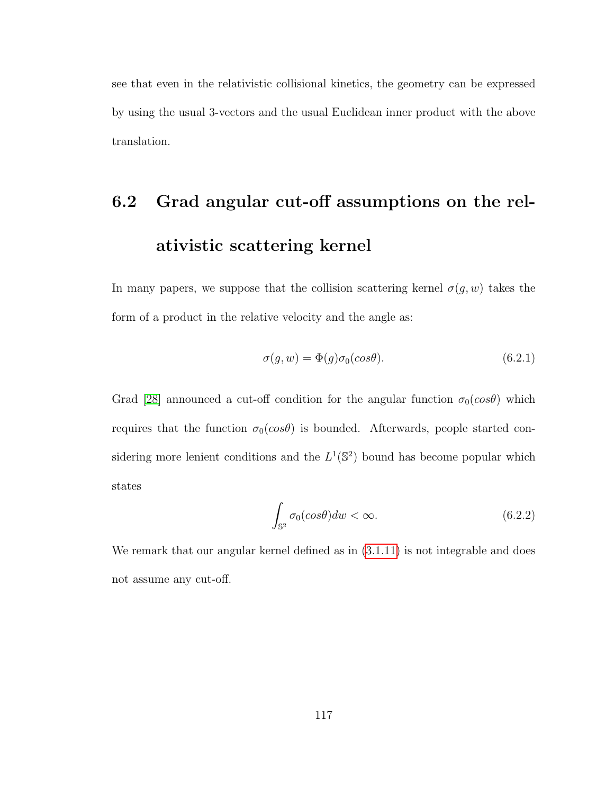see that even in the relativistic collisional kinetics, the geometry can be expressed by using the usual 3-vectors and the usual Euclidean inner product with the above translation.

# 6.2 Grad angular cut-off assumptions on the relativistic scattering kernel

In many papers, we suppose that the collision scattering kernel  $\sigma(g, w)$  takes the form of a product in the relative velocity and the angle as:

$$
\sigma(g, w) = \Phi(g)\sigma_0(\cos\theta). \tag{6.2.1}
$$

Grad [\[28\]](#page-129-0) announced a cut-off condition for the angular function  $\sigma_0(cos\theta)$  which requires that the function  $\sigma_0(cos\theta)$  is bounded. Afterwards, people started considering more lenient conditions and the  $L^1(\mathbb{S}^2)$  bound has become popular which states

$$
\int_{\mathbb{S}^2} \sigma_0(\cos \theta) dw < \infty. \tag{6.2.2}
$$

We remark that our angular kernel defined as in  $(3.1.11)$  is not integrable and does not assume any cut-off.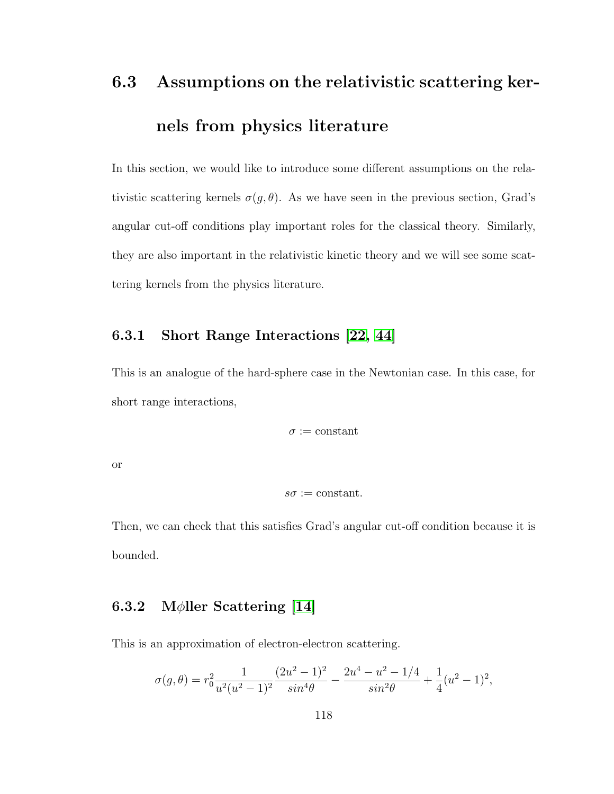# 6.3 Assumptions on the relativistic scattering kernels from physics literature

In this section, we would like to introduce some different assumptions on the relativistic scattering kernels  $\sigma(g, \theta)$ . As we have seen in the previous section, Grad's angular cut-off conditions play important roles for the classical theory. Similarly, they are also important in the relativistic kinetic theory and we will see some scattering kernels from the physics literature.

#### 6.3.1 Short Range Interactions [\[22,](#page-129-1) [44\]](#page-131-0)

This is an analogue of the hard-sphere case in the Newtonian case. In this case, for short range interactions,

$$
\sigma:=\mathrm{constant}
$$

or

$$
s\sigma := \mathrm{constant}.
$$

Then, we can check that this satisfies Grad's angular cut-off condition because it is bounded.

#### 6.3.2 M $\phi$ ller Scattering [\[14\]](#page-128-0)

This is an approximation of electron-electron scattering.

$$
\sigma(g,\theta) = r_0^2 \frac{1}{u^2(u^2-1)^2} \frac{(2u^2-1)^2}{\sin^4\theta} - \frac{2u^4 - u^2 - 1/4}{\sin^2\theta} + \frac{1}{4}(u^2-1)^2,
$$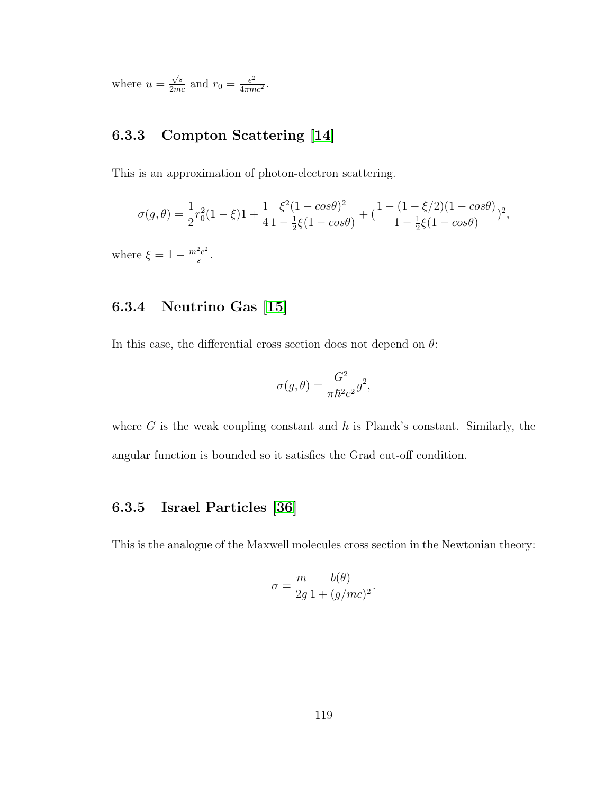where  $u =$ √ s  $\frac{\sqrt{s}}{2mc}$  and  $r_0 = \frac{e^2}{4\pi m}$  $\frac{e^2}{4\pi mc^2}$ .

### 6.3.3 Compton Scattering [\[14\]](#page-128-0)

This is an approximation of photon-electron scattering.

$$
\sigma(g,\theta) = \frac{1}{2}r_0^2(1-\xi)1 + \frac{1}{4}\frac{\xi^2(1-\cos\theta)^2}{1-\frac{1}{2}\xi(1-\cos\theta)} + \left(\frac{1-(1-\xi/2)(1-\cos\theta)}{1-\frac{1}{2}\xi(1-\cos\theta)}\right)^2,
$$

where  $\xi = 1 - \frac{m^2 c^2}{g}$  $rac{c^2}{s}$ .

### 6.3.4 Neutrino Gas [\[15\]](#page-128-1)

In this case, the differential cross section does not depend on  $\theta$ :

$$
\sigma(g,\theta) = \frac{G^2}{\pi \hbar^2 c^2} g^2,
$$

where G is the weak coupling constant and  $\hbar$  is Planck's constant. Similarly, the angular function is bounded so it satisfies the Grad cut-off condition.

#### 6.3.5 Israel Particles [\[36\]](#page-130-0)

This is the analogue of the Maxwell molecules cross section in the Newtonian theory:

$$
\sigma = \frac{m}{2g} \frac{b(\theta)}{1 + (g/mc)^2}.
$$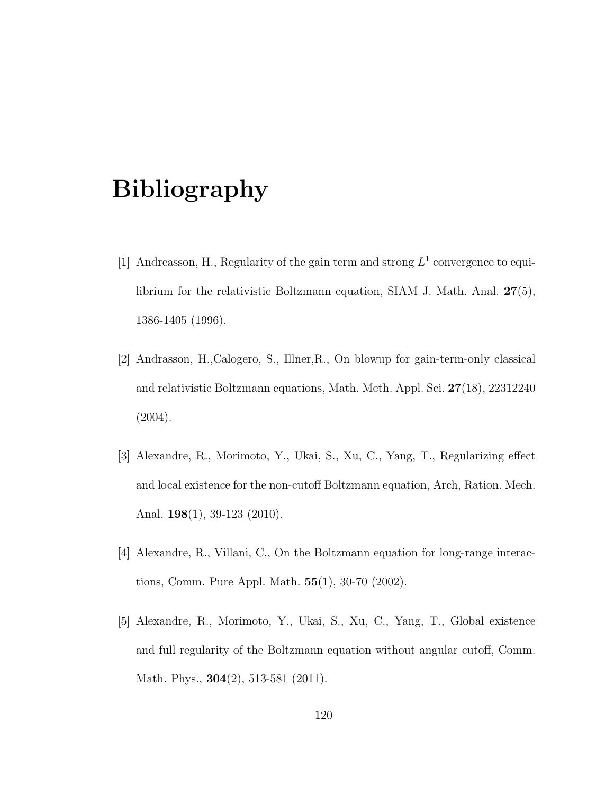## Bibliography

- [1] Andreasson, H., Regularity of the gain term and strong  $L^1$  convergence to equilibrium for the relativistic Boltzmann equation, SIAM J. Math. Anal. 27(5), 1386-1405 (1996).
- [2] Andrasson, H.,Calogero, S., Illner,R., On blowup for gain-term-only classical and relativistic Boltzmann equations, Math. Meth. Appl. Sci. 27(18), 22312240 (2004).
- [3] Alexandre, R., Morimoto, Y., Ukai, S., Xu, C., Yang, T., Regularizing effect and local existence for the non-cutoff Boltzmann equation, Arch, Ration. Mech. Anal. 198(1), 39-123 (2010).
- [4] Alexandre, R., Villani, C., On the Boltzmann equation for long-range interactions, Comm. Pure Appl. Math. 55(1), 30-70 (2002).
- [5] Alexandre, R., Morimoto, Y., Ukai, S., Xu, C., Yang, T., Global existence and full regularity of the Boltzmann equation without angular cutoff, Comm. Math. Phys., **304**(2), 513-581 (2011).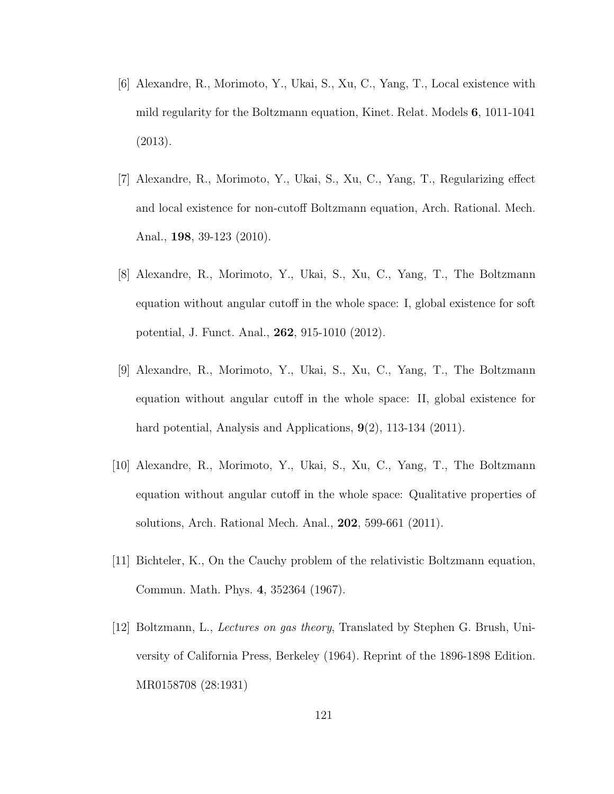- [6] Alexandre, R., Morimoto, Y., Ukai, S., Xu, C., Yang, T., Local existence with mild regularity for the Boltzmann equation, Kinet. Relat. Models 6, 1011-1041 (2013).
- [7] Alexandre, R., Morimoto, Y., Ukai, S., Xu, C., Yang, T., Regularizing effect and local existence for non-cutoff Boltzmann equation, Arch. Rational. Mech. Anal., 198, 39-123 (2010).
- [8] Alexandre, R., Morimoto, Y., Ukai, S., Xu, C., Yang, T., The Boltzmann equation without angular cutoff in the whole space: I, global existence for soft potential, J. Funct. Anal., 262, 915-1010 (2012).
- [9] Alexandre, R., Morimoto, Y., Ukai, S., Xu, C., Yang, T., The Boltzmann equation without angular cutoff in the whole space: II, global existence for hard potential, Analysis and Applications,  $9(2)$ , 113-134 (2011).
- [10] Alexandre, R., Morimoto, Y., Ukai, S., Xu, C., Yang, T., The Boltzmann equation without angular cutoff in the whole space: Qualitative properties of solutions, Arch. Rational Mech. Anal., 202, 599-661 (2011).
- [11] Bichteler, K., On the Cauchy problem of the relativistic Boltzmann equation, Commun. Math. Phys. 4, 352364 (1967).
- [12] Boltzmann, L., Lectures on gas theory, Translated by Stephen G. Brush, University of California Press, Berkeley (1964). Reprint of the 1896-1898 Edition. MR0158708 (28:1931)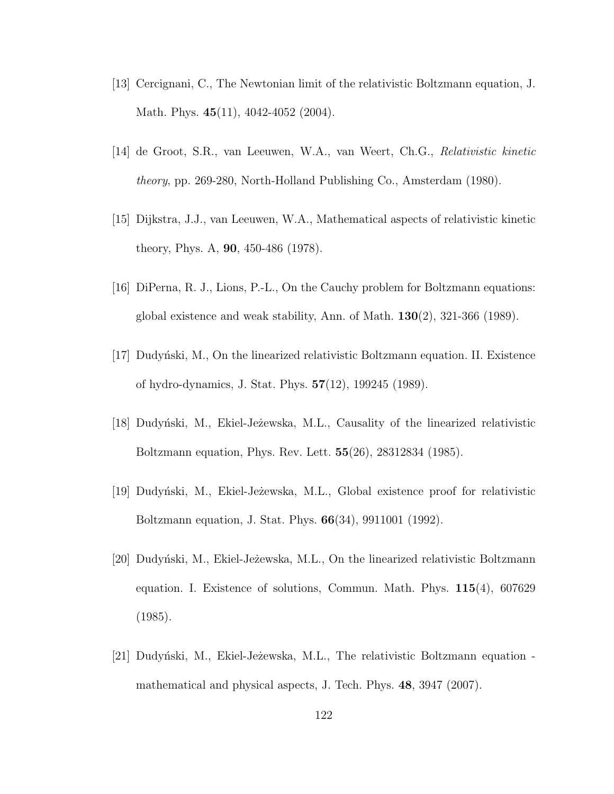- [13] Cercignani, C., The Newtonian limit of the relativistic Boltzmann equation, J. Math. Phys. **45**(11), 4042-4052 (2004).
- <span id="page-128-0"></span>[14] de Groot, S.R., van Leeuwen, W.A., van Weert, Ch.G., Relativistic kinetic theory, pp. 269-280, North-Holland Publishing Co., Amsterdam (1980).
- <span id="page-128-1"></span>[15] Dijkstra, J.J., van Leeuwen, W.A., Mathematical aspects of relativistic kinetic theory, Phys. A, 90, 450-486 (1978).
- [16] DiPerna, R. J., Lions, P.-L., On the Cauchy problem for Boltzmann equations: global existence and weak stability, Ann. of Math.  $130(2)$ ,  $321-366$  (1989).
- [17] Dudyn'ski, M., On the linearized relativistic Boltzmann equation. II. Existence of hydro-dynamics, J. Stat. Phys. 57(12), 199245 (1989).
- [18] Dudyn'ski, M., Ekiel-Jeżewska, M.L., Causality of the linearized relativistic Boltzmann equation, Phys. Rev. Lett. 55(26), 28312834 (1985).
- [19] Dudyn´ski, M., Ekiel-Je $\dot{z}$ ewska, M.L., Global existence proof for relativistic Boltzmann equation, J. Stat. Phys. 66(34), 9911001 (1992).
- [20] Dudyn´ski, M., Ekiel-Je $\dot{\rm z}$ ewska, M.L., On the linearized relativistic Boltzmann equation. I. Existence of solutions, Commun. Math. Phys.  $115(4)$ , 607629 (1985).
- [21] Dudyński, M., Ekiel-Jeżewska, M.L., The relativistic Boltzmann equation mathematical and physical aspects, J. Tech. Phys. 48, 3947 (2007).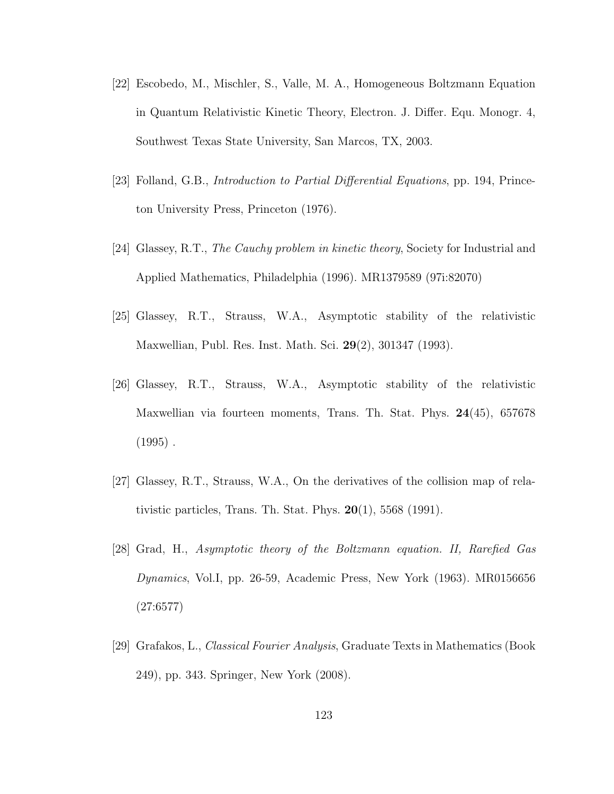- <span id="page-129-1"></span>[22] Escobedo, M., Mischler, S., Valle, M. A., Homogeneous Boltzmann Equation in Quantum Relativistic Kinetic Theory, Electron. J. Differ. Equ. Monogr. 4, Southwest Texas State University, San Marcos, TX, 2003.
- [23] Folland, G.B., Introduction to Partial Differential Equations, pp. 194, Princeton University Press, Princeton (1976).
- [24] Glassey, R.T., The Cauchy problem in kinetic theory, Society for Industrial and Applied Mathematics, Philadelphia (1996). MR1379589 (97i:82070)
- [25] Glassey, R.T., Strauss, W.A., Asymptotic stability of the relativistic Maxwellian, Publ. Res. Inst. Math. Sci. 29(2), 301347 (1993).
- [26] Glassey, R.T., Strauss, W.A., Asymptotic stability of the relativistic Maxwellian via fourteen moments, Trans. Th. Stat. Phys. 24(45), 657678  $(1995)$ .
- [27] Glassey, R.T., Strauss, W.A., On the derivatives of the collision map of relativistic particles, Trans. Th. Stat. Phys.  $20(1)$ , 5568 (1991).
- <span id="page-129-0"></span>[28] Grad, H., Asymptotic theory of the Boltzmann equation. II, Rarefied Gas Dynamics, Vol.I, pp. 26-59, Academic Press, New York (1963). MR0156656 (27:6577)
- [29] Grafakos, L., Classical Fourier Analysis, Graduate Texts in Mathematics (Book 249), pp. 343. Springer, New York (2008).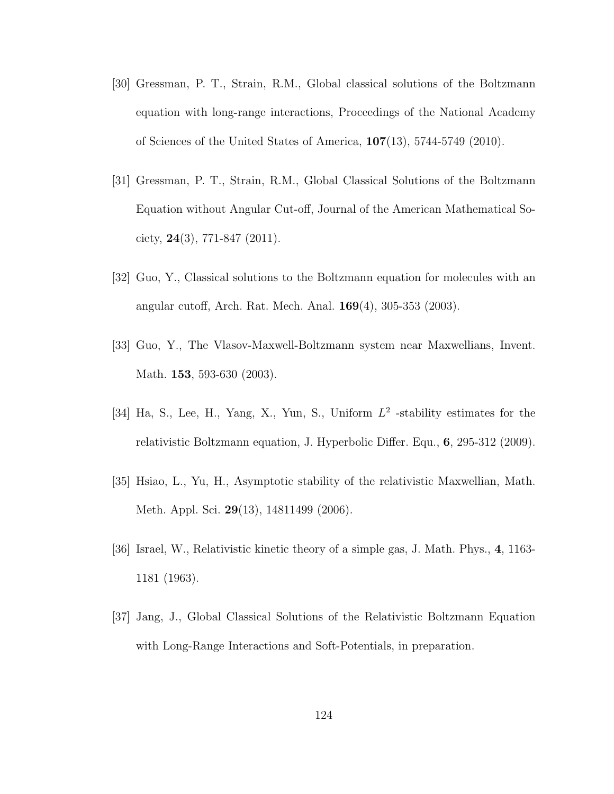- [30] Gressman, P. T., Strain, R.M., Global classical solutions of the Boltzmann equation with long-range interactions, Proceedings of the National Academy of Sciences of the United States of America, 107(13), 5744-5749 (2010).
- [31] Gressman, P. T., Strain, R.M., Global Classical Solutions of the Boltzmann Equation without Angular Cut-off, Journal of the American Mathematical Society,  $24(3)$ , 771-847 (2011).
- [32] Guo, Y., Classical solutions to the Boltzmann equation for molecules with an angular cutoff, Arch. Rat. Mech. Anal. 169(4), 305-353 (2003).
- [33] Guo, Y., The Vlasov-Maxwell-Boltzmann system near Maxwellians, Invent. Math. **153**, 593-630 (2003).
- [34] Ha, S., Lee, H., Yang, X., Yun, S., Uniform  $L^2$  -stability estimates for the relativistic Boltzmann equation, J. Hyperbolic Differ. Equ., 6, 295-312 (2009).
- [35] Hsiao, L., Yu, H., Asymptotic stability of the relativistic Maxwellian, Math. Meth. Appl. Sci. 29(13), 14811499 (2006).
- <span id="page-130-0"></span>[36] Israel, W., Relativistic kinetic theory of a simple gas, J. Math. Phys., 4, 1163- 1181 (1963).
- [37] Jang, J., Global Classical Solutions of the Relativistic Boltzmann Equation with Long-Range Interactions and Soft-Potentials, in preparation.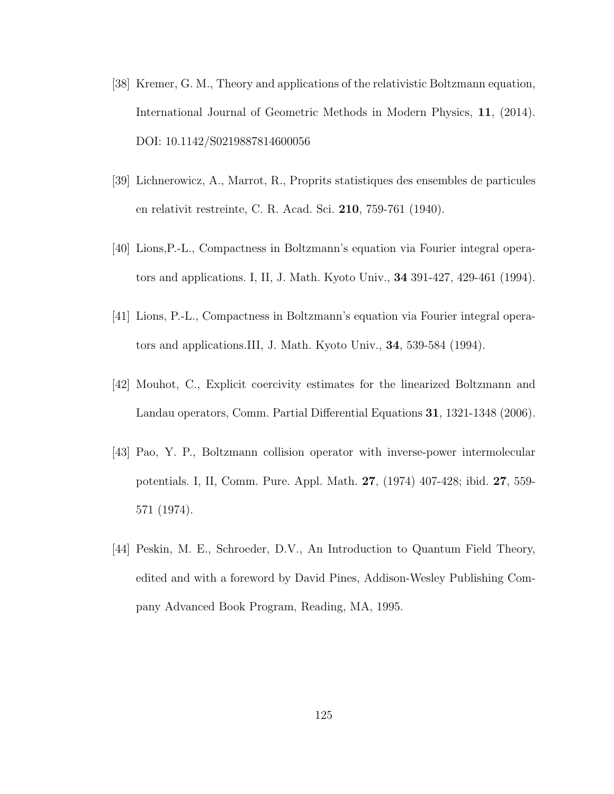- [38] Kremer, G. M., Theory and applications of the relativistic Boltzmann equation, International Journal of Geometric Methods in Modern Physics, 11, (2014). DOI: 10.1142/S0219887814600056
- [39] Lichnerowicz, A., Marrot, R., Proprits statistiques des ensembles de particules en relativit restreinte, C. R. Acad. Sci. 210, 759-761 (1940).
- [40] Lions,P.-L., Compactness in Boltzmann's equation via Fourier integral operators and applications. I, II, J. Math. Kyoto Univ., 34 391-427, 429-461 (1994).
- [41] Lions, P.-L., Compactness in Boltzmann's equation via Fourier integral operators and applications.III, J. Math. Kyoto Univ., 34, 539-584 (1994).
- [42] Mouhot, C., Explicit coercivity estimates for the linearized Boltzmann and Landau operators, Comm. Partial Differential Equations 31, 1321-1348 (2006).
- [43] Pao, Y. P., Boltzmann collision operator with inverse-power intermolecular potentials. I, II, Comm. Pure. Appl. Math. 27, (1974) 407-428; ibid. 27, 559- 571 (1974).
- <span id="page-131-0"></span>[44] Peskin, M. E., Schroeder, D.V., An Introduction to Quantum Field Theory, edited and with a foreword by David Pines, Addison-Wesley Publishing Company Advanced Book Program, Reading, MA, 1995.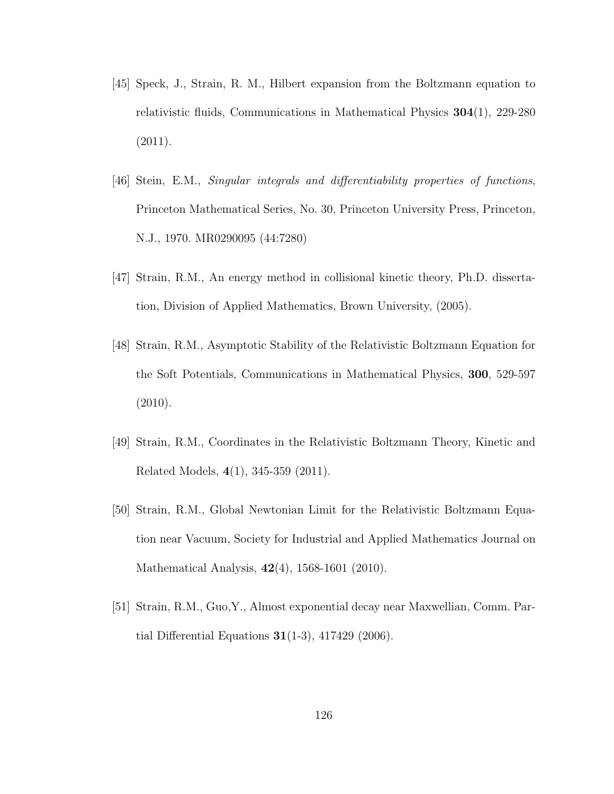- [45] Speck, J., Strain, R. M., Hilbert expansion from the Boltzmann equation to relativistic fluids, Communications in Mathematical Physics 304(1), 229-280 (2011).
- [46] Stein, E.M., Singular integrals and differentiability properties of functions, Princeton Mathematical Series, No. 30, Princeton University Press, Princeton, N.J., 1970. MR0290095 (44:7280)
- [47] Strain, R.M., An energy method in collisional kinetic theory, Ph.D. dissertation, Division of Applied Mathematics, Brown University, (2005).
- [48] Strain, R.M., Asymptotic Stability of the Relativistic Boltzmann Equation for the Soft Potentials, Communications in Mathematical Physics, 300, 529-597 (2010).
- [49] Strain, R.M., Coordinates in the Relativistic Boltzmann Theory, Kinetic and Related Models, 4(1), 345-359 (2011).
- [50] Strain, R.M., Global Newtonian Limit for the Relativistic Boltzmann Equation near Vacuum, Society for Industrial and Applied Mathematics Journal on Mathematical Analysis, 42(4), 1568-1601 (2010).
- [51] Strain, R.M., Guo,Y., Almost exponential decay near Maxwellian, Comm. Partial Differential Equations  $31(1-3)$ ,  $417429$  (2006).